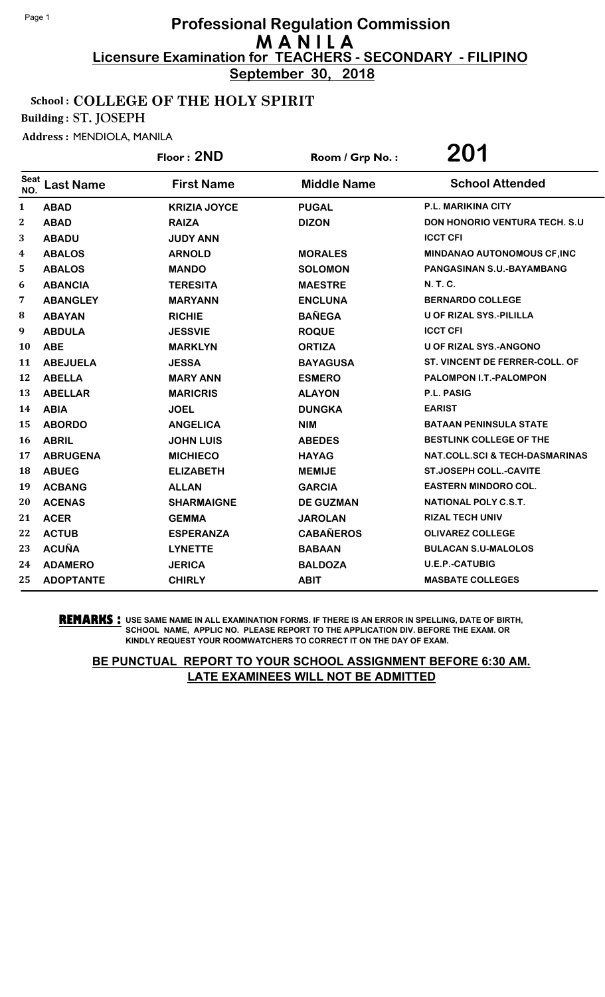**September 30, 2018**

#### School : COLLEGE OF THE HOLY SPIRIT

Building : ST. JOSEPH

Address : MENDIOLA, MANILA

|             |                  | Floor: 2ND          | Room / Grp No.:    | 201                                       |
|-------------|------------------|---------------------|--------------------|-------------------------------------------|
| Seat<br>NO. | <b>Last Name</b> | <b>First Name</b>   | <b>Middle Name</b> | <b>School Attended</b>                    |
| 1           | <b>ABAD</b>      | <b>KRIZIA JOYCE</b> | <b>PUGAL</b>       | P.L. MARIKINA CITY                        |
| $\bf{2}$    | <b>ABAD</b>      | <b>RAIZA</b>        | <b>DIZON</b>       | <b>DON HONORIO VENTURA TECH. S.U</b>      |
| 3           | <b>ABADU</b>     | <b>JUDY ANN</b>     |                    | <b>ICCT CFI</b>                           |
| 4           | <b>ABALOS</b>    | <b>ARNOLD</b>       | <b>MORALES</b>     | MINDANAO AUTONOMOUS CF, INC               |
| 5           | <b>ABALOS</b>    | <b>MANDO</b>        | <b>SOLOMON</b>     | PANGASINAN S.U.-BAYAMBANG                 |
| 6           | <b>ABANCIA</b>   | <b>TERESITA</b>     | <b>MAESTRE</b>     | N. T. C.                                  |
| 7           | <b>ABANGLEY</b>  | <b>MARYANN</b>      | <b>ENCLUNA</b>     | <b>BERNARDO COLLEGE</b>                   |
| 8           | <b>ABAYAN</b>    | <b>RICHIE</b>       | <b>BAÑEGA</b>      | <b>U OF RIZAL SYS.-PILILLA</b>            |
| 9           | <b>ABDULA</b>    | <b>JESSVIE</b>      | <b>ROQUE</b>       | <b>ICCT CFI</b>                           |
| 10          | <b>ABE</b>       | <b>MARKLYN</b>      | <b>ORTIZA</b>      | <b>U OF RIZAL SYS.-ANGONO</b>             |
| 11          | <b>ABEJUELA</b>  | <b>JESSA</b>        | <b>BAYAGUSA</b>    | ST. VINCENT DE FERRER-COLL. OF            |
| 12          | <b>ABELLA</b>    | <b>MARY ANN</b>     | <b>ESMERO</b>      | PALOMPON I.T.-PALOMPON                    |
| 13          | <b>ABELLAR</b>   | <b>MARICRIS</b>     | <b>ALAYON</b>      | <b>P.L. PASIG</b>                         |
| 14          | <b>ABIA</b>      | <b>JOEL</b>         | <b>DUNGKA</b>      | <b>EARIST</b>                             |
| 15          | <b>ABORDO</b>    | <b>ANGELICA</b>     | <b>NIM</b>         | <b>BATAAN PENINSULA STATE</b>             |
| 16          | <b>ABRIL</b>     | <b>JOHN LUIS</b>    | <b>ABEDES</b>      | <b>BESTLINK COLLEGE OF THE</b>            |
| 17          | <b>ABRUGENA</b>  | <b>MICHIECO</b>     | <b>HAYAG</b>       | <b>NAT.COLL.SCI &amp; TECH-DASMARINAS</b> |
| 18          | <b>ABUEG</b>     | <b>ELIZABETH</b>    | <b>MEMIJE</b>      | <b>ST.JOSEPH COLL.-CAVITE</b>             |
| 19          | <b>ACBANG</b>    | <b>ALLAN</b>        | <b>GARCIA</b>      | <b>EASTERN MINDORO COL.</b>               |
| 20          | <b>ACENAS</b>    | <b>SHARMAIGNE</b>   | <b>DE GUZMAN</b>   | <b>NATIONAL POLY C.S.T.</b>               |
| 21          | <b>ACER</b>      | <b>GEMMA</b>        | <b>JAROLAN</b>     | <b>RIZAL TECH UNIV</b>                    |
| 22          | <b>ACTUB</b>     | <b>ESPERANZA</b>    | <b>CABAÑEROS</b>   | <b>OLIVAREZ COLLEGE</b>                   |
| 23          | <b>ACUÑA</b>     | <b>LYNETTE</b>      | <b>BABAAN</b>      | <b>BULACAN S.U-MALOLOS</b>                |
| 24          | <b>ADAMERO</b>   | <b>JERICA</b>       | <b>BALDOZA</b>     | <b>U.E.P.-CATUBIG</b>                     |
| 25          | <b>ADOPTANTE</b> | <b>CHIRLY</b>       | <b>ABIT</b>        | <b>MASBATE COLLEGES</b>                   |

**REMARKS :** USE SAME NAME IN ALL EXAMINATION FORMS. IF THERE IS AN ERROR IN SPELLING, DATE OF BIRTH, SCHOOL NAME, APPLIC NO. PLEASE REPORT TO THE APPLICATION DIV. BEFORE THE EXAM. OR KINDLY REQUEST YOUR ROOMWATCHERS TO CORRECT IT ON THE DAY OF EXAM.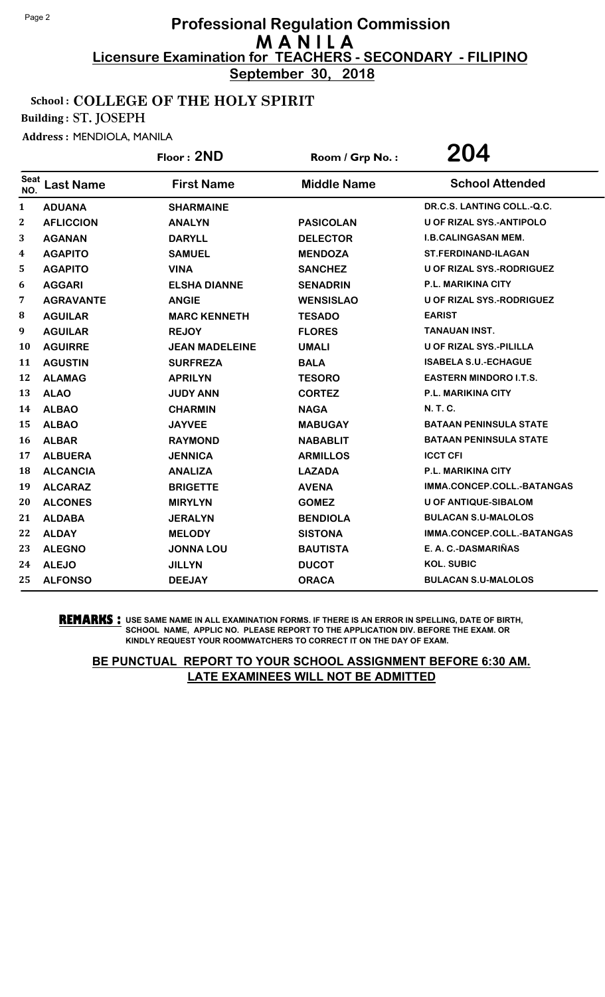**September 30, 2018**

#### School : COLLEGE OF THE HOLY SPIRIT

Building : ST. JOSEPH

Address : MENDIOLA, MANILA

|                    |                  | Floor: 2ND            | Room / Grp No.:    | 204                              |
|--------------------|------------------|-----------------------|--------------------|----------------------------------|
| <b>Seat</b><br>NO. | <b>Last Name</b> | <b>First Name</b>     | <b>Middle Name</b> | <b>School Attended</b>           |
| 1                  | <b>ADUANA</b>    | <b>SHARMAINE</b>      |                    | DR.C.S. LANTING COLL.-Q.C.       |
| 2                  | <b>AFLICCION</b> | <b>ANALYN</b>         | <b>PASICOLAN</b>   | <b>U OF RIZAL SYS.-ANTIPOLO</b>  |
| 3                  | <b>AGANAN</b>    | <b>DARYLL</b>         | <b>DELECTOR</b>    | <b>I.B.CALINGASAN MEM.</b>       |
| 4                  | <b>AGAPITO</b>   | <b>SAMUEL</b>         | <b>MENDOZA</b>     | <b>ST.FERDINAND-ILAGAN</b>       |
| 5                  | <b>AGAPITO</b>   | <b>VINA</b>           | <b>SANCHEZ</b>     | <b>U OF RIZAL SYS.-RODRIGUEZ</b> |
| 6                  | <b>AGGARI</b>    | <b>ELSHA DIANNE</b>   | <b>SENADRIN</b>    | <b>P.L. MARIKINA CITY</b>        |
| 7                  | <b>AGRAVANTE</b> | <b>ANGIE</b>          | <b>WENSISLAO</b>   | <b>U OF RIZAL SYS.-RODRIGUEZ</b> |
| 8                  | <b>AGUILAR</b>   | <b>MARC KENNETH</b>   | <b>TESADO</b>      | <b>EARIST</b>                    |
| 9                  | <b>AGUILAR</b>   | <b>REJOY</b>          | <b>FLORES</b>      | <b>TANAUAN INST.</b>             |
| <b>10</b>          | <b>AGUIRRE</b>   | <b>JEAN MADELEINE</b> | <b>UMALI</b>       | <b>U OF RIZAL SYS.-PILILLA</b>   |
| 11                 | <b>AGUSTIN</b>   | <b>SURFREZA</b>       | <b>BALA</b>        | <b>ISABELA S.U.-ECHAGUE</b>      |
| 12                 | <b>ALAMAG</b>    | <b>APRILYN</b>        | <b>TESORO</b>      | <b>EASTERN MINDORO I.T.S.</b>    |
| 13                 | <b>ALAO</b>      | <b>JUDY ANN</b>       | <b>CORTEZ</b>      | <b>P.L. MARIKINA CITY</b>        |
| 14                 | <b>ALBAO</b>     | <b>CHARMIN</b>        | <b>NAGA</b>        | <b>N. T. C.</b>                  |
| 15                 | <b>ALBAO</b>     | <b>JAYVEE</b>         | <b>MABUGAY</b>     | <b>BATAAN PENINSULA STATE</b>    |
| 16                 | <b>ALBAR</b>     | <b>RAYMOND</b>        | <b>NABABLIT</b>    | <b>BATAAN PENINSULA STATE</b>    |
| 17                 | <b>ALBUERA</b>   | <b>JENNICA</b>        | <b>ARMILLOS</b>    | <b>ICCT CFI</b>                  |
| 18                 | <b>ALCANCIA</b>  | <b>ANALIZA</b>        | <b>LAZADA</b>      | <b>P.L. MARIKINA CITY</b>        |
| 19                 | <b>ALCARAZ</b>   | <b>BRIGETTE</b>       | <b>AVENA</b>       | IMMA.CONCEP.COLL.-BATANGAS       |
| 20                 | <b>ALCONES</b>   | <b>MIRYLYN</b>        | <b>GOMEZ</b>       | <b>U OF ANTIQUE-SIBALOM</b>      |
| 21                 | <b>ALDABA</b>    | <b>JERALYN</b>        | <b>BENDIOLA</b>    | <b>BULACAN S.U-MALOLOS</b>       |
| 22                 | <b>ALDAY</b>     | <b>MELODY</b>         | <b>SISTONA</b>     | IMMA.CONCEP.COLL.-BATANGAS       |
| 23                 | <b>ALEGNO</b>    | <b>JONNA LOU</b>      | <b>BAUTISTA</b>    | E. A. C.-DASMARIÑAS              |
| 24                 | <b>ALEJO</b>     | <b>JILLYN</b>         | <b>DUCOT</b>       | <b>KOL. SUBIC</b>                |
| 25                 | <b>ALFONSO</b>   | <b>DEEJAY</b>         | <b>ORACA</b>       | <b>BULACAN S.U-MALOLOS</b>       |

**REMARKS :** USE SAME NAME IN ALL EXAMINATION FORMS. IF THERE IS AN ERROR IN SPELLING, DATE OF BIRTH, SCHOOL NAME, APPLIC NO. PLEASE REPORT TO THE APPLICATION DIV. BEFORE THE EXAM. OR KINDLY REQUEST YOUR ROOMWATCHERS TO CORRECT IT ON THE DAY OF EXAM.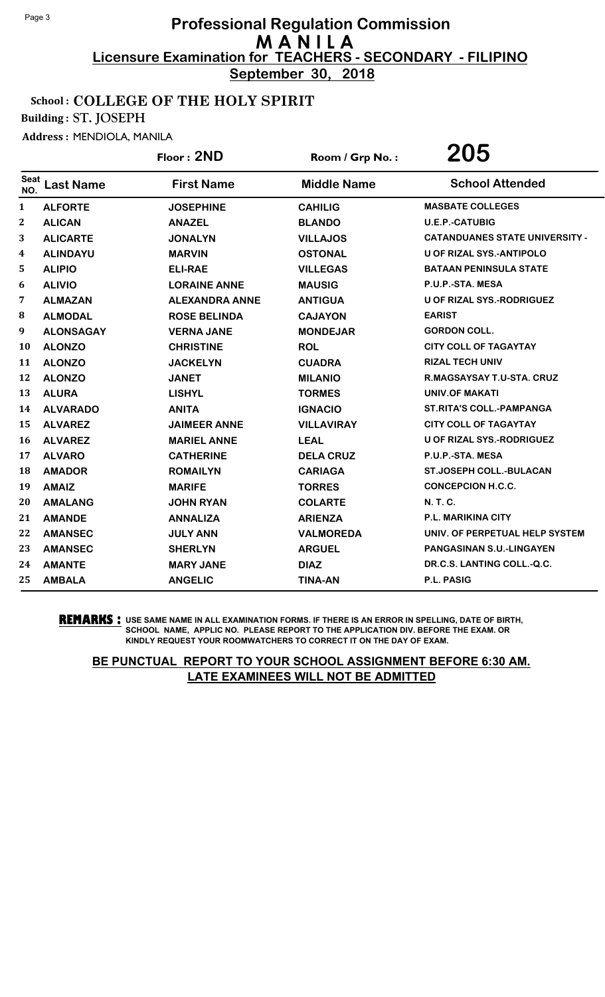**September 30, 2018**

#### School : COLLEGE OF THE HOLY SPIRIT

Building : ST. JOSEPH

Address : MENDIOLA, MANILA

|                  |                  | Floor: 2ND            | Room / Grp No.:    | 205                                   |
|------------------|------------------|-----------------------|--------------------|---------------------------------------|
| Seat<br>NO.      | <b>Last Name</b> | <b>First Name</b>     | <b>Middle Name</b> | <b>School Attended</b>                |
| $\mathbf{1}$     | <b>ALFORTE</b>   | <b>JOSEPHINE</b>      | <b>CAHILIG</b>     | <b>MASBATE COLLEGES</b>               |
| $\boldsymbol{2}$ | <b>ALICAN</b>    | <b>ANAZEL</b>         | <b>BLANDO</b>      | <b>U.E.P.-CATUBIG</b>                 |
| 3                | <b>ALICARTE</b>  | <b>JONALYN</b>        | <b>VILLAJOS</b>    | <b>CATANDUANES STATE UNIVERSITY -</b> |
| $\boldsymbol{4}$ | <b>ALINDAYU</b>  | <b>MARVIN</b>         | <b>OSTONAL</b>     | U OF RIZAL SYS.-ANTIPOLO              |
| 5                | <b>ALIPIO</b>    | <b>ELI-RAE</b>        | <b>VILLEGAS</b>    | <b>BATAAN PENINSULA STATE</b>         |
| 6                | <b>ALIVIO</b>    | <b>LORAINE ANNE</b>   | <b>MAUSIG</b>      | P.U.P.-STA. MESA                      |
| 7                | <b>ALMAZAN</b>   | <b>ALEXANDRA ANNE</b> | <b>ANTIGUA</b>     | <b>U OF RIZAL SYS.-RODRIGUEZ</b>      |
| 8                | <b>ALMODAL</b>   | <b>ROSE BELINDA</b>   | <b>CAJAYON</b>     | <b>EARIST</b>                         |
| 9                | <b>ALONSAGAY</b> | <b>VERNA JANE</b>     | <b>MONDEJAR</b>    | <b>GORDON COLL.</b>                   |
| 10               | <b>ALONZO</b>    | <b>CHRISTINE</b>      | <b>ROL</b>         | <b>CITY COLL OF TAGAYTAY</b>          |
| 11               | <b>ALONZO</b>    | <b>JACKELYN</b>       | <b>CUADRA</b>      | <b>RIZAL TECH UNIV</b>                |
| 12               | <b>ALONZO</b>    | <b>JANET</b>          | <b>MILANIO</b>     | R.MAGSAYSAY T.U-STA. CRUZ             |
| 13               | <b>ALURA</b>     | <b>LISHYL</b>         | <b>TORMES</b>      | UNIV.OF MAKATI                        |
| 14               | <b>ALVARADO</b>  | <b>ANITA</b>          | <b>IGNACIO</b>     | <b>ST.RITA'S COLL.-PAMPANGA</b>       |
| 15               | <b>ALVAREZ</b>   | <b>JAIMEER ANNE</b>   | <b>VILLAVIRAY</b>  | <b>CITY COLL OF TAGAYTAY</b>          |
| 16               | <b>ALVAREZ</b>   | <b>MARIEL ANNE</b>    | <b>LEAL</b>        | U OF RIZAL SYS.-RODRIGUEZ             |
| 17               | <b>ALVARO</b>    | <b>CATHERINE</b>      | <b>DELA CRUZ</b>   | P.U.P.-STA. MESA                      |
| 18               | <b>AMADOR</b>    | <b>ROMAILYN</b>       | <b>CARIAGA</b>     | <b>ST.JOSEPH COLL.-BULACAN</b>        |
| 19               | <b>AMAIZ</b>     | <b>MARIFE</b>         | <b>TORRES</b>      | <b>CONCEPCION H.C.C.</b>              |
| 20               | <b>AMALANG</b>   | <b>JOHN RYAN</b>      | <b>COLARTE</b>     | <b>N.T.C.</b>                         |
| 21               | <b>AMANDE</b>    | <b>ANNALIZA</b>       | <b>ARIENZA</b>     | <b>P.L. MARIKINA CITY</b>             |
| 22               | <b>AMANSEC</b>   | <b>JULY ANN</b>       | <b>VALMOREDA</b>   | UNIV. OF PERPETUAL HELP SYSTEM        |
| 23               | <b>AMANSEC</b>   | <b>SHERLYN</b>        | <b>ARGUEL</b>      | <b>PANGASINAN S.U.-LINGAYEN</b>       |
| 24               | <b>AMANTE</b>    | <b>MARY JANE</b>      | <b>DIAZ</b>        | DR.C.S. LANTING COLL.-Q.C.            |
| 25               | <b>AMBALA</b>    | <b>ANGELIC</b>        | <b>TINA-AN</b>     | <b>P.L. PASIG</b>                     |

**REMARKS :** USE SAME NAME IN ALL EXAMINATION FORMS. IF THERE IS AN ERROR IN SPELLING, DATE OF BIRTH, SCHOOL NAME, APPLIC NO. PLEASE REPORT TO THE APPLICATION DIV. BEFORE THE EXAM. OR KINDLY REQUEST YOUR ROOMWATCHERS TO CORRECT IT ON THE DAY OF EXAM.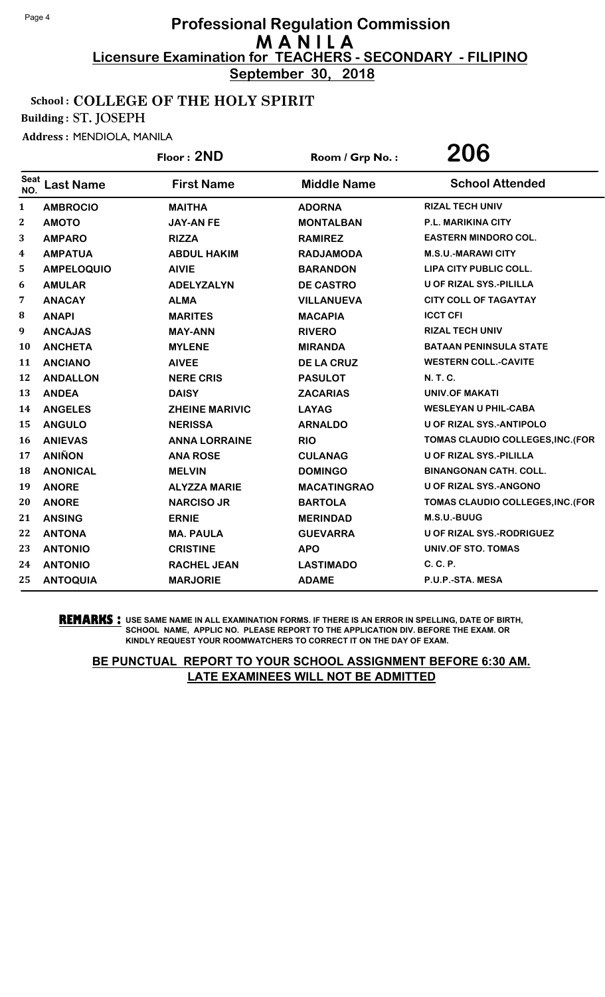**September 30, 2018**

#### School : COLLEGE OF THE HOLY SPIRIT

Building : ST. JOSEPH

Address : MENDIOLA, MANILA

|                    |                   | Floor: 2ND            | Room / Grp No.:    | 206                               |
|--------------------|-------------------|-----------------------|--------------------|-----------------------------------|
| <b>Seat</b><br>NO. | <b>Last Name</b>  | <b>First Name</b>     | <b>Middle Name</b> | <b>School Attended</b>            |
| 1                  | <b>AMBROCIO</b>   | <b>MAITHA</b>         | <b>ADORNA</b>      | <b>RIZAL TECH UNIV</b>            |
| $\boldsymbol{2}$   | <b>AMOTO</b>      | <b>JAY-AN FE</b>      | <b>MONTALBAN</b>   | P.L. MARIKINA CITY                |
| 3                  | <b>AMPARO</b>     | <b>RIZZA</b>          | <b>RAMIREZ</b>     | <b>EASTERN MINDORO COL.</b>       |
| 4                  | <b>AMPATUA</b>    | <b>ABDUL HAKIM</b>    | <b>RADJAMODA</b>   | <b>M.S.U.-MARAWICITY</b>          |
| 5                  | <b>AMPELOQUIO</b> | <b>AIVIE</b>          | <b>BARANDON</b>    | LIPA CITY PUBLIC COLL.            |
| 6                  | <b>AMULAR</b>     | <b>ADELYZALYN</b>     | <b>DE CASTRO</b>   | <b>U OF RIZAL SYS.-PILILLA</b>    |
| 7                  | <b>ANACAY</b>     | <b>ALMA</b>           | <b>VILLANUEVA</b>  | <b>CITY COLL OF TAGAYTAY</b>      |
| ${\bf 8}$          | <b>ANAPI</b>      | <b>MARITES</b>        | <b>MACAPIA</b>     | <b>ICCT CFI</b>                   |
| 9                  | <b>ANCAJAS</b>    | <b>MAY-ANN</b>        | <b>RIVERO</b>      | <b>RIZAL TECH UNIV</b>            |
| 10                 | <b>ANCHETA</b>    | <b>MYLENE</b>         | <b>MIRANDA</b>     | <b>BATAAN PENINSULA STATE</b>     |
| 11                 | <b>ANCIANO</b>    | <b>AIVEE</b>          | <b>DE LA CRUZ</b>  | <b>WESTERN COLL.-CAVITE</b>       |
| 12                 | <b>ANDALLON</b>   | <b>NERE CRIS</b>      | <b>PASULOT</b>     | <b>N. T. C.</b>                   |
| 13                 | <b>ANDEA</b>      | <b>DAISY</b>          | <b>ZACARIAS</b>    | <b>UNIV.OF MAKATI</b>             |
| 14                 | <b>ANGELES</b>    | <b>ZHEINE MARIVIC</b> | <b>LAYAG</b>       | <b>WESLEYAN U PHIL-CABA</b>       |
| 15                 | <b>ANGULO</b>     | <b>NERISSA</b>        | <b>ARNALDO</b>     | <b>U OF RIZAL SYS.-ANTIPOLO</b>   |
| 16                 | <b>ANIEVAS</b>    | <b>ANNA LORRAINE</b>  | <b>RIO</b>         | TOMAS CLAUDIO COLLEGES, INC. (FOR |
| 17                 | <b>ANIÑON</b>     | <b>ANA ROSE</b>       | <b>CULANAG</b>     | <b>U OF RIZAL SYS.-PILILLA</b>    |
| 18                 | <b>ANONICAL</b>   | <b>MELVIN</b>         | <b>DOMINGO</b>     | <b>BINANGONAN CATH. COLL.</b>     |
| 19                 | <b>ANORE</b>      | <b>ALYZZA MARIE</b>   | <b>MACATINGRAO</b> | <b>U OF RIZAL SYS.-ANGONO</b>     |
| 20                 | <b>ANORE</b>      | <b>NARCISO JR</b>     | <b>BARTOLA</b>     | TOMAS CLAUDIO COLLEGES, INC. (FOR |
| 21                 | <b>ANSING</b>     | <b>ERNIE</b>          | <b>MERINDAD</b>    | M.S.U.-BUUG                       |
| 22                 | <b>ANTONA</b>     | <b>MA. PAULA</b>      | <b>GUEVARRA</b>    | U OF RIZAL SYS.-RODRIGUEZ         |
| 23                 | <b>ANTONIO</b>    | <b>CRISTINE</b>       | <b>APO</b>         | <b>UNIV.OF STO. TOMAS</b>         |
| 24                 | <b>ANTONIO</b>    | <b>RACHEL JEAN</b>    | <b>LASTIMADO</b>   | C. C. P.                          |
| 25                 | <b>ANTOQUIA</b>   | <b>MARJORIE</b>       | <b>ADAME</b>       | P.U.P.-STA. MESA                  |

**REMARKS :** USE SAME NAME IN ALL EXAMINATION FORMS. IF THERE IS AN ERROR IN SPELLING, DATE OF BIRTH, SCHOOL NAME, APPLIC NO. PLEASE REPORT TO THE APPLICATION DIV. BEFORE THE EXAM. OR KINDLY REQUEST YOUR ROOMWATCHERS TO CORRECT IT ON THE DAY OF EXAM.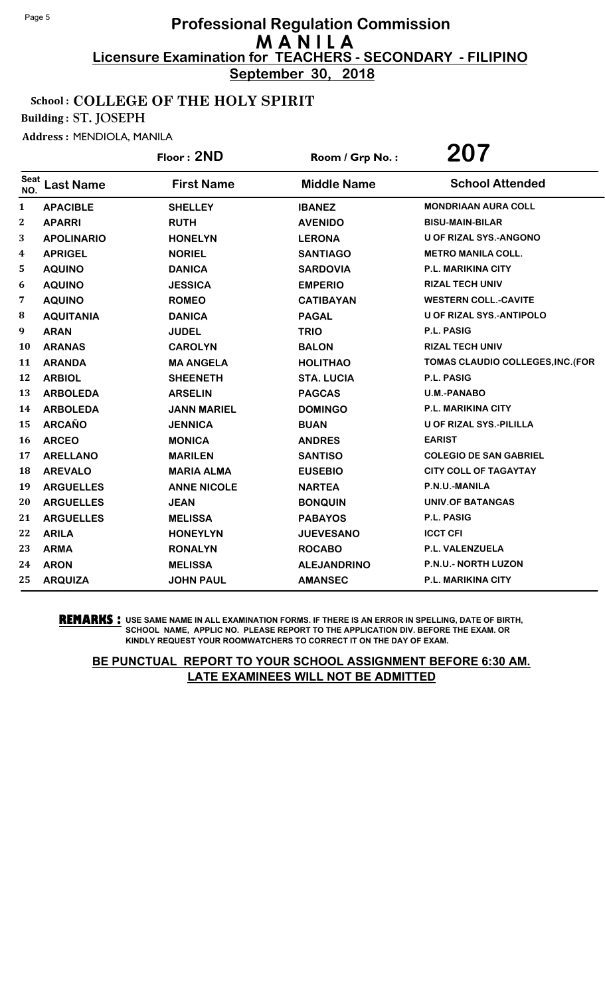**September 30, 2018**

#### School : COLLEGE OF THE HOLY SPIRIT

Building : ST. JOSEPH

Address : MENDIOLA, MANILA

|              |                   | Floor: 2ND         | Room / Grp No.:    | 207                               |
|--------------|-------------------|--------------------|--------------------|-----------------------------------|
| Seat<br>NO.  | <b>Last Name</b>  | <b>First Name</b>  | <b>Middle Name</b> | <b>School Attended</b>            |
| 1            | <b>APACIBLE</b>   | <b>SHELLEY</b>     | <b>IBANEZ</b>      | <b>MONDRIAAN AURA COLL</b>        |
| $\mathbf{2}$ | <b>APARRI</b>     | <b>RUTH</b>        | <b>AVENIDO</b>     | <b>BISU-MAIN-BILAR</b>            |
| 3            | <b>APOLINARIO</b> | <b>HONELYN</b>     | <b>LERONA</b>      | <b>U OF RIZAL SYS.-ANGONO</b>     |
| 4            | <b>APRIGEL</b>    | <b>NORIEL</b>      | <b>SANTIAGO</b>    | <b>METRO MANILA COLL.</b>         |
| 5            | <b>AQUINO</b>     | <b>DANICA</b>      | <b>SARDOVIA</b>    | P.L. MARIKINA CITY                |
| 6            | <b>AQUINO</b>     | <b>JESSICA</b>     | <b>EMPERIO</b>     | <b>RIZAL TECH UNIV</b>            |
| 7            | <b>AQUINO</b>     | <b>ROMEO</b>       | <b>CATIBAYAN</b>   | <b>WESTERN COLL.-CAVITE</b>       |
| 8            | <b>AQUITANIA</b>  | <b>DANICA</b>      | <b>PAGAL</b>       | <b>U OF RIZAL SYS.-ANTIPOLO</b>   |
| 9            | <b>ARAN</b>       | <b>JUDEL</b>       | <b>TRIO</b>        | <b>P.L. PASIG</b>                 |
| 10           | <b>ARANAS</b>     | <b>CAROLYN</b>     | <b>BALON</b>       | <b>RIZAL TECH UNIV</b>            |
| 11           | <b>ARANDA</b>     | <b>MA ANGELA</b>   | <b>HOLITHAO</b>    | TOMAS CLAUDIO COLLEGES, INC. (FOR |
| 12           | <b>ARBIOL</b>     | <b>SHEENETH</b>    | <b>STA. LUCIA</b>  | P.L. PASIG                        |
| 13           | <b>ARBOLEDA</b>   | <b>ARSELIN</b>     | <b>PAGCAS</b>      | <b>U.M.-PANABO</b>                |
| 14           | <b>ARBOLEDA</b>   | <b>JANN MARIEL</b> | <b>DOMINGO</b>     | <b>P.L. MARIKINA CITY</b>         |
| 15           | <b>ARCAÑO</b>     | <b>JENNICA</b>     | <b>BUAN</b>        | <b>U OF RIZAL SYS.-PILILLA</b>    |
| 16           | <b>ARCEO</b>      | <b>MONICA</b>      | <b>ANDRES</b>      | <b>EARIST</b>                     |
| 17           | <b>ARELLANO</b>   | <b>MARILEN</b>     | <b>SANTISO</b>     | <b>COLEGIO DE SAN GABRIEL</b>     |
| 18           | <b>AREVALO</b>    | <b>MARIA ALMA</b>  | <b>EUSEBIO</b>     | <b>CITY COLL OF TAGAYTAY</b>      |
| 19           | <b>ARGUELLES</b>  | <b>ANNE NICOLE</b> | <b>NARTEA</b>      | P.N.U.-MANILA                     |
| 20           | <b>ARGUELLES</b>  | <b>JEAN</b>        | <b>BONQUIN</b>     | <b>UNIV.OF BATANGAS</b>           |
| 21           | <b>ARGUELLES</b>  | <b>MELISSA</b>     | <b>PABAYOS</b>     | P.L. PASIG                        |
| 22           | <b>ARILA</b>      | <b>HONEYLYN</b>    | <b>JUEVESANO</b>   | <b>ICCT CFI</b>                   |
| 23           | <b>ARMA</b>       | <b>RONALYN</b>     | <b>ROCABO</b>      | P.L. VALENZUELA                   |
| 24           | <b>ARON</b>       | <b>MELISSA</b>     | <b>ALEJANDRINO</b> | <b>P.N.U.- NORTH LUZON</b>        |
| 25           | <b>ARQUIZA</b>    | <b>JOHN PAUL</b>   | <b>AMANSEC</b>     | <b>P.L. MARIKINA CITY</b>         |

**REMARKS :** USE SAME NAME IN ALL EXAMINATION FORMS. IF THERE IS AN ERROR IN SPELLING, DATE OF BIRTH, SCHOOL NAME, APPLIC NO. PLEASE REPORT TO THE APPLICATION DIV. BEFORE THE EXAM. OR KINDLY REQUEST YOUR ROOMWATCHERS TO CORRECT IT ON THE DAY OF EXAM.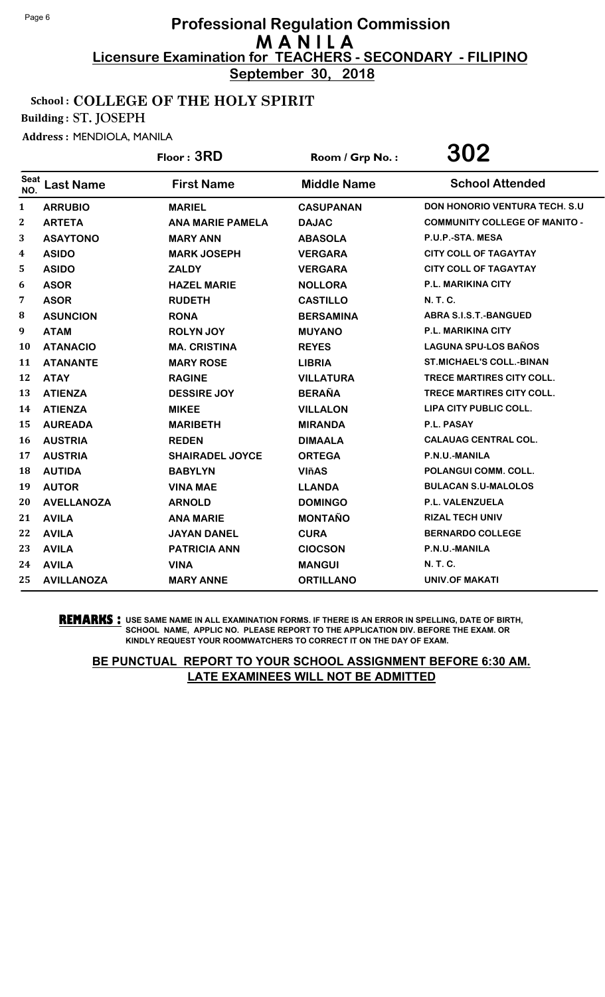**September 30, 2018**

#### School : COLLEGE OF THE HOLY SPIRIT

Building : ST. JOSEPH

Address : MENDIOLA, MANILA

|             |                   | Floor: 3RD              | Room / Grp No.:    | 302                                   |
|-------------|-------------------|-------------------------|--------------------|---------------------------------------|
| Seat<br>NO. | <b>Last Name</b>  | <b>First Name</b>       | <b>Middle Name</b> | <b>School Attended</b>                |
| 1           | <b>ARRUBIO</b>    | <b>MARIEL</b>           | <b>CASUPANAN</b>   | <b>DON HONORIO VENTURA TECH. S.U.</b> |
| 2           | <b>ARTETA</b>     | <b>ANA MARIE PAMELA</b> | <b>DAJAC</b>       | <b>COMMUNITY COLLEGE OF MANITO -</b>  |
| 3           | <b>ASAYTONO</b>   | <b>MARY ANN</b>         | <b>ABASOLA</b>     | P.U.P.-STA. MESA                      |
| 4           | <b>ASIDO</b>      | <b>MARK JOSEPH</b>      | <b>VERGARA</b>     | <b>CITY COLL OF TAGAYTAY</b>          |
| 5           | <b>ASIDO</b>      | <b>ZALDY</b>            | <b>VERGARA</b>     | <b>CITY COLL OF TAGAYTAY</b>          |
| 6           | <b>ASOR</b>       | <b>HAZEL MARIE</b>      | <b>NOLLORA</b>     | <b>P.L. MARIKINA CITY</b>             |
| 7           | <b>ASOR</b>       | <b>RUDETH</b>           | <b>CASTILLO</b>    | N. T. C.                              |
| 8           | <b>ASUNCION</b>   | <b>RONA</b>             | <b>BERSAMINA</b>   | <b>ABRA S.I.S.T.-BANGUED</b>          |
| 9           | <b>ATAM</b>       | <b>ROLYN JOY</b>        | <b>MUYANO</b>      | <b>P.L. MARIKINA CITY</b>             |
| 10          | <b>ATANACIO</b>   | <b>MA. CRISTINA</b>     | <b>REYES</b>       | <b>LAGUNA SPU-LOS BAÑOS</b>           |
| 11          | <b>ATANANTE</b>   | <b>MARY ROSE</b>        | <b>LIBRIA</b>      | <b>ST.MICHAEL'S COLL.-BINAN</b>       |
| 12          | <b>ATAY</b>       | <b>RAGINE</b>           | <b>VILLATURA</b>   | <b>TRECE MARTIRES CITY COLL.</b>      |
| 13          | <b>ATIENZA</b>    | <b>DESSIRE JOY</b>      | <b>BERAÑA</b>      | TRECE MARTIRES CITY COLL.             |
| 14          | <b>ATIENZA</b>    | <b>MIKEE</b>            | <b>VILLALON</b>    | LIPA CITY PUBLIC COLL.                |
| 15          | <b>AUREADA</b>    | <b>MARIBETH</b>         | <b>MIRANDA</b>     | P.L. PASAY                            |
| 16          | <b>AUSTRIA</b>    | <b>REDEN</b>            | <b>DIMAALA</b>     | <b>CALAUAG CENTRAL COL.</b>           |
| 17          | <b>AUSTRIA</b>    | <b>SHAIRADEL JOYCE</b>  | <b>ORTEGA</b>      | P.N.U.-MANILA                         |
| 18          | <b>AUTIDA</b>     | <b>BABYLYN</b>          | <b>VIñAS</b>       | POLANGUI COMM. COLL.                  |
| 19          | <b>AUTOR</b>      | <b>VINA MAE</b>         | <b>LLANDA</b>      | <b>BULACAN S.U-MALOLOS</b>            |
| 20          | <b>AVELLANOZA</b> | <b>ARNOLD</b>           | <b>DOMINGO</b>     | P.L. VALENZUELA                       |
| 21          | <b>AVILA</b>      | <b>ANA MARIE</b>        | <b>MONTAÑO</b>     | <b>RIZAL TECH UNIV</b>                |
| 22          | <b>AVILA</b>      | <b>JAYAN DANEL</b>      | <b>CURA</b>        | <b>BERNARDO COLLEGE</b>               |
| 23          | <b>AVILA</b>      | <b>PATRICIA ANN</b>     | <b>CIOCSON</b>     | P.N.U.-MANILA                         |
| 24          | <b>AVILA</b>      | <b>VINA</b>             | <b>MANGUI</b>      | N. T. C.                              |
| 25          | <b>AVILLANOZA</b> | <b>MARY ANNE</b>        | <b>ORTILLANO</b>   | <b>UNIV.OF MAKATI</b>                 |

**REMARKS :** USE SAME NAME IN ALL EXAMINATION FORMS. IF THERE IS AN ERROR IN SPELLING, DATE OF BIRTH, SCHOOL NAME, APPLIC NO. PLEASE REPORT TO THE APPLICATION DIV. BEFORE THE EXAM. OR KINDLY REQUEST YOUR ROOMWATCHERS TO CORRECT IT ON THE DAY OF EXAM.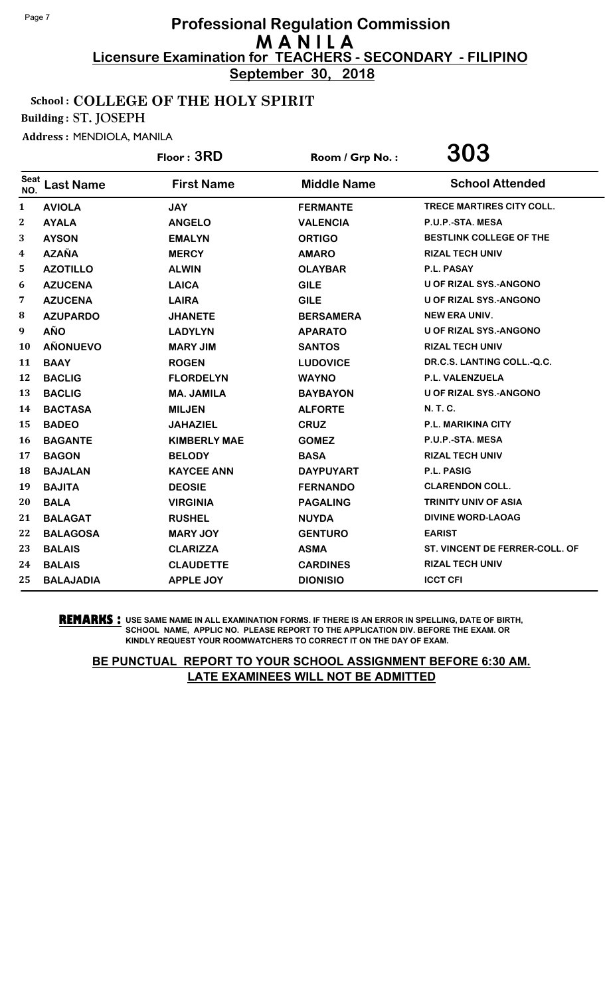**September 30, 2018**

#### School : COLLEGE OF THE HOLY SPIRIT

Building : ST. JOSEPH

Address : MENDIOLA, MANILA

|                    |                  | Floor: 3RD          | Room / Grp No.:    | 303                              |
|--------------------|------------------|---------------------|--------------------|----------------------------------|
| <b>Seat</b><br>NO. | <b>Last Name</b> | <b>First Name</b>   | <b>Middle Name</b> | <b>School Attended</b>           |
| $\mathbf{1}$       | <b>AVIOLA</b>    | <b>JAY</b>          | <b>FERMANTE</b>    | <b>TRECE MARTIRES CITY COLL.</b> |
| $\mathbf{2}$       | <b>AYALA</b>     | <b>ANGELO</b>       | <b>VALENCIA</b>    | P.U.P.-STA. MESA                 |
| 3                  | <b>AYSON</b>     | <b>EMALYN</b>       | <b>ORTIGO</b>      | BESTLINK COLLEGE OF THE          |
| 4                  | <b>AZAÑA</b>     | <b>MERCY</b>        | <b>AMARO</b>       | <b>RIZAL TECH UNIV</b>           |
| 5.                 | <b>AZOTILLO</b>  | <b>ALWIN</b>        | <b>OLAYBAR</b>     | P.L. PASAY                       |
| 6                  | <b>AZUCENA</b>   | <b>LAICA</b>        | <b>GILE</b>        | <b>U OF RIZAL SYS.-ANGONO</b>    |
| 7                  | <b>AZUCENA</b>   | <b>LAIRA</b>        | <b>GILE</b>        | <b>U OF RIZAL SYS.-ANGONO</b>    |
| 8                  | <b>AZUPARDO</b>  | <b>JHANETE</b>      | <b>BERSAMERA</b>   | <b>NEW ERA UNIV.</b>             |
| 9                  | <b>AÑO</b>       | <b>LADYLYN</b>      | <b>APARATO</b>     | <b>U OF RIZAL SYS.-ANGONO</b>    |
| 10                 | <b>AÑONUEVO</b>  | <b>MARY JIM</b>     | <b>SANTOS</b>      | <b>RIZAL TECH UNIV</b>           |
| 11                 | <b>BAAY</b>      | <b>ROGEN</b>        | <b>LUDOVICE</b>    | DR.C.S. LANTING COLL.-Q.C.       |
| 12                 | <b>BACLIG</b>    | <b>FLORDELYN</b>    | <b>WAYNO</b>       | <b>P.L. VALENZUELA</b>           |
| 13                 | <b>BACLIG</b>    | <b>MA. JAMILA</b>   | <b>BAYBAYON</b>    | U OF RIZAL SYS.-ANGONO           |
| 14                 | <b>BACTASA</b>   | <b>MILJEN</b>       | <b>ALFORTE</b>     | N. T. C.                         |
| 15                 | <b>BADEO</b>     | <b>JAHAZIEL</b>     | <b>CRUZ</b>        | <b>P.L. MARIKINA CITY</b>        |
| 16                 | <b>BAGANTE</b>   | <b>KIMBERLY MAE</b> | <b>GOMEZ</b>       | P.U.P.-STA. MESA                 |
| 17                 | <b>BAGON</b>     | <b>BELODY</b>       | <b>BASA</b>        | <b>RIZAL TECH UNIV</b>           |
| 18                 | <b>BAJALAN</b>   | <b>KAYCEE ANN</b>   | <b>DAYPUYART</b>   | <b>P.L. PASIG</b>                |
| 19                 | <b>BAJITA</b>    | <b>DEOSIE</b>       | <b>FERNANDO</b>    | <b>CLARENDON COLL.</b>           |
| 20                 | <b>BALA</b>      | <b>VIRGINIA</b>     | <b>PAGALING</b>    | <b>TRINITY UNIV OF ASIA</b>      |
| 21                 | <b>BALAGAT</b>   | <b>RUSHEL</b>       | <b>NUYDA</b>       | <b>DIVINE WORD-LAOAG</b>         |
| 22                 | <b>BALAGOSA</b>  | <b>MARY JOY</b>     | <b>GENTURO</b>     | <b>EARIST</b>                    |
| 23                 | <b>BALAIS</b>    | <b>CLARIZZA</b>     | <b>ASMA</b>        | ST. VINCENT DE FERRER-COLL. OF   |
| 24                 | <b>BALAIS</b>    | <b>CLAUDETTE</b>    | <b>CARDINES</b>    | <b>RIZAL TECH UNIV</b>           |
| 25                 | <b>BALAJADIA</b> | <b>APPLE JOY</b>    | <b>DIONISIO</b>    | <b>ICCT CFI</b>                  |

**REMARKS :** USE SAME NAME IN ALL EXAMINATION FORMS. IF THERE IS AN ERROR IN SPELLING, DATE OF BIRTH, SCHOOL NAME, APPLIC NO. PLEASE REPORT TO THE APPLICATION DIV. BEFORE THE EXAM. OR KINDLY REQUEST YOUR ROOMWATCHERS TO CORRECT IT ON THE DAY OF EXAM.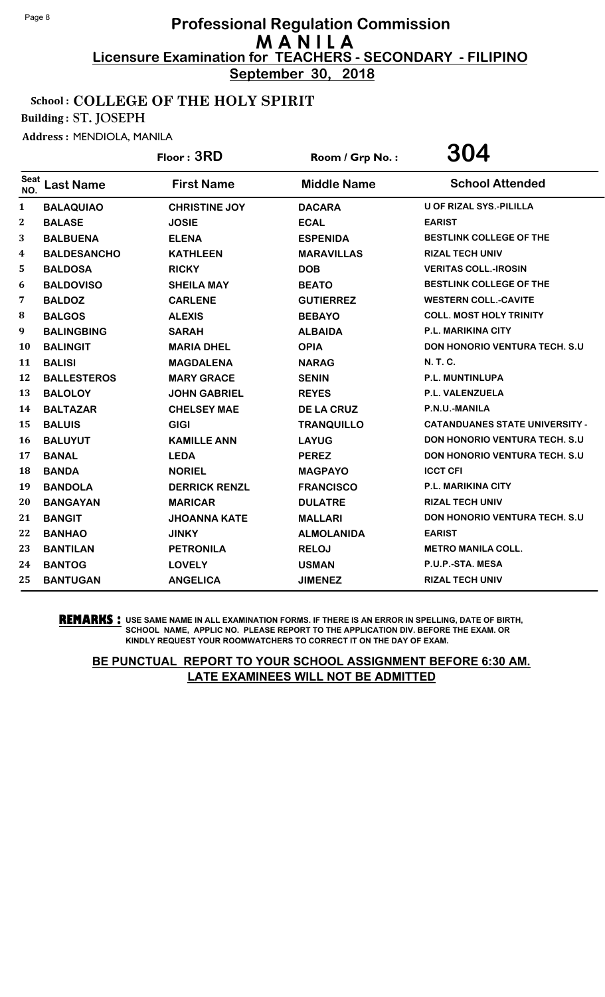**September 30, 2018**

#### School : COLLEGE OF THE HOLY SPIRIT

Building : ST. JOSEPH

Address : MENDIOLA, MANILA

|                    |                    | Floor: 3RD           | Room / Grp No.:    | <b>304</b>                            |
|--------------------|--------------------|----------------------|--------------------|---------------------------------------|
| <b>Seat</b><br>NO. | <b>Last Name</b>   | <b>First Name</b>    | <b>Middle Name</b> | <b>School Attended</b>                |
| 1                  | <b>BALAQUIAO</b>   | <b>CHRISTINE JOY</b> | <b>DACARA</b>      | <b>U OF RIZAL SYS.-PILILLA</b>        |
| 2                  | <b>BALASE</b>      | <b>JOSIE</b>         | <b>ECAL</b>        | <b>EARIST</b>                         |
| 3                  | <b>BALBUENA</b>    | <b>ELENA</b>         | <b>ESPENIDA</b>    | BESTLINK COLLEGE OF THE               |
| 4                  | <b>BALDESANCHO</b> | <b>KATHLEEN</b>      | <b>MARAVILLAS</b>  | <b>RIZAL TECH UNIV</b>                |
| 5                  | <b>BALDOSA</b>     | <b>RICKY</b>         | <b>DOB</b>         | <b>VERITAS COLL.-IROSIN</b>           |
| 6                  | <b>BALDOVISO</b>   | <b>SHEILA MAY</b>    | <b>BEATO</b>       | <b>BESTLINK COLLEGE OF THE</b>        |
| 7                  | <b>BALDOZ</b>      | <b>CARLENE</b>       | <b>GUTIERREZ</b>   | <b>WESTERN COLL.-CAVITE</b>           |
| 8                  | <b>BALGOS</b>      | <b>ALEXIS</b>        | <b>BEBAYO</b>      | <b>COLL. MOST HOLY TRINITY</b>        |
| 9                  | <b>BALINGBING</b>  | <b>SARAH</b>         | <b>ALBAIDA</b>     | <b>P.L. MARIKINA CITY</b>             |
| 10                 | <b>BALINGIT</b>    | <b>MARIA DHEL</b>    | <b>OPIA</b>        | <b>DON HONORIO VENTURA TECH. S.U.</b> |
| 11                 | <b>BALISI</b>      | <b>MAGDALENA</b>     | <b>NARAG</b>       | <b>N. T. C.</b>                       |
| 12                 | <b>BALLESTEROS</b> | <b>MARY GRACE</b>    | <b>SENIN</b>       | <b>P.L. MUNTINLUPA</b>                |
| 13                 | <b>BALOLOY</b>     | <b>JOHN GABRIEL</b>  | <b>REYES</b>       | P.L. VALENZUELA                       |
| 14                 | <b>BALTAZAR</b>    | <b>CHELSEY MAE</b>   | <b>DE LA CRUZ</b>  | P.N.U.-MANILA                         |
| 15                 | <b>BALUIS</b>      | <b>GIGI</b>          | <b>TRANQUILLO</b>  | <b>CATANDUANES STATE UNIVERSITY -</b> |
| 16                 | <b>BALUYUT</b>     | <b>KAMILLE ANN</b>   | <b>LAYUG</b>       | DON HONORIO VENTURA TECH. S.U         |
| 17                 | <b>BANAL</b>       | <b>LEDA</b>          | <b>PEREZ</b>       | <b>DON HONORIO VENTURA TECH. S.U.</b> |
| 18                 | <b>BANDA</b>       | <b>NORIEL</b>        | <b>MAGPAYO</b>     | <b>ICCT CFI</b>                       |
| 19                 | <b>BANDOLA</b>     | <b>DERRICK RENZL</b> | <b>FRANCISCO</b>   | <b>P.L. MARIKINA CITY</b>             |
| 20                 | <b>BANGAYAN</b>    | <b>MARICAR</b>       | <b>DULATRE</b>     | <b>RIZAL TECH UNIV</b>                |
| 21                 | <b>BANGIT</b>      | <b>JHOANNA KATE</b>  | <b>MALLARI</b>     | <b>DON HONORIO VENTURA TECH. S.U</b>  |
| 22                 | <b>BANHAO</b>      | <b>JINKY</b>         | <b>ALMOLANIDA</b>  | <b>EARIST</b>                         |
| 23                 | <b>BANTILAN</b>    | <b>PETRONILA</b>     | <b>RELOJ</b>       | <b>METRO MANILA COLL.</b>             |
| 24                 | <b>BANTOG</b>      | <b>LOVELY</b>        | <b>USMAN</b>       | P.U.P.-STA. MESA                      |
| 25                 | <b>BANTUGAN</b>    | <b>ANGELICA</b>      | <b>JIMENEZ</b>     | <b>RIZAL TECH UNIV</b>                |

**REMARKS :** USE SAME NAME IN ALL EXAMINATION FORMS. IF THERE IS AN ERROR IN SPELLING, DATE OF BIRTH, SCHOOL NAME, APPLIC NO. PLEASE REPORT TO THE APPLICATION DIV. BEFORE THE EXAM. OR KINDLY REQUEST YOUR ROOMWATCHERS TO CORRECT IT ON THE DAY OF EXAM.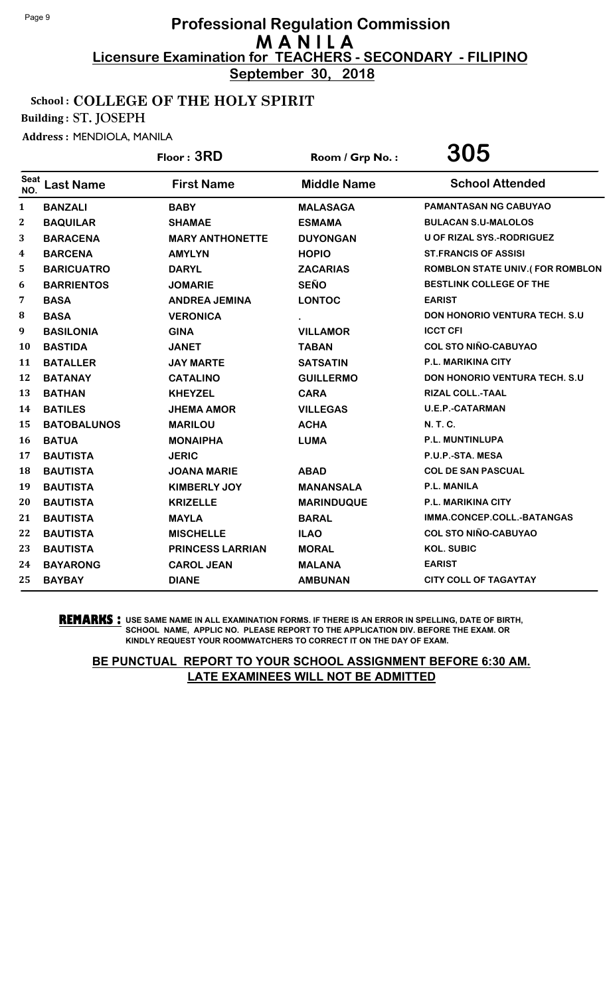**September 30, 2018**

#### School : COLLEGE OF THE HOLY SPIRIT

Building : ST. JOSEPH

Address : MENDIOLA, MANILA

|                  |                    | Floor: 3RD              | Room / Grp No.:    | 305                                  |
|------------------|--------------------|-------------------------|--------------------|--------------------------------------|
| Seat<br>NO.      | <b>Last Name</b>   | <b>First Name</b>       | <b>Middle Name</b> | <b>School Attended</b>               |
| 1                | <b>BANZALI</b>     | <b>BABY</b>             | <b>MALASAGA</b>    | <b>PAMANTASAN NG CABUYAO</b>         |
| $\boldsymbol{2}$ | <b>BAQUILAR</b>    | <b>SHAMAE</b>           | <b>ESMAMA</b>      | <b>BULACAN S.U-MALOLOS</b>           |
| 3                | <b>BARACENA</b>    | <b>MARY ANTHONETTE</b>  | <b>DUYONGAN</b>    | U OF RIZAL SYS.-RODRIGUEZ            |
| 4                | <b>BARCENA</b>     | <b>AMYLYN</b>           | <b>HOPIO</b>       | <b>ST.FRANCIS OF ASSISI</b>          |
| 5                | <b>BARICUATRO</b>  | <b>DARYL</b>            | <b>ZACARIAS</b>    | ROMBLON STATE UNIV.(FOR ROMBLON      |
| 6                | <b>BARRIENTOS</b>  | <b>JOMARIE</b>          | <b>SEÑO</b>        | BESTLINK COLLEGE OF THE              |
| 7                | <b>BASA</b>        | <b>ANDREA JEMINA</b>    | <b>LONTOC</b>      | <b>EARIST</b>                        |
| 8                | <b>BASA</b>        | <b>VERONICA</b>         |                    | <b>DON HONORIO VENTURA TECH. S.U</b> |
| 9                | <b>BASILONIA</b>   | <b>GINA</b>             | <b>VILLAMOR</b>    | <b>ICCT CFI</b>                      |
| 10               | <b>BASTIDA</b>     | <b>JANET</b>            | <b>TABAN</b>       | <b>COL STO NIÑO-CABUYAO</b>          |
| 11               | <b>BATALLER</b>    | <b>JAY MARTE</b>        | <b>SATSATIN</b>    | P.L. MARIKINA CITY                   |
| 12               | <b>BATANAY</b>     | <b>CATALINO</b>         | <b>GUILLERMO</b>   | <b>DON HONORIO VENTURA TECH. S.U</b> |
| 13               | <b>BATHAN</b>      | <b>KHEYZEL</b>          | <b>CARA</b>        | RIZAL COLL.-TAAL                     |
| 14               | <b>BATILES</b>     | <b>JHEMA AMOR</b>       | <b>VILLEGAS</b>    | <b>U.E.P.-CATARMAN</b>               |
| 15               | <b>BATOBALUNOS</b> | <b>MARILOU</b>          | <b>ACHA</b>        | <b>N. T. C.</b>                      |
| 16               | <b>BATUA</b>       | <b>MONAIPHA</b>         | <b>LUMA</b>        | P.L. MUNTINLUPA                      |
| 17               | <b>BAUTISTA</b>    | <b>JERIC</b>            |                    | P.U.P.-STA. MESA                     |
| 18               | <b>BAUTISTA</b>    | <b>JOANA MARIE</b>      | <b>ABAD</b>        | <b>COL DE SAN PASCUAL</b>            |
| 19               | <b>BAUTISTA</b>    | <b>KIMBERLY JOY</b>     | <b>MANANSALA</b>   | <b>P.L. MANILA</b>                   |
| 20               | <b>BAUTISTA</b>    | <b>KRIZELLE</b>         | <b>MARINDUQUE</b>  | <b>P.L. MARIKINA CITY</b>            |
| 21               | <b>BAUTISTA</b>    | <b>MAYLA</b>            | <b>BARAL</b>       | IMMA.CONCEP.COLL.-BATANGAS           |
| 22               | <b>BAUTISTA</b>    | <b>MISCHELLE</b>        | <b>ILAO</b>        | <b>COL STO NIÑO-CABUYAO</b>          |
| 23               | <b>BAUTISTA</b>    | <b>PRINCESS LARRIAN</b> | <b>MORAL</b>       | <b>KOL. SUBIC</b>                    |
| 24               | <b>BAYARONG</b>    | <b>CAROL JEAN</b>       | <b>MALANA</b>      | <b>EARIST</b>                        |
| 25               | <b>BAYBAY</b>      | <b>DIANE</b>            | <b>AMBUNAN</b>     | <b>CITY COLL OF TAGAYTAY</b>         |
|                  |                    |                         |                    |                                      |

**REMARKS :** USE SAME NAME IN ALL EXAMINATION FORMS. IF THERE IS AN ERROR IN SPELLING, DATE OF BIRTH, SCHOOL NAME, APPLIC NO. PLEASE REPORT TO THE APPLICATION DIV. BEFORE THE EXAM. OR KINDLY REQUEST YOUR ROOMWATCHERS TO CORRECT IT ON THE DAY OF EXAM.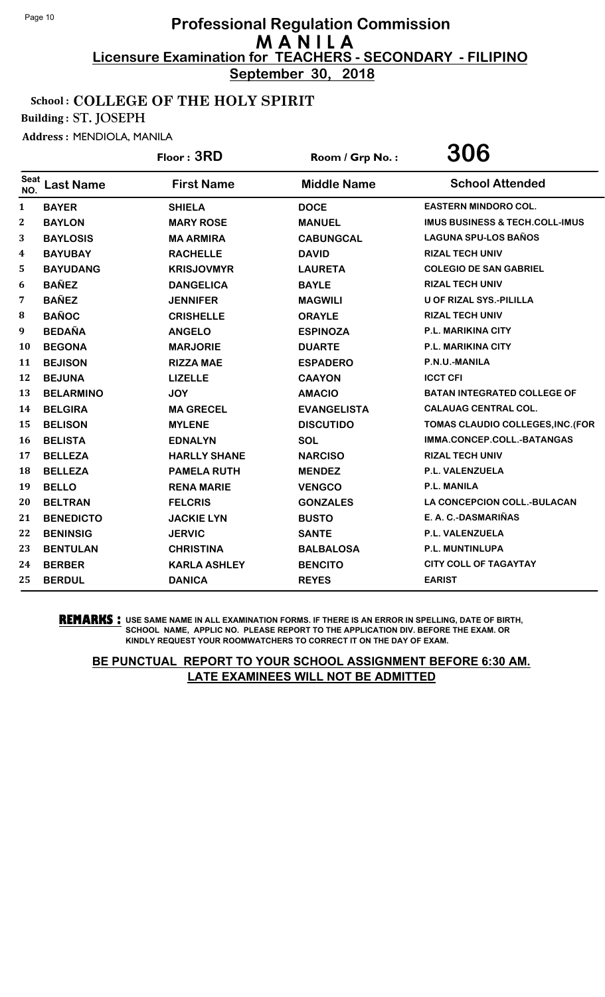**September 30, 2018**

## School : COLLEGE OF THE HOLY SPIRIT

Building : ST. JOSEPH

Address : MENDIOLA, MANILA

|              |                  | Floor: 3RD          | Room / Grp No.:    | 306                                       |
|--------------|------------------|---------------------|--------------------|-------------------------------------------|
| Seat<br>NO.  | <b>Last Name</b> | <b>First Name</b>   | <b>Middle Name</b> | <b>School Attended</b>                    |
| 1            | <b>BAYER</b>     | <b>SHIELA</b>       | <b>DOCE</b>        | <b>EASTERN MINDORO COL.</b>               |
| $\mathbf{2}$ | <b>BAYLON</b>    | <b>MARY ROSE</b>    | <b>MANUEL</b>      | <b>IMUS BUSINESS &amp; TECH.COLL-IMUS</b> |
| 3            | <b>BAYLOSIS</b>  | <b>MA ARMIRA</b>    | <b>CABUNGCAL</b>   | <b>LAGUNA SPU-LOS BAÑOS</b>               |
| 4            | <b>BAYUBAY</b>   | <b>RACHELLE</b>     | <b>DAVID</b>       | <b>RIZAL TECH UNIV</b>                    |
| 5            | <b>BAYUDANG</b>  | <b>KRISJOVMYR</b>   | <b>LAURETA</b>     | <b>COLEGIO DE SAN GABRIEL</b>             |
| 6            | <b>BAÑEZ</b>     | <b>DANGELICA</b>    | <b>BAYLE</b>       | <b>RIZAL TECH UNIV</b>                    |
| 7            | <b>BAÑEZ</b>     | <b>JENNIFER</b>     | <b>MAGWILI</b>     | <b>U OF RIZAL SYS.-PILILLA</b>            |
| 8            | <b>BAÑOC</b>     | <b>CRISHELLE</b>    | <b>ORAYLE</b>      | <b>RIZAL TECH UNIV</b>                    |
| 9            | <b>BEDAÑA</b>    | <b>ANGELO</b>       | <b>ESPINOZA</b>    | P.L. MARIKINA CITY                        |
| 10           | <b>BEGONA</b>    | <b>MARJORIE</b>     | <b>DUARTE</b>      | P.L. MARIKINA CITY                        |
| 11           | <b>BEJISON</b>   | <b>RIZZA MAE</b>    | <b>ESPADERO</b>    | P.N.U.-MANILA                             |
| 12           | <b>BEJUNA</b>    | <b>LIZELLE</b>      | <b>CAAYON</b>      | <b>ICCT CFI</b>                           |
| 13           | <b>BELARMINO</b> | <b>JOY</b>          | <b>AMACIO</b>      | <b>BATAN INTEGRATED COLLEGE OF</b>        |
| 14           | <b>BELGIRA</b>   | <b>MA GRECEL</b>    | <b>EVANGELISTA</b> | <b>CALAUAG CENTRAL COL.</b>               |
| 15           | <b>BELISON</b>   | <b>MYLENE</b>       | <b>DISCUTIDO</b>   | TOMAS CLAUDIO COLLEGES, INC. (FOR         |
| 16           | <b>BELISTA</b>   | <b>EDNALYN</b>      | SOL                | IMMA.CONCEP.COLL.-BATANGAS                |
| 17           | <b>BELLEZA</b>   | <b>HARLLY SHANE</b> | <b>NARCISO</b>     | <b>RIZAL TECH UNIV</b>                    |
| 18           | <b>BELLEZA</b>   | <b>PAMELA RUTH</b>  | <b>MENDEZ</b>      | P.L. VALENZUELA                           |
| 19           | <b>BELLO</b>     | <b>RENA MARIE</b>   | <b>VENGCO</b>      | P.L. MANILA                               |
| 20           | <b>BELTRAN</b>   | <b>FELCRIS</b>      | <b>GONZALES</b>    | <b>LA CONCEPCION COLL.-BULACAN</b>        |
| 21           | <b>BENEDICTO</b> | <b>JACKIE LYN</b>   | <b>BUSTO</b>       | E. A. C.-DASMARIÑAS                       |
| 22           | <b>BENINSIG</b>  | <b>JERVIC</b>       | <b>SANTE</b>       | <b>P.L. VALENZUELA</b>                    |
| 23           | <b>BENTULAN</b>  | <b>CHRISTINA</b>    | <b>BALBALOSA</b>   | P.L. MUNTINLUPA                           |
| 24           | <b>BERBER</b>    | <b>KARLA ASHLEY</b> | <b>BENCITO</b>     | <b>CITY COLL OF TAGAYTAY</b>              |
| 25           | <b>BERDUL</b>    | <b>DANICA</b>       | <b>REYES</b>       | <b>EARIST</b>                             |

**REMARKS :** USE SAME NAME IN ALL EXAMINATION FORMS. IF THERE IS AN ERROR IN SPELLING, DATE OF BIRTH, SCHOOL NAME, APPLIC NO. PLEASE REPORT TO THE APPLICATION DIV. BEFORE THE EXAM. OR KINDLY REQUEST YOUR ROOMWATCHERS TO CORRECT IT ON THE DAY OF EXAM.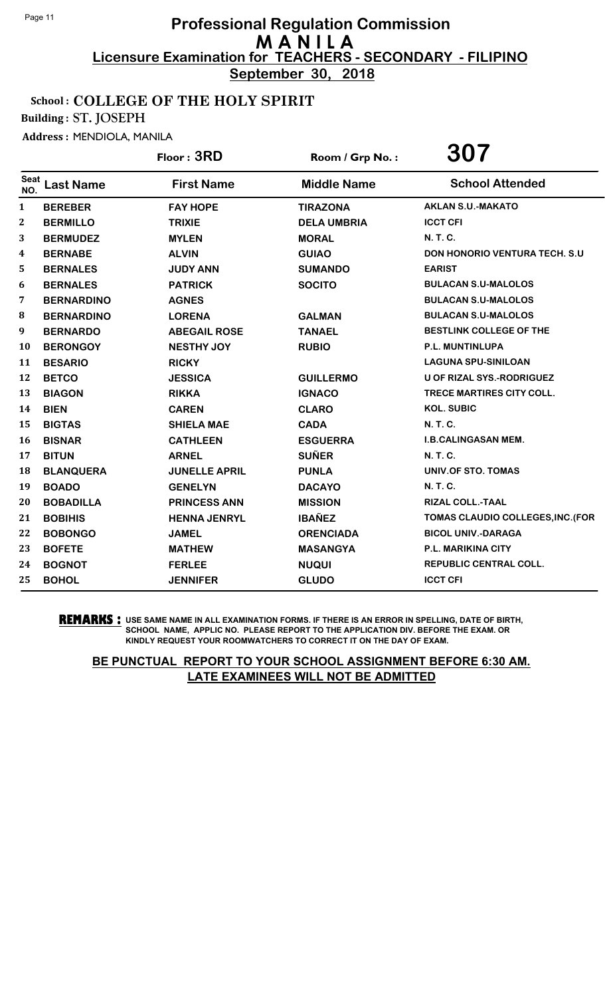**September 30, 2018**

#### School : COLLEGE OF THE HOLY SPIRIT

Building : ST. JOSEPH

Address : MENDIOLA, MANILA

|                         |                   | Floor: 3RD           | Room / Grp No.:    | 307                                  |
|-------------------------|-------------------|----------------------|--------------------|--------------------------------------|
| Seat<br>NO.             | <b>Last Name</b>  | <b>First Name</b>    | <b>Middle Name</b> | <b>School Attended</b>               |
| $\mathbf{1}$            | <b>BEREBER</b>    | <b>FAY HOPE</b>      | <b>TIRAZONA</b>    | <b>AKLAN S.U.-MAKATO</b>             |
| $\mathbf{2}$            | <b>BERMILLO</b>   | <b>TRIXIE</b>        | <b>DELA UMBRIA</b> | <b>ICCT CFI</b>                      |
| 3                       | <b>BERMUDEZ</b>   | <b>MYLEN</b>         | <b>MORAL</b>       | <b>N.T.C.</b>                        |
| $\overline{\mathbf{4}}$ | <b>BERNABE</b>    | <b>ALVIN</b>         | <b>GUIAO</b>       | <b>DON HONORIO VENTURA TECH. S.U</b> |
| 5.                      | <b>BERNALES</b>   | <b>JUDY ANN</b>      | <b>SUMANDO</b>     | <b>EARIST</b>                        |
| 6                       | <b>BERNALES</b>   | <b>PATRICK</b>       | <b>SOCITO</b>      | <b>BULACAN S.U-MALOLOS</b>           |
| 7                       | <b>BERNARDINO</b> | <b>AGNES</b>         |                    | <b>BULACAN S.U-MALOLOS</b>           |
| 8                       | <b>BERNARDINO</b> | <b>LORENA</b>        | <b>GALMAN</b>      | <b>BULACAN S.U-MALOLOS</b>           |
| 9                       | <b>BERNARDO</b>   | <b>ABEGAIL ROSE</b>  | <b>TANAEL</b>      | <b>BESTLINK COLLEGE OF THE</b>       |
| 10                      | <b>BERONGOY</b>   | <b>NESTHY JOY</b>    | <b>RUBIO</b>       | P.L. MUNTINLUPA                      |
| 11                      | <b>BESARIO</b>    | <b>RICKY</b>         |                    | <b>LAGUNA SPU-SINILOAN</b>           |
| 12                      | <b>BETCO</b>      | <b>JESSICA</b>       | <b>GUILLERMO</b>   | U OF RIZAL SYS.-RODRIGUEZ            |
| 13                      | <b>BIAGON</b>     | <b>RIKKA</b>         | <b>IGNACO</b>      | <b>TRECE MARTIRES CITY COLL.</b>     |
| 14                      | <b>BIEN</b>       | <b>CAREN</b>         | <b>CLARO</b>       | <b>KOL. SUBIC</b>                    |
| 15                      | <b>BIGTAS</b>     | <b>SHIELA MAE</b>    | <b>CADA</b>        | <b>N.T.C.</b>                        |
| <b>16</b>               | <b>BISNAR</b>     | <b>CATHLEEN</b>      | <b>ESGUERRA</b>    | <b>I.B.CALINGASAN MEM.</b>           |
| 17                      | <b>BITUN</b>      | <b>ARNEL</b>         | <b>SUÑER</b>       | <b>N. T. C.</b>                      |
| 18                      | <b>BLANQUERA</b>  | <b>JUNELLE APRIL</b> | <b>PUNLA</b>       | <b>UNIV.OF STO. TOMAS</b>            |
| 19                      | <b>BOADO</b>      | <b>GENELYN</b>       | <b>DACAYO</b>      | <b>N. T. C.</b>                      |
| 20                      | <b>BOBADILLA</b>  | <b>PRINCESS ANN</b>  | <b>MISSION</b>     | <b>RIZAL COLL.-TAAL</b>              |
| 21                      | <b>BOBIHIS</b>    | <b>HENNA JENRYL</b>  | <b>IBAÑEZ</b>      | TOMAS CLAUDIO COLLEGES, INC. (FOR    |
| 22                      | <b>BOBONGO</b>    | <b>JAMEL</b>         | <b>ORENCIADA</b>   | <b>BICOL UNIV.-DARAGA</b>            |
| 23                      | <b>BOFETE</b>     | <b>MATHEW</b>        | <b>MASANGYA</b>    | P.L. MARIKINA CITY                   |
| 24                      | <b>BOGNOT</b>     | <b>FERLEE</b>        | <b>NUQUI</b>       | <b>REPUBLIC CENTRAL COLL.</b>        |
| 25                      | <b>BOHOL</b>      | <b>JENNIFER</b>      | <b>GLUDO</b>       | <b>ICCT CFI</b>                      |

**REMARKS :** USE SAME NAME IN ALL EXAMINATION FORMS. IF THERE IS AN ERROR IN SPELLING, DATE OF BIRTH, SCHOOL NAME, APPLIC NO. PLEASE REPORT TO THE APPLICATION DIV. BEFORE THE EXAM. OR KINDLY REQUEST YOUR ROOMWATCHERS TO CORRECT IT ON THE DAY OF EXAM.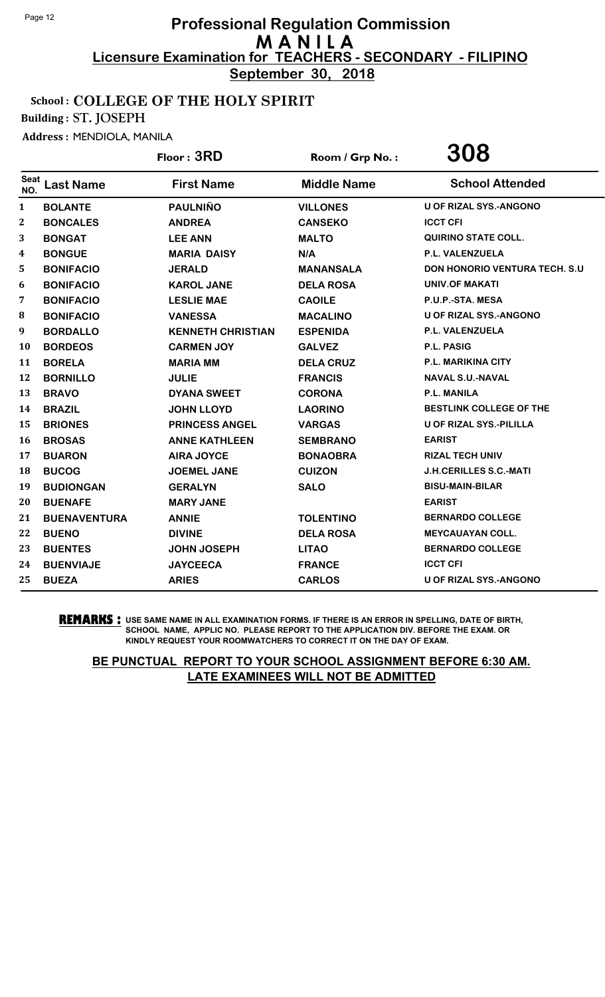**September 30, 2018**

## School : COLLEGE OF THE HOLY SPIRIT

Building : ST. JOSEPH

Address : MENDIOLA, MANILA

|                    |                     | Floor: 3RD               | Room / Grp No.:    | 308                                  |
|--------------------|---------------------|--------------------------|--------------------|--------------------------------------|
| <b>Seat</b><br>NO. | <b>Last Name</b>    | <b>First Name</b>        | <b>Middle Name</b> | <b>School Attended</b>               |
| 1                  | <b>BOLANTE</b>      | <b>PAULNIÑO</b>          | <b>VILLONES</b>    | <b>U OF RIZAL SYS.-ANGONO</b>        |
| 2                  | <b>BONCALES</b>     | <b>ANDREA</b>            | <b>CANSEKO</b>     | <b>ICCT CFI</b>                      |
| 3                  | <b>BONGAT</b>       | <b>LEE ANN</b>           | <b>MALTO</b>       | <b>QUIRINO STATE COLL.</b>           |
| 4                  | <b>BONGUE</b>       | <b>MARIA DAISY</b>       | N/A                | P.L. VALENZUELA                      |
| 5                  | <b>BONIFACIO</b>    | <b>JERALD</b>            | <b>MANANSALA</b>   | <b>DON HONORIO VENTURA TECH. S.U</b> |
| 6                  | <b>BONIFACIO</b>    | <b>KAROL JANE</b>        | <b>DELA ROSA</b>   | UNIV.OF MAKATI                       |
| 7                  | <b>BONIFACIO</b>    | <b>LESLIE MAE</b>        | <b>CAOILE</b>      | P.U.P.-STA. MESA                     |
| ${\bf 8}$          | <b>BONIFACIO</b>    | <b>VANESSA</b>           | <b>MACALINO</b>    | <b>U OF RIZAL SYS.-ANGONO</b>        |
| 9                  | <b>BORDALLO</b>     | <b>KENNETH CHRISTIAN</b> | <b>ESPENIDA</b>    | P.L. VALENZUELA                      |
| 10                 | <b>BORDEOS</b>      | <b>CARMEN JOY</b>        | <b>GALVEZ</b>      | P.L. PASIG                           |
| 11                 | <b>BORELA</b>       | <b>MARIA MM</b>          | <b>DELA CRUZ</b>   | <b>P.L. MARIKINA CITY</b>            |
| 12                 | <b>BORNILLO</b>     | <b>JULIE</b>             | <b>FRANCIS</b>     | <b>NAVAL S.U.-NAVAL</b>              |
| 13                 | <b>BRAVO</b>        | <b>DYANA SWEET</b>       | <b>CORONA</b>      | P.L. MANILA                          |
| 14                 | <b>BRAZIL</b>       | <b>JOHN LLOYD</b>        | <b>LAORINO</b>     | <b>BESTLINK COLLEGE OF THE</b>       |
| 15                 | <b>BRIONES</b>      | <b>PRINCESS ANGEL</b>    | <b>VARGAS</b>      | <b>U OF RIZAL SYS.-PILILLA</b>       |
| 16                 | <b>BROSAS</b>       | <b>ANNE KATHLEEN</b>     | <b>SEMBRANO</b>    | <b>EARIST</b>                        |
| 17                 | <b>BUARON</b>       | <b>AIRA JOYCE</b>        | <b>BONAOBRA</b>    | <b>RIZAL TECH UNIV</b>               |
| 18                 | <b>BUCOG</b>        | <b>JOEMEL JANE</b>       | <b>CUIZON</b>      | <b>J.H.CERILLES S.C.-MATI</b>        |
| 19                 | <b>BUDIONGAN</b>    | <b>GERALYN</b>           | <b>SALO</b>        | <b>BISU-MAIN-BILAR</b>               |
| 20                 | <b>BUENAFE</b>      | <b>MARY JANE</b>         |                    | <b>EARIST</b>                        |
| 21                 | <b>BUENAVENTURA</b> | <b>ANNIE</b>             | <b>TOLENTINO</b>   | <b>BERNARDO COLLEGE</b>              |
| 22                 | <b>BUENO</b>        | <b>DIVINE</b>            | <b>DELA ROSA</b>   | <b>MEYCAUAYAN COLL.</b>              |
| 23                 | <b>BUENTES</b>      | <b>JOHN JOSEPH</b>       | <b>LITAO</b>       | <b>BERNARDO COLLEGE</b>              |
| 24                 | <b>BUENVIAJE</b>    | <b>JAYCEECA</b>          | <b>FRANCE</b>      | <b>ICCT CFI</b>                      |
| 25                 | <b>BUEZA</b>        | <b>ARIES</b>             | <b>CARLOS</b>      | <b>U OF RIZAL SYS.-ANGONO</b>        |

**REMARKS :** USE SAME NAME IN ALL EXAMINATION FORMS. IF THERE IS AN ERROR IN SPELLING, DATE OF BIRTH, SCHOOL NAME, APPLIC NO. PLEASE REPORT TO THE APPLICATION DIV. BEFORE THE EXAM. OR KINDLY REQUEST YOUR ROOMWATCHERS TO CORRECT IT ON THE DAY OF EXAM.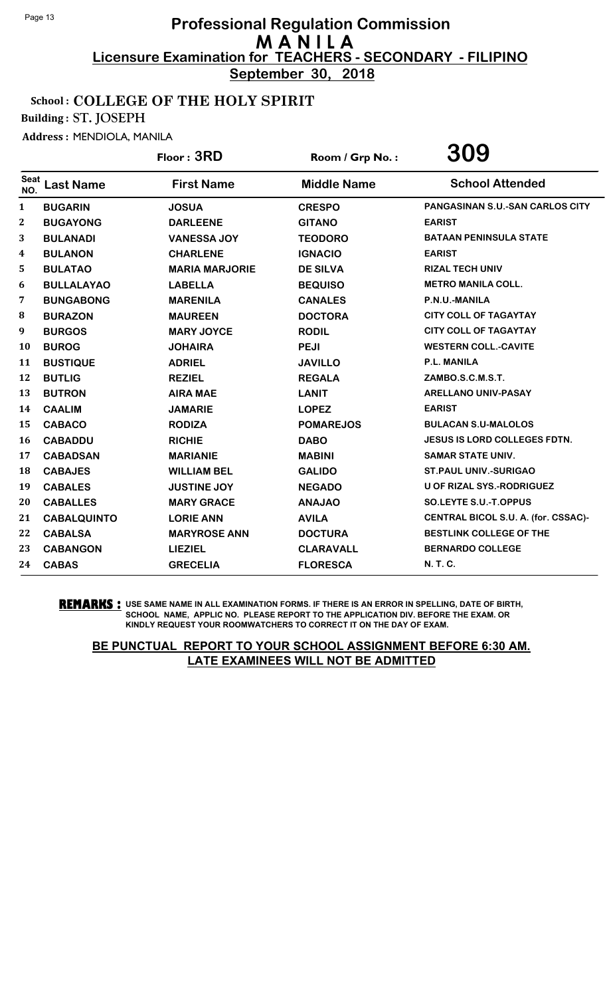**September 30, 2018**

#### School : COLLEGE OF THE HOLY SPIRIT

Building : ST. JOSEPH

Address : MENDIOLA, MANILA

|                    |                    | Floor: 3RD            | Room / Grp No.:    | 309                                    |
|--------------------|--------------------|-----------------------|--------------------|----------------------------------------|
| <b>Seat</b><br>NO. | <b>Last Name</b>   | <b>First Name</b>     | <b>Middle Name</b> | <b>School Attended</b>                 |
| $\mathbf{1}$       | <b>BUGARIN</b>     | <b>JOSUA</b>          | <b>CRESPO</b>      | <b>PANGASINAN S.U.-SAN CARLOS CITY</b> |
| $\boldsymbol{2}$   | <b>BUGAYONG</b>    | <b>DARLEENE</b>       | <b>GITANO</b>      | <b>EARIST</b>                          |
| 3                  | <b>BULANADI</b>    | <b>VANESSA JOY</b>    | <b>TEODORO</b>     | <b>BATAAN PENINSULA STATE</b>          |
| 4                  | <b>BULANON</b>     | <b>CHARLENE</b>       | <b>IGNACIO</b>     | <b>EARIST</b>                          |
| 5                  | <b>BULATAO</b>     | <b>MARIA MARJORIE</b> | <b>DE SILVA</b>    | <b>RIZAL TECH UNIV</b>                 |
| 6                  | <b>BULLALAYAO</b>  | <b>LABELLA</b>        | <b>BEQUISO</b>     | <b>METRO MANILA COLL.</b>              |
| 7                  | <b>BUNGABONG</b>   | <b>MARENILA</b>       | <b>CANALES</b>     | P.N.U.-MANILA                          |
| 8                  | <b>BURAZON</b>     | <b>MAUREEN</b>        | <b>DOCTORA</b>     | <b>CITY COLL OF TAGAYTAY</b>           |
| 9                  | <b>BURGOS</b>      | <b>MARY JOYCE</b>     | <b>RODIL</b>       | <b>CITY COLL OF TAGAYTAY</b>           |
| <b>10</b>          | <b>BUROG</b>       | <b>JOHAIRA</b>        | <b>PEJI</b>        | <b>WESTERN COLL.-CAVITE</b>            |
| 11                 | <b>BUSTIQUE</b>    | <b>ADRIEL</b>         | <b>JAVILLO</b>     | <b>P.L. MANILA</b>                     |
| 12                 | <b>BUTLIG</b>      | <b>REZIEL</b>         | <b>REGALA</b>      | ZAMBO.S.C.M.S.T.                       |
| 13                 | <b>BUTRON</b>      | <b>AIRA MAE</b>       | <b>LANIT</b>       | <b>ARELLANO UNIV-PASAY</b>             |
| 14                 | <b>CAALIM</b>      | <b>JAMARIE</b>        | <b>LOPEZ</b>       | <b>EARIST</b>                          |
| 15                 | <b>CABACO</b>      | <b>RODIZA</b>         | <b>POMAREJOS</b>   | <b>BULACAN S.U-MALOLOS</b>             |
| 16                 | <b>CABADDU</b>     | <b>RICHIE</b>         | <b>DABO</b>        | <b>JESUS IS LORD COLLEGES FDTN.</b>    |
| 17                 | <b>CABADSAN</b>    | <b>MARIANIE</b>       | <b>MABINI</b>      | <b>SAMAR STATE UNIV.</b>               |
| 18                 | <b>CABAJES</b>     | <b>WILLIAM BEL</b>    | <b>GALIDO</b>      | <b>ST.PAUL UNIV.-SURIGAO</b>           |
| 19                 | <b>CABALES</b>     | <b>JUSTINE JOY</b>    | <b>NEGADO</b>      | U OF RIZAL SYS.-RODRIGUEZ              |
| 20                 | <b>CABALLES</b>    | <b>MARY GRACE</b>     | <b>ANAJAO</b>      | SO.LEYTE S.U.-T.OPPUS                  |
| 21                 | <b>CABALQUINTO</b> | <b>LORIE ANN</b>      | <b>AVILA</b>       | CENTRAL BICOL S.U. A. (for. CSSAC)-    |
| 22                 | <b>CABALSA</b>     | <b>MARYROSE ANN</b>   | <b>DOCTURA</b>     | BESTLINK COLLEGE OF THE                |
| 23                 | <b>CABANGON</b>    | <b>LIEZIEL</b>        | <b>CLARAVALL</b>   | <b>BERNARDO COLLEGE</b>                |
| 24                 | <b>CABAS</b>       | <b>GRECELIA</b>       | <b>FLORESCA</b>    | N. T. C.                               |

#### **REMARKS :** USE SAME NAME IN ALL EXAMINATION FORMS. IF THERE IS AN ERROR IN SPELLING, DATE OF BIRTH, SCHOOL NAME, APPLIC NO. PLEASE REPORT TO THE APPLICATION DIV. BEFORE THE EXAM. OR KINDLY REQUEST YOUR ROOMWATCHERS TO CORRECT IT ON THE DAY OF EXAM.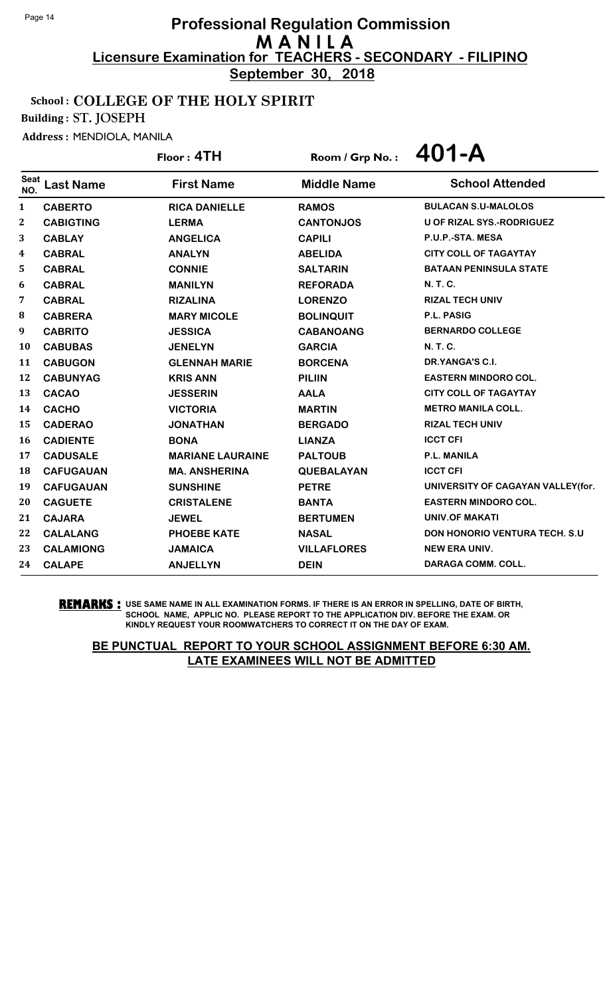**September 30, 2018**

## School : COLLEGE OF THE HOLY SPIRIT

Building : ST. JOSEPH

Address : MENDIOLA, MANILA

|                    |                  | Floor: 4TH              | Room / Grp No.:    | 401-A                                |
|--------------------|------------------|-------------------------|--------------------|--------------------------------------|
| <b>Seat</b><br>NO. | <b>Last Name</b> | <b>First Name</b>       | <b>Middle Name</b> | <b>School Attended</b>               |
| 1                  | <b>CABERTO</b>   | <b>RICA DANIELLE</b>    | <b>RAMOS</b>       | <b>BULACAN S.U-MALOLOS</b>           |
| $\mathbf{2}$       | <b>CABIGTING</b> | <b>LERMA</b>            | <b>CANTONJOS</b>   | U OF RIZAL SYS.-RODRIGUEZ            |
| 3                  | <b>CABLAY</b>    | <b>ANGELICA</b>         | <b>CAPILI</b>      | P.U.P.-STA. MESA                     |
| 4                  | <b>CABRAL</b>    | <b>ANALYN</b>           | <b>ABELIDA</b>     | <b>CITY COLL OF TAGAYTAY</b>         |
| 5                  | <b>CABRAL</b>    | <b>CONNIE</b>           | <b>SALTARIN</b>    | <b>BATAAN PENINSULA STATE</b>        |
| 6                  | <b>CABRAL</b>    | <b>MANILYN</b>          | <b>REFORADA</b>    | <b>N.T.C.</b>                        |
| 7                  | <b>CABRAL</b>    | <b>RIZALINA</b>         | <b>LORENZO</b>     | <b>RIZAL TECH UNIV</b>               |
| $\bf{8}$           | <b>CABRERA</b>   | <b>MARY MICOLE</b>      | <b>BOLINQUIT</b>   | P.L. PASIG                           |
| 9                  | <b>CABRITO</b>   | <b>JESSICA</b>          | <b>CABANOANG</b>   | <b>BERNARDO COLLEGE</b>              |
| 10                 | <b>CABUBAS</b>   | <b>JENELYN</b>          | <b>GARCIA</b>      | N. T. C.                             |
| 11                 | <b>CABUGON</b>   | <b>GLENNAH MARIE</b>    | <b>BORCENA</b>     | <b>DR.YANGA'S C.I.</b>               |
| 12                 | <b>CABUNYAG</b>  | <b>KRIS ANN</b>         | <b>PILIIN</b>      | <b>EASTERN MINDORO COL.</b>          |
| 13                 | <b>CACAO</b>     | <b>JESSERIN</b>         | <b>AALA</b>        | <b>CITY COLL OF TAGAYTAY</b>         |
| 14                 | <b>CACHO</b>     | <b>VICTORIA</b>         | <b>MARTIN</b>      | <b>METRO MANILA COLL.</b>            |
| 15                 | <b>CADERAO</b>   | <b>JONATHAN</b>         | <b>BERGADO</b>     | <b>RIZAL TECH UNIV</b>               |
| <b>16</b>          | <b>CADIENTE</b>  | <b>BONA</b>             | <b>LIANZA</b>      | <b>ICCT CFI</b>                      |
| 17                 | <b>CADUSALE</b>  | <b>MARIANE LAURAINE</b> | <b>PALTOUB</b>     | P.L. MANILA                          |
| 18                 | <b>CAFUGAUAN</b> | <b>MA. ANSHERINA</b>    | <b>QUEBALAYAN</b>  | <b>ICCT CFI</b>                      |
| 19                 | <b>CAFUGAUAN</b> | <b>SUNSHINE</b>         | <b>PETRE</b>       | UNIVERSITY OF CAGAYAN VALLEY(for.    |
| 20                 | <b>CAGUETE</b>   | <b>CRISTALENE</b>       | <b>BANTA</b>       | <b>EASTERN MINDORO COL.</b>          |
| 21                 | <b>CAJARA</b>    | <b>JEWEL</b>            | <b>BERTUMEN</b>    | UNIV.OF MAKATI                       |
| 22                 | <b>CALALANG</b>  | <b>PHOEBE KATE</b>      | <b>NASAL</b>       | <b>DON HONORIO VENTURA TECH. S.U</b> |
| 23                 | <b>CALAMIONG</b> | <b>JAMAICA</b>          | <b>VILLAFLORES</b> | <b>NEW ERA UNIV.</b>                 |
| 24                 | <b>CALAPE</b>    | <b>ANJELLYN</b>         | <b>DEIN</b>        | <b>DARAGA COMM. COLL.</b>            |

**REMARKS :** USE SAME NAME IN ALL EXAMINATION FORMS. IF THERE IS AN ERROR IN SPELLING, DATE OF BIRTH, SCHOOL NAME, APPLIC NO. PLEASE REPORT TO THE APPLICATION DIV. BEFORE THE EXAM. OR KINDLY REQUEST YOUR ROOMWATCHERS TO CORRECT IT ON THE DAY OF EXAM.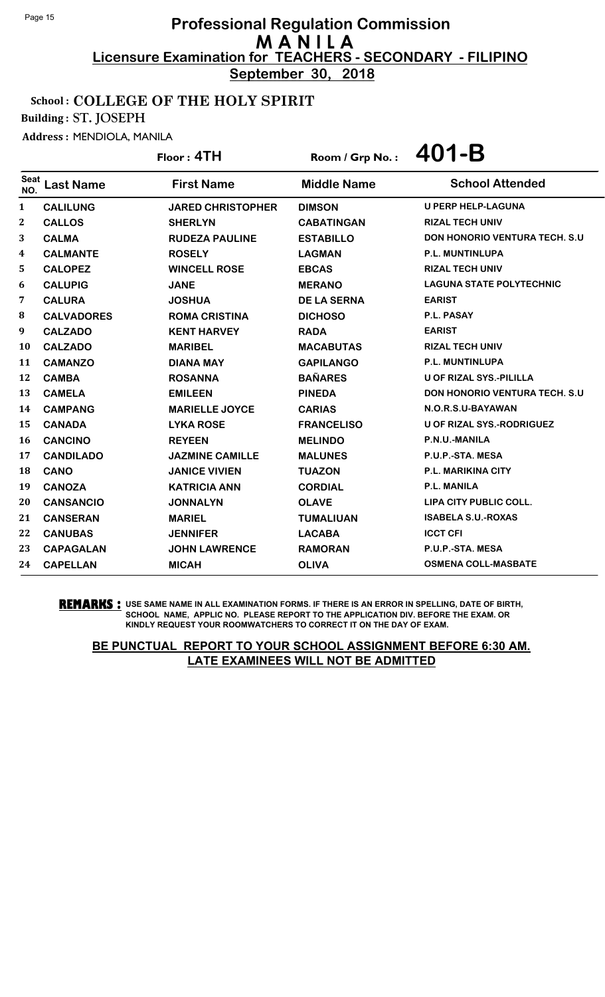**September 30, 2018**

## School : COLLEGE OF THE HOLY SPIRIT

Building : ST. JOSEPH

Address : MENDIOLA, MANILA

# Floor : **4TH** Room / Grp No. : **401-B**

| <b>Seat</b><br>NO. | Last Name         | <b>First Name</b>        | <b>Middle Name</b> | <b>School Attended</b>               |
|--------------------|-------------------|--------------------------|--------------------|--------------------------------------|
| 1                  | <b>CALILUNG</b>   | <b>JARED CHRISTOPHER</b> | <b>DIMSON</b>      | <b>U PERP HELP-LAGUNA</b>            |
| 2                  | <b>CALLOS</b>     | <b>SHERLYN</b>           | <b>CABATINGAN</b>  | <b>RIZAL TECH UNIV</b>               |
| 3                  | <b>CALMA</b>      | <b>RUDEZA PAULINE</b>    | <b>ESTABILLO</b>   | <b>DON HONORIO VENTURA TECH. S.U</b> |
| 4                  | <b>CALMANTE</b>   | <b>ROSELY</b>            | <b>LAGMAN</b>      | <b>P.L. MUNTINLUPA</b>               |
| 5.                 | <b>CALOPEZ</b>    | <b>WINCELL ROSE</b>      | <b>EBCAS</b>       | <b>RIZAL TECH UNIV</b>               |
| 6                  | <b>CALUPIG</b>    | <b>JANE</b>              | <b>MERANO</b>      | <b>LAGUNA STATE POLYTECHNIC</b>      |
| 7                  | <b>CALURA</b>     | <b>JOSHUA</b>            | <b>DE LA SERNA</b> | <b>EARIST</b>                        |
| 8                  | <b>CALVADORES</b> | <b>ROMA CRISTINA</b>     | <b>DICHOSO</b>     | P.L. PASAY                           |
| 9                  | <b>CALZADO</b>    | <b>KENT HARVEY</b>       | <b>RADA</b>        | <b>EARIST</b>                        |
| 10                 | <b>CALZADO</b>    | <b>MARIBEL</b>           | <b>MACABUTAS</b>   | <b>RIZAL TECH UNIV</b>               |
| 11                 | <b>CAMANZO</b>    | <b>DIANA MAY</b>         | <b>GAPILANGO</b>   | <b>P.L. MUNTINLUPA</b>               |
| 12                 | <b>CAMBA</b>      | <b>ROSANNA</b>           | <b>BAÑARES</b>     | <b>U OF RIZAL SYS.-PILILLA</b>       |
| 13                 | <b>CAMELA</b>     | <b>EMILEEN</b>           | <b>PINEDA</b>      | <b>DON HONORIO VENTURA TECH. S.U</b> |
| 14                 | <b>CAMPANG</b>    | <b>MARIELLE JOYCE</b>    | <b>CARIAS</b>      | N.O.R.S.U-BAYAWAN                    |
| 15                 | <b>CANADA</b>     | <b>LYKA ROSE</b>         | <b>FRANCELISO</b>  | <b>U OF RIZAL SYS.-RODRIGUEZ</b>     |
| 16                 | <b>CANCINO</b>    | <b>REYEEN</b>            | <b>MELINDO</b>     | P.N.U.-MANILA                        |
| 17                 | <b>CANDILADO</b>  | <b>JAZMINE CAMILLE</b>   | <b>MALUNES</b>     | P.U.P.-STA. MESA                     |
| 18                 | <b>CANO</b>       | <b>JANICE VIVIEN</b>     | <b>TUAZON</b>      | <b>P.L. MARIKINA CITY</b>            |
| 19                 | <b>CANOZA</b>     | <b>KATRICIA ANN</b>      | <b>CORDIAL</b>     | <b>P.L. MANILA</b>                   |
| 20                 | <b>CANSANCIO</b>  | <b>JONNALYN</b>          | <b>OLAVE</b>       | LIPA CITY PUBLIC COLL.               |
| 21                 | <b>CANSERAN</b>   | <b>MARIEL</b>            | <b>TUMALIUAN</b>   | <b>ISABELA S.U.-ROXAS</b>            |
| 22                 | <b>CANUBAS</b>    | <b>JENNIFER</b>          | <b>LACABA</b>      | <b>ICCT CFI</b>                      |
| 23                 | <b>CAPAGALAN</b>  | <b>JOHN LAWRENCE</b>     | <b>RAMORAN</b>     | P.U.P.-STA. MESA                     |
| 24                 | <b>CAPELLAN</b>   | <b>MICAH</b>             | <b>OLIVA</b>       | <b>OSMENA COLL-MASBATE</b>           |

**REMARKS :** USE SAME NAME IN ALL EXAMINATION FORMS. IF THERE IS AN ERROR IN SPELLING, DATE OF BIRTH, SCHOOL NAME, APPLIC NO. PLEASE REPORT TO THE APPLICATION DIV. BEFORE THE EXAM. OR KINDLY REQUEST YOUR ROOMWATCHERS TO CORRECT IT ON THE DAY OF EXAM.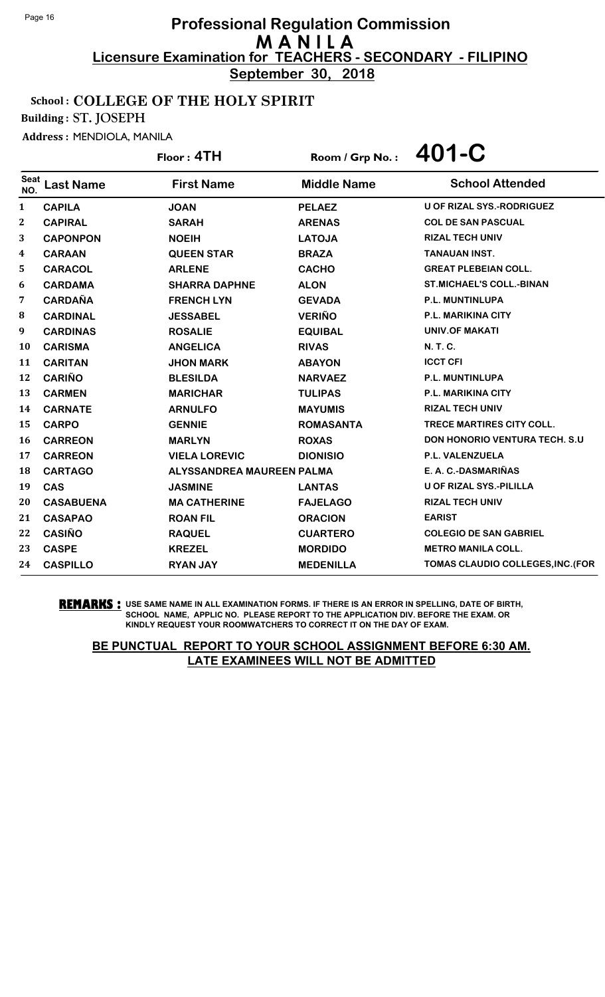**September 30, 2018**

#### School : COLLEGE OF THE HOLY SPIRIT

Building : ST. JOSEPH

Address : MENDIOLA, MANILA

|                    |                  | Floor: 4TH                | Room / Grp No.:    | 401-C                                 |
|--------------------|------------------|---------------------------|--------------------|---------------------------------------|
| <b>Seat</b><br>NO. | <b>Last Name</b> | <b>First Name</b>         | <b>Middle Name</b> | <b>School Attended</b>                |
| 1                  | <b>CAPILA</b>    | <b>JOAN</b>               | <b>PELAEZ</b>      | U OF RIZAL SYS.-RODRIGUEZ             |
| $\boldsymbol{2}$   | <b>CAPIRAL</b>   | <b>SARAH</b>              | <b>ARENAS</b>      | <b>COL DE SAN PASCUAL</b>             |
| 3                  | <b>CAPONPON</b>  | <b>NOEIH</b>              | <b>LATOJA</b>      | <b>RIZAL TECH UNIV</b>                |
| 4                  | <b>CARAAN</b>    | <b>QUEEN STAR</b>         | <b>BRAZA</b>       | <b>TANAUAN INST.</b>                  |
| 5                  | <b>CARACOL</b>   | <b>ARLENE</b>             | <b>CACHO</b>       | <b>GREAT PLEBEIAN COLL.</b>           |
| 6                  | <b>CARDAMA</b>   | <b>SHARRA DAPHNE</b>      | <b>ALON</b>        | <b>ST.MICHAEL'S COLL.-BINAN</b>       |
| 7                  | <b>CARDAÑA</b>   | <b>FRENCH LYN</b>         | <b>GEVADA</b>      | P.L. MUNTINLUPA                       |
| 8                  | <b>CARDINAL</b>  | <b>JESSABEL</b>           | <b>VERIÑO</b>      | P.L. MARIKINA CITY                    |
| 9                  | <b>CARDINAS</b>  | <b>ROSALIE</b>            | <b>EQUIBAL</b>     | <b>UNIV.OF MAKATI</b>                 |
| 10                 | <b>CARISMA</b>   | <b>ANGELICA</b>           | <b>RIVAS</b>       | N. T. C.                              |
| 11                 | <b>CARITAN</b>   | <b>JHON MARK</b>          | <b>ABAYON</b>      | <b>ICCT CFI</b>                       |
| 12                 | <b>CARIÑO</b>    | <b>BLESILDA</b>           | <b>NARVAEZ</b>     | <b>P.L. MUNTINLUPA</b>                |
| 13                 | <b>CARMEN</b>    | <b>MARICHAR</b>           | <b>TULIPAS</b>     | P.L. MARIKINA CITY                    |
| 14                 | <b>CARNATE</b>   | <b>ARNULFO</b>            | <b>MAYUMIS</b>     | <b>RIZAL TECH UNIV</b>                |
| 15                 | <b>CARPO</b>     | <b>GENNIE</b>             | <b>ROMASANTA</b>   | <b>TRECE MARTIRES CITY COLL.</b>      |
| 16                 | <b>CARREON</b>   | <b>MARLYN</b>             | <b>ROXAS</b>       | <b>DON HONORIO VENTURA TECH. S.U.</b> |
| 17                 | <b>CARREON</b>   | <b>VIELA LOREVIC</b>      | <b>DIONISIO</b>    | P.L. VALENZUELA                       |
| 18                 | <b>CARTAGO</b>   | ALYSSANDREA MAUREEN PALMA |                    | E. A. C.-DASMARIÑAS                   |
| 19                 | <b>CAS</b>       | <b>JASMINE</b>            | <b>LANTAS</b>      | <b>U OF RIZAL SYS.-PILILLA</b>        |
| 20                 | <b>CASABUENA</b> | <b>MA CATHERINE</b>       | <b>FAJELAGO</b>    | <b>RIZAL TECH UNIV</b>                |
| 21                 | <b>CASAPAO</b>   | <b>ROAN FIL</b>           | <b>ORACION</b>     | <b>EARIST</b>                         |
| 22                 | <b>CASIÑO</b>    | <b>RAQUEL</b>             | <b>CUARTERO</b>    | <b>COLEGIO DE SAN GABRIEL</b>         |
| 23                 | <b>CASPE</b>     | <b>KREZEL</b>             | <b>MORDIDO</b>     | <b>METRO MANILA COLL.</b>             |
| 24                 | <b>CASPILLO</b>  | <b>RYAN JAY</b>           | <b>MEDENILLA</b>   | TOMAS CLAUDIO COLLEGES, INC. (FOR     |

**REMARKS :** USE SAME NAME IN ALL EXAMINATION FORMS. IF THERE IS AN ERROR IN SPELLING, DATE OF BIRTH, SCHOOL NAME, APPLIC NO. PLEASE REPORT TO THE APPLICATION DIV. BEFORE THE EXAM. OR KINDLY REQUEST YOUR ROOMWATCHERS TO CORRECT IT ON THE DAY OF EXAM.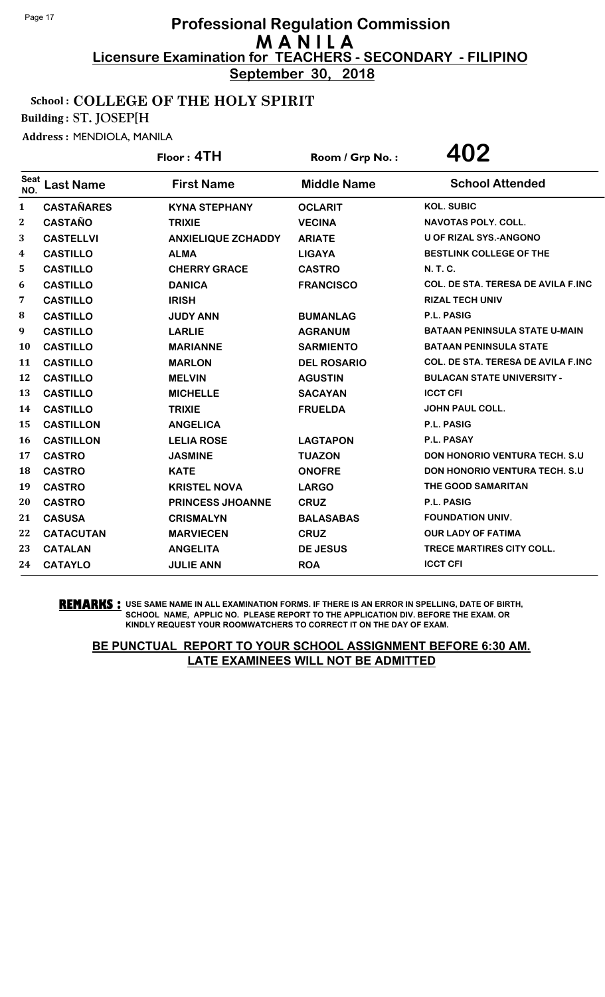**September 30, 2018**

## School : COLLEGE OF THE HOLY SPIRIT

Building : ST. JOSEP[H

Address : MENDIOLA, MANILA

|                         |                   | Floor: 4TH                | Room / Grp No.:    | 402                                        |
|-------------------------|-------------------|---------------------------|--------------------|--------------------------------------------|
| <b>Seat</b><br>NO.      | <b>Last Name</b>  | <b>First Name</b>         | <b>Middle Name</b> | <b>School Attended</b>                     |
| $\mathbf{1}$            | <b>CASTAÑARES</b> | <b>KYNA STEPHANY</b>      | <b>OCLARIT</b>     | <b>KOL. SUBIC</b>                          |
| $\boldsymbol{2}$        | <b>CASTAÑO</b>    | <b>TRIXIE</b>             | <b>VECINA</b>      | NAVOTAS POLY. COLL.                        |
| 3                       | <b>CASTELLVI</b>  | <b>ANXIELIQUE ZCHADDY</b> | <b>ARIATE</b>      | <b>U OF RIZAL SYS.-ANGONO</b>              |
| $\overline{\mathbf{4}}$ | <b>CASTILLO</b>   | <b>ALMA</b>               | <b>LIGAYA</b>      | <b>BESTLINK COLLEGE OF THE</b>             |
| 5                       | <b>CASTILLO</b>   | <b>CHERRY GRACE</b>       | <b>CASTRO</b>      | N. T. C.                                   |
| 6                       | <b>CASTILLO</b>   | <b>DANICA</b>             | <b>FRANCISCO</b>   | <b>COL. DE STA. TERESA DE AVILA F.INC.</b> |
| 7                       | <b>CASTILLO</b>   | <b>IRISH</b>              |                    | <b>RIZAL TECH UNIV</b>                     |
| 8                       | <b>CASTILLO</b>   | <b>JUDY ANN</b>           | <b>BUMANLAG</b>    | P.L. PASIG                                 |
| 9                       | <b>CASTILLO</b>   | <b>LARLIE</b>             | <b>AGRANUM</b>     | <b>BATAAN PENINSULA STATE U-MAIN</b>       |
| 10                      | <b>CASTILLO</b>   | <b>MARIANNE</b>           | <b>SARMIENTO</b>   | <b>BATAAN PENINSULA STATE</b>              |
| 11                      | <b>CASTILLO</b>   | <b>MARLON</b>             | <b>DEL ROSARIO</b> | <b>COL. DE STA. TERESA DE AVILA F.INC</b>  |
| 12                      | <b>CASTILLO</b>   | <b>MELVIN</b>             | <b>AGUSTIN</b>     | <b>BULACAN STATE UNIVERSITY -</b>          |
| 13                      | <b>CASTILLO</b>   | <b>MICHELLE</b>           | <b>SACAYAN</b>     | <b>ICCT CFI</b>                            |
| 14                      | <b>CASTILLO</b>   | <b>TRIXIE</b>             | <b>FRUELDA</b>     | <b>JOHN PAUL COLL.</b>                     |
| 15                      | <b>CASTILLON</b>  | <b>ANGELICA</b>           |                    | P.L. PASIG                                 |
| 16                      | <b>CASTILLON</b>  | <b>LELIA ROSE</b>         | <b>LAGTAPON</b>    | P.L. PASAY                                 |
| 17                      | <b>CASTRO</b>     | <b>JASMINE</b>            | <b>TUAZON</b>      | <b>DON HONORIO VENTURA TECH. S.U.</b>      |
| 18                      | <b>CASTRO</b>     | <b>KATE</b>               | <b>ONOFRE</b>      | <b>DON HONORIO VENTURA TECH. S.U</b>       |
| 19                      | <b>CASTRO</b>     | <b>KRISTEL NOVA</b>       | <b>LARGO</b>       | THE GOOD SAMARITAN                         |
| 20                      | <b>CASTRO</b>     | <b>PRINCESS JHOANNE</b>   | <b>CRUZ</b>        | <b>P.L. PASIG</b>                          |
| 21                      | <b>CASUSA</b>     | <b>CRISMALYN</b>          | <b>BALASABAS</b>   | <b>FOUNDATION UNIV.</b>                    |
| 22                      | <b>CATACUTAN</b>  | <b>MARVIECEN</b>          | <b>CRUZ</b>        | <b>OUR LADY OF FATIMA</b>                  |
| 23                      | <b>CATALAN</b>    | <b>ANGELITA</b>           | <b>DE JESUS</b>    | <b>TRECE MARTIRES CITY COLL.</b>           |
| 24                      | <b>CATAYLO</b>    | <b>JULIE ANN</b>          | <b>ROA</b>         | <b>ICCT CFI</b>                            |

**REMARKS :** USE SAME NAME IN ALL EXAMINATION FORMS. IF THERE IS AN ERROR IN SPELLING, DATE OF BIRTH, SCHOOL NAME, APPLIC NO. PLEASE REPORT TO THE APPLICATION DIV. BEFORE THE EXAM. OR KINDLY REQUEST YOUR ROOMWATCHERS TO CORRECT IT ON THE DAY OF EXAM.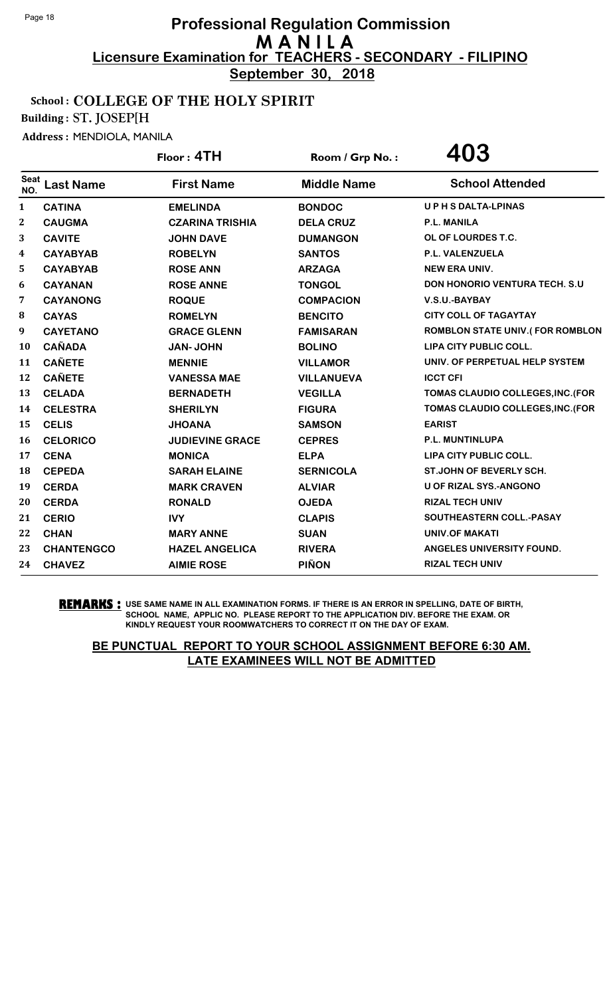**September 30, 2018**

## School : COLLEGE OF THE HOLY SPIRIT

Building : ST. JOSEP[H

Address : MENDIOLA, MANILA

|                    |                   | Floor: 4TH             | Room / Grp No.:    | 403                                    |
|--------------------|-------------------|------------------------|--------------------|----------------------------------------|
| <b>Seat</b><br>NO. | <b>Last Name</b>  | <b>First Name</b>      | <b>Middle Name</b> | <b>School Attended</b>                 |
| 1                  | <b>CATINA</b>     | <b>EMELINDA</b>        | <b>BONDOC</b>      | <b>UPHSDALTA-LPINAS</b>                |
| $\mathbf{2}$       | <b>CAUGMA</b>     | <b>CZARINA TRISHIA</b> | <b>DELA CRUZ</b>   | <b>P.L. MANILA</b>                     |
| 3                  | <b>CAVITE</b>     | <b>JOHN DAVE</b>       | <b>DUMANGON</b>    | OL OF LOURDES T.C.                     |
| 4                  | <b>CAYABYAB</b>   | <b>ROBELYN</b>         | <b>SANTOS</b>      | <b>P.L. VALENZUELA</b>                 |
| 5                  | <b>CAYABYAB</b>   | <b>ROSE ANN</b>        | <b>ARZAGA</b>      | <b>NEW ERA UNIV.</b>                   |
| 6                  | <b>CAYANAN</b>    | <b>ROSE ANNE</b>       | <b>TONGOL</b>      | <b>DON HONORIO VENTURA TECH. S.U.</b>  |
| 7                  | <b>CAYANONG</b>   | <b>ROQUE</b>           | <b>COMPACION</b>   | V.S.U.-BAYBAY                          |
| 8                  | <b>CAYAS</b>      | <b>ROMELYN</b>         | <b>BENCITO</b>     | <b>CITY COLL OF TAGAYTAY</b>           |
| 9                  | <b>CAYETANO</b>   | <b>GRACE GLENN</b>     | <b>FAMISARAN</b>   | <b>ROMBLON STATE UNIV.(FOR ROMBLON</b> |
| 10                 | <b>CAÑADA</b>     | <b>JAN-JOHN</b>        | <b>BOLINO</b>      | LIPA CITY PUBLIC COLL.                 |
| 11                 | <b>CAÑETE</b>     | <b>MENNIE</b>          | <b>VILLAMOR</b>    | UNIV. OF PERPETUAL HELP SYSTEM         |
| 12                 | <b>CAÑETE</b>     | <b>VANESSA MAE</b>     | <b>VILLANUEVA</b>  | <b>ICCT CFI</b>                        |
| 13                 | <b>CELADA</b>     | <b>BERNADETH</b>       | <b>VEGILLA</b>     | TOMAS CLAUDIO COLLEGES, INC. (FOR      |
| 14                 | <b>CELESTRA</b>   | <b>SHERILYN</b>        | <b>FIGURA</b>      | TOMAS CLAUDIO COLLEGES, INC. (FOR      |
| 15                 | <b>CELIS</b>      | <b>ANAOHL</b>          | <b>SAMSON</b>      | <b>EARIST</b>                          |
| 16                 | <b>CELORICO</b>   | <b>JUDIEVINE GRACE</b> | <b>CEPRES</b>      | P.L. MUNTINLUPA                        |
| 17                 | <b>CENA</b>       | <b>MONICA</b>          | <b>ELPA</b>        | LIPA CITY PUBLIC COLL.                 |
| 18                 | <b>CEPEDA</b>     | <b>SARAH ELAINE</b>    | <b>SERNICOLA</b>   | <b>ST.JOHN OF BEVERLY SCH.</b>         |
| 19                 | <b>CERDA</b>      | <b>MARK CRAVEN</b>     | <b>ALVIAR</b>      | U OF RIZAL SYS.-ANGONO                 |
| 20                 | <b>CERDA</b>      | <b>RONALD</b>          | <b>OJEDA</b>       | <b>RIZAL TECH UNIV</b>                 |
| 21                 | <b>CERIO</b>      | <b>IVY</b>             | <b>CLAPIS</b>      | SOUTHEASTERN COLL.-PASAY               |
| 22                 | <b>CHAN</b>       | <b>MARY ANNE</b>       | <b>SUAN</b>        | UNIV.OF MAKATI                         |
| 23                 | <b>CHANTENGCO</b> | <b>HAZEL ANGELICA</b>  | <b>RIVERA</b>      | ANGELES UNIVERSITY FOUND.              |
| 24                 | <b>CHAVEZ</b>     | <b>AIMIE ROSE</b>      | <b>PIÑON</b>       | <b>RIZAL TECH UNIV</b>                 |

**REMARKS :** USE SAME NAME IN ALL EXAMINATION FORMS. IF THERE IS AN ERROR IN SPELLING, DATE OF BIRTH, SCHOOL NAME, APPLIC NO. PLEASE REPORT TO THE APPLICATION DIV. BEFORE THE EXAM. OR KINDLY REQUEST YOUR ROOMWATCHERS TO CORRECT IT ON THE DAY OF EXAM.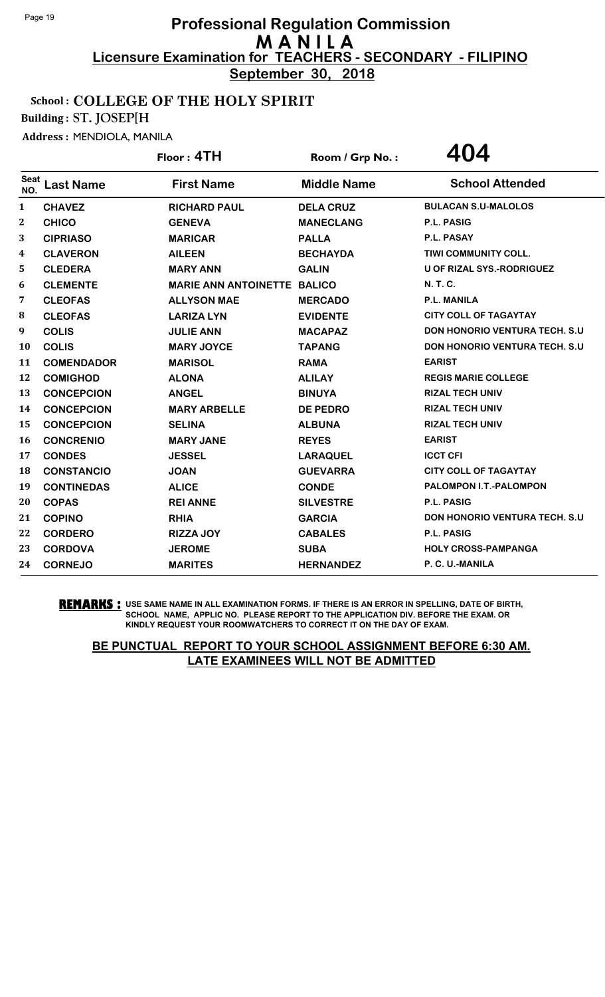**September 30, 2018**

#### School : COLLEGE OF THE HOLY SPIRIT

Building : ST. JOSEP[H

Address : MENDIOLA, MANILA

|                    |                   | Floor: 4TH                         | Room / Grp No.:    | 404                                   |
|--------------------|-------------------|------------------------------------|--------------------|---------------------------------------|
| <b>Seat</b><br>NO. | <b>Last Name</b>  | <b>First Name</b>                  | <b>Middle Name</b> | <b>School Attended</b>                |
| $\mathbf{1}$       | <b>CHAVEZ</b>     | <b>RICHARD PAUL</b>                | <b>DELA CRUZ</b>   | <b>BULACAN S.U-MALOLOS</b>            |
| 2                  | <b>CHICO</b>      | <b>GENEVA</b>                      | <b>MANECLANG</b>   | P.L. PASIG                            |
| 3                  | <b>CIPRIASO</b>   | <b>MARICAR</b>                     | <b>PALLA</b>       | <b>P.L. PASAY</b>                     |
| 4                  | <b>CLAVERON</b>   | <b>AILEEN</b>                      | <b>BECHAYDA</b>    | <b>TIWI COMMUNITY COLL.</b>           |
| 5                  | <b>CLEDERA</b>    | <b>MARY ANN</b>                    | <b>GALIN</b>       | <b>U OF RIZAL SYS.-RODRIGUEZ</b>      |
| 6                  | <b>CLEMENTE</b>   | <b>MARIE ANN ANTOINETTE BALICO</b> |                    | <b>N.T.C.</b>                         |
| 7                  | <b>CLEOFAS</b>    | <b>ALLYSON MAE</b>                 | <b>MERCADO</b>     | <b>P.L. MANILA</b>                    |
| 8                  | <b>CLEOFAS</b>    | <b>LARIZA LYN</b>                  | <b>EVIDENTE</b>    | <b>CITY COLL OF TAGAYTAY</b>          |
| 9                  | <b>COLIS</b>      | <b>JULIE ANN</b>                   | <b>MACAPAZ</b>     | <b>DON HONORIO VENTURA TECH. S.U</b>  |
| 10                 | <b>COLIS</b>      | <b>MARY JOYCE</b>                  | <b>TAPANG</b>      | <b>DON HONORIO VENTURA TECH. S.U</b>  |
| 11                 | <b>COMENDADOR</b> | <b>MARISOL</b>                     | <b>RAMA</b>        | <b>EARIST</b>                         |
| 12                 | <b>COMIGHOD</b>   | <b>ALONA</b>                       | <b>ALILAY</b>      | <b>REGIS MARIE COLLEGE</b>            |
| 13                 | <b>CONCEPCION</b> | <b>ANGEL</b>                       | <b>BINUYA</b>      | <b>RIZAL TECH UNIV</b>                |
| 14                 | <b>CONCEPCION</b> | <b>MARY ARBELLE</b>                | <b>DE PEDRO</b>    | <b>RIZAL TECH UNIV</b>                |
| 15                 | <b>CONCEPCION</b> | <b>SELINA</b>                      | <b>ALBUNA</b>      | <b>RIZAL TECH UNIV</b>                |
| 16                 | <b>CONCRENIO</b>  | <b>MARY JANE</b>                   | <b>REYES</b>       | <b>EARIST</b>                         |
| 17                 | <b>CONDES</b>     | <b>JESSEL</b>                      | <b>LARAQUEL</b>    | <b>ICCT CFI</b>                       |
| 18                 | <b>CONSTANCIO</b> | <b>JOAN</b>                        | <b>GUEVARRA</b>    | <b>CITY COLL OF TAGAYTAY</b>          |
| 19                 | <b>CONTINEDAS</b> | <b>ALICE</b>                       | <b>CONDE</b>       | PALOMPON I.T.-PALOMPON                |
| 20                 | <b>COPAS</b>      | <b>REI ANNE</b>                    | <b>SILVESTRE</b>   | P.L. PASIG                            |
| 21                 | <b>COPINO</b>     | <b>RHIA</b>                        | <b>GARCIA</b>      | <b>DON HONORIO VENTURA TECH. S.U.</b> |
| 22                 | <b>CORDERO</b>    | <b>RIZZA JOY</b>                   | <b>CABALES</b>     | <b>P.L. PASIG</b>                     |
| 23                 | <b>CORDOVA</b>    | <b>JEROME</b>                      | <b>SUBA</b>        | <b>HOLY CROSS-PAMPANGA</b>            |
| 24                 | <b>CORNEJO</b>    | <b>MARITES</b>                     | <b>HERNANDEZ</b>   | P. C. U.-MANILA                       |

**REMARKS :** USE SAME NAME IN ALL EXAMINATION FORMS. IF THERE IS AN ERROR IN SPELLING, DATE OF BIRTH, SCHOOL NAME, APPLIC NO. PLEASE REPORT TO THE APPLICATION DIV. BEFORE THE EXAM. OR KINDLY REQUEST YOUR ROOMWATCHERS TO CORRECT IT ON THE DAY OF EXAM.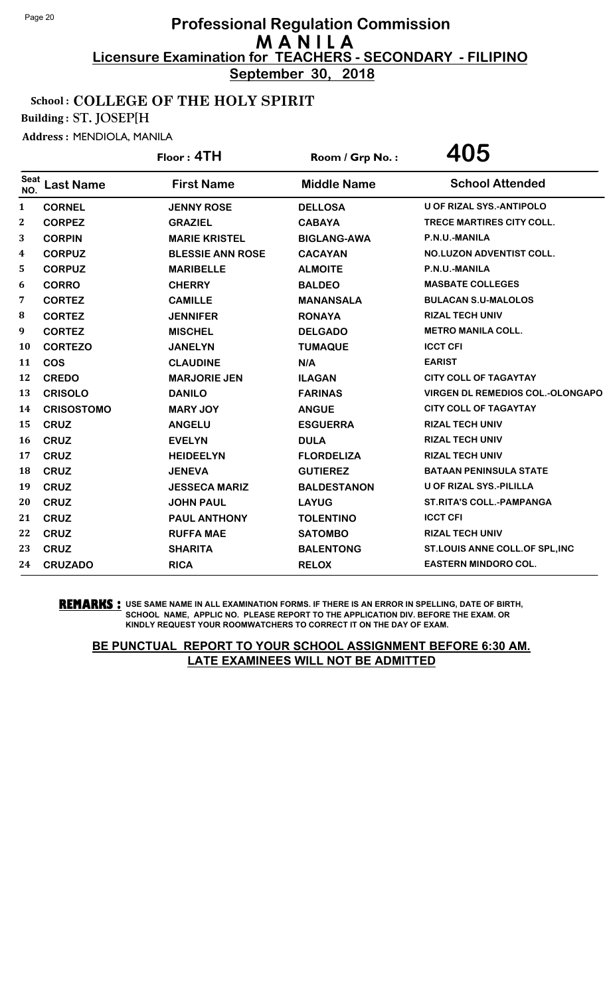**September 30, 2018**

#### School : COLLEGE OF THE HOLY SPIRIT

Building : ST. JOSEP[H

Address : MENDIOLA, MANILA

|                    |                   | Floor: 4TH              | Room / Grp No.:    | 405                                     |
|--------------------|-------------------|-------------------------|--------------------|-----------------------------------------|
| <b>Seat</b><br>NO. | <b>Last Name</b>  | <b>First Name</b>       | <b>Middle Name</b> | <b>School Attended</b>                  |
| $\mathbf{1}$       | <b>CORNEL</b>     | <b>JENNY ROSE</b>       | <b>DELLOSA</b>     | <b>U OF RIZAL SYS.-ANTIPOLO</b>         |
| $\boldsymbol{2}$   | <b>CORPEZ</b>     | <b>GRAZIEL</b>          | <b>CABAYA</b>      | TRECE MARTIRES CITY COLL.               |
| 3                  | <b>CORPIN</b>     | <b>MARIE KRISTEL</b>    | <b>BIGLANG-AWA</b> | P.N.U.-MANILA                           |
| 4                  | <b>CORPUZ</b>     | <b>BLESSIE ANN ROSE</b> | <b>CACAYAN</b>     | <b>NO.LUZON ADVENTIST COLL.</b>         |
| 5                  | <b>CORPUZ</b>     | <b>MARIBELLE</b>        | <b>ALMOITE</b>     | P.N.U.-MANILA                           |
| 6                  | <b>CORRO</b>      | <b>CHERRY</b>           | <b>BALDEO</b>      | <b>MASBATE COLLEGES</b>                 |
| 7                  | <b>CORTEZ</b>     | <b>CAMILLE</b>          | <b>MANANSALA</b>   | <b>BULACAN S.U-MALOLOS</b>              |
| 8                  | <b>CORTEZ</b>     | <b>JENNIFER</b>         | <b>RONAYA</b>      | <b>RIZAL TECH UNIV</b>                  |
| 9                  | <b>CORTEZ</b>     | <b>MISCHEL</b>          | <b>DELGADO</b>     | <b>METRO MANILA COLL.</b>               |
| <b>10</b>          | <b>CORTEZO</b>    | <b>JANELYN</b>          | <b>TUMAQUE</b>     | <b>ICCT CFI</b>                         |
| 11                 | <b>COS</b>        | <b>CLAUDINE</b>         | N/A                | <b>EARIST</b>                           |
| 12                 | <b>CREDO</b>      | <b>MARJORIE JEN</b>     | <b>ILAGAN</b>      | <b>CITY COLL OF TAGAYTAY</b>            |
| 13                 | <b>CRISOLO</b>    | <b>DANILO</b>           | <b>FARINAS</b>     | <b>VIRGEN DL REMEDIOS COL.-OLONGAPO</b> |
| 14                 | <b>CRISOSTOMO</b> | <b>MARY JOY</b>         | <b>ANGUE</b>       | <b>CITY COLL OF TAGAYTAY</b>            |
| 15                 | <b>CRUZ</b>       | <b>ANGELU</b>           | <b>ESGUERRA</b>    | <b>RIZAL TECH UNIV</b>                  |
| 16                 | <b>CRUZ</b>       | <b>EVELYN</b>           | <b>DULA</b>        | <b>RIZAL TECH UNIV</b>                  |
| 17                 | <b>CRUZ</b>       | <b>HEIDEELYN</b>        | <b>FLORDELIZA</b>  | <b>RIZAL TECH UNIV</b>                  |
| 18                 | <b>CRUZ</b>       | <b>JENEVA</b>           | <b>GUTIEREZ</b>    | <b>BATAAN PENINSULA STATE</b>           |
| 19                 | <b>CRUZ</b>       | <b>JESSECA MARIZ</b>    | <b>BALDESTANON</b> | U OF RIZAL SYS.-PILILLA                 |
| 20                 | <b>CRUZ</b>       | <b>JOHN PAUL</b>        | <b>LAYUG</b>       | <b>ST.RITA'S COLL.-PAMPANGA</b>         |
| 21                 | <b>CRUZ</b>       | <b>PAUL ANTHONY</b>     | <b>TOLENTINO</b>   | <b>ICCT CFI</b>                         |
| 22                 | <b>CRUZ</b>       | <b>RUFFA MAE</b>        | <b>SATOMBO</b>     | <b>RIZAL TECH UNIV</b>                  |
| 23                 | <b>CRUZ</b>       | <b>SHARITA</b>          | <b>BALENTONG</b>   | ST.LOUIS ANNE COLL.OF SPL, INC          |
| 24                 | <b>CRUZADO</b>    | <b>RICA</b>             | <b>RELOX</b>       | <b>EASTERN MINDORO COL.</b>             |
|                    |                   |                         |                    |                                         |

**REMARKS :** USE SAME NAME IN ALL EXAMINATION FORMS. IF THERE IS AN ERROR IN SPELLING, DATE OF BIRTH, SCHOOL NAME, APPLIC NO. PLEASE REPORT TO THE APPLICATION DIV. BEFORE THE EXAM. OR KINDLY REQUEST YOUR ROOMWATCHERS TO CORRECT IT ON THE DAY OF EXAM.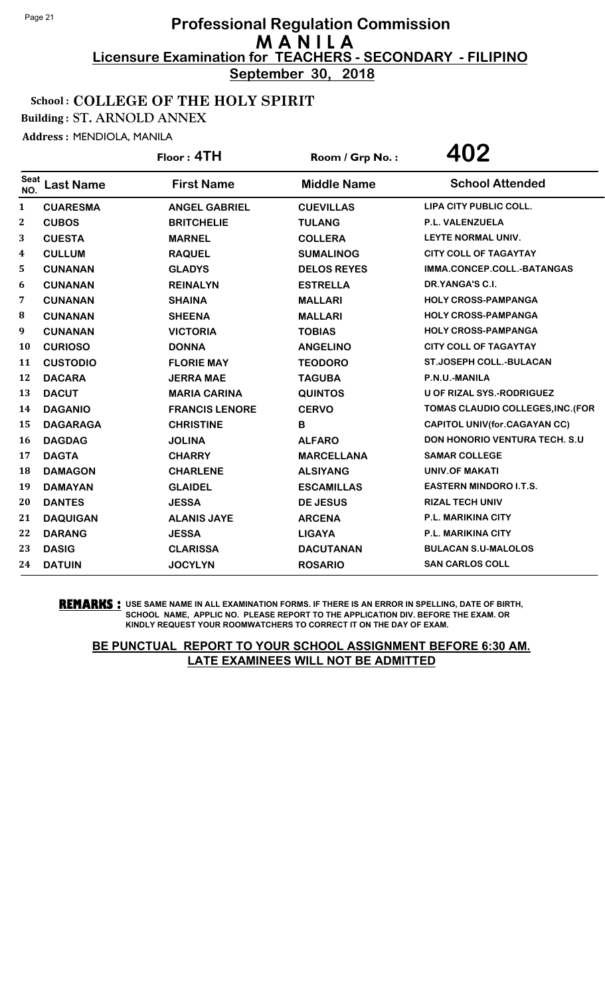**September 30, 2018**

#### School : COLLEGE OF THE HOLY SPIRIT

Building : ST. ARNOLD ANNEX

Address : MENDIOLA, MANILA

|                    |                  | Floor: 4TH            | Room / Grp No.:    | 402                                   |
|--------------------|------------------|-----------------------|--------------------|---------------------------------------|
| <b>Seat</b><br>NO. | <b>Last Name</b> | <b>First Name</b>     | <b>Middle Name</b> | <b>School Attended</b>                |
| 1                  | <b>CUARESMA</b>  | <b>ANGEL GABRIEL</b>  | <b>CUEVILLAS</b>   | LIPA CITY PUBLIC COLL.                |
| $\mathbf{2}$       | <b>CUBOS</b>     | <b>BRITCHELIE</b>     | <b>TULANG</b>      | P.L. VALENZUELA                       |
| 3                  | <b>CUESTA</b>    | <b>MARNEL</b>         | <b>COLLERA</b>     | LEYTE NORMAL UNIV.                    |
| $\boldsymbol{4}$   | <b>CULLUM</b>    | <b>RAQUEL</b>         | <b>SUMALINOG</b>   | <b>CITY COLL OF TAGAYTAY</b>          |
| 5                  | <b>CUNANAN</b>   | <b>GLADYS</b>         | <b>DELOS REYES</b> | IMMA.CONCEP.COLL.-BATANGAS            |
| 6                  | <b>CUNANAN</b>   | <b>REINALYN</b>       | <b>ESTRELLA</b>    | DR.YANGA'S C.I.                       |
| 7                  | <b>CUNANAN</b>   | <b>SHAINA</b>         | <b>MALLARI</b>     | <b>HOLY CROSS-PAMPANGA</b>            |
| 8                  | <b>CUNANAN</b>   | <b>SHEENA</b>         | <b>MALLARI</b>     | <b>HOLY CROSS-PAMPANGA</b>            |
| 9                  | <b>CUNANAN</b>   | <b>VICTORIA</b>       | <b>TOBIAS</b>      | <b>HOLY CROSS-PAMPANGA</b>            |
| <b>10</b>          | <b>CURIOSO</b>   | <b>DONNA</b>          | <b>ANGELINO</b>    | <b>CITY COLL OF TAGAYTAY</b>          |
| 11                 | <b>CUSTODIO</b>  | <b>FLORIE MAY</b>     | <b>TEODORO</b>     | <b>ST.JOSEPH COLL.-BULACAN</b>        |
| 12                 | <b>DACARA</b>    | <b>JERRA MAE</b>      | <b>TAGUBA</b>      | P.N.U.-MANILA                         |
| 13                 | <b>DACUT</b>     | <b>MARIA CARINA</b>   | <b>QUINTOS</b>     | U OF RIZAL SYS.-RODRIGUEZ             |
| 14                 | <b>DAGANIO</b>   | <b>FRANCIS LENORE</b> | <b>CERVO</b>       | TOMAS CLAUDIO COLLEGES, INC. (FOR     |
| 15                 | <b>DAGARAGA</b>  | <b>CHRISTINE</b>      | B                  | <b>CAPITOL UNIV (for.CAGAYAN CC)</b>  |
| <b>16</b>          | <b>DAGDAG</b>    | <b>JOLINA</b>         | <b>ALFARO</b>      | <b>DON HONORIO VENTURA TECH. S.U.</b> |
| 17                 | <b>DAGTA</b>     | <b>CHARRY</b>         | <b>MARCELLANA</b>  | <b>SAMAR COLLEGE</b>                  |
| 18                 | <b>DAMAGON</b>   | <b>CHARLENE</b>       | <b>ALSIYANG</b>    | <b>UNIV.OF MAKATI</b>                 |
| 19                 | <b>DAMAYAN</b>   | <b>GLAIDEL</b>        | <b>ESCAMILLAS</b>  | <b>EASTERN MINDORO I.T.S.</b>         |
| 20                 | <b>DANTES</b>    | <b>JESSA</b>          | <b>DE JESUS</b>    | <b>RIZAL TECH UNIV</b>                |
| 21                 | <b>DAQUIGAN</b>  | <b>ALANIS JAYE</b>    | <b>ARCENA</b>      | <b>P.L. MARIKINA CITY</b>             |
| 22                 | <b>DARANG</b>    | <b>JESSA</b>          | <b>LIGAYA</b>      | <b>P.L. MARIKINA CITY</b>             |
| 23                 | <b>DASIG</b>     | <b>CLARISSA</b>       | <b>DACUTANAN</b>   | <b>BULACAN S.U-MALOLOS</b>            |
| 24                 | <b>DATUIN</b>    | <b>JOCYLYN</b>        | <b>ROSARIO</b>     | <b>SAN CARLOS COLL</b>                |

**REMARKS :** USE SAME NAME IN ALL EXAMINATION FORMS. IF THERE IS AN ERROR IN SPELLING, DATE OF BIRTH, SCHOOL NAME, APPLIC NO. PLEASE REPORT TO THE APPLICATION DIV. BEFORE THE EXAM. OR KINDLY REQUEST YOUR ROOMWATCHERS TO CORRECT IT ON THE DAY OF EXAM.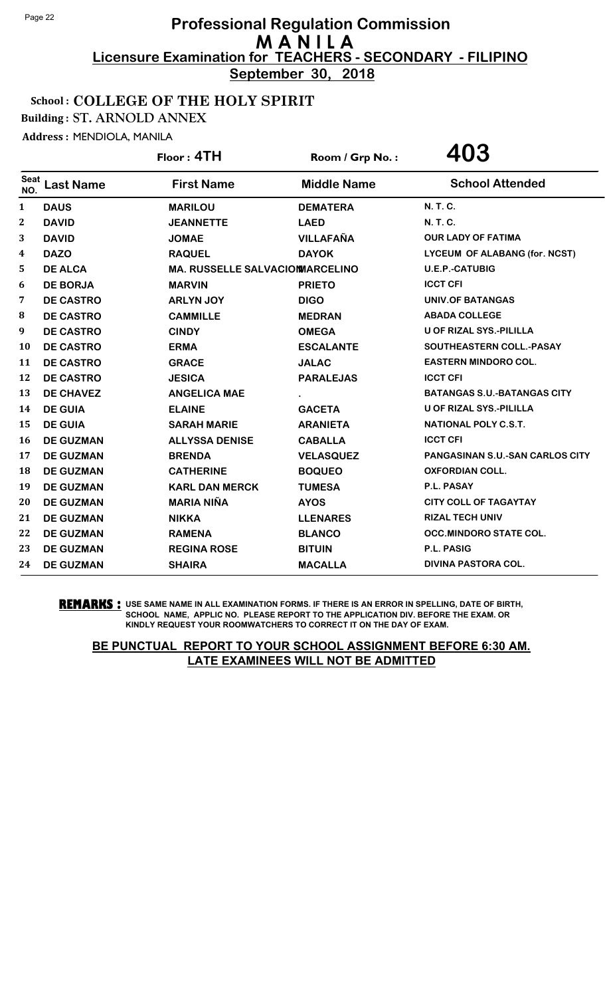**September 30, 2018**

#### School : COLLEGE OF THE HOLY SPIRIT

Building : ST. ARNOLD ANNEX

Address : MENDIOLA, MANILA

|                    |                  | Floor: 4TH                             | Room / Grp No.:    | 403                                    |
|--------------------|------------------|----------------------------------------|--------------------|----------------------------------------|
| <b>Seat</b><br>NO. | <b>Last Name</b> | <b>First Name</b>                      | <b>Middle Name</b> | <b>School Attended</b>                 |
| 1                  | <b>DAUS</b>      | <b>MARILOU</b>                         | <b>DEMATERA</b>    | N. T. C.                               |
| $\boldsymbol{2}$   | <b>DAVID</b>     | <b>JEANNETTE</b>                       | <b>LAED</b>        | <b>N. T. C.</b>                        |
| 3                  | <b>DAVID</b>     | <b>JOMAE</b>                           | <b>VILLAFAÑA</b>   | <b>OUR LADY OF FATIMA</b>              |
| 4                  | <b>DAZO</b>      | <b>RAQUEL</b>                          | <b>DAYOK</b>       | LYCEUM OF ALABANG (for. NCST)          |
| 5                  | <b>DE ALCA</b>   | <b>MA. RUSSELLE SALVACIONMARCELINO</b> |                    | <b>U.E.P.-CATUBIG</b>                  |
| 6                  | <b>DE BORJA</b>  | <b>MARVIN</b>                          | <b>PRIETO</b>      | <b>ICCT CFI</b>                        |
| 7                  | <b>DE CASTRO</b> | <b>ARLYN JOY</b>                       | <b>DIGO</b>        | <b>UNIV.OF BATANGAS</b>                |
| 8                  | <b>DE CASTRO</b> | <b>CAMMILLE</b>                        | <b>MEDRAN</b>      | <b>ABADA COLLEGE</b>                   |
| 9                  | <b>DE CASTRO</b> | <b>CINDY</b>                           | <b>OMEGA</b>       | <b>U OF RIZAL SYS.-PILILLA</b>         |
| 10                 | <b>DE CASTRO</b> | <b>ERMA</b>                            | <b>ESCALANTE</b>   | SOUTHEASTERN COLL.-PASAY               |
| 11                 | <b>DE CASTRO</b> | <b>GRACE</b>                           | <b>JALAC</b>       | <b>EASTERN MINDORO COL.</b>            |
| 12                 | <b>DE CASTRO</b> | <b>JESICA</b>                          | <b>PARALEJAS</b>   | <b>ICCT CFI</b>                        |
| 13                 | <b>DE CHAVEZ</b> | <b>ANGELICA MAE</b>                    |                    | <b>BATANGAS S.U.-BATANGAS CITY</b>     |
| 14                 | <b>DE GUIA</b>   | <b>ELAINE</b>                          | <b>GACETA</b>      | <b>U OF RIZAL SYS.-PILILLA</b>         |
| 15                 | <b>DE GUIA</b>   | <b>SARAH MARIE</b>                     | <b>ARANIETA</b>    | <b>NATIONAL POLY C.S.T.</b>            |
| 16                 | <b>DE GUZMAN</b> | <b>ALLYSSA DENISE</b>                  | <b>CABALLA</b>     | <b>ICCT CFI</b>                        |
| 17                 | <b>DE GUZMAN</b> | <b>BRENDA</b>                          | <b>VELASQUEZ</b>   | <b>PANGASINAN S.U.-SAN CARLOS CITY</b> |
| 18                 | <b>DE GUZMAN</b> | <b>CATHERINE</b>                       | <b>BOQUEO</b>      | <b>OXFORDIAN COLL.</b>                 |
| 19                 | <b>DE GUZMAN</b> | <b>KARL DAN MERCK</b>                  | <b>TUMESA</b>      | P.L. PASAY                             |
| 20                 | <b>DE GUZMAN</b> | <b>MARIA NIÑA</b>                      | <b>AYOS</b>        | <b>CITY COLL OF TAGAYTAY</b>           |
| 21                 | <b>DE GUZMAN</b> | <b>NIKKA</b>                           | <b>LLENARES</b>    | <b>RIZAL TECH UNIV</b>                 |
| 22                 | <b>DE GUZMAN</b> | <b>RAMENA</b>                          | <b>BLANCO</b>      | <b>OCC.MINDORO STATE COL.</b>          |
| 23                 | <b>DE GUZMAN</b> | <b>REGINA ROSE</b>                     | <b>BITUIN</b>      | <b>P.L. PASIG</b>                      |
| 24                 | <b>DE GUZMAN</b> | <b>SHAIRA</b>                          | <b>MACALLA</b>     | <b>DIVINA PASTORA COL.</b>             |

**REMARKS :** USE SAME NAME IN ALL EXAMINATION FORMS. IF THERE IS AN ERROR IN SPELLING, DATE OF BIRTH, SCHOOL NAME, APPLIC NO. PLEASE REPORT TO THE APPLICATION DIV. BEFORE THE EXAM. OR KINDLY REQUEST YOUR ROOMWATCHERS TO CORRECT IT ON THE DAY OF EXAM.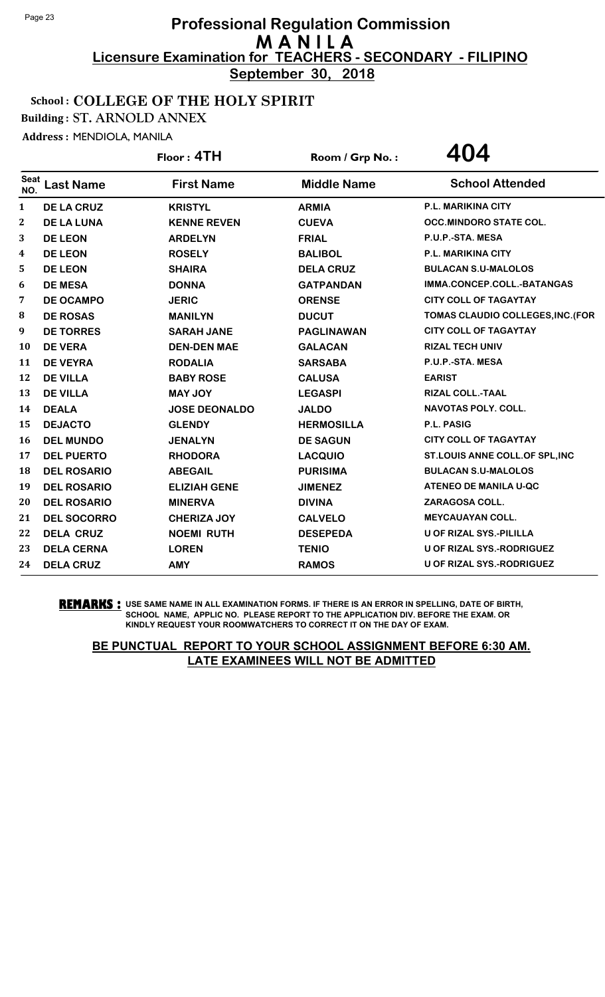**September 30, 2018**

#### School : COLLEGE OF THE HOLY SPIRIT

Building : ST. ARNOLD ANNEX

Address : MENDIOLA, MANILA

|                    |                    | Floor: 4TH           | Room / Grp No.:    | 404                               |
|--------------------|--------------------|----------------------|--------------------|-----------------------------------|
| <b>Seat</b><br>NO. | <b>Last Name</b>   | <b>First Name</b>    | <b>Middle Name</b> | <b>School Attended</b>            |
| $\mathbf{1}$       | <b>DE LA CRUZ</b>  | <b>KRISTYL</b>       | <b>ARMIA</b>       | <b>P.L. MARIKINA CITY</b>         |
| $\boldsymbol{2}$   | <b>DE LA LUNA</b>  | <b>KENNE REVEN</b>   | <b>CUEVA</b>       | <b>OCC.MINDORO STATE COL.</b>     |
| 3                  | <b>DE LEON</b>     | <b>ARDELYN</b>       | <b>FRIAL</b>       | P.U.P.-STA. MESA                  |
| 4                  | <b>DE LEON</b>     | <b>ROSELY</b>        | <b>BALIBOL</b>     | <b>P.L. MARIKINA CITY</b>         |
| 5                  | <b>DE LEON</b>     | <b>SHAIRA</b>        | <b>DELA CRUZ</b>   | <b>BULACAN S.U-MALOLOS</b>        |
| 6                  | <b>DE MESA</b>     | <b>DONNA</b>         | <b>GATPANDAN</b>   | IMMA.CONCEP.COLL.-BATANGAS        |
| 7                  | <b>DE OCAMPO</b>   | <b>JERIC</b>         | <b>ORENSE</b>      | <b>CITY COLL OF TAGAYTAY</b>      |
| 8                  | <b>DE ROSAS</b>    | <b>MANILYN</b>       | <b>DUCUT</b>       | TOMAS CLAUDIO COLLEGES, INC. (FOR |
| 9                  | <b>DE TORRES</b>   | <b>SARAH JANE</b>    | <b>PAGLINAWAN</b>  | <b>CITY COLL OF TAGAYTAY</b>      |
| 10                 | <b>DE VERA</b>     | <b>DEN-DEN MAE</b>   | <b>GALACAN</b>     | <b>RIZAL TECH UNIV</b>            |
| 11                 | <b>DE VEYRA</b>    | <b>RODALIA</b>       | <b>SARSABA</b>     | P.U.P.-STA. MESA                  |
| 12                 | <b>DE VILLA</b>    | <b>BABY ROSE</b>     | <b>CALUSA</b>      | <b>EARIST</b>                     |
| 13                 | <b>DE VILLA</b>    | <b>MAY JOY</b>       | <b>LEGASPI</b>     | <b>RIZAL COLL.-TAAL</b>           |
| 14                 | <b>DEALA</b>       | <b>JOSE DEONALDO</b> | <b>JALDO</b>       | <b>NAVOTAS POLY. COLL.</b>        |
| 15                 | <b>DEJACTO</b>     | <b>GLENDY</b>        | <b>HERMOSILLA</b>  | <b>P.L. PASIG</b>                 |
| 16                 | <b>DEL MUNDO</b>   | <b>JENALYN</b>       | <b>DE SAGUN</b>    | <b>CITY COLL OF TAGAYTAY</b>      |
| 17                 | <b>DEL PUERTO</b>  | <b>RHODORA</b>       | <b>LACQUIO</b>     | ST.LOUIS ANNE COLL.OF SPL, INC    |
| 18                 | <b>DEL ROSARIO</b> | <b>ABEGAIL</b>       | <b>PURISIMA</b>    | <b>BULACAN S.U-MALOLOS</b>        |
| 19                 | <b>DEL ROSARIO</b> | <b>ELIZIAH GENE</b>  | <b>JIMENEZ</b>     | ATENEO DE MANILA U-QC             |
| 20                 | <b>DEL ROSARIO</b> | <b>MINERVA</b>       | <b>DIVINA</b>      | ZARAGOSA COLL.                    |
| 21                 | <b>DEL SOCORRO</b> | <b>CHERIZA JOY</b>   | <b>CALVELO</b>     | <b>MEYCAUAYAN COLL.</b>           |
| 22                 | <b>DELA CRUZ</b>   | <b>NOEMI RUTH</b>    | <b>DESEPEDA</b>    | U OF RIZAL SYS.-PILILLA           |
| 23                 | <b>DELA CERNA</b>  | <b>LOREN</b>         | <b>TENIO</b>       | U OF RIZAL SYS.-RODRIGUEZ         |
| 24                 | <b>DELA CRUZ</b>   | <b>AMY</b>           | <b>RAMOS</b>       | U OF RIZAL SYS.-RODRIGUEZ         |

**REMARKS :** USE SAME NAME IN ALL EXAMINATION FORMS. IF THERE IS AN ERROR IN SPELLING, DATE OF BIRTH, SCHOOL NAME, APPLIC NO. PLEASE REPORT TO THE APPLICATION DIV. BEFORE THE EXAM. OR KINDLY REQUEST YOUR ROOMWATCHERS TO CORRECT IT ON THE DAY OF EXAM.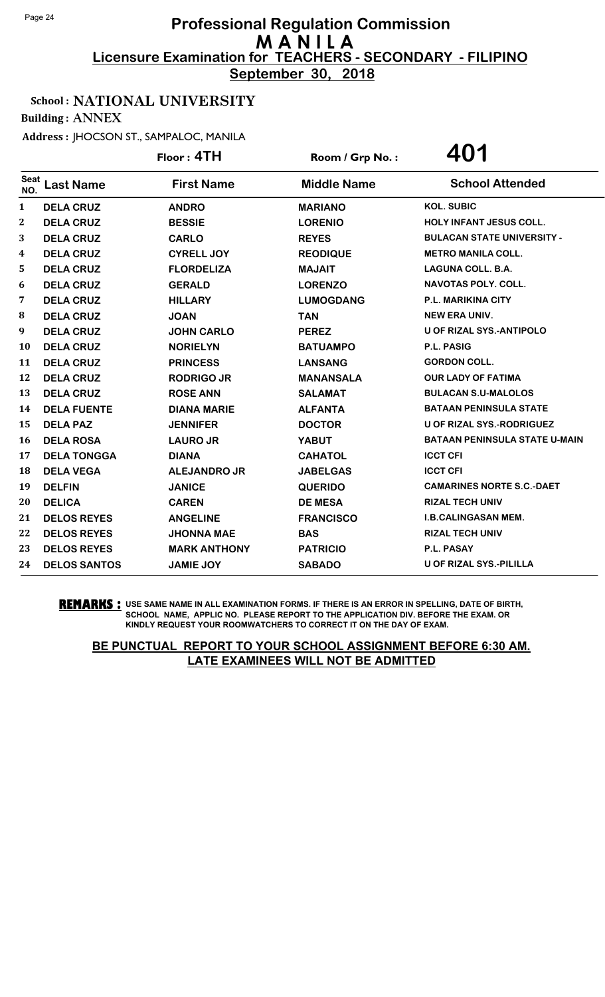**September 30, 2018**

#### School : NATIONAL UNIVERSITY

Building : ANNEX

Address : JHOCSON ST., SAMPALOC, MANILA

|                    |                     | Floor: 4TH          | Room / Grp No.:    | 401                                  |
|--------------------|---------------------|---------------------|--------------------|--------------------------------------|
| <b>Seat</b><br>NO. | <b>Last Name</b>    | <b>First Name</b>   | <b>Middle Name</b> | <b>School Attended</b>               |
| $\mathbf{1}$       | <b>DELA CRUZ</b>    | <b>ANDRO</b>        | <b>MARIANO</b>     | <b>KOL. SUBIC</b>                    |
| 2                  | <b>DELA CRUZ</b>    | <b>BESSIE</b>       | <b>LORENIO</b>     | <b>HOLY INFANT JESUS COLL.</b>       |
| 3                  | <b>DELA CRUZ</b>    | <b>CARLO</b>        | <b>REYES</b>       | <b>BULACAN STATE UNIVERSITY -</b>    |
| 4                  | <b>DELA CRUZ</b>    | <b>CYRELL JOY</b>   | <b>REODIQUE</b>    | <b>METRO MANILA COLL.</b>            |
| 5                  | <b>DELA CRUZ</b>    | <b>FLORDELIZA</b>   | <b>MAJAIT</b>      | LAGUNA COLL. B.A.                    |
| 6                  | <b>DELA CRUZ</b>    | <b>GERALD</b>       | <b>LORENZO</b>     | <b>NAVOTAS POLY, COLL.</b>           |
| 7                  | <b>DELA CRUZ</b>    | <b>HILLARY</b>      | <b>LUMOGDANG</b>   | <b>P.L. MARIKINA CITY</b>            |
| 8                  | <b>DELA CRUZ</b>    | <b>JOAN</b>         | <b>TAN</b>         | <b>NEW ERA UNIV.</b>                 |
| 9                  | <b>DELA CRUZ</b>    | <b>JOHN CARLO</b>   | <b>PEREZ</b>       | <b>U OF RIZAL SYS.-ANTIPOLO</b>      |
| 10                 | <b>DELA CRUZ</b>    | <b>NORIELYN</b>     | <b>BATUAMPO</b>    | P.L. PASIG                           |
| 11                 | <b>DELA CRUZ</b>    | <b>PRINCESS</b>     | <b>LANSANG</b>     | <b>GORDON COLL.</b>                  |
| 12                 | <b>DELA CRUZ</b>    | <b>RODRIGO JR</b>   | <b>MANANSALA</b>   | <b>OUR LADY OF FATIMA</b>            |
| 13                 | <b>DELA CRUZ</b>    | <b>ROSE ANN</b>     | <b>SALAMAT</b>     | <b>BULACAN S.U-MALOLOS</b>           |
| 14                 | <b>DELA FUENTE</b>  | <b>DIANA MARIE</b>  | <b>ALFANTA</b>     | <b>BATAAN PENINSULA STATE</b>        |
| 15                 | <b>DELA PAZ</b>     | <b>JENNIFER</b>     | <b>DOCTOR</b>      | <b>U OF RIZAL SYS.-RODRIGUEZ</b>     |
| 16                 | <b>DELA ROSA</b>    | <b>LAURO JR</b>     | <b>YABUT</b>       | <b>BATAAN PENINSULA STATE U-MAIN</b> |
| 17                 | <b>DELA TONGGA</b>  | <b>DIANA</b>        | <b>CAHATOL</b>     | <b>ICCT CFI</b>                      |
| 18                 | <b>DELA VEGA</b>    | <b>ALEJANDRO JR</b> | <b>JABELGAS</b>    | <b>ICCT CFI</b>                      |
| 19                 | <b>DELFIN</b>       | <b>JANICE</b>       | <b>QUERIDO</b>     | <b>CAMARINES NORTE S.C.-DAET</b>     |
| 20                 | <b>DELICA</b>       | <b>CAREN</b>        | <b>DE MESA</b>     | <b>RIZAL TECH UNIV</b>               |
| 21                 | <b>DELOS REYES</b>  | <b>ANGELINE</b>     | <b>FRANCISCO</b>   | <b>I.B.CALINGASAN MEM.</b>           |
| 22                 | <b>DELOS REYES</b>  | <b>JHONNA MAE</b>   | <b>BAS</b>         | <b>RIZAL TECH UNIV</b>               |
| 23                 | <b>DELOS REYES</b>  | <b>MARK ANTHONY</b> | <b>PATRICIO</b>    | <b>P.L. PASAY</b>                    |
| 24                 | <b>DELOS SANTOS</b> | <b>JAMIE JOY</b>    | <b>SABADO</b>      | <b>U OF RIZAL SYS.-PILILLA</b>       |

**REMARKS :** USE SAME NAME IN ALL EXAMINATION FORMS. IF THERE IS AN ERROR IN SPELLING, DATE OF BIRTH, SCHOOL NAME, APPLIC NO. PLEASE REPORT TO THE APPLICATION DIV. BEFORE THE EXAM. OR KINDLY REQUEST YOUR ROOMWATCHERS TO CORRECT IT ON THE DAY OF EXAM.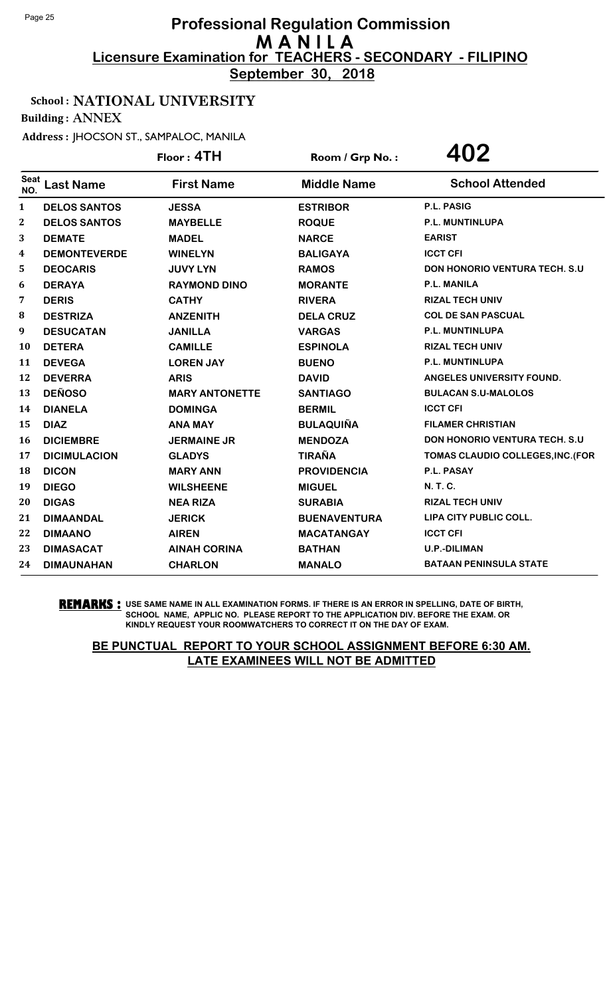**September 30, 2018**

## School : NATIONAL UNIVERSITY

Building : ANNEX

Address : JHOCSON ST., SAMPALOC, MANILA

|                    |                     | Floor: 4TH            | Room / Grp No.:     | 402                                   |
|--------------------|---------------------|-----------------------|---------------------|---------------------------------------|
| <b>Seat</b><br>NO. | <b>Last Name</b>    | <b>First Name</b>     | <b>Middle Name</b>  | <b>School Attended</b>                |
| 1                  | <b>DELOS SANTOS</b> | <b>JESSA</b>          | <b>ESTRIBOR</b>     | P.L. PASIG                            |
| 2                  | <b>DELOS SANTOS</b> | <b>MAYBELLE</b>       | <b>ROQUE</b>        | P.L. MUNTINLUPA                       |
| 3                  | <b>DEMATE</b>       | <b>MADEL</b>          | <b>NARCE</b>        | <b>EARIST</b>                         |
| 4                  | <b>DEMONTEVERDE</b> | <b>WINELYN</b>        | <b>BALIGAYA</b>     | <b>ICCT CFI</b>                       |
| 5                  | <b>DEOCARIS</b>     | <b>JUVY LYN</b>       | <b>RAMOS</b>        | <b>DON HONORIO VENTURA TECH. S.U</b>  |
| 6                  | <b>DERAYA</b>       | <b>RAYMOND DINO</b>   | <b>MORANTE</b>      | <b>P.L. MANILA</b>                    |
| 7                  | <b>DERIS</b>        | <b>CATHY</b>          | <b>RIVERA</b>       | <b>RIZAL TECH UNIV</b>                |
| 8                  | <b>DESTRIZA</b>     | <b>ANZENITH</b>       | <b>DELA CRUZ</b>    | <b>COL DE SAN PASCUAL</b>             |
| 9                  | <b>DESUCATAN</b>    | <b>JANILLA</b>        | <b>VARGAS</b>       | P.L. MUNTINLUPA                       |
| 10                 | <b>DETERA</b>       | <b>CAMILLE</b>        | <b>ESPINOLA</b>     | <b>RIZAL TECH UNIV</b>                |
| 11                 | <b>DEVEGA</b>       | <b>LOREN JAY</b>      | <b>BUENO</b>        | P.L. MUNTINLUPA                       |
| 12                 | <b>DEVERRA</b>      | <b>ARIS</b>           | <b>DAVID</b>        | <b>ANGELES UNIVERSITY FOUND.</b>      |
| 13                 | <b>DEÑOSO</b>       | <b>MARY ANTONETTE</b> | <b>SANTIAGO</b>     | <b>BULACAN S.U-MALOLOS</b>            |
| 14                 | <b>DIANELA</b>      | <b>DOMINGA</b>        | <b>BERMIL</b>       | <b>ICCT CFI</b>                       |
| 15                 | <b>DIAZ</b>         | <b>ANA MAY</b>        | <b>BULAQUIÑA</b>    | <b>FILAMER CHRISTIAN</b>              |
| 16                 | <b>DICIEMBRE</b>    | <b>JERMAINE JR</b>    | <b>MENDOZA</b>      | <b>DON HONORIO VENTURA TECH. S.U.</b> |
| 17                 | <b>DICIMULACION</b> | <b>GLADYS</b>         | <b>TIRAÑA</b>       | TOMAS CLAUDIO COLLEGES, INC. (FOR     |
| 18                 | <b>DICON</b>        | <b>MARY ANN</b>       | <b>PROVIDENCIA</b>  | P.L. PASAY                            |
| 19                 | <b>DIEGO</b>        | <b>WILSHEENE</b>      | <b>MIGUEL</b>       | N. T. C.                              |
| 20                 | <b>DIGAS</b>        | <b>NEA RIZA</b>       | <b>SURABIA</b>      | <b>RIZAL TECH UNIV</b>                |
| 21                 | <b>DIMAANDAL</b>    | <b>JERICK</b>         | <b>BUENAVENTURA</b> | LIPA CITY PUBLIC COLL.                |
| 22                 | <b>DIMAANO</b>      | <b>AIREN</b>          | <b>MACATANGAY</b>   | <b>ICCT CFI</b>                       |
| 23                 | <b>DIMASACAT</b>    | <b>AINAH CORINA</b>   | <b>BATHAN</b>       | <b>U.P.-DILIMAN</b>                   |
| 24                 | <b>DIMAUNAHAN</b>   | <b>CHARLON</b>        | <b>MANALO</b>       | <b>BATAAN PENINSULA STATE</b>         |

**REMARKS :** USE SAME NAME IN ALL EXAMINATION FORMS. IF THERE IS AN ERROR IN SPELLING, DATE OF BIRTH, SCHOOL NAME, APPLIC NO. PLEASE REPORT TO THE APPLICATION DIV. BEFORE THE EXAM. OR KINDLY REQUEST YOUR ROOMWATCHERS TO CORRECT IT ON THE DAY OF EXAM.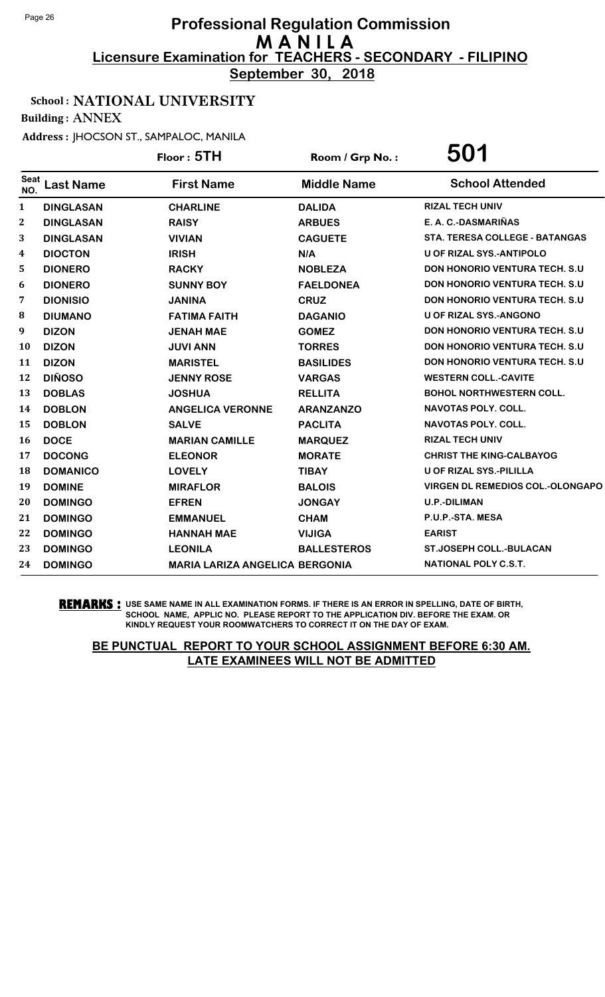**September 30, 2018**

## School : NATIONAL UNIVERSITY

Building : ANNEX

Address : JHOCSON ST., SAMPALOC, MANILA

|                    |                  | Floor: 5TH                            | Room / Grp No.:    | 501                                     |
|--------------------|------------------|---------------------------------------|--------------------|-----------------------------------------|
| <b>Seat</b><br>NO. | <b>Last Name</b> | <b>First Name</b>                     | <b>Middle Name</b> | <b>School Attended</b>                  |
| $\mathbf{1}$       | <b>DINGLASAN</b> | <b>CHARLINE</b>                       | <b>DALIDA</b>      | <b>RIZAL TECH UNIV</b>                  |
| $\boldsymbol{2}$   | <b>DINGLASAN</b> | <b>RAISY</b>                          | <b>ARBUES</b>      | E. A. C.-DASMARIÑAS                     |
| 3                  | <b>DINGLASAN</b> | <b>VIVIAN</b>                         | <b>CAGUETE</b>     | <b>STA. TERESA COLLEGE - BATANGAS</b>   |
| 4                  | <b>DIOCTON</b>   | <b>IRISH</b>                          | N/A                | <b>U OF RIZAL SYS.-ANTIPOLO</b>         |
| 5                  | <b>DIONERO</b>   | <b>RACKY</b>                          | <b>NOBLEZA</b>     | <b>DON HONORIO VENTURA TECH. S.U</b>    |
| 6                  | <b>DIONERO</b>   | <b>SUNNY BOY</b>                      | <b>FAELDONEA</b>   | <b>DON HONORIO VENTURA TECH. S.U.</b>   |
| 7                  | <b>DIONISIO</b>  | <b>JANINA</b>                         | <b>CRUZ</b>        | <b>DON HONORIO VENTURA TECH. S.U.</b>   |
| 8                  | <b>DIUMANO</b>   | <b>FATIMA FAITH</b>                   | <b>DAGANIO</b>     | U OF RIZAL SYS.-ANGONO                  |
| 9                  | <b>DIZON</b>     | <b>JENAH MAE</b>                      | <b>GOMEZ</b>       | DON HONORIO VENTURA TECH. S.U           |
| <b>10</b>          | <b>DIZON</b>     | <b>JUVI ANN</b>                       | <b>TORRES</b>      | <b>DON HONORIO VENTURA TECH. S.U.</b>   |
| 11                 | <b>DIZON</b>     | <b>MARISTEL</b>                       | <b>BASILIDES</b>   | DON HONORIO VENTURA TECH. S.U           |
| 12                 | <b>DIÑOSO</b>    | <b>JENNY ROSE</b>                     | <b>VARGAS</b>      | <b>WESTERN COLL.-CAVITE</b>             |
| 13                 | <b>DOBLAS</b>    | <b>JOSHUA</b>                         | <b>RELLITA</b>     | <b>BOHOL NORTHWESTERN COLL.</b>         |
| 14                 | <b>DOBLON</b>    | <b>ANGELICA VERONNE</b>               | <b>ARANZANZO</b>   | <b>NAVOTAS POLY, COLL.</b>              |
| 15                 | <b>DOBLON</b>    | <b>SALVE</b>                          | <b>PACLITA</b>     | <b>NAVOTAS POLY, COLL.</b>              |
| <b>16</b>          | <b>DOCE</b>      | <b>MARIAN CAMILLE</b>                 | <b>MARQUEZ</b>     | <b>RIZAL TECH UNIV</b>                  |
| 17                 | <b>DOCONG</b>    | <b>ELEONOR</b>                        | <b>MORATE</b>      | <b>CHRIST THE KING-CALBAYOG</b>         |
| 18                 | <b>DOMANICO</b>  | <b>LOVELY</b>                         | <b>TIBAY</b>       | <b>U OF RIZAL SYS.-PILILLA</b>          |
| 19                 | <b>DOMINE</b>    | <b>MIRAFLOR</b>                       | <b>BALOIS</b>      | <b>VIRGEN DL REMEDIOS COL.-OLONGAPO</b> |
| 20                 | <b>DOMINGO</b>   | <b>EFREN</b>                          | <b>JONGAY</b>      | <b>U.P.-DILIMAN</b>                     |
| 21                 | <b>DOMINGO</b>   | <b>EMMANUEL</b>                       | <b>CHAM</b>        | P.U.P.-STA. MESA                        |
| 22                 | <b>DOMINGO</b>   | <b>HANNAH MAE</b>                     | <b>VIJIGA</b>      | <b>EARIST</b>                           |
| 23                 | <b>DOMINGO</b>   | <b>LEONILA</b>                        | <b>BALLESTEROS</b> | <b>ST.JOSEPH COLL.-BULACAN</b>          |
| 24                 | <b>DOMINGO</b>   | <b>MARIA LARIZA ANGELICA BERGONIA</b> |                    | NATIONAL POLY C.S.T.                    |

**REMARKS :** USE SAME NAME IN ALL EXAMINATION FORMS. IF THERE IS AN ERROR IN SPELLING, DATE OF BIRTH, SCHOOL NAME, APPLIC NO. PLEASE REPORT TO THE APPLICATION DIV. BEFORE THE EXAM. OR KINDLY REQUEST YOUR ROOMWATCHERS TO CORRECT IT ON THE DAY OF EXAM.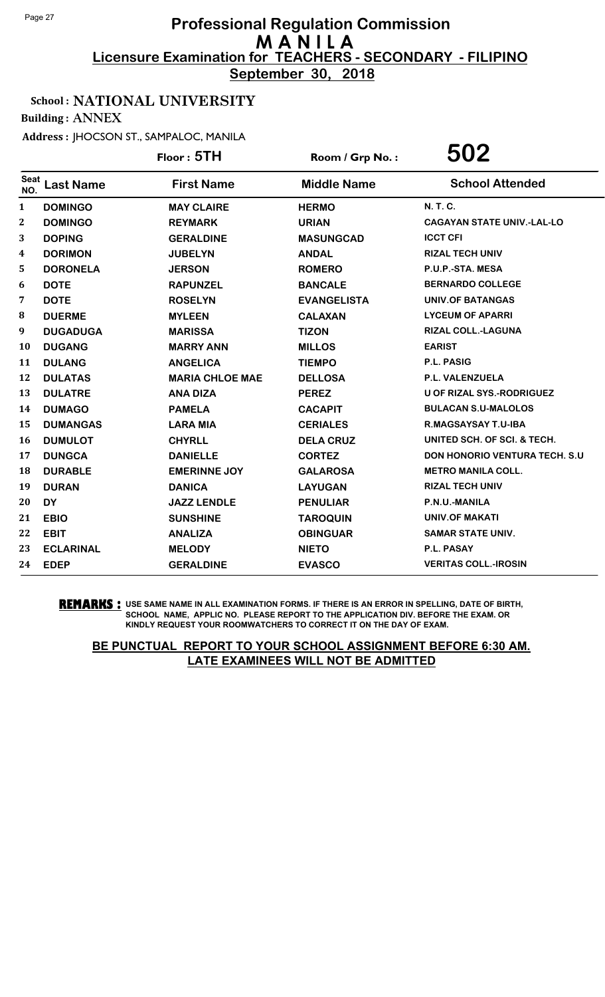**September 30, 2018**

## School : NATIONAL UNIVERSITY

Building : ANNEX

Address : JHOCSON ST., SAMPALOC, MANILA

|                    |                  | Floor: 5TH             | Room / Grp No.:    | 502                                  |
|--------------------|------------------|------------------------|--------------------|--------------------------------------|
| <b>Seat</b><br>NO. | <b>Last Name</b> | <b>First Name</b>      | <b>Middle Name</b> | <b>School Attended</b>               |
| 1                  | <b>DOMINGO</b>   | <b>MAY CLAIRE</b>      | <b>HERMO</b>       | N. T. C.                             |
| $\bf{2}$           | <b>DOMINGO</b>   | <b>REYMARK</b>         | <b>URIAN</b>       | <b>CAGAYAN STATE UNIV.-LAL-LO</b>    |
| 3                  | <b>DOPING</b>    | <b>GERALDINE</b>       | <b>MASUNGCAD</b>   | <b>ICCT CFI</b>                      |
| 4                  | <b>DORIMON</b>   | <b>JUBELYN</b>         | <b>ANDAL</b>       | <b>RIZAL TECH UNIV</b>               |
| 5                  | <b>DORONELA</b>  | <b>JERSON</b>          | <b>ROMERO</b>      | P.U.P.-STA. MESA                     |
| 6                  | <b>DOTE</b>      | <b>RAPUNZEL</b>        | <b>BANCALE</b>     | <b>BERNARDO COLLEGE</b>              |
| 7                  | <b>DOTE</b>      | <b>ROSELYN</b>         | <b>EVANGELISTA</b> | <b>UNIV.OF BATANGAS</b>              |
| 8                  | <b>DUERME</b>    | <b>MYLEEN</b>          | <b>CALAXAN</b>     | <b>LYCEUM OF APARRI</b>              |
| 9                  | <b>DUGADUGA</b>  | <b>MARISSA</b>         | <b>TIZON</b>       | RIZAL COLL.-LAGUNA                   |
| 10                 | <b>DUGANG</b>    | <b>MARRY ANN</b>       | <b>MILLOS</b>      | <b>EARIST</b>                        |
| 11                 | <b>DULANG</b>    | <b>ANGELICA</b>        | <b>TIEMPO</b>      | P.L. PASIG                           |
| 12                 | <b>DULATAS</b>   | <b>MARIA CHLOE MAE</b> | <b>DELLOSA</b>     | P.L. VALENZUELA                      |
| 13                 | <b>DULATRE</b>   | <b>ANA DIZA</b>        | <b>PEREZ</b>       | <b>U OF RIZAL SYS.-RODRIGUEZ</b>     |
| 14                 | <b>DUMAGO</b>    | <b>PAMELA</b>          | <b>CACAPIT</b>     | <b>BULACAN S.U-MALOLOS</b>           |
| 15                 | <b>DUMANGAS</b>  | <b>LARA MIA</b>        | <b>CERIALES</b>    | <b>R.MAGSAYSAY T.U-IBA</b>           |
| 16                 | <b>DUMULOT</b>   | <b>CHYRLL</b>          | <b>DELA CRUZ</b>   | UNITED SCH. OF SCI. & TECH.          |
| 17                 | <b>DUNGCA</b>    | <b>DANIELLE</b>        | <b>CORTEZ</b>      | <b>DON HONORIO VENTURA TECH. S.U</b> |
| 18                 | <b>DURABLE</b>   | <b>EMERINNE JOY</b>    | <b>GALAROSA</b>    | <b>METRO MANILA COLL.</b>            |
| 19                 | <b>DURAN</b>     | <b>DANICA</b>          | <b>LAYUGAN</b>     | <b>RIZAL TECH UNIV</b>               |
| 20                 | <b>DY</b>        | <b>JAZZ LENDLE</b>     | <b>PENULIAR</b>    | P.N.U.-MANILA                        |
| 21                 | <b>EBIO</b>      | <b>SUNSHINE</b>        | <b>TAROQUIN</b>    | <b>UNIV.OF MAKATI</b>                |
| 22                 | <b>EBIT</b>      | <b>ANALIZA</b>         | <b>OBINGUAR</b>    | <b>SAMAR STATE UNIV.</b>             |
| 23                 | <b>ECLARINAL</b> | <b>MELODY</b>          | <b>NIETO</b>       | <b>P.L. PASAY</b>                    |
| 24                 | <b>EDEP</b>      | <b>GERALDINE</b>       | <b>EVASCO</b>      | <b>VERITAS COLL.-IROSIN</b>          |

**REMARKS :** USE SAME NAME IN ALL EXAMINATION FORMS. IF THERE IS AN ERROR IN SPELLING, DATE OF BIRTH, SCHOOL NAME, APPLIC NO. PLEASE REPORT TO THE APPLICATION DIV. BEFORE THE EXAM. OR KINDLY REQUEST YOUR ROOMWATCHERS TO CORRECT IT ON THE DAY OF EXAM.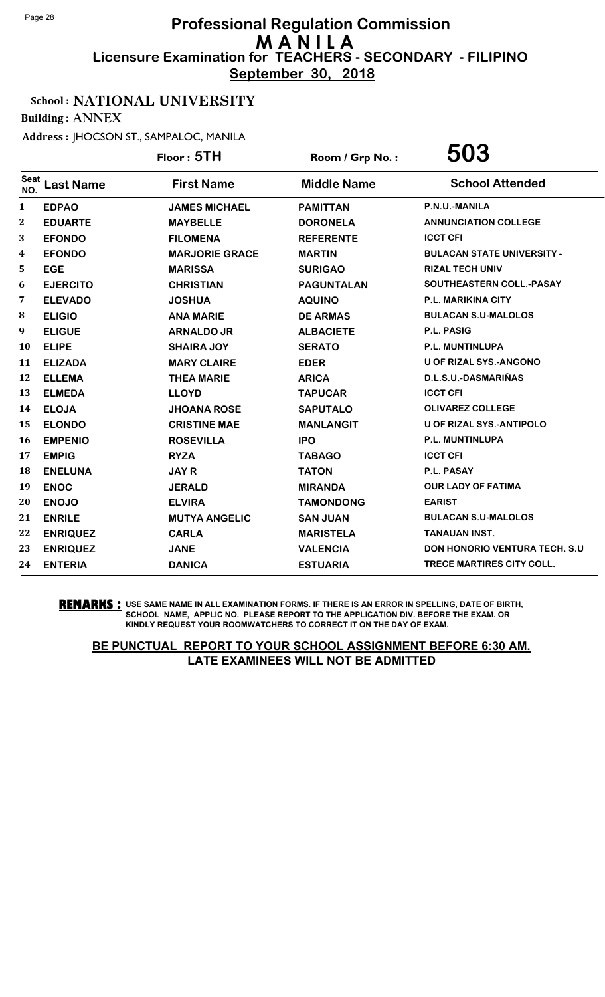**September 30, 2018**

#### School : NATIONAL UNIVERSITY

Building : ANNEX

Address : JHOCSON ST., SAMPALOC, MANILA

|                    |                  | Floor: 5TH            | Room / Grp No.:    | 503                                   |
|--------------------|------------------|-----------------------|--------------------|---------------------------------------|
| <b>Seat</b><br>NO. | <b>Last Name</b> | <b>First Name</b>     | <b>Middle Name</b> | <b>School Attended</b>                |
| 1                  | <b>EDPAO</b>     | <b>JAMES MICHAEL</b>  | <b>PAMITTAN</b>    | P.N.U.-MANILA                         |
| 2                  | <b>EDUARTE</b>   | <b>MAYBELLE</b>       | <b>DORONELA</b>    | <b>ANNUNCIATION COLLEGE</b>           |
| 3                  | <b>EFONDO</b>    | <b>FILOMENA</b>       | <b>REFERENTE</b>   | <b>ICCT CFI</b>                       |
| 4                  | <b>EFONDO</b>    | <b>MARJORIE GRACE</b> | <b>MARTIN</b>      | <b>BULACAN STATE UNIVERSITY -</b>     |
| 5                  | <b>EGE</b>       | <b>MARISSA</b>        | <b>SURIGAO</b>     | <b>RIZAL TECH UNIV</b>                |
| 6                  | <b>EJERCITO</b>  | <b>CHRISTIAN</b>      | <b>PAGUNTALAN</b>  | SOUTHEASTERN COLL.-PASAY              |
| 7                  | <b>ELEVADO</b>   | <b>JOSHUA</b>         | <b>AQUINO</b>      | <b>P.L. MARIKINA CITY</b>             |
| 8                  | <b>ELIGIO</b>    | <b>ANA MARIE</b>      | <b>DE ARMAS</b>    | <b>BULACAN S.U-MALOLOS</b>            |
| 9                  | <b>ELIGUE</b>    | <b>ARNALDO JR</b>     | <b>ALBACIETE</b>   | <b>P.L. PASIG</b>                     |
| 10                 | <b>ELIPE</b>     | <b>SHAIRA JOY</b>     | <b>SERATO</b>      | P.L. MUNTINLUPA                       |
| 11                 | <b>ELIZADA</b>   | <b>MARY CLAIRE</b>    | <b>EDER</b>        | <b>U OF RIZAL SYS.-ANGONO</b>         |
| 12                 | <b>ELLEMA</b>    | <b>THEA MARIE</b>     | <b>ARICA</b>       | D.L.S.U.-DASMARIÑAS                   |
| 13                 | <b>ELMEDA</b>    | <b>LLOYD</b>          | <b>TAPUCAR</b>     | <b>ICCT CFI</b>                       |
| 14                 | <b>ELOJA</b>     | <b>JHOANA ROSE</b>    | <b>SAPUTALO</b>    | <b>OLIVAREZ COLLEGE</b>               |
| 15                 | <b>ELONDO</b>    | <b>CRISTINE MAE</b>   | <b>MANLANGIT</b>   | U OF RIZAL SYS.-ANTIPOLO              |
| 16                 | <b>EMPENIO</b>   | <b>ROSEVILLA</b>      | <b>IPO</b>         | <b>P.L. MUNTINLUPA</b>                |
| 17                 | <b>EMPIG</b>     | <b>RYZA</b>           | <b>TABAGO</b>      | <b>ICCT CFI</b>                       |
| 18                 | <b>ENELUNA</b>   | <b>JAYR</b>           | <b>TATON</b>       | P.L. PASAY                            |
| 19                 | <b>ENOC</b>      | <b>JERALD</b>         | <b>MIRANDA</b>     | <b>OUR LADY OF FATIMA</b>             |
| 20                 | <b>ENOJO</b>     | <b>ELVIRA</b>         | <b>TAMONDONG</b>   | <b>EARIST</b>                         |
| 21                 | <b>ENRILE</b>    | <b>MUTYA ANGELIC</b>  | <b>SAN JUAN</b>    | <b>BULACAN S.U-MALOLOS</b>            |
| 22                 | <b>ENRIQUEZ</b>  | <b>CARLA</b>          | <b>MARISTELA</b>   | <b>TANAUAN INST.</b>                  |
| 23                 | <b>ENRIQUEZ</b>  | <b>JANE</b>           | <b>VALENCIA</b>    | <b>DON HONORIO VENTURA TECH. S.U.</b> |
| 24                 | <b>ENTERIA</b>   | <b>DANICA</b>         | <b>ESTUARIA</b>    | <b>TRECE MARTIRES CITY COLL.</b>      |

**REMARKS :** USE SAME NAME IN ALL EXAMINATION FORMS. IF THERE IS AN ERROR IN SPELLING, DATE OF BIRTH, SCHOOL NAME, APPLIC NO. PLEASE REPORT TO THE APPLICATION DIV. BEFORE THE EXAM. OR KINDLY REQUEST YOUR ROOMWATCHERS TO CORRECT IT ON THE DAY OF EXAM.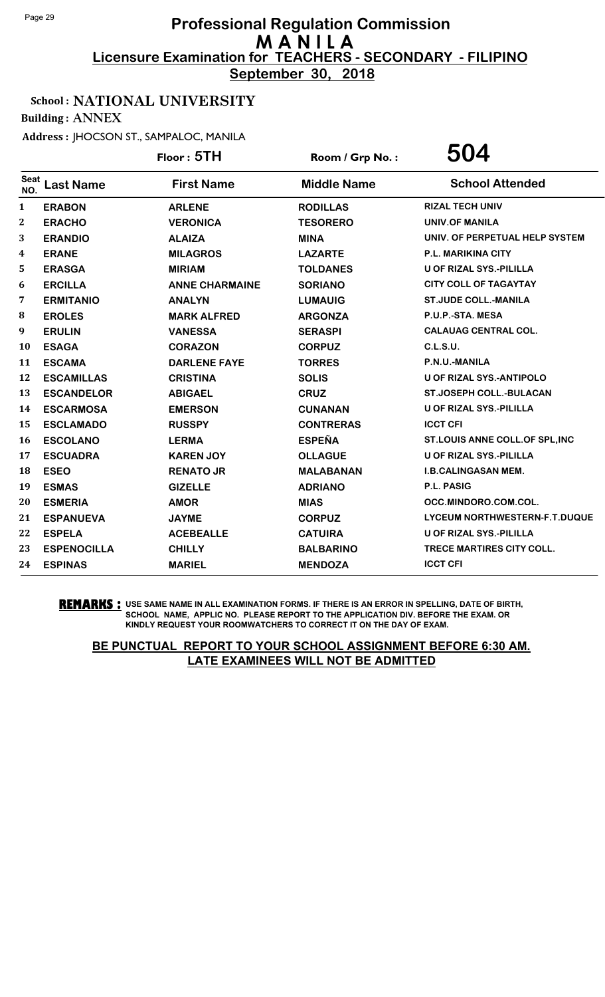**September 30, 2018**

## School : NATIONAL UNIVERSITY

Building : ANNEX

Address : JHOCSON ST., SAMPALOC, MANILA

|                    |                    | Floor: 5TH            | Room / Grp No.:    | 504                             |
|--------------------|--------------------|-----------------------|--------------------|---------------------------------|
| <b>Seat</b><br>NO. | <b>Last Name</b>   | <b>First Name</b>     | <b>Middle Name</b> | <b>School Attended</b>          |
| 1                  | <b>ERABON</b>      | <b>ARLENE</b>         | <b>RODILLAS</b>    | <b>RIZAL TECH UNIV</b>          |
| $\mathbf{2}$       | <b>ERACHO</b>      | <b>VERONICA</b>       | <b>TESORERO</b>    | <b>UNIV.OF MANILA</b>           |
| 3                  | <b>ERANDIO</b>     | <b>ALAIZA</b>         | <b>MINA</b>        | UNIV. OF PERPETUAL HELP SYSTEM  |
| 4                  | <b>ERANE</b>       | <b>MILAGROS</b>       | <b>LAZARTE</b>     | <b>P.L. MARIKINA CITY</b>       |
| 5                  | <b>ERASGA</b>      | <b>MIRIAM</b>         | <b>TOLDANES</b>    | <b>U OF RIZAL SYS.-PILILLA</b>  |
| 6                  | <b>ERCILLA</b>     | <b>ANNE CHARMAINE</b> | <b>SORIANO</b>     | <b>CITY COLL OF TAGAYTAY</b>    |
| 7                  | <b>ERMITANIO</b>   | <b>ANALYN</b>         | <b>LUMAUIG</b>     | <b>ST.JUDE COLL.-MANILA</b>     |
| 8                  | <b>EROLES</b>      | <b>MARK ALFRED</b>    | <b>ARGONZA</b>     | P.U.P.-STA. MESA                |
| 9                  | <b>ERULIN</b>      | <b>VANESSA</b>        | <b>SERASPI</b>     | <b>CALAUAG CENTRAL COL.</b>     |
| 10                 | <b>ESAGA</b>       | <b>CORAZON</b>        | <b>CORPUZ</b>      | C.L.S.U.                        |
| 11                 | <b>ESCAMA</b>      | <b>DARLENE FAYE</b>   | <b>TORRES</b>      | P.N.U.-MANILA                   |
| 12                 | <b>ESCAMILLAS</b>  | <b>CRISTINA</b>       | <b>SOLIS</b>       | <b>U OF RIZAL SYS.-ANTIPOLO</b> |
| 13                 | <b>ESCANDELOR</b>  | <b>ABIGAEL</b>        | <b>CRUZ</b>        | <b>ST.JOSEPH COLL.-BULACAN</b>  |
| 14                 | <b>ESCARMOSA</b>   | <b>EMERSON</b>        | <b>CUNANAN</b>     | <b>U OF RIZAL SYS.-PILILLA</b>  |
| 15                 | <b>ESCLAMADO</b>   | <b>RUSSPY</b>         | <b>CONTRERAS</b>   | <b>ICCT CFI</b>                 |
| 16                 | <b>ESCOLANO</b>    | <b>LERMA</b>          | <b>ESPEÑA</b>      | ST.LOUIS ANNE COLL.OF SPL, INC  |
| 17                 | <b>ESCUADRA</b>    | <b>KAREN JOY</b>      | <b>OLLAGUE</b>     | <b>U OF RIZAL SYS.-PILILLA</b>  |
| 18                 | <b>ESEO</b>        | <b>RENATO JR</b>      | <b>MALABANAN</b>   | <b>I.B.CALINGASAN MEM.</b>      |
| 19                 | <b>ESMAS</b>       | <b>GIZELLE</b>        | <b>ADRIANO</b>     | P.L. PASIG                      |
| 20                 | <b>ESMERIA</b>     | <b>AMOR</b>           | <b>MIAS</b>        | OCC.MINDORO.COM.COL.            |
| 21                 | <b>ESPANUEVA</b>   | <b>JAYME</b>          | <b>CORPUZ</b>      | LYCEUM NORTHWESTERN-F.T.DUQUE   |
| 22                 | <b>ESPELA</b>      | <b>ACEBEALLE</b>      | <b>CATUIRA</b>     | <b>U OF RIZAL SYS.-PILILLA</b>  |
| 23                 | <b>ESPENOCILLA</b> | <b>CHILLY</b>         | <b>BALBARINO</b>   | TRECE MARTIRES CITY COLL.       |
| 24                 | <b>ESPINAS</b>     | <b>MARIEL</b>         | <b>MENDOZA</b>     | <b>ICCT CFI</b>                 |

**REMARKS :** USE SAME NAME IN ALL EXAMINATION FORMS. IF THERE IS AN ERROR IN SPELLING, DATE OF BIRTH, SCHOOL NAME, APPLIC NO. PLEASE REPORT TO THE APPLICATION DIV. BEFORE THE EXAM. OR KINDLY REQUEST YOUR ROOMWATCHERS TO CORRECT IT ON THE DAY OF EXAM.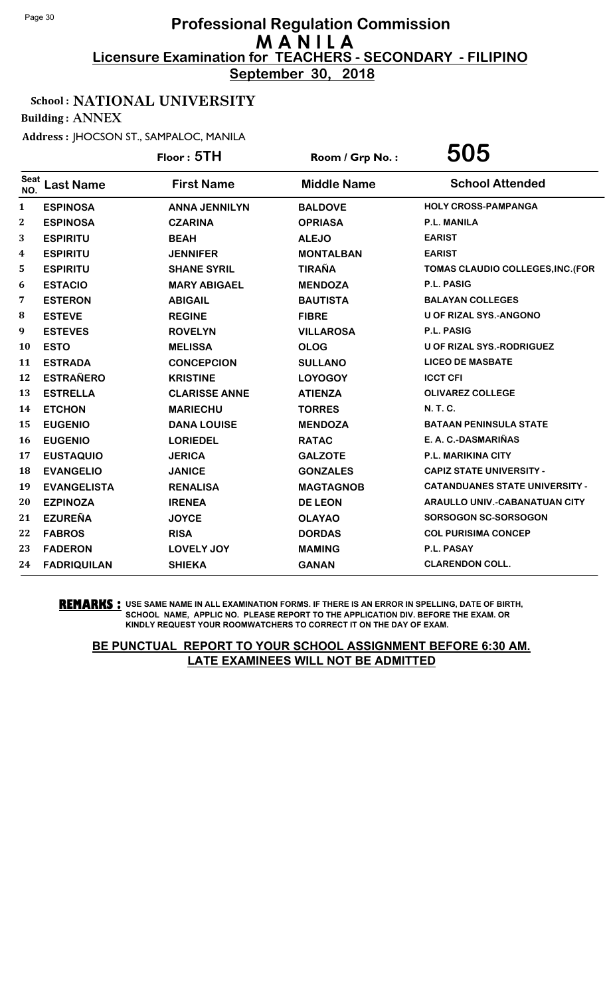**September 30, 2018**

## School : NATIONAL UNIVERSITY

Building : ANNEX

Address : JHOCSON ST., SAMPALOC, MANILA

|                    |                    | Floor: 5TH           | Room / Grp No.:    | 505                                   |
|--------------------|--------------------|----------------------|--------------------|---------------------------------------|
| <b>Seat</b><br>NO. | <b>Last Name</b>   | <b>First Name</b>    | <b>Middle Name</b> | <b>School Attended</b>                |
| $\mathbf{1}$       | <b>ESPINOSA</b>    | <b>ANNA JENNILYN</b> | <b>BALDOVE</b>     | <b>HOLY CROSS-PAMPANGA</b>            |
| $\boldsymbol{2}$   | <b>ESPINOSA</b>    | <b>CZARINA</b>       | <b>OPRIASA</b>     | <b>P.L. MANILA</b>                    |
| 3                  | <b>ESPIRITU</b>    | <b>BEAH</b>          | <b>ALEJO</b>       | <b>EARIST</b>                         |
| 4                  | <b>ESPIRITU</b>    | <b>JENNIFER</b>      | <b>MONTALBAN</b>   | <b>EARIST</b>                         |
| 5                  | <b>ESPIRITU</b>    | <b>SHANE SYRIL</b>   | <b>TIRAÑA</b>      | TOMAS CLAUDIO COLLEGES, INC. (FOR     |
| 6                  | <b>ESTACIO</b>     | <b>MARY ABIGAEL</b>  | <b>MENDOZA</b>     | <b>P.L. PASIG</b>                     |
| 7                  | <b>ESTERON</b>     | <b>ABIGAIL</b>       | <b>BAUTISTA</b>    | <b>BALAYAN COLLEGES</b>               |
| 8                  | <b>ESTEVE</b>      | <b>REGINE</b>        | <b>FIBRE</b>       | <b>U OF RIZAL SYS.-ANGONO</b>         |
| 9                  | <b>ESTEVES</b>     | <b>ROVELYN</b>       | <b>VILLAROSA</b>   | P.L. PASIG                            |
| <b>10</b>          | <b>ESTO</b>        | <b>MELISSA</b>       | <b>OLOG</b>        | <b>U OF RIZAL SYS.-RODRIGUEZ</b>      |
| 11                 | <b>ESTRADA</b>     | <b>CONCEPCION</b>    | <b>SULLANO</b>     | <b>LICEO DE MASBATE</b>               |
| 12                 | <b>ESTRAÑERO</b>   | <b>KRISTINE</b>      | <b>LOYOGOY</b>     | <b>ICCT CFI</b>                       |
| 13                 | <b>ESTRELLA</b>    | <b>CLARISSE ANNE</b> | <b>ATIENZA</b>     | <b>OLIVAREZ COLLEGE</b>               |
| 14                 | <b>ETCHON</b>      | <b>MARIECHU</b>      | <b>TORRES</b>      | <b>N. T. C.</b>                       |
| 15                 | <b>EUGENIO</b>     | <b>DANA LOUISE</b>   | <b>MENDOZA</b>     | <b>BATAAN PENINSULA STATE</b>         |
| 16                 | <b>EUGENIO</b>     | <b>LORIEDEL</b>      | <b>RATAC</b>       | E. A. C.-DASMARIÑAS                   |
| 17                 | <b>EUSTAQUIO</b>   | <b>JERICA</b>        | <b>GALZOTE</b>     | P.L. MARIKINA CITY                    |
| 18                 | <b>EVANGELIO</b>   | <b>JANICE</b>        | <b>GONZALES</b>    | <b>CAPIZ STATE UNIVERSITY -</b>       |
| 19                 | <b>EVANGELISTA</b> | <b>RENALISA</b>      | <b>MAGTAGNOB</b>   | <b>CATANDUANES STATE UNIVERSITY -</b> |
| 20                 | <b>EZPINOZA</b>    | <b>IRENEA</b>        | <b>DE LEON</b>     | <b>ARAULLO UNIV.-CABANATUAN CITY</b>  |
| 21                 | <b>EZUREÑA</b>     | <b>JOYCE</b>         | <b>OLAYAO</b>      | <b>SORSOGON SC-SORSOGON</b>           |
| 22                 | <b>FABROS</b>      | <b>RISA</b>          | <b>DORDAS</b>      | <b>COL PURISIMA CONCEP</b>            |
| 23                 | <b>FADERON</b>     | <b>LOVELY JOY</b>    | <b>MAMING</b>      | P.L. PASAY                            |
| 24                 | <b>FADRIQUILAN</b> | <b>SHIEKA</b>        | <b>GANAN</b>       | <b>CLARENDON COLL.</b>                |

**REMARKS :** USE SAME NAME IN ALL EXAMINATION FORMS. IF THERE IS AN ERROR IN SPELLING, DATE OF BIRTH, SCHOOL NAME, APPLIC NO. PLEASE REPORT TO THE APPLICATION DIV. BEFORE THE EXAM. OR KINDLY REQUEST YOUR ROOMWATCHERS TO CORRECT IT ON THE DAY OF EXAM.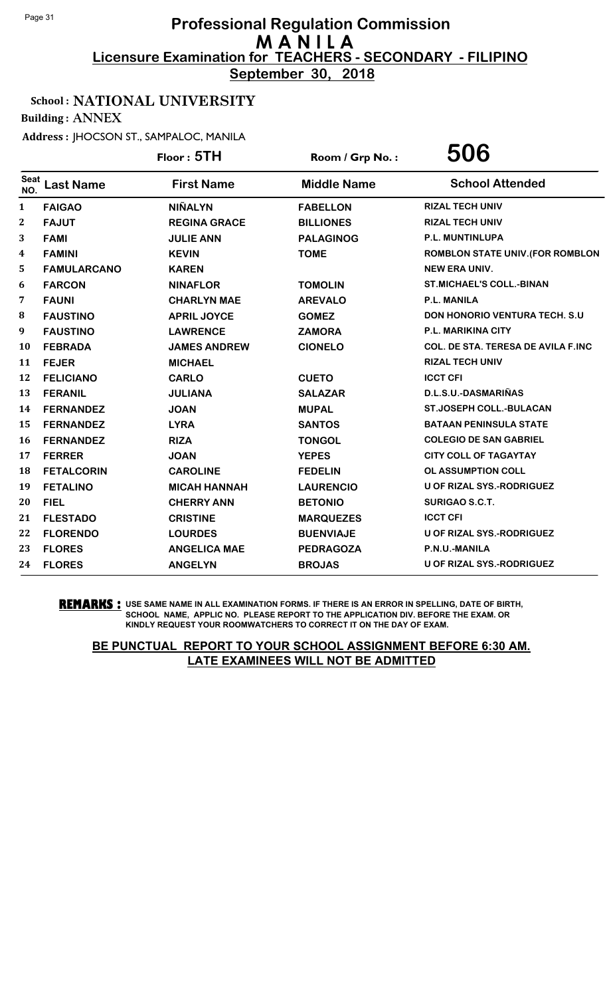**September 30, 2018**

## School : NATIONAL UNIVERSITY

Building : ANNEX

Address : JHOCSON ST., SAMPALOC, MANILA

|                    |                    | Floor: 5TH          | Room / Grp No.:    | 506                                       |
|--------------------|--------------------|---------------------|--------------------|-------------------------------------------|
| <b>Seat</b><br>NO. | <b>Last Name</b>   | <b>First Name</b>   | <b>Middle Name</b> | <b>School Attended</b>                    |
| 1                  | <b>FAIGAO</b>      | <b>NIÑALYN</b>      | <b>FABELLON</b>    | <b>RIZAL TECH UNIV</b>                    |
| 2                  | <b>FAJUT</b>       | <b>REGINA GRACE</b> | <b>BILLIONES</b>   | <b>RIZAL TECH UNIV</b>                    |
| 3                  | <b>FAMI</b>        | <b>JULIE ANN</b>    | <b>PALAGINOG</b>   | P.L. MUNTINLUPA                           |
| 4                  | <b>FAMINI</b>      | <b>KEVIN</b>        | <b>TOME</b>        | <b>ROMBLON STATE UNIV. (FOR ROMBLON</b>   |
| 5                  | <b>FAMULARCANO</b> | <b>KAREN</b>        |                    | <b>NEW ERA UNIV.</b>                      |
| 6                  | <b>FARCON</b>      | <b>NINAFLOR</b>     | <b>TOMOLIN</b>     | <b>ST.MICHAEL'S COLL.-BINAN</b>           |
| 7                  | <b>FAUNI</b>       | <b>CHARLYN MAE</b>  | <b>AREVALO</b>     | <b>P.L. MANILA</b>                        |
| 8                  | <b>FAUSTINO</b>    | <b>APRIL JOYCE</b>  | <b>GOMEZ</b>       | <b>DON HONORIO VENTURA TECH. S.U.</b>     |
| 9                  | <b>FAUSTINO</b>    | <b>LAWRENCE</b>     | <b>ZAMORA</b>      | P.L. MARIKINA CITY                        |
| 10                 | <b>FEBRADA</b>     | <b>JAMES ANDREW</b> | <b>CIONELO</b>     | <b>COL. DE STA. TERESA DE AVILA F.INC</b> |
| 11                 | <b>FEJER</b>       | <b>MICHAEL</b>      |                    | <b>RIZAL TECH UNIV</b>                    |
| 12                 | <b>FELICIANO</b>   | <b>CARLO</b>        | <b>CUETO</b>       | <b>ICCT CFI</b>                           |
| 13                 | <b>FERANIL</b>     | <b>JULIANA</b>      | <b>SALAZAR</b>     | D.L.S.U.-DASMARIÑAS                       |
| 14                 | <b>FERNANDEZ</b>   | <b>JOAN</b>         | <b>MUPAL</b>       | <b>ST.JOSEPH COLL.-BULACAN</b>            |
| 15                 | <b>FERNANDEZ</b>   | <b>LYRA</b>         | <b>SANTOS</b>      | <b>BATAAN PENINSULA STATE</b>             |
| 16                 | <b>FERNANDEZ</b>   | <b>RIZA</b>         | <b>TONGOL</b>      | <b>COLEGIO DE SAN GABRIEL</b>             |
| 17                 | <b>FERRER</b>      | <b>JOAN</b>         | <b>YEPES</b>       | <b>CITY COLL OF TAGAYTAY</b>              |
| 18                 | <b>FETALCORIN</b>  | <b>CAROLINE</b>     | <b>FEDELIN</b>     | OL ASSUMPTION COLL                        |
| 19                 | <b>FETALINO</b>    | <b>MICAH HANNAH</b> | <b>LAURENCIO</b>   | U OF RIZAL SYS.-RODRIGUEZ                 |
| 20                 | <b>FIEL</b>        | <b>CHERRY ANN</b>   | <b>BETONIO</b>     | SURIGAO S.C.T.                            |
| 21                 | <b>FLESTADO</b>    | <b>CRISTINE</b>     | <b>MARQUEZES</b>   | <b>ICCT CFI</b>                           |
| 22                 | <b>FLORENDO</b>    | <b>LOURDES</b>      | <b>BUENVIAJE</b>   | U OF RIZAL SYS.-RODRIGUEZ                 |
| 23                 | <b>FLORES</b>      | <b>ANGELICA MAE</b> | <b>PEDRAGOZA</b>   | P.N.U.-MANILA                             |
| 24                 | <b>FLORES</b>      | <b>ANGELYN</b>      | <b>BROJAS</b>      | U OF RIZAL SYS.-RODRIGUEZ                 |

**REMARKS :** USE SAME NAME IN ALL EXAMINATION FORMS. IF THERE IS AN ERROR IN SPELLING, DATE OF BIRTH, SCHOOL NAME, APPLIC NO. PLEASE REPORT TO THE APPLICATION DIV. BEFORE THE EXAM. OR KINDLY REQUEST YOUR ROOMWATCHERS TO CORRECT IT ON THE DAY OF EXAM.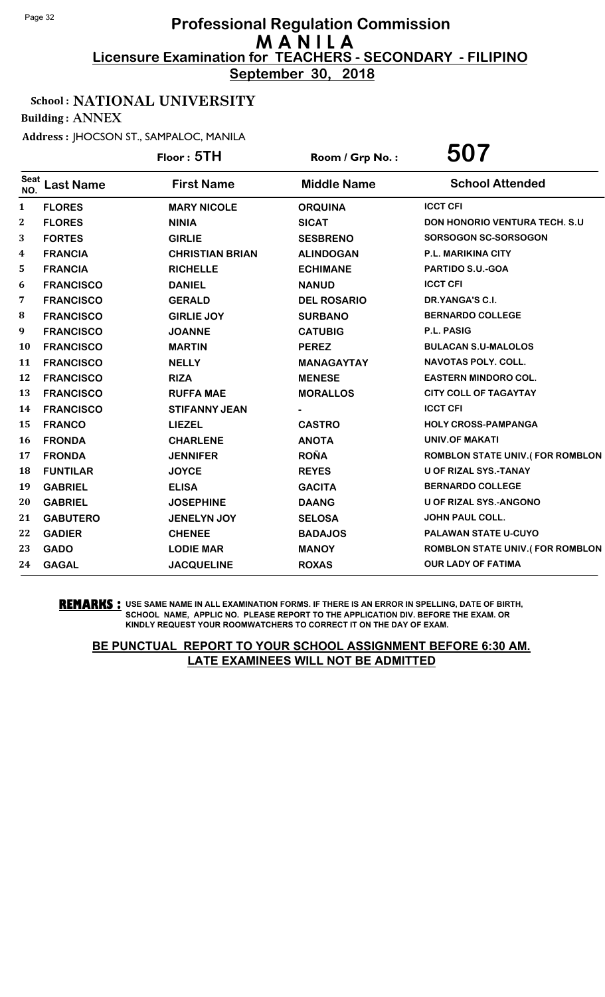**September 30, 2018**

## School : NATIONAL UNIVERSITY

Building : ANNEX

Address : JHOCSON ST., SAMPALOC, MANILA

|                    |                  | Floor: 5TH             | Room / Grp No.:    | 507                                    |
|--------------------|------------------|------------------------|--------------------|----------------------------------------|
| <b>Seat</b><br>NO. | <b>Last Name</b> | <b>First Name</b>      | <b>Middle Name</b> | <b>School Attended</b>                 |
| 1                  | <b>FLORES</b>    | <b>MARY NICOLE</b>     | <b>ORQUINA</b>     | <b>ICCT CFI</b>                        |
| 2                  | <b>FLORES</b>    | <b>NINIA</b>           | <b>SICAT</b>       | DON HONORIO VENTURA TECH. S.U          |
| 3                  | <b>FORTES</b>    | <b>GIRLIE</b>          | <b>SESBRENO</b>    | SORSOGON SC-SORSOGON                   |
| 4                  | <b>FRANCIA</b>   | <b>CHRISTIAN BRIAN</b> | <b>ALINDOGAN</b>   | <b>P.L. MARIKINA CITY</b>              |
| 5                  | <b>FRANCIA</b>   | <b>RICHELLE</b>        | <b>ECHIMANE</b>    | PARTIDO S.U.-GOA                       |
| 6                  | <b>FRANCISCO</b> | <b>DANIEL</b>          | <b>NANUD</b>       | <b>ICCT CFI</b>                        |
| 7                  | <b>FRANCISCO</b> | <b>GERALD</b>          | <b>DEL ROSARIO</b> | DR.YANGA'S C.I.                        |
| 8                  | <b>FRANCISCO</b> | <b>GIRLIE JOY</b>      | <b>SURBANO</b>     | <b>BERNARDO COLLEGE</b>                |
| 9                  | <b>FRANCISCO</b> | <b>JOANNE</b>          | <b>CATUBIG</b>     | P.L. PASIG                             |
| 10                 | <b>FRANCISCO</b> | <b>MARTIN</b>          | <b>PEREZ</b>       | <b>BULACAN S.U-MALOLOS</b>             |
| 11                 | <b>FRANCISCO</b> | <b>NELLY</b>           | <b>MANAGAYTAY</b>  | <b>NAVOTAS POLY. COLL.</b>             |
| 12                 | <b>FRANCISCO</b> | <b>RIZA</b>            | <b>MENESE</b>      | <b>EASTERN MINDORO COL.</b>            |
| 13                 | <b>FRANCISCO</b> | <b>RUFFA MAE</b>       | <b>MORALLOS</b>    | <b>CITY COLL OF TAGAYTAY</b>           |
| 14                 | <b>FRANCISCO</b> | <b>STIFANNY JEAN</b>   |                    | <b>ICCT CFI</b>                        |
| 15                 | <b>FRANCO</b>    | <b>LIEZEL</b>          | <b>CASTRO</b>      | <b>HOLY CROSS-PAMPANGA</b>             |
| 16                 | <b>FRONDA</b>    | <b>CHARLENE</b>        | <b>ANOTA</b>       | <b>UNIV.OF MAKATI</b>                  |
| 17                 | <b>FRONDA</b>    | <b>JENNIFER</b>        | <b>ROÑA</b>        | <b>ROMBLON STATE UNIV.(FOR ROMBLON</b> |
| 18                 | <b>FUNTILAR</b>  | <b>JOYCE</b>           | <b>REYES</b>       | U OF RIZAL SYS.-TANAY                  |
| 19                 | <b>GABRIEL</b>   | <b>ELISA</b>           | <b>GACITA</b>      | <b>BERNARDO COLLEGE</b>                |
| 20                 | <b>GABRIEL</b>   | <b>JOSEPHINE</b>       | <b>DAANG</b>       | U OF RIZAL SYS.-ANGONO                 |
| 21                 | <b>GABUTERO</b>  | <b>JENELYN JOY</b>     | <b>SELOSA</b>      | <b>JOHN PAUL COLL.</b>                 |
| 22                 | <b>GADIER</b>    | <b>CHENEE</b>          | <b>BADAJOS</b>     | PALAWAN STATE U-CUYO                   |
| 23                 | <b>GADO</b>      | <b>LODIE MAR</b>       | <b>MANOY</b>       | <b>ROMBLON STATE UNIV.(FOR ROMBLON</b> |
| 24                 | <b>GAGAL</b>     | <b>JACQUELINE</b>      | <b>ROXAS</b>       | <b>OUR LADY OF FATIMA</b>              |

**REMARKS :** USE SAME NAME IN ALL EXAMINATION FORMS. IF THERE IS AN ERROR IN SPELLING, DATE OF BIRTH, SCHOOL NAME, APPLIC NO. PLEASE REPORT TO THE APPLICATION DIV. BEFORE THE EXAM. OR KINDLY REQUEST YOUR ROOMWATCHERS TO CORRECT IT ON THE DAY OF EXAM.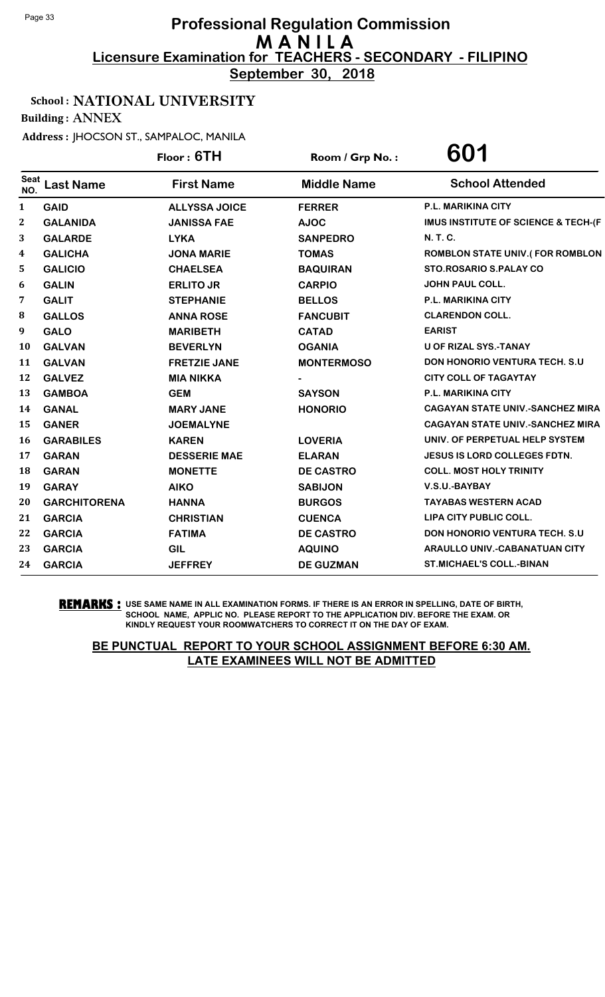**September 30, 2018**

## School : NATIONAL UNIVERSITY

Building : ANNEX

Address : JHOCSON ST., SAMPALOC, MANILA

|                    |                     | Floor: 6TH           | Room / Grp No.:    | 601                                     |
|--------------------|---------------------|----------------------|--------------------|-----------------------------------------|
| <b>Seat</b><br>NO. | <b>Last Name</b>    | <b>First Name</b>    | <b>Middle Name</b> | <b>School Attended</b>                  |
| 1                  | <b>GAID</b>         | <b>ALLYSSA JOICE</b> | <b>FERRER</b>      | P.L. MARIKINA CITY                      |
| 2                  | <b>GALANIDA</b>     | <b>JANISSA FAE</b>   | <b>AJOC</b>        | IMUS INSTITUTE OF SCIENCE & TECH-(F     |
| 3                  | <b>GALARDE</b>      | <b>LYKA</b>          | <b>SANPEDRO</b>    | <b>N.T.C.</b>                           |
| 4                  | <b>GALICHA</b>      | <b>JONA MARIE</b>    | <b>TOMAS</b>       | ROMBLON STATE UNIV.(FOR ROMBLON         |
| 5                  | <b>GALICIO</b>      | <b>CHAELSEA</b>      | <b>BAQUIRAN</b>    | <b>STO.ROSARIO S.PALAY CO</b>           |
| 6                  | <b>GALIN</b>        | <b>ERLITO JR</b>     | <b>CARPIO</b>      | <b>JOHN PAUL COLL.</b>                  |
| 7                  | <b>GALIT</b>        | <b>STEPHANIE</b>     | <b>BELLOS</b>      | P.L. MARIKINA CITY                      |
| 8                  | <b>GALLOS</b>       | <b>ANNA ROSE</b>     | <b>FANCUBIT</b>    | <b>CLARENDON COLL.</b>                  |
| 9                  | <b>GALO</b>         | <b>MARIBETH</b>      | <b>CATAD</b>       | <b>EARIST</b>                           |
| 10                 | <b>GALVAN</b>       | <b>BEVERLYN</b>      | <b>OGANIA</b>      | <b>U OF RIZAL SYS.-TANAY</b>            |
| 11                 | <b>GALVAN</b>       | <b>FRETZIE JANE</b>  | <b>MONTERMOSO</b>  | DON HONORIO VENTURA TECH. S.U           |
| 12                 | <b>GALVEZ</b>       | <b>MIA NIKKA</b>     |                    | <b>CITY COLL OF TAGAYTAY</b>            |
| 13                 | <b>GAMBOA</b>       | <b>GEM</b>           | <b>SAYSON</b>      | P.L. MARIKINA CITY                      |
| 14                 | <b>GANAL</b>        | <b>MARY JANE</b>     | <b>HONORIO</b>     | <b>CAGAYAN STATE UNIV.-SANCHEZ MIRA</b> |
| 15                 | <b>GANER</b>        | <b>JOEMALYNE</b>     |                    | <b>CAGAYAN STATE UNIV.-SANCHEZ MIRA</b> |
| 16                 | <b>GARABILES</b>    | <b>KAREN</b>         | <b>LOVERIA</b>     | UNIV. OF PERPETUAL HELP SYSTEM          |
| 17                 | <b>GARAN</b>        | <b>DESSERIE MAE</b>  | <b>ELARAN</b>      | <b>JESUS IS LORD COLLEGES FDTN.</b>     |
| 18                 | <b>GARAN</b>        | <b>MONETTE</b>       | <b>DE CASTRO</b>   | <b>COLL. MOST HOLY TRINITY</b>          |
| 19                 | <b>GARAY</b>        | <b>AIKO</b>          | <b>SABIJON</b>     | V.S.U.-BAYBAY                           |
| 20                 | <b>GARCHITORENA</b> | <b>HANNA</b>         | <b>BURGOS</b>      | <b>TAYABAS WESTERN ACAD</b>             |
| 21                 | <b>GARCIA</b>       | <b>CHRISTIAN</b>     | <b>CUENCA</b>      | LIPA CITY PUBLIC COLL.                  |
| 22                 | <b>GARCIA</b>       | <b>FATIMA</b>        | <b>DE CASTRO</b>   | DON HONORIO VENTURA TECH. S.U           |
| 23                 | <b>GARCIA</b>       | <b>GIL</b>           | <b>AQUINO</b>      | <b>ARAULLO UNIV.-CABANATUAN CITY</b>    |
| 24                 | <b>GARCIA</b>       | <b>JEFFREY</b>       | <b>DE GUZMAN</b>   | <b>ST.MICHAEL'S COLL.-BINAN</b>         |

**REMARKS :** USE SAME NAME IN ALL EXAMINATION FORMS. IF THERE IS AN ERROR IN SPELLING, DATE OF BIRTH, SCHOOL NAME, APPLIC NO. PLEASE REPORT TO THE APPLICATION DIV. BEFORE THE EXAM. OR KINDLY REQUEST YOUR ROOMWATCHERS TO CORRECT IT ON THE DAY OF EXAM.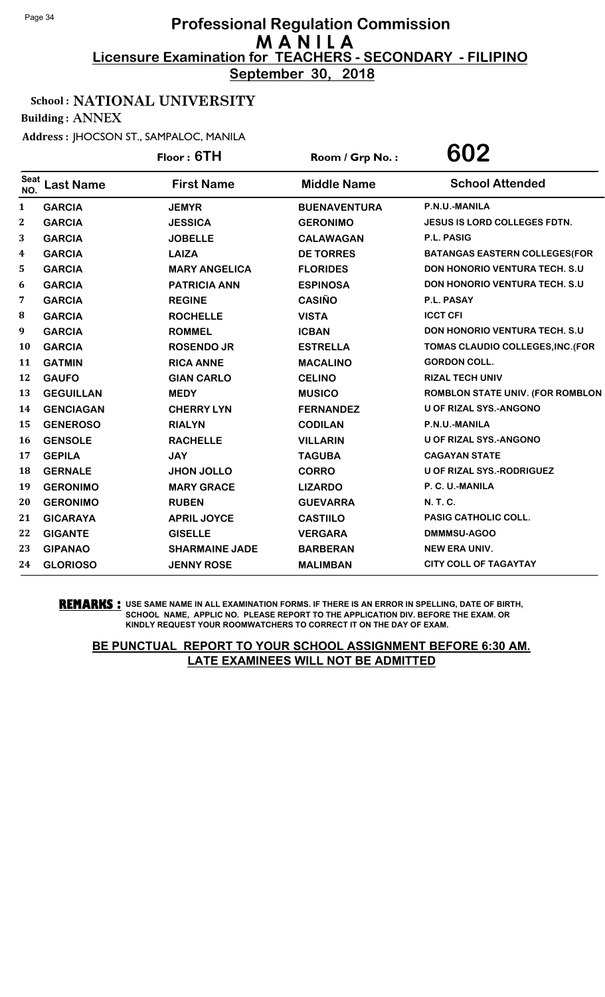**September 30, 2018**

#### School : NATIONAL UNIVERSITY

Building : ANNEX

Address : JHOCSON ST., SAMPALOC, MANILA

|                    |                  | Floor: 6TH            | Room / Grp No.:     | 602                                     |
|--------------------|------------------|-----------------------|---------------------|-----------------------------------------|
| <b>Seat</b><br>NO. | <b>Last Name</b> | <b>First Name</b>     | <b>Middle Name</b>  | <b>School Attended</b>                  |
| $\mathbf{1}$       | <b>GARCIA</b>    | <b>JEMYR</b>          | <b>BUENAVENTURA</b> | P.N.U.-MANILA                           |
| $\mathbf{2}$       | <b>GARCIA</b>    | <b>JESSICA</b>        | <b>GERONIMO</b>     | <b>JESUS IS LORD COLLEGES FDTN.</b>     |
| 3                  | <b>GARCIA</b>    | <b>JOBELLE</b>        | <b>CALAWAGAN</b>    | <b>P.L. PASIG</b>                       |
| 4                  | <b>GARCIA</b>    | <b>LAIZA</b>          | <b>DE TORRES</b>    | <b>BATANGAS EASTERN COLLEGES (FOR</b>   |
| 5                  | <b>GARCIA</b>    | <b>MARY ANGELICA</b>  | <b>FLORIDES</b>     | <b>DON HONORIO VENTURA TECH. S.U.</b>   |
| 6                  | <b>GARCIA</b>    | <b>PATRICIA ANN</b>   | <b>ESPINOSA</b>     | DON HONORIO VENTURA TECH. S.U           |
| 7                  | <b>GARCIA</b>    | <b>REGINE</b>         | <b>CASIÑO</b>       | <b>P.L. PASAY</b>                       |
| 8                  | <b>GARCIA</b>    | <b>ROCHELLE</b>       | <b>VISTA</b>        | <b>ICCT CFI</b>                         |
| 9                  | <b>GARCIA</b>    | <b>ROMMEL</b>         | <b>ICBAN</b>        | DON HONORIO VENTURA TECH. S.U           |
| 10                 | <b>GARCIA</b>    | <b>ROSENDO JR</b>     | <b>ESTRELLA</b>     | TOMAS CLAUDIO COLLEGES, INC. (FOR       |
| 11                 | <b>GATMIN</b>    | <b>RICA ANNE</b>      | <b>MACALINO</b>     | <b>GORDON COLL.</b>                     |
| 12                 | <b>GAUFO</b>     | <b>GIAN CARLO</b>     | <b>CELINO</b>       | <b>RIZAL TECH UNIV</b>                  |
| 13                 | <b>GEGUILLAN</b> | <b>MEDY</b>           | <b>MUSICO</b>       | <b>ROMBLON STATE UNIV. (FOR ROMBLON</b> |
| 14                 | <b>GENCIAGAN</b> | <b>CHERRY LYN</b>     | <b>FERNANDEZ</b>    | <b>U OF RIZAL SYS.-ANGONO</b>           |
| 15                 | <b>GENEROSO</b>  | <b>RIALYN</b>         | <b>CODILAN</b>      | P.N.U.-MANILA                           |
| 16                 | <b>GENSOLE</b>   | <b>RACHELLE</b>       | <b>VILLARIN</b>     | <b>U OF RIZAL SYS.-ANGONO</b>           |
| 17                 | <b>GEPILA</b>    | <b>JAY</b>            | <b>TAGUBA</b>       | <b>CAGAYAN STATE</b>                    |
| 18                 | <b>GERNALE</b>   | <b>JHON JOLLO</b>     | <b>CORRO</b>        | <b>U OF RIZAL SYS.-RODRIGUEZ</b>        |
| 19                 | <b>GERONIMO</b>  | <b>MARY GRACE</b>     | <b>LIZARDO</b>      | P. C. U.-MANILA                         |
| 20                 | <b>GERONIMO</b>  | <b>RUBEN</b>          | <b>GUEVARRA</b>     | N. T. C.                                |
| 21                 | <b>GICARAYA</b>  | <b>APRIL JOYCE</b>    | <b>CASTIILO</b>     | PASIG CATHOLIC COLL.                    |
| 22                 | <b>GIGANTE</b>   | <b>GISELLE</b>        | <b>VERGARA</b>      | DMMMSU-AGOO                             |
| 23                 | <b>GIPANAO</b>   | <b>SHARMAINE JADE</b> | <b>BARBERAN</b>     | <b>NEW ERA UNIV.</b>                    |
| 24                 | <b>GLORIOSO</b>  | <b>JENNY ROSE</b>     | <b>MALIMBAN</b>     | <b>CITY COLL OF TAGAYTAY</b>            |

**REMARKS :** USE SAME NAME IN ALL EXAMINATION FORMS. IF THERE IS AN ERROR IN SPELLING, DATE OF BIRTH, SCHOOL NAME, APPLIC NO. PLEASE REPORT TO THE APPLICATION DIV. BEFORE THE EXAM. OR KINDLY REQUEST YOUR ROOMWATCHERS TO CORRECT IT ON THE DAY OF EXAM.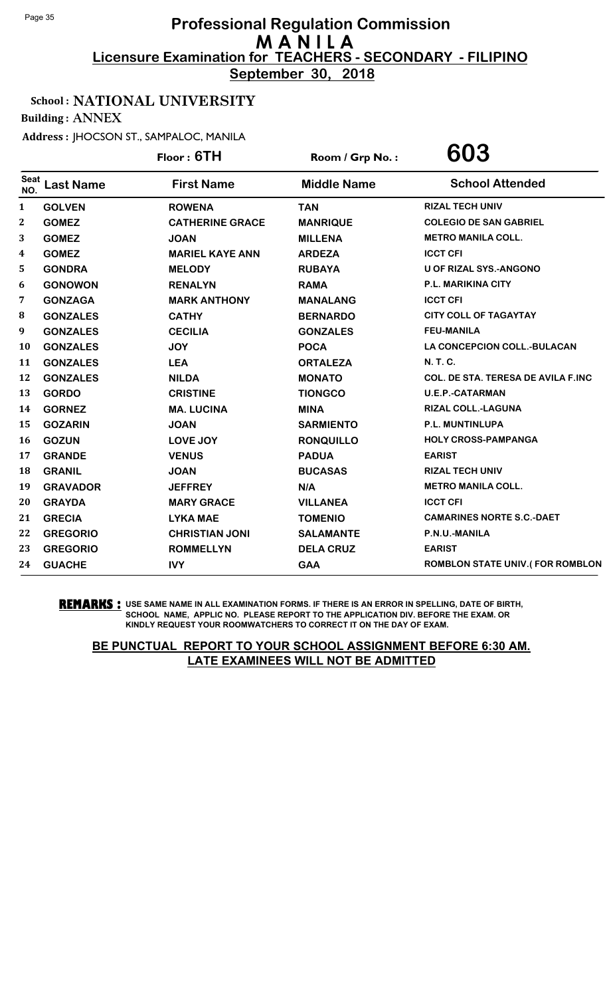**September 30, 2018**

## School : NATIONAL UNIVERSITY

Building : ANNEX

Address : JHOCSON ST., SAMPALOC, MANILA

|                    |                  | Floor: 6TH             | Room / Grp No.:    | 603                                |
|--------------------|------------------|------------------------|--------------------|------------------------------------|
| <b>Seat</b><br>NO. | <b>Last Name</b> | <b>First Name</b>      | <b>Middle Name</b> | <b>School Attended</b>             |
| $\mathbf{1}$       | <b>GOLVEN</b>    | <b>ROWENA</b>          | <b>TAN</b>         | <b>RIZAL TECH UNIV</b>             |
| $\boldsymbol{2}$   | <b>GOMEZ</b>     | <b>CATHERINE GRACE</b> | <b>MANRIQUE</b>    | <b>COLEGIO DE SAN GABRIEL</b>      |
| 3                  | <b>GOMEZ</b>     | <b>JOAN</b>            | <b>MILLENA</b>     | <b>METRO MANILA COLL.</b>          |
| 4                  | <b>GOMEZ</b>     | <b>MARIEL KAYE ANN</b> | <b>ARDEZA</b>      | <b>ICCT CFI</b>                    |
| 5                  | <b>GONDRA</b>    | <b>MELODY</b>          | <b>RUBAYA</b>      | <b>U OF RIZAL SYS.-ANGONO</b>      |
| 6                  | <b>GONOWON</b>   | <b>RENALYN</b>         | <b>RAMA</b>        | <b>P.L. MARIKINA CITY</b>          |
| 7                  | <b>GONZAGA</b>   | <b>MARK ANTHONY</b>    | <b>MANALANG</b>    | <b>ICCT CFI</b>                    |
| 8                  | <b>GONZALES</b>  | <b>CATHY</b>           | <b>BERNARDO</b>    | <b>CITY COLL OF TAGAYTAY</b>       |
| 9                  | <b>GONZALES</b>  | <b>CECILIA</b>         | <b>GONZALES</b>    | <b>FEU-MANILA</b>                  |
| <b>10</b>          | <b>GONZALES</b>  | <b>JOY</b>             | <b>POCA</b>        | <b>LA CONCEPCION COLL.-BULACAN</b> |
| 11                 | <b>GONZALES</b>  | <b>LEA</b>             | <b>ORTALEZA</b>    | N. T. C.                           |
| 12                 | <b>GONZALES</b>  | <b>NILDA</b>           | <b>MONATO</b>      | COL. DE STA. TERESA DE AVILA F.INC |
| 13                 | <b>GORDO</b>     | <b>CRISTINE</b>        | <b>TIONGCO</b>     | <b>U.E.P.-CATARMAN</b>             |
| 14                 | <b>GORNEZ</b>    | <b>MA. LUCINA</b>      | <b>MINA</b>        | RIZAL COLL.-LAGUNA                 |
| 15                 | <b>GOZARIN</b>   | <b>JOAN</b>            | <b>SARMIENTO</b>   | P.L. MUNTINLUPA                    |
| 16                 | <b>GOZUN</b>     | LOVE JOY               | <b>RONQUILLO</b>   | <b>HOLY CROSS-PAMPANGA</b>         |
| 17                 | <b>GRANDE</b>    | <b>VENUS</b>           | <b>PADUA</b>       | <b>EARIST</b>                      |
| 18                 | <b>GRANIL</b>    | <b>JOAN</b>            | <b>BUCASAS</b>     | <b>RIZAL TECH UNIV</b>             |
| 19                 | <b>GRAVADOR</b>  | <b>JEFFREY</b>         | N/A                | <b>METRO MANILA COLL.</b>          |
| 20                 | <b>GRAYDA</b>    | <b>MARY GRACE</b>      | <b>VILLANEA</b>    | <b>ICCT CFI</b>                    |
| 21                 | <b>GRECIA</b>    | <b>LYKA MAE</b>        | <b>TOMENIO</b>     | <b>CAMARINES NORTE S.C.-DAET</b>   |
| 22                 | <b>GREGORIO</b>  | <b>CHRISTIAN JONI</b>  | <b>SALAMANTE</b>   | P.N.U.-MANILA                      |
| 23                 | <b>GREGORIO</b>  | <b>ROMMELLYN</b>       | <b>DELA CRUZ</b>   | <b>EARIST</b>                      |
| 24                 | <b>GUACHE</b>    | <b>IVY</b>             | <b>GAA</b>         | ROMBLON STATE UNIV.(FOR ROMBLON    |
|                    |                  |                        |                    |                                    |

**REMARKS :** USE SAME NAME IN ALL EXAMINATION FORMS. IF THERE IS AN ERROR IN SPELLING, DATE OF BIRTH, SCHOOL NAME, APPLIC NO. PLEASE REPORT TO THE APPLICATION DIV. BEFORE THE EXAM. OR KINDLY REQUEST YOUR ROOMWATCHERS TO CORRECT IT ON THE DAY OF EXAM.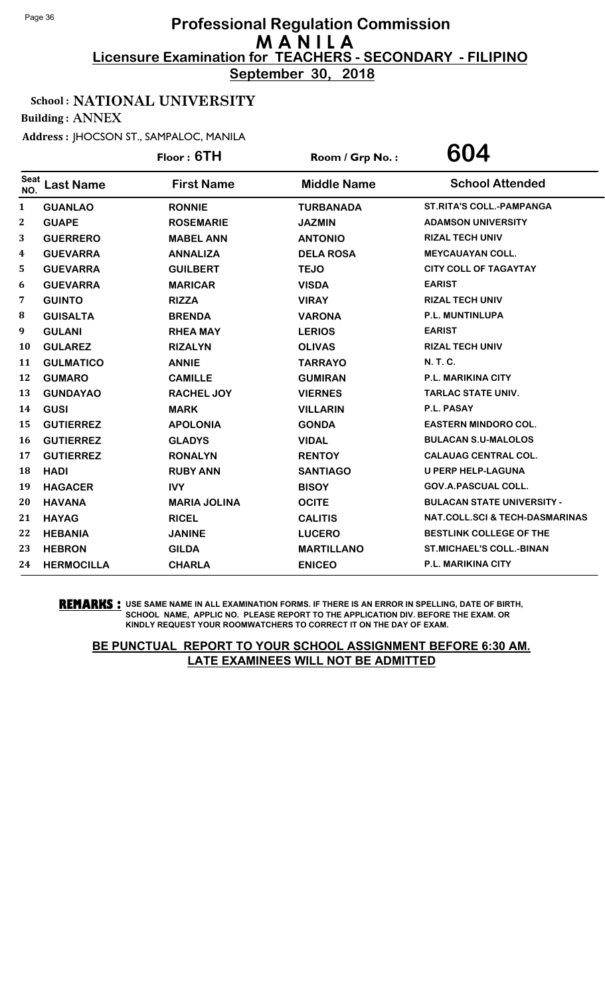**September 30, 2018**

## School : NATIONAL UNIVERSITY

Building : ANNEX

Address : JHOCSON ST., SAMPALOC, MANILA

|              |                   | Floor: 6TH          | Room / Grp No.:    | 604                                       |
|--------------|-------------------|---------------------|--------------------|-------------------------------------------|
| Seat<br>NO.  | <b>Last Name</b>  | <b>First Name</b>   | <b>Middle Name</b> | <b>School Attended</b>                    |
| $\mathbf{1}$ | <b>GUANLAO</b>    | <b>RONNIE</b>       | <b>TURBANADA</b>   | <b>ST.RITA'S COLL.-PAMPANGA</b>           |
| 2            | <b>GUAPE</b>      | <b>ROSEMARIE</b>    | <b>JAZMIN</b>      | <b>ADAMSON UNIVERSITY</b>                 |
| 3            | <b>GUERRERO</b>   | <b>MABEL ANN</b>    | <b>ANTONIO</b>     | <b>RIZAL TECH UNIV</b>                    |
| 4            | <b>GUEVARRA</b>   | <b>ANNALIZA</b>     | <b>DELA ROSA</b>   | <b>MEYCAUAYAN COLL.</b>                   |
| 5            | <b>GUEVARRA</b>   | <b>GUILBERT</b>     | <b>TEJO</b>        | <b>CITY COLL OF TAGAYTAY</b>              |
| 6            | <b>GUEVARRA</b>   | <b>MARICAR</b>      | <b>VISDA</b>       | <b>EARIST</b>                             |
| 7            | <b>GUINTO</b>     | <b>RIZZA</b>        | <b>VIRAY</b>       | <b>RIZAL TECH UNIV</b>                    |
| 8            | <b>GUISALTA</b>   | <b>BRENDA</b>       | <b>VARONA</b>      | P.L. MUNTINLUPA                           |
| 9            | <b>GULANI</b>     | <b>RHEA MAY</b>     | <b>LERIOS</b>      | <b>EARIST</b>                             |
| 10           | <b>GULAREZ</b>    | <b>RIZALYN</b>      | <b>OLIVAS</b>      | <b>RIZAL TECH UNIV</b>                    |
| 11           | <b>GULMATICO</b>  | <b>ANNIE</b>        | <b>TARRAYO</b>     | N. T. C.                                  |
| 12           | <b>GUMARO</b>     | <b>CAMILLE</b>      | <b>GUMIRAN</b>     | <b>P.L. MARIKINA CITY</b>                 |
| 13           | <b>GUNDAYAO</b>   | <b>RACHEL JOY</b>   | <b>VIERNES</b>     | <b>TARLAC STATE UNIV.</b>                 |
| 14           | <b>GUSI</b>       | <b>MARK</b>         | <b>VILLARIN</b>    | P.L. PASAY                                |
| 15           | <b>GUTIERREZ</b>  | <b>APOLONIA</b>     | <b>GONDA</b>       | <b>EASTERN MINDORO COL.</b>               |
| 16           | <b>GUTIERREZ</b>  | <b>GLADYS</b>       | <b>VIDAL</b>       | <b>BULACAN S.U-MALOLOS</b>                |
| 17           | <b>GUTIERREZ</b>  | <b>RONALYN</b>      | <b>RENTOY</b>      | <b>CALAUAG CENTRAL COL.</b>               |
| 18           | <b>HADI</b>       | <b>RUBY ANN</b>     | <b>SANTIAGO</b>    | <b>U PERP HELP-LAGUNA</b>                 |
| 19           | <b>HAGACER</b>    | <b>IVY</b>          | <b>BISOY</b>       | <b>GOV.A.PASCUAL COLL.</b>                |
| 20           | <b>HAVANA</b>     | <b>MARIA JOLINA</b> | <b>OCITE</b>       | <b>BULACAN STATE UNIVERSITY -</b>         |
| 21           | <b>HAYAG</b>      | <b>RICEL</b>        | <b>CALITIS</b>     | <b>NAT.COLL.SCI &amp; TECH-DASMARINAS</b> |
| 22           | <b>HEBANIA</b>    | <b>JANINE</b>       | <b>LUCERO</b>      | <b>BESTLINK COLLEGE OF THE</b>            |
| 23           | <b>HEBRON</b>     | <b>GILDA</b>        | <b>MARTILLANO</b>  | <b>ST.MICHAEL'S COLL.-BINAN</b>           |
| 24           | <b>HERMOCILLA</b> | <b>CHARLA</b>       | <b>ENICEO</b>      | <b>P.L. MARIKINA CITY</b>                 |

**REMARKS :** USE SAME NAME IN ALL EXAMINATION FORMS. IF THERE IS AN ERROR IN SPELLING, DATE OF BIRTH, SCHOOL NAME, APPLIC NO. PLEASE REPORT TO THE APPLICATION DIV. BEFORE THE EXAM. OR KINDLY REQUEST YOUR ROOMWATCHERS TO CORRECT IT ON THE DAY OF EXAM.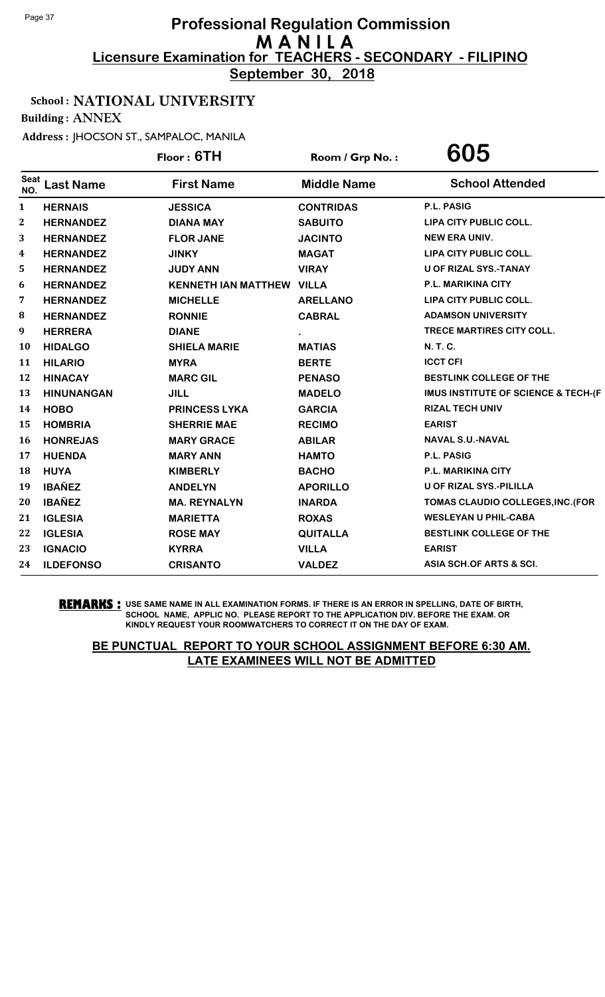**September 30, 2018**

## School : NATIONAL UNIVERSITY

Building : ANNEX

Address : JHOCSON ST., SAMPALOC, MANILA

|                    |                   | Floor: 6TH                       | Room / Grp No.:    | 605                                            |
|--------------------|-------------------|----------------------------------|--------------------|------------------------------------------------|
| <b>Seat</b><br>NO. | <b>Last Name</b>  | <b>First Name</b>                | <b>Middle Name</b> | <b>School Attended</b>                         |
| 1                  | <b>HERNAIS</b>    | <b>JESSICA</b>                   | <b>CONTRIDAS</b>   | P.L. PASIG                                     |
| $\boldsymbol{2}$   | <b>HERNANDEZ</b>  | <b>DIANA MAY</b>                 | <b>SABUITO</b>     | LIPA CITY PUBLIC COLL.                         |
| 3                  | <b>HERNANDEZ</b>  | <b>FLOR JANE</b>                 | <b>JACINTO</b>     | <b>NEW ERA UNIV.</b>                           |
| 4                  | <b>HERNANDEZ</b>  | <b>JINKY</b>                     | <b>MAGAT</b>       | LIPA CITY PUBLIC COLL.                         |
| 5                  | <b>HERNANDEZ</b>  | <b>JUDY ANN</b>                  | <b>VIRAY</b>       | U OF RIZAL SYS.-TANAY                          |
| 6                  | <b>HERNANDEZ</b>  | <b>KENNETH IAN MATTHEW VILLA</b> |                    | P.L. MARIKINA CITY                             |
| 7                  | <b>HERNANDEZ</b>  | <b>MICHELLE</b>                  | <b>ARELLANO</b>    | LIPA CITY PUBLIC COLL.                         |
| 8                  | <b>HERNANDEZ</b>  | <b>RONNIE</b>                    | <b>CABRAL</b>      | <b>ADAMSON UNIVERSITY</b>                      |
| 9                  | <b>HERRERA</b>    | <b>DIANE</b>                     |                    | TRECE MARTIRES CITY COLL.                      |
| 10                 | <b>HIDALGO</b>    | <b>SHIELA MARIE</b>              | <b>MATIAS</b>      | N. T. C.                                       |
| 11                 | <b>HILARIO</b>    | <b>MYRA</b>                      | <b>BERTE</b>       | <b>ICCT CFI</b>                                |
| 12                 | <b>HINACAY</b>    | <b>MARC GIL</b>                  | <b>PENASO</b>      | <b>BESTLINK COLLEGE OF THE</b>                 |
| 13                 | <b>HINUNANGAN</b> | <b>JILL</b>                      | <b>MADELO</b>      | <b>IMUS INSTITUTE OF SCIENCE &amp; TECH-(F</b> |
| 14                 | <b>HOBO</b>       | <b>PRINCESS LYKA</b>             | <b>GARCIA</b>      | <b>RIZAL TECH UNIV</b>                         |
| 15                 | <b>HOMBRIA</b>    | <b>SHERRIE MAE</b>               | <b>RECIMO</b>      | <b>EARIST</b>                                  |
| 16                 | <b>HONREJAS</b>   | <b>MARY GRACE</b>                | <b>ABILAR</b>      | <b>NAVAL S.U.-NAVAL</b>                        |
| 17                 | <b>HUENDA</b>     | <b>MARY ANN</b>                  | <b>HAMTO</b>       | P.L. PASIG                                     |
| 18                 | <b>HUYA</b>       | <b>KIMBERLY</b>                  | <b>BACHO</b>       | <b>P.L. MARIKINA CITY</b>                      |
| 19                 | <b>IBAÑEZ</b>     | <b>ANDELYN</b>                   | <b>APORILLO</b>    | U OF RIZAL SYS.-PILILLA                        |
| 20                 | <b>IBAÑEZ</b>     | <b>MA. REYNALYN</b>              | <b>INARDA</b>      | TOMAS CLAUDIO COLLEGES, INC. (FOR              |
| 21                 | <b>IGLESIA</b>    | <b>MARIETTA</b>                  | <b>ROXAS</b>       | <b>WESLEYAN U PHIL-CABA</b>                    |
| 22                 | <b>IGLESIA</b>    | <b>ROSE MAY</b>                  | <b>QUITALLA</b>    | BESTLINK COLLEGE OF THE                        |
| 23                 | <b>IGNACIO</b>    | <b>KYRRA</b>                     | <b>VILLA</b>       | <b>EARIST</b>                                  |
| 24                 | <b>ILDEFONSO</b>  | <b>CRISANTO</b>                  | <b>VALDEZ</b>      | ASIA SCH.OF ARTS & SCI.                        |

**REMARKS :** USE SAME NAME IN ALL EXAMINATION FORMS. IF THERE IS AN ERROR IN SPELLING, DATE OF BIRTH, SCHOOL NAME, APPLIC NO. PLEASE REPORT TO THE APPLICATION DIV. BEFORE THE EXAM. OR KINDLY REQUEST YOUR ROOMWATCHERS TO CORRECT IT ON THE DAY OF EXAM.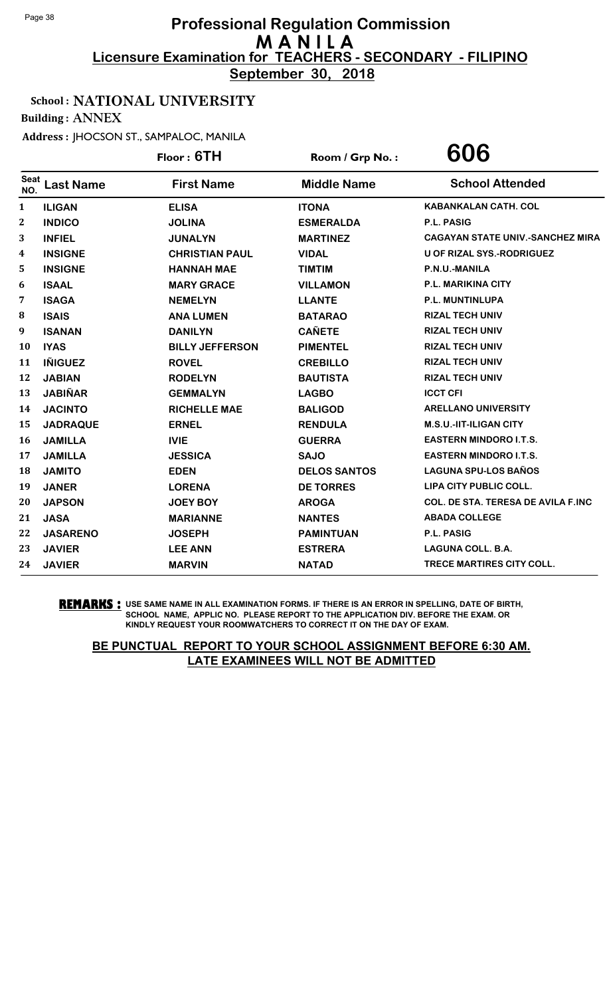**September 30, 2018**

## School : NATIONAL UNIVERSITY

Building : ANNEX

Address : JHOCSON ST., SAMPALOC, MANILA

|                    |                  | Floor: 6TH             | Room / Grp No.:     | 606                                       |
|--------------------|------------------|------------------------|---------------------|-------------------------------------------|
| <b>Seat</b><br>NO. | <b>Last Name</b> | <b>First Name</b>      | <b>Middle Name</b>  | <b>School Attended</b>                    |
| $\mathbf{1}$       | <b>ILIGAN</b>    | <b>ELISA</b>           | <b>ITONA</b>        | <b>KABANKALAN CATH. COL</b>               |
| $\mathbf{2}$       | <b>INDICO</b>    | <b>JOLINA</b>          | <b>ESMERALDA</b>    | P.L. PASIG                                |
| 3                  | <b>INFIEL</b>    | <b>JUNALYN</b>         | <b>MARTINEZ</b>     | <b>CAGAYAN STATE UNIV.-SANCHEZ MIRA</b>   |
| 4                  | <b>INSIGNE</b>   | <b>CHRISTIAN PAUL</b>  | <b>VIDAL</b>        | <b>U OF RIZAL SYS.-RODRIGUEZ</b>          |
| 5                  | <b>INSIGNE</b>   | <b>HANNAH MAE</b>      | <b>TIMTIM</b>       | P.N.U.-MANILA                             |
| 6                  | <b>ISAAL</b>     | <b>MARY GRACE</b>      | <b>VILLAMON</b>     | P.L. MARIKINA CITY                        |
| $\overline{7}$     | <b>ISAGA</b>     | <b>NEMELYN</b>         | <b>LLANTE</b>       | <b>P.L. MUNTINLUPA</b>                    |
| 8                  | <b>ISAIS</b>     | <b>ANA LUMEN</b>       | <b>BATARAO</b>      | <b>RIZAL TECH UNIV</b>                    |
| 9                  | <b>ISANAN</b>    | <b>DANILYN</b>         | <b>CAÑETE</b>       | <b>RIZAL TECH UNIV</b>                    |
| 10                 | <b>IYAS</b>      | <b>BILLY JEFFERSON</b> | <b>PIMENTEL</b>     | <b>RIZAL TECH UNIV</b>                    |
| 11                 | <b>IÑIGUEZ</b>   | <b>ROVEL</b>           | <b>CREBILLO</b>     | <b>RIZAL TECH UNIV</b>                    |
| 12                 | <b>JABIAN</b>    | <b>RODELYN</b>         | <b>BAUTISTA</b>     | <b>RIZAL TECH UNIV</b>                    |
| 13                 | <b>JABIÑAR</b>   | <b>GEMMALYN</b>        | <b>LAGBO</b>        | <b>ICCT CFI</b>                           |
| 14                 | <b>JACINTO</b>   | <b>RICHELLE MAE</b>    | <b>BALIGOD</b>      | <b>ARELLANO UNIVERSITY</b>                |
| 15                 | <b>JADRAQUE</b>  | <b>ERNEL</b>           | <b>RENDULA</b>      | <b>M.S.U.-IIT-ILIGAN CITY</b>             |
| 16                 | <b>JAMILLA</b>   | <b>IVIE</b>            | <b>GUERRA</b>       | <b>EASTERN MINDORO I.T.S.</b>             |
| 17                 | <b>JAMILLA</b>   | <b>JESSICA</b>         | <b>SAJO</b>         | <b>EASTERN MINDORO I.T.S.</b>             |
| 18                 | <b>JAMITO</b>    | <b>EDEN</b>            | <b>DELOS SANTOS</b> | <b>LAGUNA SPU-LOS BAÑOS</b>               |
| 19                 | <b>JANER</b>     | <b>LORENA</b>          | <b>DE TORRES</b>    | LIPA CITY PUBLIC COLL.                    |
| 20                 | <b>JAPSON</b>    | <b>JOEY BOY</b>        | <b>AROGA</b>        | <b>COL. DE STA. TERESA DE AVILA F.INC</b> |
| 21                 | <b>JASA</b>      | <b>MARIANNE</b>        | <b>NANTES</b>       | <b>ABADA COLLEGE</b>                      |
| 22                 | <b>JASARENO</b>  | <b>JOSEPH</b>          | <b>PAMINTUAN</b>    | P.L. PASIG                                |
| 23                 | <b>JAVIER</b>    | <b>LEE ANN</b>         | <b>ESTRERA</b>      | <b>LAGUNA COLL. B.A.</b>                  |
| 24                 | <b>JAVIER</b>    | <b>MARVIN</b>          | <b>NATAD</b>        | <b>TRECE MARTIRES CITY COLL.</b>          |
|                    |                  |                        |                     |                                           |

**REMARKS :** USE SAME NAME IN ALL EXAMINATION FORMS. IF THERE IS AN ERROR IN SPELLING, DATE OF BIRTH, SCHOOL NAME, APPLIC NO. PLEASE REPORT TO THE APPLICATION DIV. BEFORE THE EXAM. OR KINDLY REQUEST YOUR ROOMWATCHERS TO CORRECT IT ON THE DAY OF EXAM.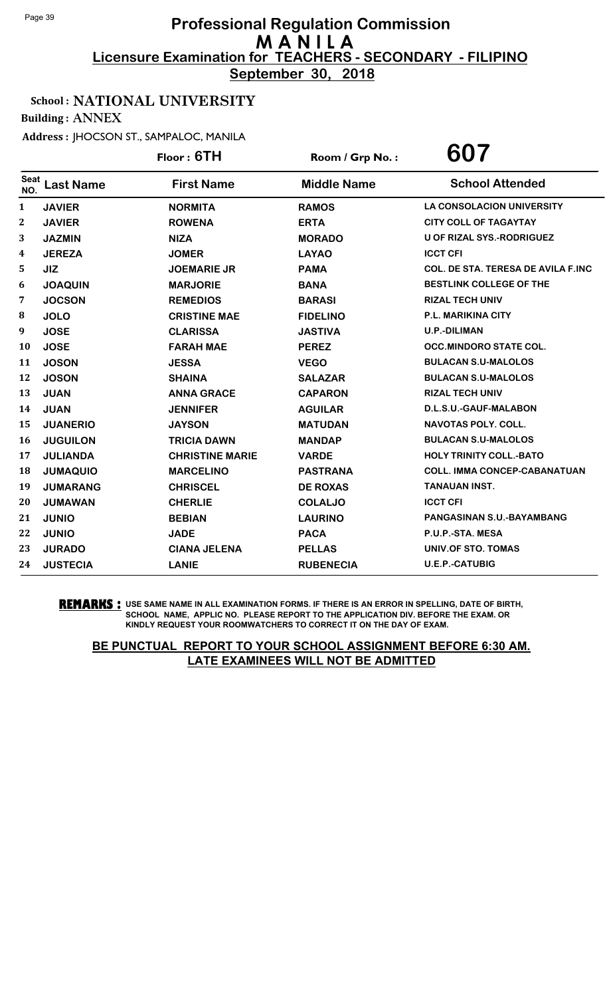**September 30, 2018**

## School : NATIONAL UNIVERSITY

Building : ANNEX

Address : JHOCSON ST., SAMPALOC, MANILA

|              |                  | Floor: 6TH             | Room / Grp No.:    | 607                                       |
|--------------|------------------|------------------------|--------------------|-------------------------------------------|
| Seat<br>NO.  | <b>Last Name</b> | <b>First Name</b>      | <b>Middle Name</b> | <b>School Attended</b>                    |
| $\mathbf{1}$ | <b>JAVIER</b>    | <b>NORMITA</b>         | <b>RAMOS</b>       | <b>LA CONSOLACION UNIVERSITY</b>          |
| 2            | <b>JAVIER</b>    | <b>ROWENA</b>          | <b>ERTA</b>        | <b>CITY COLL OF TAGAYTAY</b>              |
| 3            | <b>JAZMIN</b>    | <b>NIZA</b>            | <b>MORADO</b>      | <b>U OF RIZAL SYS.-RODRIGUEZ</b>          |
| 4            | <b>JEREZA</b>    | <b>JOMER</b>           | <b>LAYAO</b>       | <b>ICCT CFI</b>                           |
| 5            | <b>JIZ</b>       | <b>JOEMARIE JR</b>     | <b>PAMA</b>        | <b>COL. DE STA. TERESA DE AVILA F.INC</b> |
| 6            | <b>JOAQUIN</b>   | <b>MARJORIE</b>        | <b>BANA</b>        | <b>BESTLINK COLLEGE OF THE</b>            |
| 7            | <b>JOCSON</b>    | <b>REMEDIOS</b>        | <b>BARASI</b>      | <b>RIZAL TECH UNIV</b>                    |
| 8            | <b>JOLO</b>      | <b>CRISTINE MAE</b>    | <b>FIDELINO</b>    | <b>P.L. MARIKINA CITY</b>                 |
| 9            | <b>JOSE</b>      | <b>CLARISSA</b>        | <b>JASTIVA</b>     | <b>U.P.-DILIMAN</b>                       |
| 10           | <b>JOSE</b>      | <b>FARAH MAE</b>       | <b>PEREZ</b>       | <b>OCC.MINDORO STATE COL.</b>             |
| 11           | <b>JOSON</b>     | <b>JESSA</b>           | <b>VEGO</b>        | <b>BULACAN S.U-MALOLOS</b>                |
| 12           | <b>JOSON</b>     | <b>SHAINA</b>          | <b>SALAZAR</b>     | <b>BULACAN S.U-MALOLOS</b>                |
| 13           | <b>JUAN</b>      | <b>ANNA GRACE</b>      | <b>CAPARON</b>     | <b>RIZAL TECH UNIV</b>                    |
| 14           | <b>JUAN</b>      | <b>JENNIFER</b>        | <b>AGUILAR</b>     | D.L.S.U.-GAUF-MALABON                     |
| 15           | <b>JUANERIO</b>  | <b>JAYSON</b>          | <b>MATUDAN</b>     | <b>NAVOTAS POLY, COLL.</b>                |
| 16           | <b>JUGUILON</b>  | <b>TRICIA DAWN</b>     | <b>MANDAP</b>      | <b>BULACAN S.U-MALOLOS</b>                |
| 17           | <b>JULIANDA</b>  | <b>CHRISTINE MARIE</b> | <b>VARDE</b>       | <b>HOLY TRINITY COLL.-BATO</b>            |
| 18           | <b>JUMAQUIO</b>  | <b>MARCELINO</b>       | <b>PASTRANA</b>    | <b>COLL. IMMA CONCEP-CABANATUAN</b>       |
| 19           | <b>JUMARANG</b>  | <b>CHRISCEL</b>        | <b>DE ROXAS</b>    | <b>TANAUAN INST.</b>                      |
| 20           | <b>JUMAWAN</b>   | <b>CHERLIE</b>         | <b>COLALJO</b>     | <b>ICCT CFI</b>                           |
| 21           | <b>JUNIO</b>     | <b>BEBIAN</b>          | <b>LAURINO</b>     | <b>PANGASINAN S.U.-BAYAMBANG</b>          |
| 22           | <b>JUNIO</b>     | <b>JADE</b>            | <b>PACA</b>        | P.U.P.-STA. MESA                          |
| 23           | <b>JURADO</b>    | <b>CIANA JELENA</b>    | <b>PELLAS</b>      | UNIV.OF STO. TOMAS                        |
| 24           | <b>JUSTECIA</b>  | <b>LANIE</b>           | <b>RUBENECIA</b>   | <b>U.E.P.-CATUBIG</b>                     |

**REMARKS :** USE SAME NAME IN ALL EXAMINATION FORMS. IF THERE IS AN ERROR IN SPELLING, DATE OF BIRTH, SCHOOL NAME, APPLIC NO. PLEASE REPORT TO THE APPLICATION DIV. BEFORE THE EXAM. OR KINDLY REQUEST YOUR ROOMWATCHERS TO CORRECT IT ON THE DAY OF EXAM.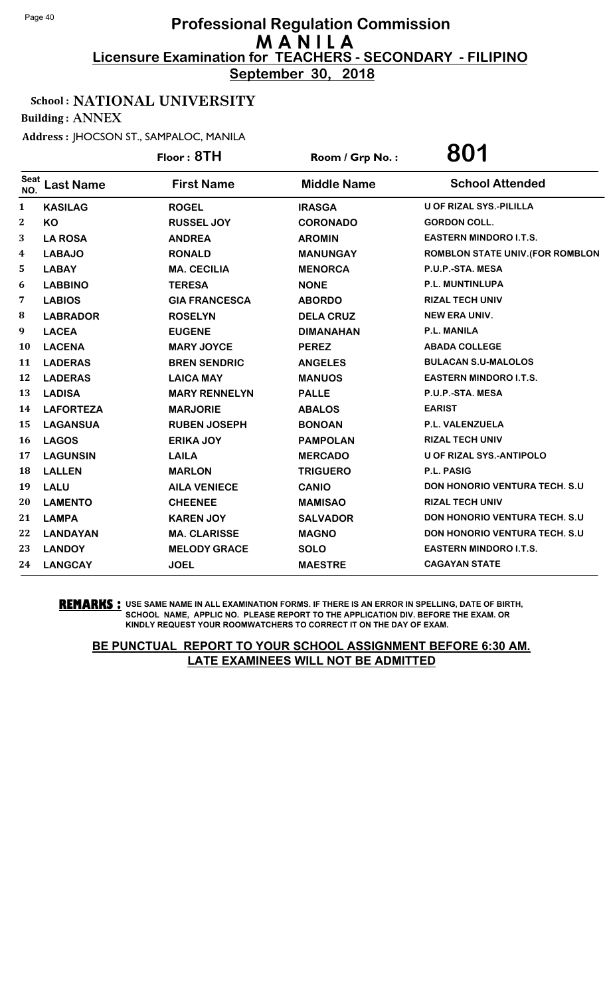**September 30, 2018**

## School : NATIONAL UNIVERSITY

Building : ANNEX

Address : JHOCSON ST., SAMPALOC, MANILA

|              |                  | Floor: 8TH           | Room / Grp No.:    | 801                                  |
|--------------|------------------|----------------------|--------------------|--------------------------------------|
| Seat<br>NO.  | <b>Last Name</b> | <b>First Name</b>    | <b>Middle Name</b> | <b>School Attended</b>               |
| $\mathbf{1}$ | <b>KASILAG</b>   | <b>ROGEL</b>         | <b>IRASGA</b>      | <b>U OF RIZAL SYS.-PILILLA</b>       |
| $\mathbf 2$  | KO               | <b>RUSSEL JOY</b>    | <b>CORONADO</b>    | <b>GORDON COLL.</b>                  |
| 3            | <b>LA ROSA</b>   | <b>ANDREA</b>        | <b>AROMIN</b>      | <b>EASTERN MINDORO I.T.S.</b>        |
| 4            | <b>LABAJO</b>    | <b>RONALD</b>        | <b>MANUNGAY</b>    | ROMBLON STATE UNIV. (FOR ROMBLON     |
| 5            | <b>LABAY</b>     | <b>MA. CECILIA</b>   | <b>MENORCA</b>     | P.U.P.-STA. MESA                     |
| 6            | <b>LABBINO</b>   | <b>TERESA</b>        | <b>NONE</b>        | P.L. MUNTINLUPA                      |
| 7            | <b>LABIOS</b>    | <b>GIA FRANCESCA</b> | <b>ABORDO</b>      | <b>RIZAL TECH UNIV</b>               |
| 8            | <b>LABRADOR</b>  | <b>ROSELYN</b>       | <b>DELA CRUZ</b>   | <b>NEW ERA UNIV.</b>                 |
| 9            | <b>LACEA</b>     | <b>EUGENE</b>        | <b>DIMANAHAN</b>   | <b>P.L. MANILA</b>                   |
| 10           | <b>LACENA</b>    | <b>MARY JOYCE</b>    | <b>PEREZ</b>       | <b>ABADA COLLEGE</b>                 |
| 11           | <b>LADERAS</b>   | <b>BREN SENDRIC</b>  | <b>ANGELES</b>     | <b>BULACAN S.U-MALOLOS</b>           |
| 12           | <b>LADERAS</b>   | <b>LAICA MAY</b>     | <b>MANUOS</b>      | <b>EASTERN MINDORO I.T.S.</b>        |
| 13           | <b>LADISA</b>    | <b>MARY RENNELYN</b> | <b>PALLE</b>       | P.U.P.-STA. MESA                     |
| 14           | <b>LAFORTEZA</b> | <b>MARJORIE</b>      | <b>ABALOS</b>      | <b>EARIST</b>                        |
| 15           | <b>LAGANSUA</b>  | <b>RUBEN JOSEPH</b>  | <b>BONOAN</b>      | P.L. VALENZUELA                      |
| 16           | <b>LAGOS</b>     | <b>ERIKA JOY</b>     | <b>PAMPOLAN</b>    | <b>RIZAL TECH UNIV</b>               |
| 17           | <b>LAGUNSIN</b>  | <b>LAILA</b>         | <b>MERCADO</b>     | <b>U OF RIZAL SYS.-ANTIPOLO</b>      |
| 18           | <b>LALLEN</b>    | <b>MARLON</b>        | <b>TRIGUERO</b>    | <b>P.L. PASIG</b>                    |
| 19           | <b>LALU</b>      | <b>AILA VENIECE</b>  | <b>CANIO</b>       | <b>DON HONORIO VENTURA TECH. S.U</b> |
| 20           | <b>LAMENTO</b>   | <b>CHEENEE</b>       | <b>MAMISAO</b>     | <b>RIZAL TECH UNIV</b>               |
| 21           | <b>LAMPA</b>     | <b>KAREN JOY</b>     | <b>SALVADOR</b>    | <b>DON HONORIO VENTURA TECH. S.U</b> |
| 22           | <b>LANDAYAN</b>  | <b>MA. CLARISSE</b>  | <b>MAGNO</b>       | DON HONORIO VENTURA TECH. S.U        |
| 23           | <b>LANDOY</b>    | <b>MELODY GRACE</b>  | <b>SOLO</b>        | <b>EASTERN MINDORO I.T.S.</b>        |
| 24           | <b>LANGCAY</b>   | <b>JOEL</b>          | <b>MAESTRE</b>     | <b>CAGAYAN STATE</b>                 |

**REMARKS :** USE SAME NAME IN ALL EXAMINATION FORMS. IF THERE IS AN ERROR IN SPELLING, DATE OF BIRTH, SCHOOL NAME, APPLIC NO. PLEASE REPORT TO THE APPLICATION DIV. BEFORE THE EXAM. OR KINDLY REQUEST YOUR ROOMWATCHERS TO CORRECT IT ON THE DAY OF EXAM.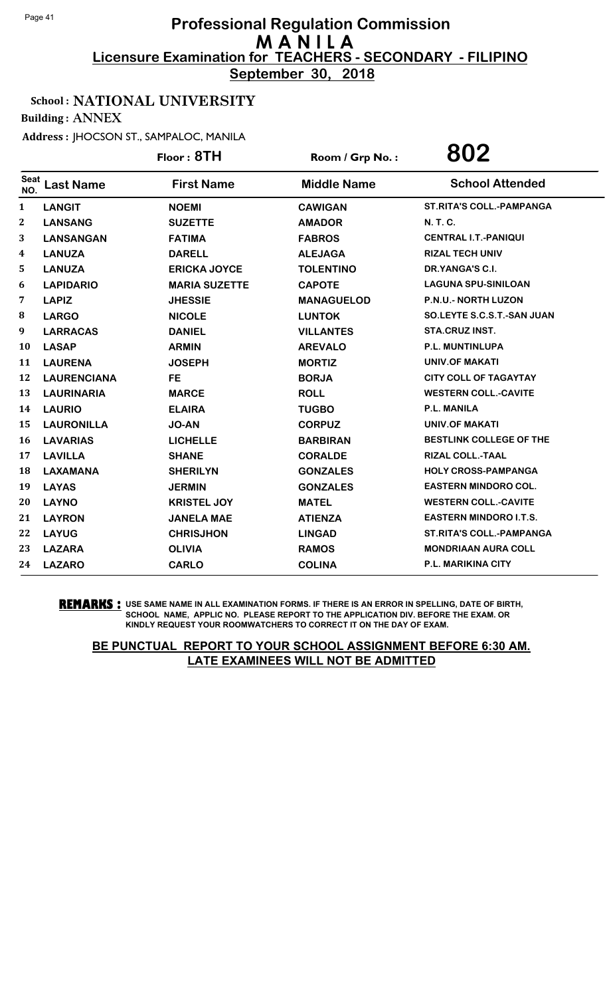**September 30, 2018**

## School : NATIONAL UNIVERSITY

Building : ANNEX

Address : JHOCSON ST., SAMPALOC, MANILA

|              |                    | Floor: 8TH           | Room / Grp No.:    | 802                             |
|--------------|--------------------|----------------------|--------------------|---------------------------------|
| Seat<br>NO.  | <b>Last Name</b>   | <b>First Name</b>    | <b>Middle Name</b> | <b>School Attended</b>          |
| $\mathbf{1}$ | <b>LANGIT</b>      | <b>NOEMI</b>         | <b>CAWIGAN</b>     | <b>ST.RITA'S COLL.-PAMPANGA</b> |
| 2            | <b>LANSANG</b>     | <b>SUZETTE</b>       | <b>AMADOR</b>      | N. T. C.                        |
| 3            | <b>LANSANGAN</b>   | <b>FATIMA</b>        | <b>FABROS</b>      | <b>CENTRAL I.T.-PANIQUI</b>     |
| 4            | <b>LANUZA</b>      | <b>DARELL</b>        | <b>ALEJAGA</b>     | <b>RIZAL TECH UNIV</b>          |
| 5            | <b>LANUZA</b>      | <b>ERICKA JOYCE</b>  | <b>TOLENTINO</b>   | DR.YANGA'S C.I.                 |
| 6            | <b>LAPIDARIO</b>   | <b>MARIA SUZETTE</b> | <b>CAPOTE</b>      | <b>LAGUNA SPU-SINILOAN</b>      |
| 7            | <b>LAPIZ</b>       | <b>JHESSIE</b>       | <b>MANAGUELOD</b>  | P.N.U.- NORTH LUZON             |
| 8            | <b>LARGO</b>       | <b>NICOLE</b>        | <b>LUNTOK</b>      | SO.LEYTE S.C.S.T.-SAN JUAN      |
| 9            | <b>LARRACAS</b>    | <b>DANIEL</b>        | <b>VILLANTES</b>   | STA.CRUZ INST.                  |
| 10           | <b>LASAP</b>       | <b>ARMIN</b>         | <b>AREVALO</b>     | P.L. MUNTINLUPA                 |
| 11           | <b>LAURENA</b>     | <b>JOSEPH</b>        | <b>MORTIZ</b>      | <b>UNIV.OF MAKATI</b>           |
| 12           | <b>LAURENCIANA</b> | <b>FE</b>            | <b>BORJA</b>       | <b>CITY COLL OF TAGAYTAY</b>    |
| 13           | <b>LAURINARIA</b>  | <b>MARCE</b>         | <b>ROLL</b>        | <b>WESTERN COLL.-CAVITE</b>     |
| 14           | <b>LAURIO</b>      | <b>ELAIRA</b>        | <b>TUGBO</b>       | <b>P.L. MANILA</b>              |
| 15           | <b>LAURONILLA</b>  | <b>JO-AN</b>         | <b>CORPUZ</b>      | <b>UNIV.OF MAKATI</b>           |
| 16           | <b>LAVARIAS</b>    | <b>LICHELLE</b>      | <b>BARBIRAN</b>    | BESTLINK COLLEGE OF THE         |
| 17           | <b>LAVILLA</b>     | <b>SHANE</b>         | <b>CORALDE</b>     | <b>RIZAL COLL.-TAAL</b>         |
| 18           | <b>LAXAMANA</b>    | <b>SHERILYN</b>      | <b>GONZALES</b>    | <b>HOLY CROSS-PAMPANGA</b>      |
| 19           | <b>LAYAS</b>       | <b>JERMIN</b>        | <b>GONZALES</b>    | <b>EASTERN MINDORO COL.</b>     |
| 20           | <b>LAYNO</b>       | <b>KRISTEL JOY</b>   | <b>MATEL</b>       | <b>WESTERN COLL.-CAVITE</b>     |
| 21           | <b>LAYRON</b>      | <b>JANELA MAE</b>    | <b>ATIENZA</b>     | <b>EASTERN MINDORO I.T.S.</b>   |
| 22           | <b>LAYUG</b>       | <b>CHRISJHON</b>     | <b>LINGAD</b>      | <b>ST.RITA'S COLL.-PAMPANGA</b> |
| 23           | <b>LAZARA</b>      | <b>OLIVIA</b>        | <b>RAMOS</b>       | <b>MONDRIAAN AURA COLL</b>      |
| 24           | <b>LAZARO</b>      | <b>CARLO</b>         | <b>COLINA</b>      | <b>P.L. MARIKINA CITY</b>       |

**REMARKS :** USE SAME NAME IN ALL EXAMINATION FORMS. IF THERE IS AN ERROR IN SPELLING, DATE OF BIRTH, SCHOOL NAME, APPLIC NO. PLEASE REPORT TO THE APPLICATION DIV. BEFORE THE EXAM. OR KINDLY REQUEST YOUR ROOMWATCHERS TO CORRECT IT ON THE DAY OF EXAM.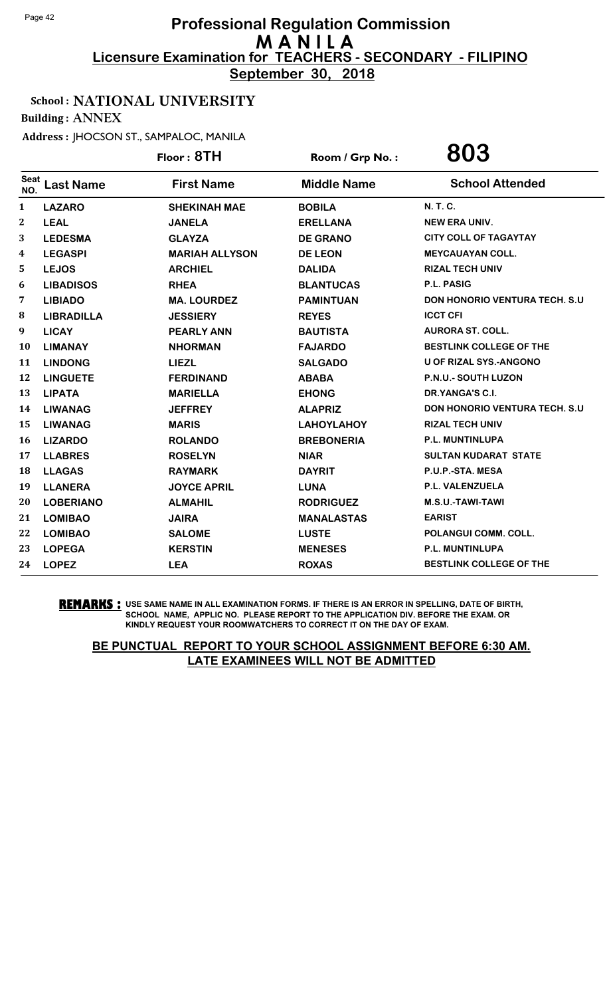**September 30, 2018**

#### School : NATIONAL UNIVERSITY

Building : ANNEX

Address : JHOCSON ST., SAMPALOC, MANILA

|                    |                   | Floor: 8TH            | Room / Grp No.:    | 803                                  |
|--------------------|-------------------|-----------------------|--------------------|--------------------------------------|
| <b>Seat</b><br>NO. | <b>Last Name</b>  | <b>First Name</b>     | <b>Middle Name</b> | <b>School Attended</b>               |
| $\mathbf{1}$       | <b>LAZARO</b>     | <b>SHEKINAH MAE</b>   | <b>BOBILA</b>      | N. T. C.                             |
| 2                  | <b>LEAL</b>       | <b>JANELA</b>         | <b>ERELLANA</b>    | <b>NEW ERA UNIV.</b>                 |
| 3                  | <b>LEDESMA</b>    | <b>GLAYZA</b>         | <b>DE GRANO</b>    | <b>CITY COLL OF TAGAYTAY</b>         |
| 4                  | <b>LEGASPI</b>    | <b>MARIAH ALLYSON</b> | <b>DE LEON</b>     | <b>MEYCAUAYAN COLL.</b>              |
| 5                  | <b>LEJOS</b>      | <b>ARCHIEL</b>        | <b>DALIDA</b>      | <b>RIZAL TECH UNIV</b>               |
| 6                  | <b>LIBADISOS</b>  | <b>RHEA</b>           | <b>BLANTUCAS</b>   | <b>P.L. PASIG</b>                    |
| 7                  | <b>LIBIADO</b>    | <b>MA. LOURDEZ</b>    | <b>PAMINTUAN</b>   | <b>DON HONORIO VENTURA TECH. S.U</b> |
| 8                  | <b>LIBRADILLA</b> | <b>JESSIERY</b>       | <b>REYES</b>       | <b>ICCT CFI</b>                      |
| 9                  | <b>LICAY</b>      | <b>PEARLY ANN</b>     | <b>BAUTISTA</b>    | <b>AURORA ST. COLL.</b>              |
| 10                 | <b>LIMANAY</b>    | <b>NHORMAN</b>        | <b>FAJARDO</b>     | <b>BESTLINK COLLEGE OF THE</b>       |
| 11                 | <b>LINDONG</b>    | <b>LIEZL</b>          | <b>SALGADO</b>     | <b>U OF RIZAL SYS.-ANGONO</b>        |
| 12                 | <b>LINGUETE</b>   | <b>FERDINAND</b>      | <b>ABABA</b>       | P.N.U.- SOUTH LUZON                  |
| 13                 | <b>LIPATA</b>     | <b>MARIELLA</b>       | <b>EHONG</b>       | DR.YANGA'S C.I.                      |
| 14                 | <b>LIWANAG</b>    | <b>JEFFREY</b>        | <b>ALAPRIZ</b>     | <b>DON HONORIO VENTURA TECH. S.U</b> |
| 15                 | <b>LIWANAG</b>    | <b>MARIS</b>          | <b>LAHOYLAHOY</b>  | <b>RIZAL TECH UNIV</b>               |
| 16                 | <b>LIZARDO</b>    | <b>ROLANDO</b>        | <b>BREBONERIA</b>  | <b>P.L. MUNTINLUPA</b>               |
| 17                 | <b>LLABRES</b>    | <b>ROSELYN</b>        | <b>NIAR</b>        | <b>SULTAN KUDARAT STATE</b>          |
| 18                 | <b>LLAGAS</b>     | <b>RAYMARK</b>        | <b>DAYRIT</b>      | P.U.P.-STA. MESA                     |
| 19                 | <b>LLANERA</b>    | <b>JOYCE APRIL</b>    | <b>LUNA</b>        | P.L. VALENZUELA                      |
| 20                 | <b>LOBERIANO</b>  | <b>ALMAHIL</b>        | <b>RODRIGUEZ</b>   | M.S.U.-TAWI-TAWI                     |
| 21                 | <b>LOMIBAO</b>    | <b>JAIRA</b>          | <b>MANALASTAS</b>  | <b>EARIST</b>                        |
| 22                 | <b>LOMIBAO</b>    | <b>SALOME</b>         | <b>LUSTE</b>       | POLANGUI COMM. COLL.                 |
| 23                 | <b>LOPEGA</b>     | <b>KERSTIN</b>        | <b>MENESES</b>     | P.L. MUNTINLUPA                      |
| 24                 | <b>LOPEZ</b>      | <b>LEA</b>            | <b>ROXAS</b>       | <b>BESTLINK COLLEGE OF THE</b>       |
|                    |                   |                       |                    |                                      |

**REMARKS :** USE SAME NAME IN ALL EXAMINATION FORMS. IF THERE IS AN ERROR IN SPELLING, DATE OF BIRTH, SCHOOL NAME, APPLIC NO. PLEASE REPORT TO THE APPLICATION DIV. BEFORE THE EXAM. OR KINDLY REQUEST YOUR ROOMWATCHERS TO CORRECT IT ON THE DAY OF EXAM.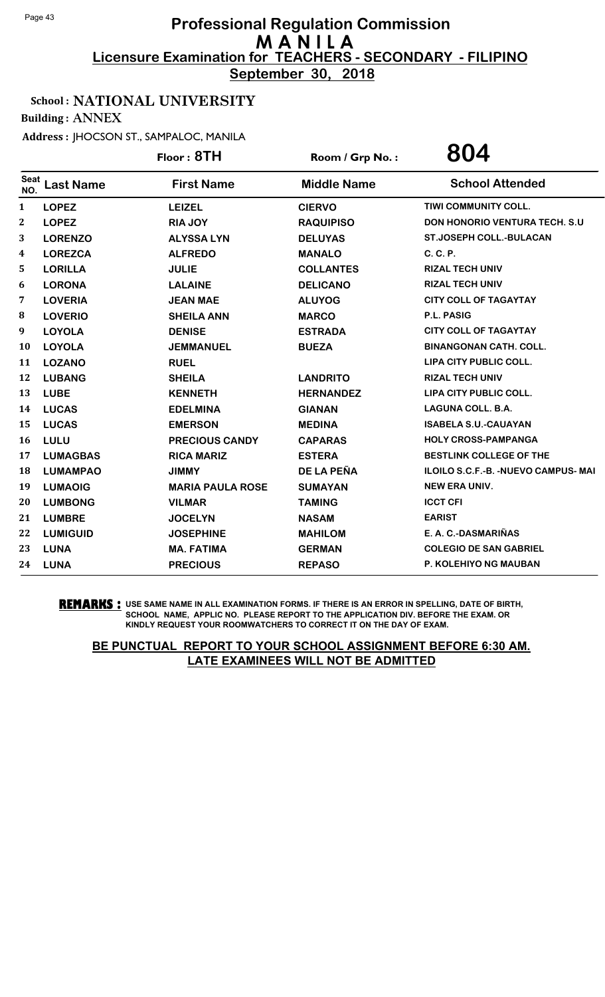**September 30, 2018**

## School : NATIONAL UNIVERSITY

Building : ANNEX

Address : JHOCSON ST., SAMPALOC, MANILA

|                    |                  | Floor: 8TH              | Room / Grp No.:    | 804                                         |
|--------------------|------------------|-------------------------|--------------------|---------------------------------------------|
| <b>Seat</b><br>NO. | <b>Last Name</b> | <b>First Name</b>       | <b>Middle Name</b> | <b>School Attended</b>                      |
| 1                  | <b>LOPEZ</b>     | <b>LEIZEL</b>           | <b>CIERVO</b>      | TIWI COMMUNITY COLL.                        |
| $\mathbf 2$        | <b>LOPEZ</b>     | <b>RIA JOY</b>          | <b>RAQUIPISO</b>   | <b>DON HONORIO VENTURA TECH. S.U.</b>       |
| 3                  | <b>LORENZO</b>   | <b>ALYSSA LYN</b>       | <b>DELUYAS</b>     | <b>ST.JOSEPH COLL.-BULACAN</b>              |
| 4                  | <b>LOREZCA</b>   | <b>ALFREDO</b>          | <b>MANALO</b>      | C. C. P.                                    |
| 5                  | <b>LORILLA</b>   | <b>JULIE</b>            | <b>COLLANTES</b>   | <b>RIZAL TECH UNIV</b>                      |
| 6                  | <b>LORONA</b>    | <b>LALAINE</b>          | <b>DELICANO</b>    | <b>RIZAL TECH UNIV</b>                      |
| 7                  | <b>LOVERIA</b>   | <b>JEAN MAE</b>         | <b>ALUYOG</b>      | <b>CITY COLL OF TAGAYTAY</b>                |
| 8                  | <b>LOVERIO</b>   | <b>SHEILA ANN</b>       | <b>MARCO</b>       | P.L. PASIG                                  |
| 9                  | <b>LOYOLA</b>    | <b>DENISE</b>           | <b>ESTRADA</b>     | <b>CITY COLL OF TAGAYTAY</b>                |
| 10                 | <b>LOYOLA</b>    | <b>JEMMANUEL</b>        | <b>BUEZA</b>       | <b>BINANGONAN CATH. COLL.</b>               |
| 11                 | <b>LOZANO</b>    | <b>RUEL</b>             |                    | LIPA CITY PUBLIC COLL.                      |
| 12                 | <b>LUBANG</b>    | <b>SHEILA</b>           | <b>LANDRITO</b>    | <b>RIZAL TECH UNIV</b>                      |
| 13                 | <b>LUBE</b>      | <b>KENNETH</b>          | <b>HERNANDEZ</b>   | LIPA CITY PUBLIC COLL.                      |
| 14                 | <b>LUCAS</b>     | <b>EDELMINA</b>         | <b>GIANAN</b>      | <b>LAGUNA COLL. B.A.</b>                    |
| 15                 | <b>LUCAS</b>     | <b>EMERSON</b>          | <b>MEDINA</b>      | <b>ISABELA S.U.-CAUAYAN</b>                 |
| 16                 | LULU             | <b>PRECIOUS CANDY</b>   | <b>CAPARAS</b>     | <b>HOLY CROSS-PAMPANGA</b>                  |
| 17                 | <b>LUMAGBAS</b>  | <b>RICA MARIZ</b>       | <b>ESTERA</b>      | BESTLINK COLLEGE OF THE                     |
| 18                 | <b>LUMAMPAO</b>  | <b>JIMMY</b>            | DE LA PEÑA         | <b>ILOILO S.C.F.-B. - NUEVO CAMPUS- MAI</b> |
| 19                 | <b>LUMAOIG</b>   | <b>MARIA PAULA ROSE</b> | <b>SUMAYAN</b>     | <b>NEW ERA UNIV.</b>                        |
| 20                 | <b>LUMBONG</b>   | <b>VILMAR</b>           | <b>TAMING</b>      | <b>ICCT CFI</b>                             |
| 21                 | <b>LUMBRE</b>    | <b>JOCELYN</b>          | <b>NASAM</b>       | <b>EARIST</b>                               |
| 22                 | <b>LUMIGUID</b>  | <b>JOSEPHINE</b>        | <b>MAHILOM</b>     | E. A. C.-DASMARIÑAS                         |
| 23                 | <b>LUNA</b>      | <b>MA. FATIMA</b>       | <b>GERMAN</b>      | <b>COLEGIO DE SAN GABRIEL</b>               |
| 24                 | <b>LUNA</b>      | <b>PRECIOUS</b>         | <b>REPASO</b>      | <b>P. KOLEHIYO NG MAUBAN</b>                |

**REMARKS :** USE SAME NAME IN ALL EXAMINATION FORMS. IF THERE IS AN ERROR IN SPELLING, DATE OF BIRTH, SCHOOL NAME, APPLIC NO. PLEASE REPORT TO THE APPLICATION DIV. BEFORE THE EXAM. OR KINDLY REQUEST YOUR ROOMWATCHERS TO CORRECT IT ON THE DAY OF EXAM.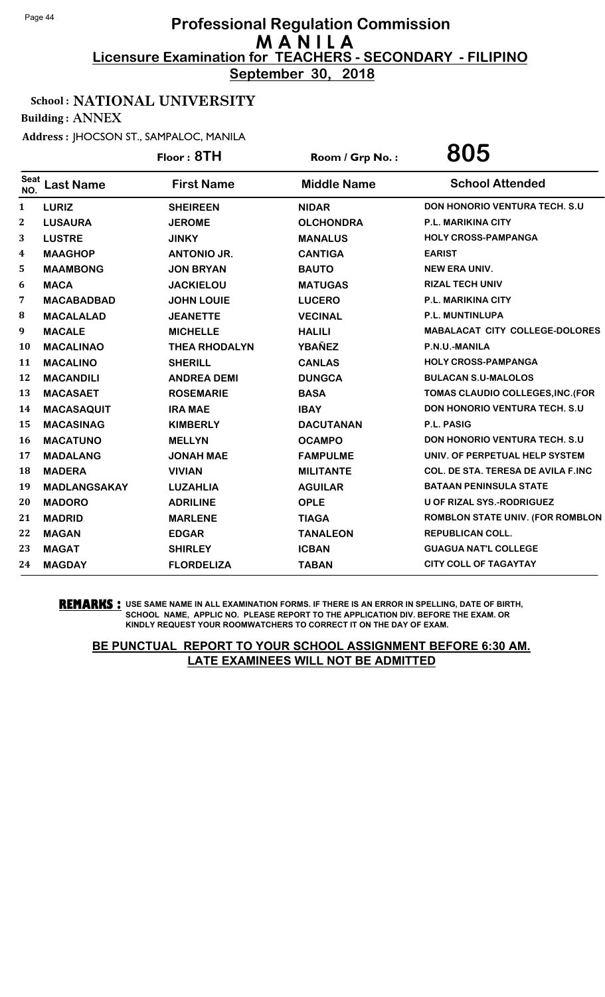**September 30, 2018**

## School : NATIONAL UNIVERSITY

Building : ANNEX

Address : JHOCSON ST., SAMPALOC, MANILA

|                    |                     | Floor: 8TH           | Room / Grp No.:    | 805                                       |
|--------------------|---------------------|----------------------|--------------------|-------------------------------------------|
| <b>Seat</b><br>NO. | <b>Last Name</b>    | <b>First Name</b>    | <b>Middle Name</b> | <b>School Attended</b>                    |
| 1                  | <b>LURIZ</b>        | <b>SHEIREEN</b>      | <b>NIDAR</b>       | <b>DON HONORIO VENTURA TECH. S.U</b>      |
| $\boldsymbol{2}$   | <b>LUSAURA</b>      | <b>JEROME</b>        | <b>OLCHONDRA</b>   | P.L. MARIKINA CITY                        |
| 3                  | <b>LUSTRE</b>       | <b>JINKY</b>         | <b>MANALUS</b>     | <b>HOLY CROSS-PAMPANGA</b>                |
| 4                  | <b>MAAGHOP</b>      | <b>ANTONIO JR.</b>   | <b>CANTIGA</b>     | <b>EARIST</b>                             |
| 5                  | <b>MAAMBONG</b>     | <b>JON BRYAN</b>     | <b>BAUTO</b>       | <b>NEW ERA UNIV.</b>                      |
| 6                  | <b>MACA</b>         | <b>JACKIELOU</b>     | <b>MATUGAS</b>     | <b>RIZAL TECH UNIV</b>                    |
| 7                  | <b>MACABADBAD</b>   | <b>JOHN LOUIE</b>    | <b>LUCERO</b>      | <b>P.L. MARIKINA CITY</b>                 |
| 8                  | <b>MACALALAD</b>    | <b>JEANETTE</b>      | <b>VECINAL</b>     | P.L. MUNTINLUPA                           |
| 9                  | <b>MACALE</b>       | <b>MICHELLE</b>      | <b>HALILI</b>      | MABALACAT CITY COLLEGE-DOLORES            |
| <b>10</b>          | <b>MACALINAO</b>    | <b>THEA RHODALYN</b> | <b>YBAÑEZ</b>      | P.N.U.-MANILA                             |
| 11                 | <b>MACALINO</b>     | <b>SHERILL</b>       | <b>CANLAS</b>      | <b>HOLY CROSS-PAMPANGA</b>                |
| 12                 | <b>MACANDILI</b>    | <b>ANDREA DEMI</b>   | <b>DUNGCA</b>      | <b>BULACAN S.U-MALOLOS</b>                |
| 13                 | <b>MACASAET</b>     | <b>ROSEMARIE</b>     | <b>BASA</b>        | TOMAS CLAUDIO COLLEGES, INC. (FOR         |
| 14                 | <b>MACASAQUIT</b>   | <b>IRA MAE</b>       | <b>IBAY</b>        | <b>DON HONORIO VENTURA TECH. S.U</b>      |
| 15                 | <b>MACASINAG</b>    | <b>KIMBERLY</b>      | <b>DACUTANAN</b>   | <b>P.L. PASIG</b>                         |
| 16                 | <b>MACATUNO</b>     | <b>MELLYN</b>        | <b>OCAMPO</b>      | <b>DON HONORIO VENTURA TECH. S.U</b>      |
| 17                 | <b>MADALANG</b>     | <b>JONAH MAE</b>     | <b>FAMPULME</b>    | UNIV. OF PERPETUAL HELP SYSTEM            |
| 18                 | <b>MADERA</b>       | <b>VIVIAN</b>        | <b>MILITANTE</b>   | <b>COL. DE STA. TERESA DE AVILA F.INC</b> |
| 19                 | <b>MADLANGSAKAY</b> | <b>LUZAHLIA</b>      | <b>AGUILAR</b>     | <b>BATAAN PENINSULA STATE</b>             |
| 20                 | <b>MADORO</b>       | <b>ADRILINE</b>      | <b>OPLE</b>        | <b>U OF RIZAL SYS.-RODRIGUEZ</b>          |
| 21                 | <b>MADRID</b>       | <b>MARLENE</b>       | <b>TIAGA</b>       | ROMBLON STATE UNIV. (FOR ROMBLON          |
| 22                 | <b>MAGAN</b>        | <b>EDGAR</b>         | <b>TANALEON</b>    | <b>REPUBLICAN COLL.</b>                   |
| 23                 | <b>MAGAT</b>        | <b>SHIRLEY</b>       | <b>ICBAN</b>       | <b>GUAGUA NAT'L COLLEGE</b>               |
| 24                 | <b>MAGDAY</b>       | <b>FLORDELIZA</b>    | <b>TABAN</b>       | <b>CITY COLL OF TAGAYTAY</b>              |
|                    |                     |                      |                    |                                           |

**REMARKS :** USE SAME NAME IN ALL EXAMINATION FORMS. IF THERE IS AN ERROR IN SPELLING, DATE OF BIRTH, SCHOOL NAME, APPLIC NO. PLEASE REPORT TO THE APPLICATION DIV. BEFORE THE EXAM. OR KINDLY REQUEST YOUR ROOMWATCHERS TO CORRECT IT ON THE DAY OF EXAM.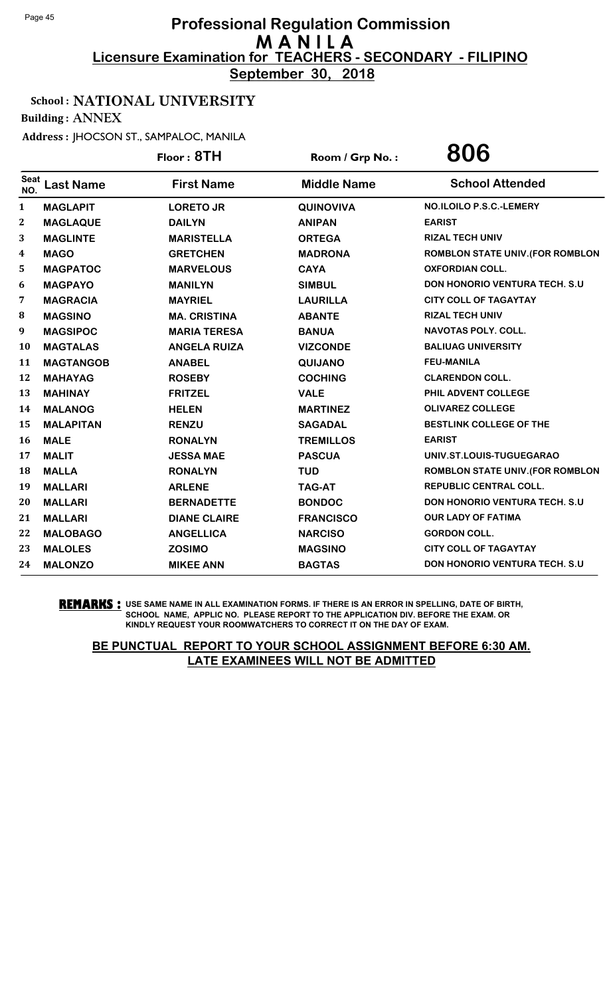**September 30, 2018**

## School : NATIONAL UNIVERSITY

Building : ANNEX

Address : JHOCSON ST., SAMPALOC, MANILA

|                  |                  | Floor: 8TH          | Room / Grp No.:    | 806                                     |
|------------------|------------------|---------------------|--------------------|-----------------------------------------|
| Seat<br>NO.      | <b>Last Name</b> | <b>First Name</b>   | <b>Middle Name</b> | <b>School Attended</b>                  |
| $\mathbf{1}$     | <b>MAGLAPIT</b>  | <b>LORETO JR</b>    | <b>QUINOVIVA</b>   | NO.ILOILO P.S.C.-LEMERY                 |
| $\boldsymbol{2}$ | <b>MAGLAQUE</b>  | <b>DAILYN</b>       | <b>ANIPAN</b>      | <b>EARIST</b>                           |
| 3                | <b>MAGLINTE</b>  | <b>MARISTELLA</b>   | <b>ORTEGA</b>      | <b>RIZAL TECH UNIV</b>                  |
| 4                | <b>MAGO</b>      | <b>GRETCHEN</b>     | <b>MADRONA</b>     | <b>ROMBLON STATE UNIV. (FOR ROMBLON</b> |
| 5                | <b>MAGPATOC</b>  | <b>MARVELOUS</b>    | <b>CAYA</b>        | <b>OXFORDIAN COLL.</b>                  |
| 6                | <b>MAGPAYO</b>   | <b>MANILYN</b>      | <b>SIMBUL</b>      | DON HONORIO VENTURA TECH. S.U           |
| $\overline{7}$   | <b>MAGRACIA</b>  | <b>MAYRIEL</b>      | <b>LAURILLA</b>    | <b>CITY COLL OF TAGAYTAY</b>            |
| 8                | <b>MAGSINO</b>   | <b>MA. CRISTINA</b> | <b>ABANTE</b>      | <b>RIZAL TECH UNIV</b>                  |
| 9                | <b>MAGSIPOC</b>  | <b>MARIA TERESA</b> | <b>BANUA</b>       | NAVOTAS POLY. COLL.                     |
| 10               | <b>MAGTALAS</b>  | <b>ANGELA RUIZA</b> | <b>VIZCONDE</b>    | <b>BALIUAG UNIVERSITY</b>               |
| 11               | <b>MAGTANGOB</b> | <b>ANABEL</b>       | QUIJANO            | <b>FEU-MANILA</b>                       |
| 12               | <b>MAHAYAG</b>   | <b>ROSEBY</b>       | <b>COCHING</b>     | <b>CLARENDON COLL.</b>                  |
| 13               | <b>MAHINAY</b>   | <b>FRITZEL</b>      | <b>VALE</b>        | PHIL ADVENT COLLEGE                     |
| 14               | <b>MALANOG</b>   | <b>HELEN</b>        | <b>MARTINEZ</b>    | <b>OLIVAREZ COLLEGE</b>                 |
| 15               | <b>MALAPITAN</b> | <b>RENZU</b>        | <b>SAGADAL</b>     | <b>BESTLINK COLLEGE OF THE</b>          |
| 16               | <b>MALE</b>      | <b>RONALYN</b>      | <b>TREMILLOS</b>   | <b>EARIST</b>                           |
| 17               | <b>MALIT</b>     | <b>JESSA MAE</b>    | <b>PASCUA</b>      | UNIV.ST.LOUIS-TUGUEGARAO                |
| 18               | <b>MALLA</b>     | <b>RONALYN</b>      | <b>TUD</b>         | <b>ROMBLON STATE UNIV. (FOR ROMBLON</b> |
| 19               | <b>MALLARI</b>   | <b>ARLENE</b>       | <b>TAG-AT</b>      | <b>REPUBLIC CENTRAL COLL.</b>           |
| 20               | <b>MALLARI</b>   | <b>BERNADETTE</b>   | <b>BONDOC</b>      | DON HONORIO VENTURA TECH. S.U           |
| 21               | <b>MALLARI</b>   | <b>DIANE CLAIRE</b> | <b>FRANCISCO</b>   | <b>OUR LADY OF FATIMA</b>               |
| 22               | <b>MALOBAGO</b>  | <b>ANGELLICA</b>    | <b>NARCISO</b>     | <b>GORDON COLL.</b>                     |
| 23               | <b>MALOLES</b>   | <b>ZOSIMO</b>       | <b>MAGSINO</b>     | <b>CITY COLL OF TAGAYTAY</b>            |
| 24               | <b>MALONZO</b>   | <b>MIKEE ANN</b>    | <b>BAGTAS</b>      | <b>DON HONORIO VENTURA TECH. S.U.</b>   |

**REMARKS :** USE SAME NAME IN ALL EXAMINATION FORMS. IF THERE IS AN ERROR IN SPELLING, DATE OF BIRTH, SCHOOL NAME, APPLIC NO. PLEASE REPORT TO THE APPLICATION DIV. BEFORE THE EXAM. OR KINDLY REQUEST YOUR ROOMWATCHERS TO CORRECT IT ON THE DAY OF EXAM.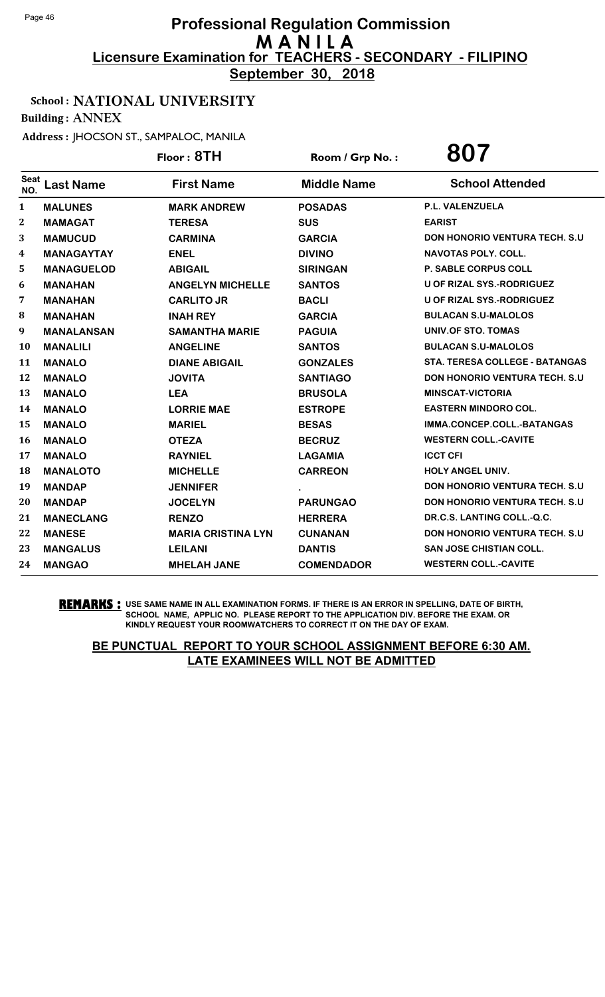**September 30, 2018**

## School : NATIONAL UNIVERSITY

Building : ANNEX

Address : JHOCSON ST., SAMPALOC, MANILA

|                    |                   | Floor: 8TH                | Room / Grp No.:    | 807                                   |
|--------------------|-------------------|---------------------------|--------------------|---------------------------------------|
| <b>Seat</b><br>NO. | <b>Last Name</b>  | <b>First Name</b>         | <b>Middle Name</b> | <b>School Attended</b>                |
| 1                  | <b>MALUNES</b>    | <b>MARK ANDREW</b>        | <b>POSADAS</b>     | P.L. VALENZUELA                       |
| $\mathbf{2}$       | <b>MAMAGAT</b>    | <b>TERESA</b>             | <b>SUS</b>         | <b>EARIST</b>                         |
| 3                  | <b>MAMUCUD</b>    | <b>CARMINA</b>            | <b>GARCIA</b>      | <b>DON HONORIO VENTURA TECH. S.U</b>  |
| 4                  | <b>MANAGAYTAY</b> | <b>ENEL</b>               | <b>DIVINO</b>      | <b>NAVOTAS POLY, COLL.</b>            |
| 5                  | <b>MANAGUELOD</b> | <b>ABIGAIL</b>            | <b>SIRINGAN</b>    | P. SABLE CORPUS COLL                  |
| 6                  | <b>MANAHAN</b>    | <b>ANGELYN MICHELLE</b>   | <b>SANTOS</b>      | <b>U OF RIZAL SYS.-RODRIGUEZ</b>      |
| 7                  | <b>MANAHAN</b>    | <b>CARLITO JR</b>         | <b>BACLI</b>       | U OF RIZAL SYS.-RODRIGUEZ             |
| 8                  | <b>MANAHAN</b>    | <b>INAH REY</b>           | <b>GARCIA</b>      | <b>BULACAN S.U-MALOLOS</b>            |
| 9                  | <b>MANALANSAN</b> | <b>SAMANTHA MARIE</b>     | <b>PAGUIA</b>      | UNIV.OF STO. TOMAS                    |
| 10                 | <b>MANALILI</b>   | <b>ANGELINE</b>           | <b>SANTOS</b>      | <b>BULACAN S.U-MALOLOS</b>            |
| 11                 | <b>MANALO</b>     | <b>DIANE ABIGAIL</b>      | <b>GONZALES</b>    | <b>STA. TERESA COLLEGE - BATANGAS</b> |
| 12                 | <b>MANALO</b>     | <b>JOVITA</b>             | <b>SANTIAGO</b>    | <b>DON HONORIO VENTURA TECH. S.U.</b> |
| 13                 | <b>MANALO</b>     | <b>LEA</b>                | <b>BRUSOLA</b>     | <b>MINSCAT-VICTORIA</b>               |
| 14                 | <b>MANALO</b>     | <b>LORRIE MAE</b>         | <b>ESTROPE</b>     | <b>EASTERN MINDORO COL.</b>           |
| 15                 | <b>MANALO</b>     | <b>MARIEL</b>             | <b>BESAS</b>       | IMMA.CONCEP.COLL.-BATANGAS            |
| 16                 | <b>MANALO</b>     | <b>OTEZA</b>              | <b>BECRUZ</b>      | <b>WESTERN COLL.-CAVITE</b>           |
| 17                 | <b>MANALO</b>     | <b>RAYNIEL</b>            | <b>LAGAMIA</b>     | <b>ICCT CFI</b>                       |
| 18                 | <b>MANALOTO</b>   | <b>MICHELLE</b>           | <b>CARREON</b>     | <b>HOLY ANGEL UNIV.</b>               |
| 19                 | <b>MANDAP</b>     | <b>JENNIFER</b>           |                    | <b>DON HONORIO VENTURA TECH. S.U.</b> |
| 20                 | <b>MANDAP</b>     | <b>JOCELYN</b>            | <b>PARUNGAO</b>    | DON HONORIO VENTURA TECH. S.U         |
| 21                 | <b>MANECLANG</b>  | <b>RENZO</b>              | <b>HERRERA</b>     | DR.C.S. LANTING COLL.-Q.C.            |
| 22                 | <b>MANESE</b>     | <b>MARIA CRISTINA LYN</b> | <b>CUNANAN</b>     | DON HONORIO VENTURA TECH. S.U         |
| 23                 | <b>MANGALUS</b>   | <b>LEILANI</b>            | <b>DANTIS</b>      | <b>SAN JOSE CHISTIAN COLL.</b>        |
| 24                 | <b>MANGAO</b>     | <b>MHELAH JANE</b>        | <b>COMENDADOR</b>  | <b>WESTERN COLL.-CAVITE</b>           |

**REMARKS :** USE SAME NAME IN ALL EXAMINATION FORMS. IF THERE IS AN ERROR IN SPELLING, DATE OF BIRTH, SCHOOL NAME, APPLIC NO. PLEASE REPORT TO THE APPLICATION DIV. BEFORE THE EXAM. OR KINDLY REQUEST YOUR ROOMWATCHERS TO CORRECT IT ON THE DAY OF EXAM.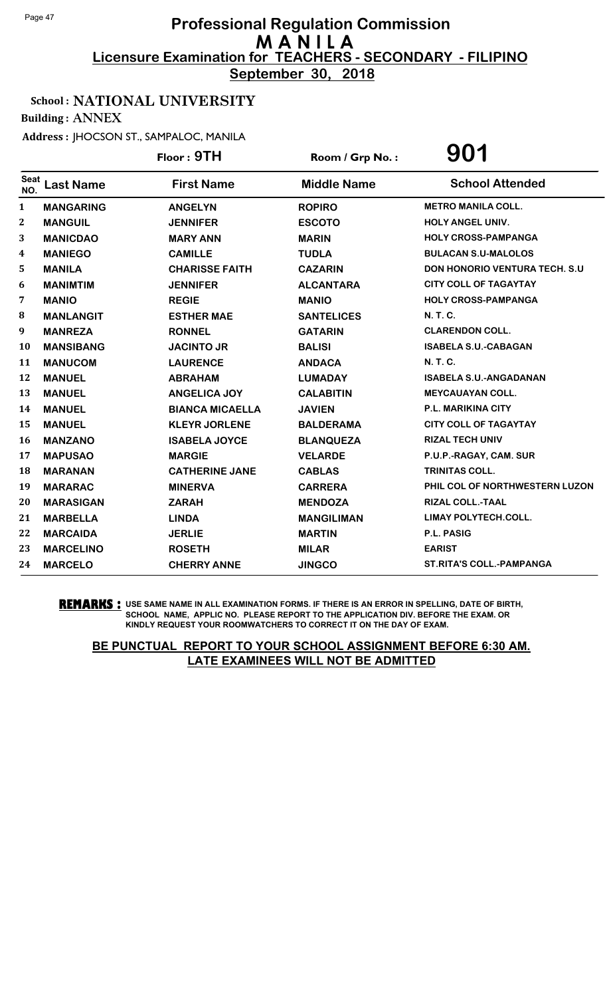**September 30, 2018**

## School : NATIONAL UNIVERSITY

Building : ANNEX

Address : JHOCSON ST., SAMPALOC, MANILA

|                    |                  | Floor: 9TH             | Room / Grp No.:    | 901                                   |
|--------------------|------------------|------------------------|--------------------|---------------------------------------|
| <b>Seat</b><br>NO. | <b>Last Name</b> | <b>First Name</b>      | <b>Middle Name</b> | <b>School Attended</b>                |
| 1                  | <b>MANGARING</b> | <b>ANGELYN</b>         | <b>ROPIRO</b>      | <b>METRO MANILA COLL.</b>             |
| 2                  | <b>MANGUIL</b>   | <b>JENNIFER</b>        | <b>ESCOTO</b>      | <b>HOLY ANGEL UNIV.</b>               |
| 3                  | <b>MANICDAO</b>  | <b>MARY ANN</b>        | <b>MARIN</b>       | <b>HOLY CROSS-PAMPANGA</b>            |
| 4                  | <b>MANIEGO</b>   | <b>CAMILLE</b>         | <b>TUDLA</b>       | <b>BULACAN S.U-MALOLOS</b>            |
| 5                  | <b>MANILA</b>    | <b>CHARISSE FAITH</b>  | <b>CAZARIN</b>     | <b>DON HONORIO VENTURA TECH. S.U.</b> |
| 6                  | <b>MANIMTIM</b>  | <b>JENNIFER</b>        | <b>ALCANTARA</b>   | <b>CITY COLL OF TAGAYTAY</b>          |
| 7                  | <b>MANIO</b>     | <b>REGIE</b>           | <b>MANIO</b>       | <b>HOLY CROSS-PAMPANGA</b>            |
| 8                  | <b>MANLANGIT</b> | <b>ESTHER MAE</b>      | <b>SANTELICES</b>  | N. T. C.                              |
| 9                  | <b>MANREZA</b>   | <b>RONNEL</b>          | <b>GATARIN</b>     | <b>CLARENDON COLL.</b>                |
| 10                 | <b>MANSIBANG</b> | <b>JACINTO JR</b>      | <b>BALISI</b>      | <b>ISABELA S.U.-CABAGAN</b>           |
| 11                 | <b>MANUCOM</b>   | <b>LAURENCE</b>        | <b>ANDACA</b>      | N. T. C.                              |
| 12                 | <b>MANUEL</b>    | <b>ABRAHAM</b>         | <b>LUMADAY</b>     | <b>ISABELA S.U.-ANGADANAN</b>         |
| 13                 | <b>MANUEL</b>    | <b>ANGELICA JOY</b>    | <b>CALABITIN</b>   | <b>MEYCAUAYAN COLL.</b>               |
| 14                 | <b>MANUEL</b>    | <b>BIANCA MICAELLA</b> | <b>JAVIEN</b>      | P.L. MARIKINA CITY                    |
| 15                 | <b>MANUEL</b>    | <b>KLEYR JORLENE</b>   | <b>BALDERAMA</b>   | <b>CITY COLL OF TAGAYTAY</b>          |
| 16                 | <b>MANZANO</b>   | <b>ISABELA JOYCE</b>   | <b>BLANQUEZA</b>   | <b>RIZAL TECH UNIV</b>                |
| 17                 | <b>MAPUSAO</b>   | <b>MARGIE</b>          | <b>VELARDE</b>     | P.U.P.-RAGAY, CAM. SUR                |
| 18                 | <b>MARANAN</b>   | <b>CATHERINE JANE</b>  | <b>CABLAS</b>      | <b>TRINITAS COLL.</b>                 |
| 19                 | <b>MARARAC</b>   | <b>MINERVA</b>         | <b>CARRERA</b>     | PHIL COL OF NORTHWESTERN LUZON        |
| 20                 | <b>MARASIGAN</b> | <b>ZARAH</b>           | <b>MENDOZA</b>     | RIZAL COLL.-TAAL                      |
| 21                 | <b>MARBELLA</b>  | <b>LINDA</b>           | <b>MANGILIMAN</b>  | <b>LIMAY POLYTECH.COLL.</b>           |
| 22                 | <b>MARCAIDA</b>  | <b>JERLIE</b>          | <b>MARTIN</b>      | P.L. PASIG                            |
| 23                 | <b>MARCELINO</b> | <b>ROSETH</b>          | <b>MILAR</b>       | <b>EARIST</b>                         |
| 24                 | <b>MARCELO</b>   | <b>CHERRY ANNE</b>     | <b>JINGCO</b>      | <b>ST.RITA'S COLL.-PAMPANGA</b>       |

**REMARKS :** USE SAME NAME IN ALL EXAMINATION FORMS. IF THERE IS AN ERROR IN SPELLING, DATE OF BIRTH, SCHOOL NAME, APPLIC NO. PLEASE REPORT TO THE APPLICATION DIV. BEFORE THE EXAM. OR KINDLY REQUEST YOUR ROOMWATCHERS TO CORRECT IT ON THE DAY OF EXAM.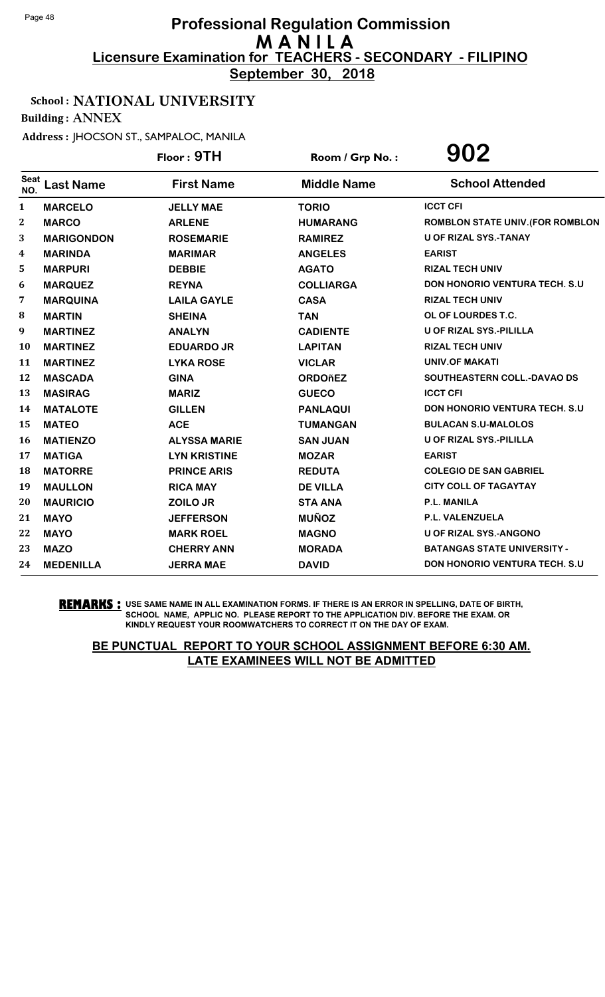**September 30, 2018**

## School : NATIONAL UNIVERSITY

Building : ANNEX

Address : JHOCSON ST., SAMPALOC, MANILA

|                    |                   | Floor: 9TH          | Room / Grp No.:    | 902                                  |
|--------------------|-------------------|---------------------|--------------------|--------------------------------------|
| <b>Seat</b><br>NO. | <b>Last Name</b>  | <b>First Name</b>   | <b>Middle Name</b> | <b>School Attended</b>               |
| 1                  | <b>MARCELO</b>    | <b>JELLY MAE</b>    | <b>TORIO</b>       | <b>ICCT CFI</b>                      |
| $\bf{2}$           | <b>MARCO</b>      | <b>ARLENE</b>       | <b>HUMARANG</b>    | ROMBLON STATE UNIV. (FOR ROMBLON     |
| 3                  | <b>MARIGONDON</b> | <b>ROSEMARIE</b>    | <b>RAMIREZ</b>     | <b>U OF RIZAL SYS.-TANAY</b>         |
| 4                  | <b>MARINDA</b>    | <b>MARIMAR</b>      | <b>ANGELES</b>     | <b>EARIST</b>                        |
| 5                  | <b>MARPURI</b>    | <b>DEBBIE</b>       | <b>AGATO</b>       | <b>RIZAL TECH UNIV</b>               |
| 6                  | <b>MARQUEZ</b>    | <b>REYNA</b>        | <b>COLLIARGA</b>   | DON HONORIO VENTURA TECH. S.U        |
| 7                  | <b>MARQUINA</b>   | <b>LAILA GAYLE</b>  | <b>CASA</b>        | <b>RIZAL TECH UNIV</b>               |
| ${\bf 8}$          | <b>MARTIN</b>     | <b>SHEINA</b>       | <b>TAN</b>         | OL OF LOURDES T.C.                   |
| 9                  | <b>MARTINEZ</b>   | <b>ANALYN</b>       | <b>CADIENTE</b>    | <b>U OF RIZAL SYS.-PILILLA</b>       |
| 10                 | <b>MARTINEZ</b>   | <b>EDUARDO JR</b>   | <b>LAPITAN</b>     | <b>RIZAL TECH UNIV</b>               |
| 11                 | <b>MARTINEZ</b>   | <b>LYKA ROSE</b>    | <b>VICLAR</b>      | <b>UNIV.OF MAKATI</b>                |
| 12                 | <b>MASCADA</b>    | <b>GINA</b>         | <b>ORDOñEZ</b>     | SOUTHEASTERN COLL.-DAVAO DS          |
| 13                 | <b>MASIRAG</b>    | <b>MARIZ</b>        | <b>GUECO</b>       | <b>ICCT CFI</b>                      |
| 14                 | <b>MATALOTE</b>   | <b>GILLEN</b>       | <b>PANLAQUI</b>    | <b>DON HONORIO VENTURA TECH. S.U</b> |
| 15                 | <b>MATEO</b>      | <b>ACE</b>          | <b>TUMANGAN</b>    | <b>BULACAN S.U-MALOLOS</b>           |
| 16                 | <b>MATIENZO</b>   | <b>ALYSSA MARIE</b> | <b>SAN JUAN</b>    | U OF RIZAL SYS.-PILILLA              |
| 17                 | <b>MATIGA</b>     | <b>LYN KRISTINE</b> | <b>MOZAR</b>       | <b>EARIST</b>                        |
| 18                 | <b>MATORRE</b>    | <b>PRINCE ARIS</b>  | <b>REDUTA</b>      | <b>COLEGIO DE SAN GABRIEL</b>        |
| 19                 | <b>MAULLON</b>    | <b>RICA MAY</b>     | <b>DE VILLA</b>    | <b>CITY COLL OF TAGAYTAY</b>         |
| 20                 | <b>MAURICIO</b>   | ZOILO JR            | <b>STA ANA</b>     | P.L. MANILA                          |
| 21                 | <b>MAYO</b>       | <b>JEFFERSON</b>    | <b>MUÑOZ</b>       | P.L. VALENZUELA                      |
| 22                 | <b>MAYO</b>       | <b>MARK ROEL</b>    | <b>MAGNO</b>       | <b>U OF RIZAL SYS.-ANGONO</b>        |
| 23                 | <b>MAZO</b>       | <b>CHERRY ANN</b>   | <b>MORADA</b>      | <b>BATANGAS STATE UNIVERSITY -</b>   |
| 24                 | <b>MEDENILLA</b>  | <b>JERRA MAE</b>    | <b>DAVID</b>       | <b>DON HONORIO VENTURA TECH. S.U</b> |

**REMARKS :** USE SAME NAME IN ALL EXAMINATION FORMS. IF THERE IS AN ERROR IN SPELLING, DATE OF BIRTH, SCHOOL NAME, APPLIC NO. PLEASE REPORT TO THE APPLICATION DIV. BEFORE THE EXAM. OR KINDLY REQUEST YOUR ROOMWATCHERS TO CORRECT IT ON THE DAY OF EXAM.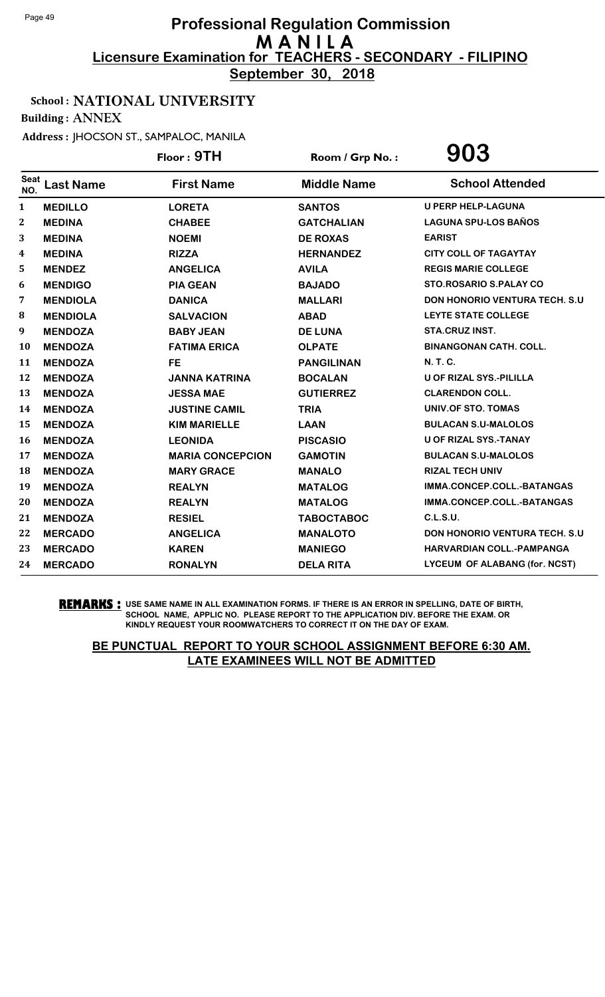**September 30, 2018**

#### School : NATIONAL UNIVERSITY

Building : ANNEX

Address : JHOCSON ST., SAMPALOC, MANILA

|                    |                  | Floor: 9TH              | Room / Grp No.:    | 903                                   |
|--------------------|------------------|-------------------------|--------------------|---------------------------------------|
| <b>Seat</b><br>NO. | <b>Last Name</b> | <b>First Name</b>       | <b>Middle Name</b> | <b>School Attended</b>                |
| $\mathbf{1}$       | <b>MEDILLO</b>   | <b>LORETA</b>           | <b>SANTOS</b>      | <b>U PERP HELP-LAGUNA</b>             |
| $\boldsymbol{2}$   | <b>MEDINA</b>    | <b>CHABEE</b>           | <b>GATCHALIAN</b>  | <b>LAGUNA SPU-LOS BAÑOS</b>           |
| 3                  | <b>MEDINA</b>    | <b>NOEMI</b>            | <b>DE ROXAS</b>    | <b>EARIST</b>                         |
| 4                  | <b>MEDINA</b>    | <b>RIZZA</b>            | <b>HERNANDEZ</b>   | <b>CITY COLL OF TAGAYTAY</b>          |
| 5                  | <b>MENDEZ</b>    | <b>ANGELICA</b>         | <b>AVILA</b>       | <b>REGIS MARIE COLLEGE</b>            |
| 6                  | <b>MENDIGO</b>   | <b>PIA GEAN</b>         | <b>BAJADO</b>      | STO.ROSARIO S.PALAY CO                |
| 7                  | <b>MENDIOLA</b>  | <b>DANICA</b>           | <b>MALLARI</b>     | <b>DON HONORIO VENTURA TECH. S.U.</b> |
| 8                  | <b>MENDIOLA</b>  | <b>SALVACION</b>        | <b>ABAD</b>        | LEYTE STATE COLLEGE                   |
| 9                  | <b>MENDOZA</b>   | <b>BABY JEAN</b>        | <b>DE LUNA</b>     | STA.CRUZ INST.                        |
| <b>10</b>          | <b>MENDOZA</b>   | <b>FATIMA ERICA</b>     | <b>OLPATE</b>      | <b>BINANGONAN CATH. COLL.</b>         |
| 11                 | <b>MENDOZA</b>   | <b>FE</b>               | <b>PANGILINAN</b>  | N. T. C.                              |
| 12                 | <b>MENDOZA</b>   | <b>JANNA KATRINA</b>    | <b>BOCALAN</b>     | <b>U OF RIZAL SYS.-PILILLA</b>        |
| 13                 | <b>MENDOZA</b>   | <b>JESSA MAE</b>        | <b>GUTIERREZ</b>   | <b>CLARENDON COLL.</b>                |
| 14                 | <b>MENDOZA</b>   | <b>JUSTINE CAMIL</b>    | <b>TRIA</b>        | <b>UNIV.OF STO. TOMAS</b>             |
| 15                 | <b>MENDOZA</b>   | <b>KIM MARIELLE</b>     | <b>LAAN</b>        | <b>BULACAN S.U-MALOLOS</b>            |
| <b>16</b>          | <b>MENDOZA</b>   | <b>LEONIDA</b>          | <b>PISCASIO</b>    | U OF RIZAL SYS.-TANAY                 |
| 17                 | <b>MENDOZA</b>   | <b>MARIA CONCEPCION</b> | <b>GAMOTIN</b>     | <b>BULACAN S.U-MALOLOS</b>            |
| 18                 | <b>MENDOZA</b>   | <b>MARY GRACE</b>       | <b>MANALO</b>      | <b>RIZAL TECH UNIV</b>                |
| 19                 | <b>MENDOZA</b>   | <b>REALYN</b>           | <b>MATALOG</b>     | IMMA.CONCEP.COLL.-BATANGAS            |
| 20                 | <b>MENDOZA</b>   | <b>REALYN</b>           | <b>MATALOG</b>     | IMMA.CONCEP.COLL.-BATANGAS            |
| 21                 | <b>MENDOZA</b>   | <b>RESIEL</b>           | <b>TABOCTABOC</b>  | C.L.S.U.                              |
| 22                 | <b>MERCADO</b>   | <b>ANGELICA</b>         | <b>MANALOTO</b>    | <b>DON HONORIO VENTURA TECH. S.U</b>  |
| 23                 | <b>MERCADO</b>   | <b>KAREN</b>            | <b>MANIEGO</b>     | <b>HARVARDIAN COLL.-PAMPANGA</b>      |
| 24                 | <b>MERCADO</b>   | <b>RONALYN</b>          | <b>DELA RITA</b>   | <b>LYCEUM OF ALABANG (for. NCST)</b>  |

**REMARKS :** USE SAME NAME IN ALL EXAMINATION FORMS. IF THERE IS AN ERROR IN SPELLING, DATE OF BIRTH, SCHOOL NAME, APPLIC NO. PLEASE REPORT TO THE APPLICATION DIV. BEFORE THE EXAM. OR KINDLY REQUEST YOUR ROOMWATCHERS TO CORRECT IT ON THE DAY OF EXAM.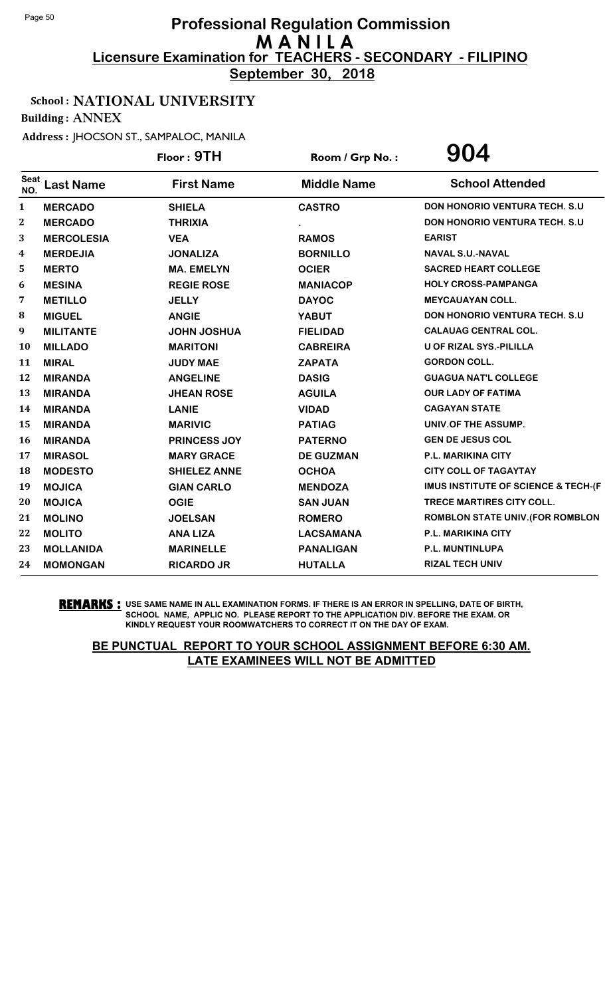**September 30, 2018**

## School : NATIONAL UNIVERSITY

Building : ANNEX

Address : JHOCSON ST., SAMPALOC, MANILA

|                  |                   | Floor: 9TH          | Room / Grp No.:    | 904                                            |
|------------------|-------------------|---------------------|--------------------|------------------------------------------------|
| Seat<br>NO.      | <b>Last Name</b>  | <b>First Name</b>   | <b>Middle Name</b> | <b>School Attended</b>                         |
| $\mathbf{1}$     | <b>MERCADO</b>    | <b>SHIELA</b>       | <b>CASTRO</b>      | <b>DON HONORIO VENTURA TECH. S.U.</b>          |
| $\boldsymbol{2}$ | <b>MERCADO</b>    | <b>THRIXIA</b>      |                    | <b>DON HONORIO VENTURA TECH. S.U.</b>          |
| 3                | <b>MERCOLESIA</b> | <b>VEA</b>          | <b>RAMOS</b>       | <b>EARIST</b>                                  |
| 4                | <b>MERDEJIA</b>   | <b>JONALIZA</b>     | <b>BORNILLO</b>    | <b>NAVAL S.U.-NAVAL</b>                        |
| 5                | <b>MERTO</b>      | <b>MA. EMELYN</b>   | <b>OCIER</b>       | <b>SACRED HEART COLLEGE</b>                    |
| 6                | <b>MESINA</b>     | <b>REGIE ROSE</b>   | <b>MANIACOP</b>    | <b>HOLY CROSS-PAMPANGA</b>                     |
| 7                | <b>METILLO</b>    | <b>JELLY</b>        | <b>DAYOC</b>       | <b>MEYCAUAYAN COLL.</b>                        |
| 8                | <b>MIGUEL</b>     | <b>ANGIE</b>        | <b>YABUT</b>       | <b>DON HONORIO VENTURA TECH. S.U</b>           |
| 9                | <b>MILITANTE</b>  | <b>JOHN JOSHUA</b>  | <b>FIELIDAD</b>    | <b>CALAUAG CENTRAL COL.</b>                    |
| 10               | <b>MILLADO</b>    | <b>MARITONI</b>     | <b>CABREIRA</b>    | U OF RIZAL SYS.-PILILLA                        |
| 11               | <b>MIRAL</b>      | <b>JUDY MAE</b>     | <b>ZAPATA</b>      | <b>GORDON COLL.</b>                            |
| 12               | <b>MIRANDA</b>    | <b>ANGELINE</b>     | <b>DASIG</b>       | <b>GUAGUA NAT'L COLLEGE</b>                    |
| 13               | <b>MIRANDA</b>    | <b>JHEAN ROSE</b>   | <b>AGUILA</b>      | <b>OUR LADY OF FATIMA</b>                      |
| 14               | <b>MIRANDA</b>    | <b>LANIE</b>        | <b>VIDAD</b>       | <b>CAGAYAN STATE</b>                           |
| 15               | <b>MIRANDA</b>    | <b>MARIVIC</b>      | <b>PATIAG</b>      | UNIV.OF THE ASSUMP.                            |
| <b>16</b>        | <b>MIRANDA</b>    | <b>PRINCESS JOY</b> | <b>PATERNO</b>     | <b>GEN DE JESUS COL</b>                        |
| 17               | <b>MIRASOL</b>    | <b>MARY GRACE</b>   | <b>DE GUZMAN</b>   | P.L. MARIKINA CITY                             |
| <b>18</b>        | <b>MODESTO</b>    | <b>SHIELEZ ANNE</b> | <b>OCHOA</b>       | <b>CITY COLL OF TAGAYTAY</b>                   |
| 19               | <b>MOJICA</b>     | <b>GIAN CARLO</b>   | <b>MENDOZA</b>     | <b>IMUS INSTITUTE OF SCIENCE &amp; TECH-(F</b> |
| 20               | <b>MOJICA</b>     | <b>OGIE</b>         | <b>SAN JUAN</b>    | TRECE MARTIRES CITY COLL.                      |
| 21               | <b>MOLINO</b>     | <b>JOELSAN</b>      | <b>ROMERO</b>      | <b>ROMBLON STATE UNIV. (FOR ROMBLON</b>        |
| 22               | <b>MOLITO</b>     | <b>ANA LIZA</b>     | <b>LACSAMANA</b>   | P.L. MARIKINA CITY                             |
| 23               | <b>MOLLANIDA</b>  | <b>MARINELLE</b>    | <b>PANALIGAN</b>   | P.L. MUNTINLUPA                                |
| 24               | <b>MOMONGAN</b>   | <b>RICARDO JR</b>   | <b>HUTALLA</b>     | <b>RIZAL TECH UNIV</b>                         |

**REMARKS :** USE SAME NAME IN ALL EXAMINATION FORMS. IF THERE IS AN ERROR IN SPELLING, DATE OF BIRTH, SCHOOL NAME, APPLIC NO. PLEASE REPORT TO THE APPLICATION DIV. BEFORE THE EXAM. OR KINDLY REQUEST YOUR ROOMWATCHERS TO CORRECT IT ON THE DAY OF EXAM.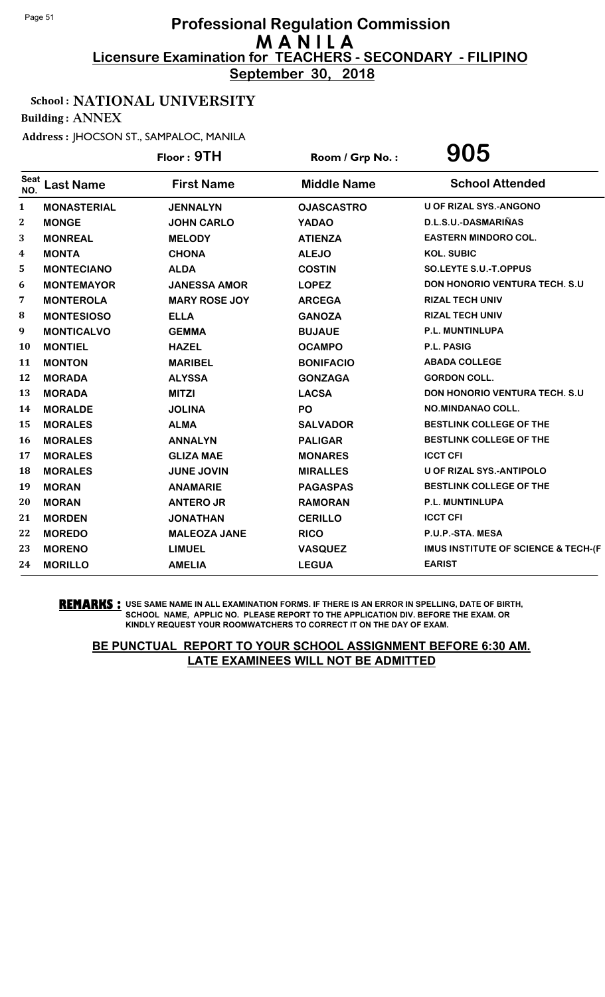**September 30, 2018**

## School : NATIONAL UNIVERSITY

Building : ANNEX

Address : JHOCSON ST., SAMPALOC, MANILA

|                    |                    | Floor: 9TH           | Room / Grp No.:    | 905                                   |
|--------------------|--------------------|----------------------|--------------------|---------------------------------------|
| <b>Seat</b><br>NO. | <b>Last Name</b>   | <b>First Name</b>    | <b>Middle Name</b> | <b>School Attended</b>                |
| $\mathbf{1}$       | <b>MONASTERIAL</b> | <b>JENNALYN</b>      | <b>OJASCASTRO</b>  | <b>U OF RIZAL SYS.-ANGONO</b>         |
| 2                  | <b>MONGE</b>       | <b>JOHN CARLO</b>    | <b>YADAO</b>       | D.L.S.U.-DASMARIÑAS                   |
| 3                  | <b>MONREAL</b>     | <b>MELODY</b>        | <b>ATIENZA</b>     | <b>EASTERN MINDORO COL.</b>           |
| 4                  | <b>MONTA</b>       | <b>CHONA</b>         | <b>ALEJO</b>       | <b>KOL. SUBIC</b>                     |
| 5                  | <b>MONTECIANO</b>  | <b>ALDA</b>          | <b>COSTIN</b>      | SO.LEYTE S.U.-T.OPPUS                 |
| 6                  | <b>MONTEMAYOR</b>  | <b>JANESSA AMOR</b>  | <b>LOPEZ</b>       | <b>DON HONORIO VENTURA TECH. S.U</b>  |
| 7                  | <b>MONTEROLA</b>   | <b>MARY ROSE JOY</b> | <b>ARCEGA</b>      | <b>RIZAL TECH UNIV</b>                |
| 8                  | <b>MONTESIOSO</b>  | <b>ELLA</b>          | <b>GANOZA</b>      | <b>RIZAL TECH UNIV</b>                |
| 9                  | <b>MONTICALVO</b>  | <b>GEMMA</b>         | <b>BUJAUE</b>      | P.L. MUNTINLUPA                       |
| <b>10</b>          | <b>MONTIEL</b>     | <b>HAZEL</b>         | <b>OCAMPO</b>      | <b>P.L. PASIG</b>                     |
| 11                 | <b>MONTON</b>      | <b>MARIBEL</b>       | <b>BONIFACIO</b>   | <b>ABADA COLLEGE</b>                  |
| 12                 | <b>MORADA</b>      | <b>ALYSSA</b>        | <b>GONZAGA</b>     | <b>GORDON COLL.</b>                   |
| 13                 | <b>MORADA</b>      | <b>MITZI</b>         | <b>LACSA</b>       | <b>DON HONORIO VENTURA TECH. S.U.</b> |
| 14                 | <b>MORALDE</b>     | <b>JOLINA</b>        | PO                 | NO.MINDANAO COLL.                     |
| 15                 | <b>MORALES</b>     | <b>ALMA</b>          | <b>SALVADOR</b>    | <b>BESTLINK COLLEGE OF THE</b>        |
| <b>16</b>          | <b>MORALES</b>     | <b>ANNALYN</b>       | <b>PALIGAR</b>     | <b>BESTLINK COLLEGE OF THE</b>        |
| 17                 | <b>MORALES</b>     | <b>GLIZA MAE</b>     | <b>MONARES</b>     | <b>ICCT CFI</b>                       |
| 18                 | <b>MORALES</b>     | <b>JUNE JOVIN</b>    | <b>MIRALLES</b>    | <b>U OF RIZAL SYS.-ANTIPOLO</b>       |
| 19                 | <b>MORAN</b>       | <b>ANAMARIE</b>      | <b>PAGASPAS</b>    | BESTLINK COLLEGE OF THE               |
| 20                 | <b>MORAN</b>       | <b>ANTERO JR</b>     | <b>RAMORAN</b>     | P.L. MUNTINLUPA                       |
| 21                 | <b>MORDEN</b>      | <b>JONATHAN</b>      | <b>CERILLO</b>     | <b>ICCT CFI</b>                       |
| 22                 | <b>MOREDO</b>      | <b>MALEOZA JANE</b>  | <b>RICO</b>        | P.U.P.-STA. MESA                      |
| 23                 | <b>MORENO</b>      | <b>LIMUEL</b>        | <b>VASQUEZ</b>     | IMUS INSTITUTE OF SCIENCE & TECH-(F   |
| 24                 | <b>MORILLO</b>     | <b>AMELIA</b>        | <b>LEGUA</b>       | <b>EARIST</b>                         |

**REMARKS :** USE SAME NAME IN ALL EXAMINATION FORMS. IF THERE IS AN ERROR IN SPELLING, DATE OF BIRTH, SCHOOL NAME, APPLIC NO. PLEASE REPORT TO THE APPLICATION DIV. BEFORE THE EXAM. OR KINDLY REQUEST YOUR ROOMWATCHERS TO CORRECT IT ON THE DAY OF EXAM.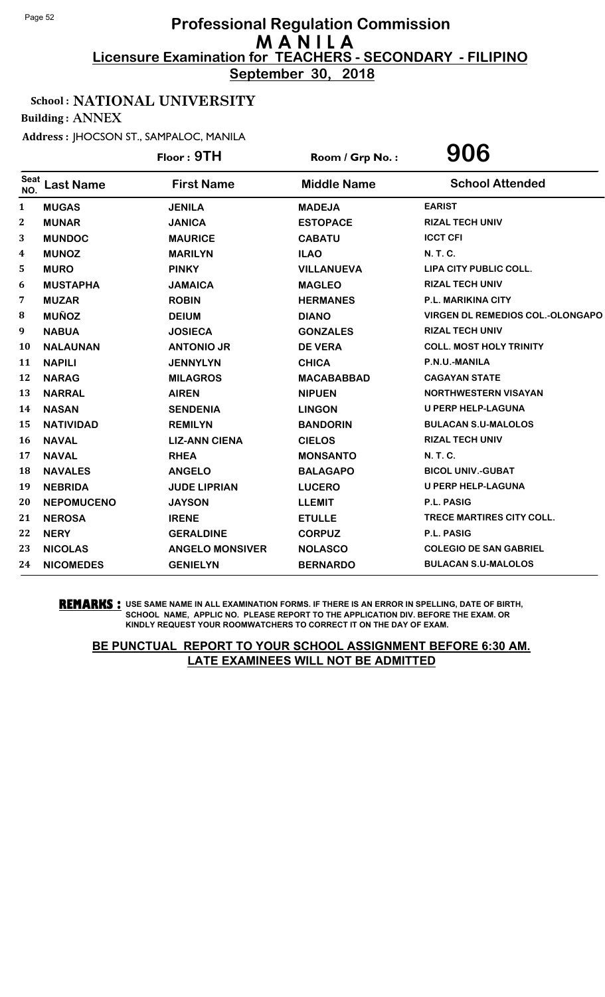**September 30, 2018**

## School : NATIONAL UNIVERSITY

Building : ANNEX

Address : JHOCSON ST., SAMPALOC, MANILA

|                    |                   | Floor: 9TH             | Room / Grp No.:    | 906                                     |
|--------------------|-------------------|------------------------|--------------------|-----------------------------------------|
| <b>Seat</b><br>NO. | <b>Last Name</b>  | <b>First Name</b>      | <b>Middle Name</b> | <b>School Attended</b>                  |
| $\mathbf{1}$       | <b>MUGAS</b>      | <b>JENILA</b>          | <b>MADEJA</b>      | <b>EARIST</b>                           |
| 2                  | <b>MUNAR</b>      | <b>JANICA</b>          | <b>ESTOPACE</b>    | <b>RIZAL TECH UNIV</b>                  |
| 3                  | <b>MUNDOC</b>     | <b>MAURICE</b>         | <b>CABATU</b>      | <b>ICCT CFI</b>                         |
| 4                  | <b>MUNOZ</b>      | <b>MARILYN</b>         | <b>ILAO</b>        | N. T. C.                                |
| 5                  | <b>MURO</b>       | <b>PINKY</b>           | <b>VILLANUEVA</b>  | LIPA CITY PUBLIC COLL.                  |
| 6                  | <b>MUSTAPHA</b>   | <b>JAMAICA</b>         | <b>MAGLEO</b>      | <b>RIZAL TECH UNIV</b>                  |
| 7                  | <b>MUZAR</b>      | <b>ROBIN</b>           | <b>HERMANES</b>    | <b>P.L. MARIKINA CITY</b>               |
| 8                  | <b>MUÑOZ</b>      | <b>DEIUM</b>           | <b>DIANO</b>       | <b>VIRGEN DL REMEDIOS COL.-OLONGAPO</b> |
| 9                  | <b>NABUA</b>      | <b>JOSIECA</b>         | <b>GONZALES</b>    | <b>RIZAL TECH UNIV</b>                  |
| 10                 | <b>NALAUNAN</b>   | <b>ANTONIO JR</b>      | <b>DE VERA</b>     | <b>COLL. MOST HOLY TRINITY</b>          |
| 11                 | <b>NAPILI</b>     | <b>JENNYLYN</b>        | <b>CHICA</b>       | P.N.U.-MANILA                           |
| 12                 | <b>NARAG</b>      | <b>MILAGROS</b>        | <b>MACABABBAD</b>  | <b>CAGAYAN STATE</b>                    |
| 13                 | <b>NARRAL</b>     | <b>AIREN</b>           | <b>NIPUEN</b>      | <b>NORTHWESTERN VISAYAN</b>             |
| 14                 | <b>NASAN</b>      | <b>SENDENIA</b>        | <b>LINGON</b>      | <b>U PERP HELP-LAGUNA</b>               |
| 15                 | <b>NATIVIDAD</b>  | <b>REMILYN</b>         | <b>BANDORIN</b>    | <b>BULACAN S.U-MALOLOS</b>              |
| 16                 | <b>NAVAL</b>      | <b>LIZ-ANN CIENA</b>   | <b>CIELOS</b>      | <b>RIZAL TECH UNIV</b>                  |
| 17                 | <b>NAVAL</b>      | <b>RHEA</b>            | <b>MONSANTO</b>    | <b>N. T. C.</b>                         |
| 18                 | <b>NAVALES</b>    | <b>ANGELO</b>          | <b>BALAGAPO</b>    | <b>BICOL UNIV.-GUBAT</b>                |
| 19                 | <b>NEBRIDA</b>    | <b>JUDE LIPRIAN</b>    | <b>LUCERO</b>      | U PERP HELP-LAGUNA                      |
| 20                 | <b>NEPOMUCENO</b> | <b>JAYSON</b>          | <b>LLEMIT</b>      | <b>P.L. PASIG</b>                       |
| 21                 | <b>NEROSA</b>     | <b>IRENE</b>           | <b>ETULLE</b>      | <b>TRECE MARTIRES CITY COLL.</b>        |
| 22                 | <b>NERY</b>       | <b>GERALDINE</b>       | <b>CORPUZ</b>      | P.L. PASIG                              |
| 23                 | <b>NICOLAS</b>    | <b>ANGELO MONSIVER</b> | <b>NOLASCO</b>     | <b>COLEGIO DE SAN GABRIEL</b>           |
| 24                 | <b>NICOMEDES</b>  | <b>GENIELYN</b>        | <b>BERNARDO</b>    | <b>BULACAN S.U-MALOLOS</b>              |

**REMARKS :** USE SAME NAME IN ALL EXAMINATION FORMS. IF THERE IS AN ERROR IN SPELLING, DATE OF BIRTH, SCHOOL NAME, APPLIC NO. PLEASE REPORT TO THE APPLICATION DIV. BEFORE THE EXAM. OR KINDLY REQUEST YOUR ROOMWATCHERS TO CORRECT IT ON THE DAY OF EXAM.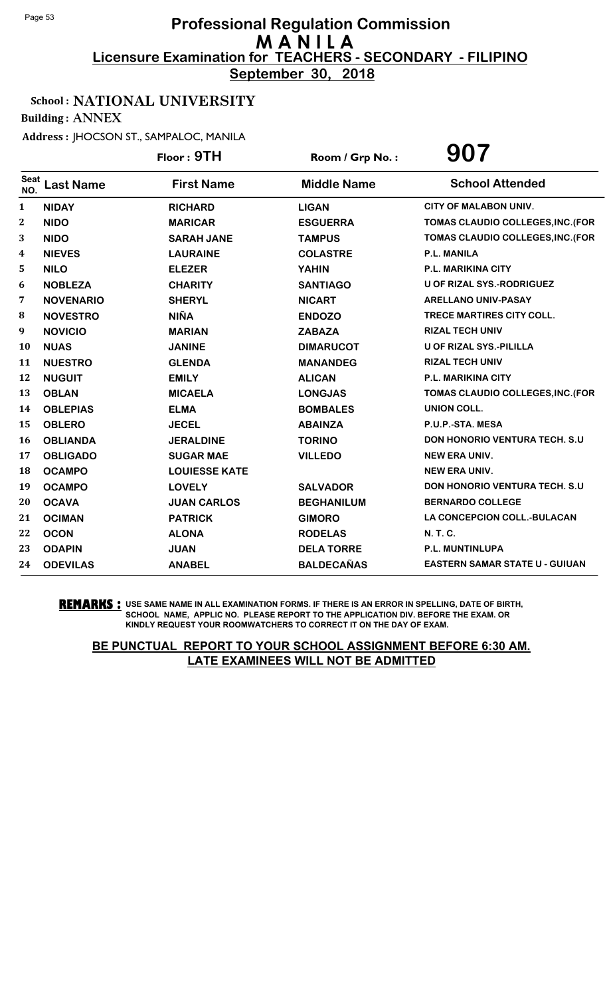**September 30, 2018**

## School : NATIONAL UNIVERSITY

Building : ANNEX

Address : JHOCSON ST., SAMPALOC, MANILA

|                  |                  | Floor: 9TH           | Room / Grp No.:    | 907                                   |
|------------------|------------------|----------------------|--------------------|---------------------------------------|
| Seat<br>NO.      | <b>Last Name</b> | <b>First Name</b>    | <b>Middle Name</b> | <b>School Attended</b>                |
| $\mathbf{1}$     | <b>NIDAY</b>     | <b>RICHARD</b>       | <b>LIGAN</b>       | <b>CITY OF MALABON UNIV.</b>          |
| $\boldsymbol{2}$ | <b>NIDO</b>      | <b>MARICAR</b>       | <b>ESGUERRA</b>    | TOMAS CLAUDIO COLLEGES, INC. (FOR     |
| 3                | <b>NIDO</b>      | <b>SARAH JANE</b>    | <b>TAMPUS</b>      | TOMAS CLAUDIO COLLEGES, INC. (FOR     |
| 4                | <b>NIEVES</b>    | <b>LAURAINE</b>      | <b>COLASTRE</b>    | <b>P.L. MANILA</b>                    |
| 5                | <b>NILO</b>      | <b>ELEZER</b>        | <b>YAHIN</b>       | P.L. MARIKINA CITY                    |
| 6                | <b>NOBLEZA</b>   | <b>CHARITY</b>       | <b>SANTIAGO</b>    | U OF RIZAL SYS.-RODRIGUEZ             |
| 7                | <b>NOVENARIO</b> | <b>SHERYL</b>        | <b>NICART</b>      | <b>ARELLANO UNIV-PASAY</b>            |
| 8                | <b>NOVESTRO</b>  | <b>NIÑA</b>          | <b>ENDOZO</b>      | TRECE MARTIRES CITY COLL.             |
| 9                | <b>NOVICIO</b>   | <b>MARIAN</b>        | <b>ZABAZA</b>      | <b>RIZAL TECH UNIV</b>                |
| 10               | <b>NUAS</b>      | <b>JANINE</b>        | <b>DIMARUCOT</b>   | <b>U OF RIZAL SYS.-PILILLA</b>        |
| 11               | <b>NUESTRO</b>   | <b>GLENDA</b>        | <b>MANANDEG</b>    | <b>RIZAL TECH UNIV</b>                |
| 12               | <b>NUGUIT</b>    | <b>EMILY</b>         | <b>ALICAN</b>      | P.L. MARIKINA CITY                    |
| 13               | <b>OBLAN</b>     | <b>MICAELA</b>       | <b>LONGJAS</b>     | TOMAS CLAUDIO COLLEGES, INC. (FOR     |
| 14               | <b>OBLEPIAS</b>  | <b>ELMA</b>          | <b>BOMBALES</b>    | <b>UNION COLL.</b>                    |
| 15               | <b>OBLERO</b>    | <b>JECEL</b>         | <b>ABAINZA</b>     | P.U.P.-STA. MESA                      |
| 16               | <b>OBLIANDA</b>  | <b>JERALDINE</b>     | <b>TORINO</b>      | <b>DON HONORIO VENTURA TECH. S.U</b>  |
| 17               | <b>OBLIGADO</b>  | <b>SUGAR MAE</b>     | <b>VILLEDO</b>     | <b>NEW ERA UNIV.</b>                  |
| 18               | <b>OCAMPO</b>    | <b>LOUIESSE KATE</b> |                    | <b>NEW ERA UNIV.</b>                  |
| 19               | <b>OCAMPO</b>    | <b>LOVELY</b>        | <b>SALVADOR</b>    | <b>DON HONORIO VENTURA TECH. S.U</b>  |
| 20               | <b>OCAVA</b>     | <b>JUAN CARLOS</b>   | <b>BEGHANILUM</b>  | <b>BERNARDO COLLEGE</b>               |
| 21               | <b>OCIMAN</b>    | <b>PATRICK</b>       | <b>GIMORO</b>      | LA CONCEPCION COLL.-BULACAN           |
| 22               | <b>OCON</b>      | <b>ALONA</b>         | <b>RODELAS</b>     | N. T. C.                              |
| 23               | <b>ODAPIN</b>    | <b>JUAN</b>          | <b>DELA TORRE</b>  | P.L. MUNTINLUPA                       |
| 24               | <b>ODEVILAS</b>  | <b>ANABEL</b>        | <b>BALDECAÑAS</b>  | <b>EASTERN SAMAR STATE U - GUIUAN</b> |

**REMARKS :** USE SAME NAME IN ALL EXAMINATION FORMS. IF THERE IS AN ERROR IN SPELLING, DATE OF BIRTH, SCHOOL NAME, APPLIC NO. PLEASE REPORT TO THE APPLICATION DIV. BEFORE THE EXAM. OR KINDLY REQUEST YOUR ROOMWATCHERS TO CORRECT IT ON THE DAY OF EXAM.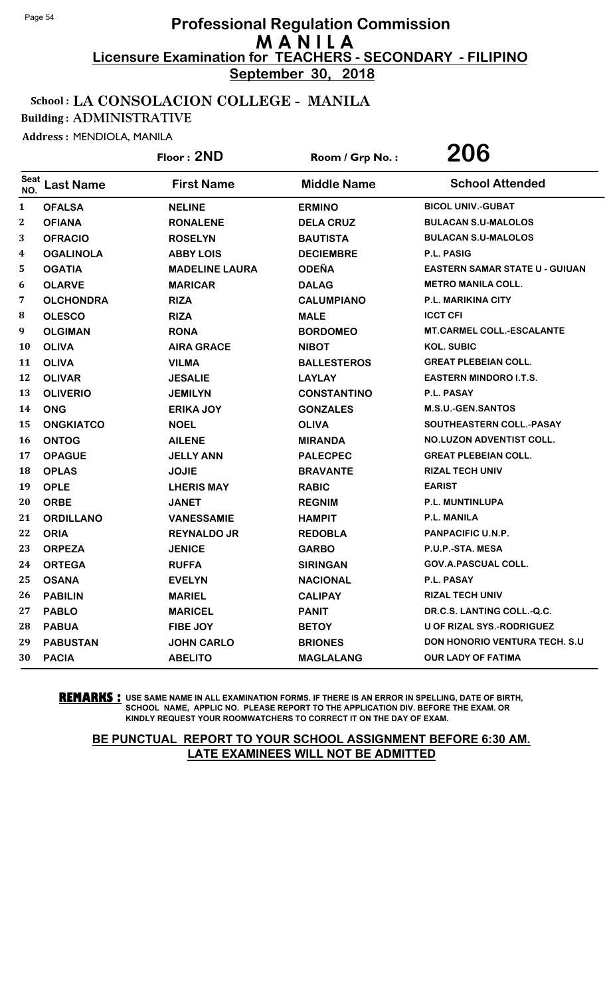**September 30, 2018**

#### School : LA CONSOLACION COLLEGE - MANILA

Building : ADMINISTRATIVE

Address : MENDIOLA, MANILA

|                  |                  | Floor: 2ND            | Room / Grp No.:    | 206                                   |
|------------------|------------------|-----------------------|--------------------|---------------------------------------|
| Seat<br>NO.      | <b>Last Name</b> | <b>First Name</b>     | <b>Middle Name</b> | <b>School Attended</b>                |
| $\mathbf{1}$     | <b>OFALSA</b>    | <b>NELINE</b>         | <b>ERMINO</b>      | <b>BICOL UNIV.-GUBAT</b>              |
| $\boldsymbol{2}$ | <b>OFIANA</b>    | <b>RONALENE</b>       | <b>DELA CRUZ</b>   | <b>BULACAN S.U-MALOLOS</b>            |
| 3                | <b>OFRACIO</b>   | <b>ROSELYN</b>        | <b>BAUTISTA</b>    | <b>BULACAN S.U-MALOLOS</b>            |
| 4                | <b>OGALINOLA</b> | <b>ABBY LOIS</b>      | <b>DECIEMBRE</b>   | P.L. PASIG                            |
| 5                | <b>OGATIA</b>    | <b>MADELINE LAURA</b> | <b>ODEÑA</b>       | <b>EASTERN SAMAR STATE U - GUIUAN</b> |
| 6                | <b>OLARVE</b>    | <b>MARICAR</b>        | <b>DALAG</b>       | <b>METRO MANILA COLL.</b>             |
| 7                | <b>OLCHONDRA</b> | <b>RIZA</b>           | <b>CALUMPIANO</b>  | <b>P.L. MARIKINA CITY</b>             |
| 8                | <b>OLESCO</b>    | <b>RIZA</b>           | <b>MALE</b>        | <b>ICCT CFI</b>                       |
| 9                | <b>OLGIMAN</b>   | <b>RONA</b>           | <b>BORDOMEO</b>    | <b>MT.CARMEL COLL.-ESCALANTE</b>      |
| 10               | <b>OLIVA</b>     | <b>AIRA GRACE</b>     | <b>NIBOT</b>       | <b>KOL. SUBIC</b>                     |
| 11               | <b>OLIVA</b>     | <b>VILMA</b>          | <b>BALLESTEROS</b> | <b>GREAT PLEBEIAN COLL.</b>           |
| 12               | <b>OLIVAR</b>    | <b>JESALIE</b>        | <b>LAYLAY</b>      | <b>EASTERN MINDORO I.T.S.</b>         |
| 13               | <b>OLIVERIO</b>  | <b>JEMILYN</b>        | <b>CONSTANTINO</b> | P.L. PASAY                            |
| 14               | <b>ONG</b>       | <b>ERIKA JOY</b>      | <b>GONZALES</b>    | <b>M.S.U.-GEN.SANTOS</b>              |
| 15               | <b>ONGKIATCO</b> | <b>NOEL</b>           | <b>OLIVA</b>       | SOUTHEASTERN COLL.-PASAY              |
| 16               | <b>ONTOG</b>     | <b>AILENE</b>         | <b>MIRANDA</b>     | <b>NO.LUZON ADVENTIST COLL.</b>       |
| 17               | <b>OPAGUE</b>    | <b>JELLY ANN</b>      | <b>PALECPEC</b>    | <b>GREAT PLEBEIAN COLL.</b>           |
| 18               | <b>OPLAS</b>     | <b>JOJIE</b>          | <b>BRAVANTE</b>    | <b>RIZAL TECH UNIV</b>                |
| 19               | <b>OPLE</b>      | <b>LHERIS MAY</b>     | <b>RABIC</b>       | <b>EARIST</b>                         |
| 20               | <b>ORBE</b>      | <b>JANET</b>          | <b>REGNIM</b>      | P.L. MUNTINLUPA                       |
| 21               | <b>ORDILLANO</b> | <b>VANESSAMIE</b>     | <b>HAMPIT</b>      | P.L. MANILA                           |
| 22               | <b>ORIA</b>      | <b>REYNALDO JR</b>    | <b>REDOBLA</b>     | <b>PANPACIFIC U.N.P.</b>              |
| 23               | <b>ORPEZA</b>    | <b>JENICE</b>         | <b>GARBO</b>       | P.U.P.-STA. MESA                      |
| 24               | <b>ORTEGA</b>    | <b>RUFFA</b>          | <b>SIRINGAN</b>    | <b>GOV.A.PASCUAL COLL.</b>            |
| 25               | <b>OSANA</b>     | <b>EVELYN</b>         | <b>NACIONAL</b>    | <b>P.L. PASAY</b>                     |
| 26               | <b>PABILIN</b>   | <b>MARIEL</b>         | <b>CALIPAY</b>     | <b>RIZAL TECH UNIV</b>                |
| 27               | <b>PABLO</b>     | <b>MARICEL</b>        | <b>PANIT</b>       | DR.C.S. LANTING COLL.-Q.C.            |
| 28               | <b>PABUA</b>     | FIBE JOY              | <b>BETOY</b>       | U OF RIZAL SYS.-RODRIGUEZ             |
| 29               | <b>PABUSTAN</b>  | <b>JOHN CARLO</b>     | <b>BRIONES</b>     | DON HONORIO VENTURA TECH. S.U         |
| 30               | <b>PACIA</b>     | <b>ABELITO</b>        | <b>MAGLALANG</b>   | <b>OUR LADY OF FATIMA</b>             |

**REMARKS :** USE SAME NAME IN ALL EXAMINATION FORMS. IF THERE IS AN ERROR IN SPELLING, DATE OF BIRTH, SCHOOL NAME, APPLIC NO. PLEASE REPORT TO THE APPLICATION DIV. BEFORE THE EXAM. OR KINDLY REQUEST YOUR ROOMWATCHERS TO CORRECT IT ON THE DAY OF EXAM.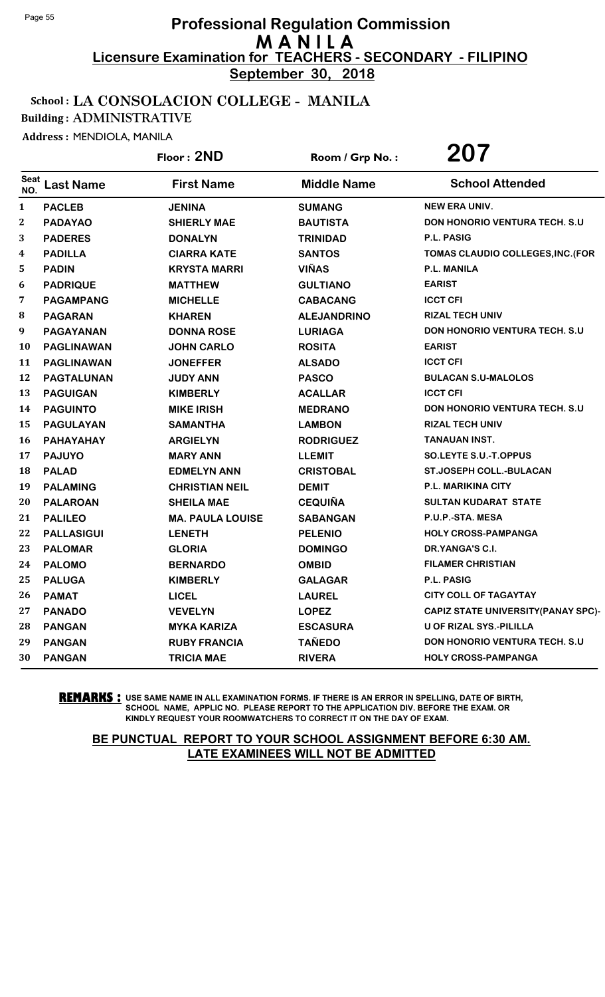**September 30, 2018**

## School : LA CONSOLACION COLLEGE - MANILA

Building : ADMINISTRATIVE

Address : MENDIOLA, MANILA

|                    |                   | Floor: 2ND              | Room / Grp No.:    | 207                                        |
|--------------------|-------------------|-------------------------|--------------------|--------------------------------------------|
| <b>Seat</b><br>NO. | <b>Last Name</b>  | <b>First Name</b>       | <b>Middle Name</b> | <b>School Attended</b>                     |
| $\mathbf{1}$       | <b>PACLEB</b>     | <b>JENINA</b>           | <b>SUMANG</b>      | <b>NEW ERA UNIV.</b>                       |
| $\boldsymbol{2}$   | <b>PADAYAO</b>    | <b>SHIERLY MAE</b>      | <b>BAUTISTA</b>    | <b>DON HONORIO VENTURA TECH. S.U</b>       |
| 3                  | <b>PADERES</b>    | <b>DONALYN</b>          | <b>TRINIDAD</b>    | P.L. PASIG                                 |
| 4                  | <b>PADILLA</b>    | <b>CIARRA KATE</b>      | <b>SANTOS</b>      | TOMAS CLAUDIO COLLEGES, INC. (FOR          |
| 5                  | <b>PADIN</b>      | <b>KRYSTA MARRI</b>     | <b>VIÑAS</b>       | <b>P.L. MANILA</b>                         |
| 6                  | <b>PADRIQUE</b>   | <b>MATTHEW</b>          | <b>GULTIANO</b>    | <b>EARIST</b>                              |
| 7                  | <b>PAGAMPANG</b>  | <b>MICHELLE</b>         | <b>CABACANG</b>    | <b>ICCT CFI</b>                            |
| 8                  | <b>PAGARAN</b>    | <b>KHAREN</b>           | <b>ALEJANDRINO</b> | <b>RIZAL TECH UNIV</b>                     |
| 9                  | <b>PAGAYANAN</b>  | <b>DONNA ROSE</b>       | <b>LURIAGA</b>     | DON HONORIO VENTURA TECH. S.U              |
| 10                 | <b>PAGLINAWAN</b> | <b>JOHN CARLO</b>       | <b>ROSITA</b>      | <b>EARIST</b>                              |
| 11                 | <b>PAGLINAWAN</b> | <b>JONEFFER</b>         | <b>ALSADO</b>      | <b>ICCT CFI</b>                            |
| 12                 | <b>PAGTALUNAN</b> | <b>JUDY ANN</b>         | <b>PASCO</b>       | <b>BULACAN S.U-MALOLOS</b>                 |
| 13                 | <b>PAGUIGAN</b>   | <b>KIMBERLY</b>         | <b>ACALLAR</b>     | <b>ICCT CFI</b>                            |
| 14                 | <b>PAGUINTO</b>   | <b>MIKE IRISH</b>       | <b>MEDRANO</b>     | <b>DON HONORIO VENTURA TECH. S.U.</b>      |
| 15                 | <b>PAGULAYAN</b>  | <b>SAMANTHA</b>         | <b>LAMBON</b>      | <b>RIZAL TECH UNIV</b>                     |
| <b>16</b>          | PAHAYAHAY         | <b>ARGIELYN</b>         | <b>RODRIGUEZ</b>   | <b>TANAUAN INST.</b>                       |
| 17                 | <b>PAJUYO</b>     | <b>MARY ANN</b>         | <b>LLEMIT</b>      | SO.LEYTE S.U.-T.OPPUS                      |
| 18                 | <b>PALAD</b>      | <b>EDMELYN ANN</b>      | <b>CRISTOBAL</b>   | <b>ST.JOSEPH COLL.-BULACAN</b>             |
| 19                 | <b>PALAMING</b>   | <b>CHRISTIAN NEIL</b>   | <b>DEMIT</b>       | <b>P.L. MARIKINA CITY</b>                  |
| 20                 | <b>PALAROAN</b>   | <b>SHEILA MAE</b>       | <b>CEQUIÑA</b>     | <b>SULTAN KUDARAT STATE</b>                |
| 21                 | <b>PALILEO</b>    | <b>MA. PAULA LOUISE</b> | <b>SABANGAN</b>    | P.U.P.-STA. MESA                           |
| 22                 | <b>PALLASIGUI</b> | <b>LENETH</b>           | <b>PELENIO</b>     | <b>HOLY CROSS-PAMPANGA</b>                 |
| 23                 | <b>PALOMAR</b>    | <b>GLORIA</b>           | <b>DOMINGO</b>     | DR.YANGA'S C.I.                            |
| 24                 | <b>PALOMO</b>     | <b>BERNARDO</b>         | <b>OMBID</b>       | <b>FILAMER CHRISTIAN</b>                   |
| 25                 | <b>PALUGA</b>     | <b>KIMBERLY</b>         | <b>GALAGAR</b>     | P.L. PASIG                                 |
| 26                 | <b>PAMAT</b>      | <b>LICEL</b>            | <b>LAUREL</b>      | <b>CITY COLL OF TAGAYTAY</b>               |
| 27                 | <b>PANADO</b>     | <b>VEVELYN</b>          | <b>LOPEZ</b>       | <b>CAPIZ STATE UNIVERSITY (PANAY SPC)-</b> |
| 28                 | <b>PANGAN</b>     | <b>MYKA KARIZA</b>      | <b>ESCASURA</b>    | U OF RIZAL SYS.-PILILLA                    |
| 29                 | <b>PANGAN</b>     | <b>RUBY FRANCIA</b>     | <b>TAÑEDO</b>      | <b>DON HONORIO VENTURA TECH. S.U.</b>      |
| 30                 | <b>PANGAN</b>     | <b>TRICIA MAE</b>       | <b>RIVERA</b>      | <b>HOLY CROSS-PAMPANGA</b>                 |

**REMARKS :** USE SAME NAME IN ALL EXAMINATION FORMS. IF THERE IS AN ERROR IN SPELLING, DATE OF BIRTH, SCHOOL NAME, APPLIC NO. PLEASE REPORT TO THE APPLICATION DIV. BEFORE THE EXAM. OR KINDLY REQUEST YOUR ROOMWATCHERS TO CORRECT IT ON THE DAY OF EXAM.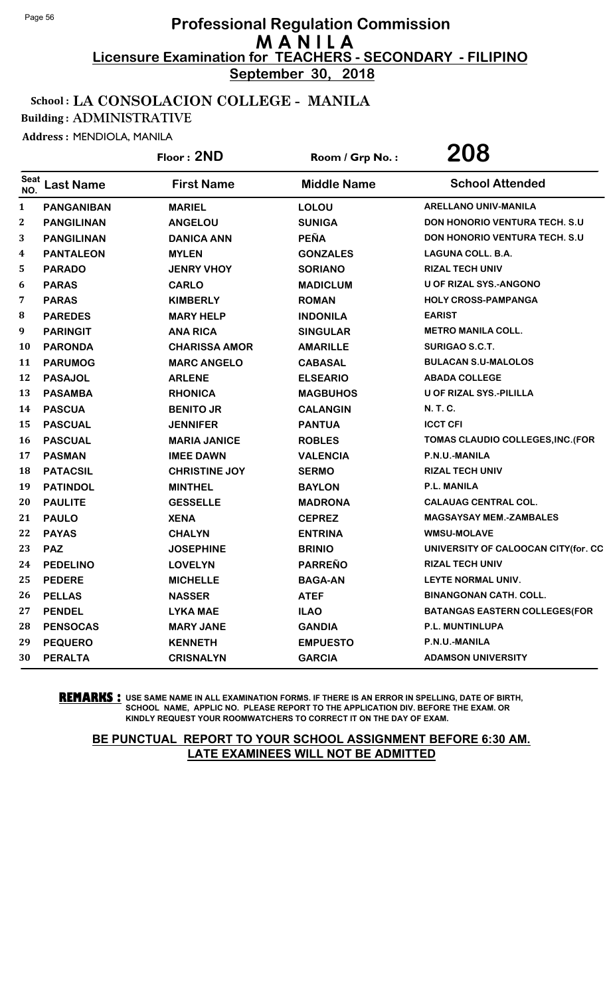**September 30, 2018**

#### School : LA CONSOLACION COLLEGE - MANILA

Building : ADMINISTRATIVE

Address : MENDIOLA, MANILA

|                    |                   | Floor: 2ND           | Room / Grp No.:    | 208                                   |
|--------------------|-------------------|----------------------|--------------------|---------------------------------------|
| <b>Seat</b><br>NO. | <b>Last Name</b>  | <b>First Name</b>    | <b>Middle Name</b> | <b>School Attended</b>                |
| $\mathbf{1}$       | <b>PANGANIBAN</b> | <b>MARIEL</b>        | <b>LOLOU</b>       | <b>ARELLANO UNIV-MANILA</b>           |
| 2                  | <b>PANGILINAN</b> | <b>ANGELOU</b>       | <b>SUNIGA</b>      | <b>DON HONORIO VENTURA TECH. S.U.</b> |
| 3                  | <b>PANGILINAN</b> | <b>DANICA ANN</b>    | <b>PEÑA</b>        | DON HONORIO VENTURA TECH. S.U         |
| 4                  | <b>PANTALEON</b>  | <b>MYLEN</b>         | <b>GONZALES</b>    | <b>LAGUNA COLL. B.A.</b>              |
| 5                  | <b>PARADO</b>     | <b>JENRY VHOY</b>    | <b>SORIANO</b>     | <b>RIZAL TECH UNIV</b>                |
| 6                  | <b>PARAS</b>      | <b>CARLO</b>         | <b>MADICLUM</b>    | U OF RIZAL SYS.-ANGONO                |
| 7                  | <b>PARAS</b>      | <b>KIMBERLY</b>      | <b>ROMAN</b>       | <b>HOLY CROSS-PAMPANGA</b>            |
| ${\bf 8}$          | <b>PAREDES</b>    | <b>MARY HELP</b>     | <b>INDONILA</b>    | <b>EARIST</b>                         |
| 9                  | <b>PARINGIT</b>   | <b>ANA RICA</b>      | <b>SINGULAR</b>    | <b>METRO MANILA COLL.</b>             |
| 10                 | <b>PARONDA</b>    | <b>CHARISSA AMOR</b> | <b>AMARILLE</b>    | <b>SURIGAO S.C.T.</b>                 |
| 11                 | <b>PARUMOG</b>    | <b>MARC ANGELO</b>   | <b>CABASAL</b>     | <b>BULACAN S.U-MALOLOS</b>            |
| 12                 | <b>PASAJOL</b>    | <b>ARLENE</b>        | <b>ELSEARIO</b>    | <b>ABADA COLLEGE</b>                  |
| 13                 | <b>PASAMBA</b>    | <b>RHONICA</b>       | <b>MAGBUHOS</b>    | U OF RIZAL SYS.-PILILLA               |
| 14                 | <b>PASCUA</b>     | <b>BENITO JR</b>     | <b>CALANGIN</b>    | N. T. C.                              |
| 15                 | <b>PASCUAL</b>    | <b>JENNIFER</b>      | <b>PANTUA</b>      | <b>ICCT CFI</b>                       |
| 16                 | <b>PASCUAL</b>    | <b>MARIA JANICE</b>  | <b>ROBLES</b>      | TOMAS CLAUDIO COLLEGES, INC. (FOR     |
| 17                 | <b>PASMAN</b>     | <b>IMEE DAWN</b>     | <b>VALENCIA</b>    | P.N.U.-MANILA                         |
| 18                 | <b>PATACSIL</b>   | <b>CHRISTINE JOY</b> | <b>SERMO</b>       | <b>RIZAL TECH UNIV</b>                |
| 19                 | <b>PATINDOL</b>   | <b>MINTHEL</b>       | <b>BAYLON</b>      | <b>P.L. MANILA</b>                    |
| 20                 | <b>PAULITE</b>    | <b>GESSELLE</b>      | <b>MADRONA</b>     | <b>CALAUAG CENTRAL COL.</b>           |
| 21                 | <b>PAULO</b>      | <b>XENA</b>          | <b>CEPREZ</b>      | <b>MAGSAYSAY MEM.-ZAMBALES</b>        |
| 22                 | <b>PAYAS</b>      | <b>CHALYN</b>        | <b>ENTRINA</b>     | <b>WMSU-MOLAVE</b>                    |
| 23                 | <b>PAZ</b>        | <b>JOSEPHINE</b>     | <b>BRINIO</b>      | UNIVERSITY OF CALOOCAN CITY(for. CC   |
| 24                 | <b>PEDELINO</b>   | <b>LOVELYN</b>       | <b>PARREÑO</b>     | <b>RIZAL TECH UNIV</b>                |
| 25                 | <b>PEDERE</b>     | <b>MICHELLE</b>      | <b>BAGA-AN</b>     | LEYTE NORMAL UNIV.                    |
| 26                 | <b>PELLAS</b>     | <b>NASSER</b>        | <b>ATEF</b>        | <b>BINANGONAN CATH. COLL.</b>         |
| 27                 | <b>PENDEL</b>     | <b>LYKA MAE</b>      | <b>ILAO</b>        | <b>BATANGAS EASTERN COLLEGES(FOR</b>  |
| 28                 | <b>PENSOCAS</b>   | <b>MARY JANE</b>     | <b>GANDIA</b>      | P.L. MUNTINLUPA                       |
| 29                 | <b>PEQUERO</b>    | <b>KENNETH</b>       | <b>EMPUESTO</b>    | P.N.U.-MANILA                         |
| 30                 | <b>PERALTA</b>    | <b>CRISNALYN</b>     | <b>GARCIA</b>      | <b>ADAMSON UNIVERSITY</b>             |

**REMARKS :** USE SAME NAME IN ALL EXAMINATION FORMS. IF THERE IS AN ERROR IN SPELLING, DATE OF BIRTH, SCHOOL NAME, APPLIC NO. PLEASE REPORT TO THE APPLICATION DIV. BEFORE THE EXAM. OR KINDLY REQUEST YOUR ROOMWATCHERS TO CORRECT IT ON THE DAY OF EXAM.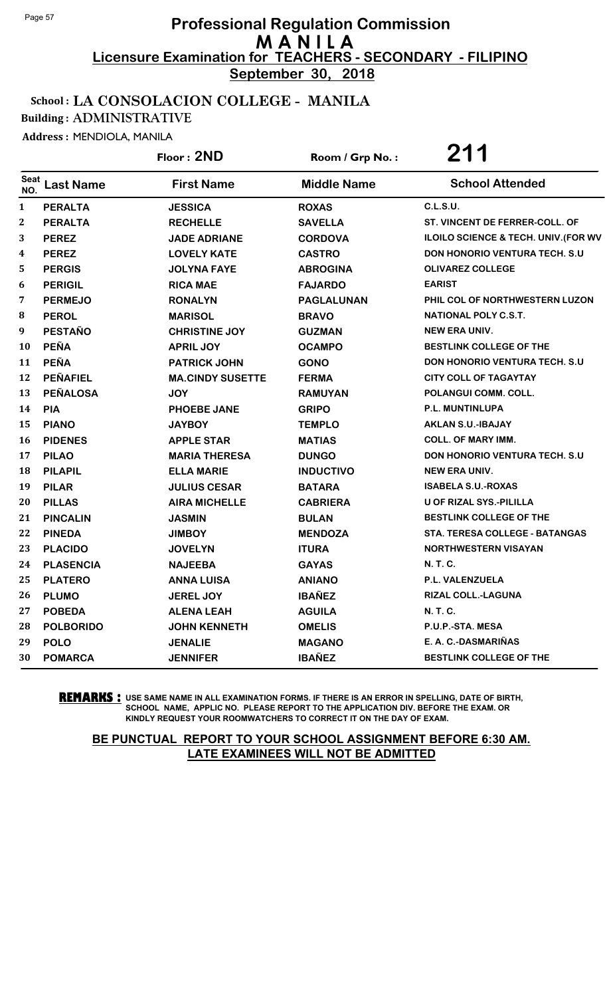**September 30, 2018**

#### School : LA CONSOLACION COLLEGE - MANILA

Building : ADMINISTRATIVE

Address : MENDIOLA, MANILA

|              |                  | Floor: 2ND              | Room / Grp No.:    | 211                                   |
|--------------|------------------|-------------------------|--------------------|---------------------------------------|
| Seat<br>NO.  | <b>Last Name</b> | <b>First Name</b>       | <b>Middle Name</b> | <b>School Attended</b>                |
| $\mathbf{1}$ | <b>PERALTA</b>   | <b>JESSICA</b>          | <b>ROXAS</b>       | <b>C.L.S.U.</b>                       |
| 2            | <b>PERALTA</b>   | <b>RECHELLE</b>         | <b>SAVELLA</b>     | ST. VINCENT DE FERRER-COLL. OF        |
| 3            | <b>PEREZ</b>     | <b>JADE ADRIANE</b>     | <b>CORDOVA</b>     | ILOILO SCIENCE & TECH. UNIV.(FOR WV   |
| 4            | <b>PEREZ</b>     | <b>LOVELY KATE</b>      | <b>CASTRO</b>      | <b>DON HONORIO VENTURA TECH. S.U.</b> |
| 5            | <b>PERGIS</b>    | <b>JOLYNA FAYE</b>      | <b>ABROGINA</b>    | <b>OLIVAREZ COLLEGE</b>               |
| 6            | <b>PERIGIL</b>   | <b>RICA MAE</b>         | <b>FAJARDO</b>     | <b>EARIST</b>                         |
| 7            | <b>PERMEJO</b>   | <b>RONALYN</b>          | PAGLALUNAN         | PHIL COL OF NORTHWESTERN LUZON        |
| 8            | <b>PEROL</b>     | <b>MARISOL</b>          | <b>BRAVO</b>       | <b>NATIONAL POLY C.S.T.</b>           |
| 9            | <b>PESTAÑO</b>   | <b>CHRISTINE JOY</b>    | <b>GUZMAN</b>      | NEW ERA UNIV.                         |
| 10           | <b>PEÑA</b>      | <b>APRIL JOY</b>        | <b>OCAMPO</b>      | BESTLINK COLLEGE OF THE               |
| 11           | <b>PEÑA</b>      | <b>PATRICK JOHN</b>     | <b>GONO</b>        | DON HONORIO VENTURA TECH. S.U         |
| 12           | <b>PEÑAFIEL</b>  | <b>MA.CINDY SUSETTE</b> | <b>FERMA</b>       | <b>CITY COLL OF TAGAYTAY</b>          |
| 13           | <b>PEÑALOSA</b>  | <b>JOY</b>              | <b>RAMUYAN</b>     | POLANGUI COMM. COLL.                  |
| 14           | <b>PIA</b>       | <b>PHOEBE JANE</b>      | <b>GRIPO</b>       | P.L. MUNTINLUPA                       |
| 15           | <b>PIANO</b>     | <b>JAYBOY</b>           | <b>TEMPLO</b>      | <b>AKLAN S.U.-IBAJAY</b>              |
| <b>16</b>    | <b>PIDENES</b>   | <b>APPLE STAR</b>       | <b>MATIAS</b>      | <b>COLL. OF MARY IMM.</b>             |
| 17           | <b>PILAO</b>     | <b>MARIA THERESA</b>    | <b>DUNGO</b>       | DON HONORIO VENTURA TECH. S.U         |
| 18           | <b>PILAPIL</b>   | <b>ELLA MARIE</b>       | <b>INDUCTIVO</b>   | <b>NEW ERA UNIV.</b>                  |
| 19           | <b>PILAR</b>     | <b>JULIUS CESAR</b>     | <b>BATARA</b>      | <b>ISABELA S.U.-ROXAS</b>             |
| 20           | <b>PILLAS</b>    | <b>AIRA MICHELLE</b>    | <b>CABRIERA</b>    | U OF RIZAL SYS.-PILILLA               |
| 21           | <b>PINCALIN</b>  | <b>JASMIN</b>           | <b>BULAN</b>       | <b>BESTLINK COLLEGE OF THE</b>        |
| 22           | <b>PINEDA</b>    | <b>JIMBOY</b>           | <b>MENDOZA</b>     | <b>STA. TERESA COLLEGE - BATANGAS</b> |
| 23           | <b>PLACIDO</b>   | <b>JOVELYN</b>          | <b>ITURA</b>       | <b>NORTHWESTERN VISAYAN</b>           |
| 24           | <b>PLASENCIA</b> | <b>NAJEEBA</b>          | <b>GAYAS</b>       | N. T. C.                              |
| 25           | <b>PLATERO</b>   | <b>ANNA LUISA</b>       | <b>ANIANO</b>      | P.L. VALENZUELA                       |
| 26           | <b>PLUMO</b>     | <b>JEREL JOY</b>        | <b>IBAÑEZ</b>      | RIZAL COLL.-LAGUNA                    |
| 27           | <b>POBEDA</b>    | <b>ALENA LEAH</b>       | <b>AGUILA</b>      | N. T. C.                              |
| 28           | <b>POLBORIDO</b> | <b>JOHN KENNETH</b>     | <b>OMELIS</b>      | P.U.P.-STA. MESA                      |
| 29           | <b>POLO</b>      | <b>JENALIE</b>          | <b>MAGANO</b>      | E. A. C.-DASMARIÑAS                   |
| 30           | <b>POMARCA</b>   | <b>JENNIFER</b>         | <b>IBAÑEZ</b>      | BESTLINK COLLEGE OF THE               |

**REMARKS :** USE SAME NAME IN ALL EXAMINATION FORMS. IF THERE IS AN ERROR IN SPELLING, DATE OF BIRTH, SCHOOL NAME, APPLIC NO. PLEASE REPORT TO THE APPLICATION DIV. BEFORE THE EXAM. OR KINDLY REQUEST YOUR ROOMWATCHERS TO CORRECT IT ON THE DAY OF EXAM.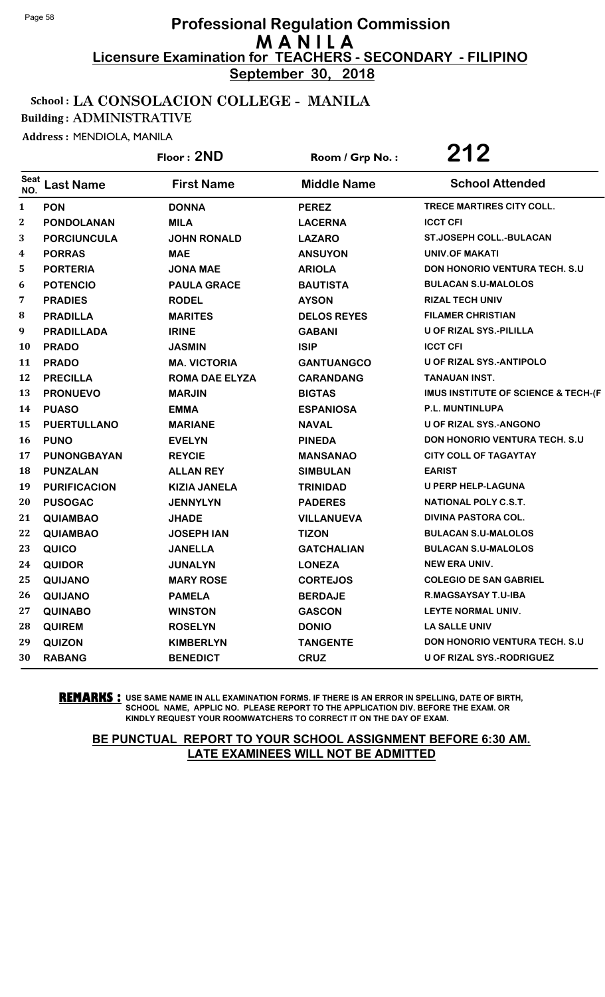**September 30, 2018**

#### School : LA CONSOLACION COLLEGE - MANILA

Building : ADMINISTRATIVE

Address : MENDIOLA, MANILA

|                    |                     | Floor: 2ND            | Room / Grp No.:    | 212                                   |
|--------------------|---------------------|-----------------------|--------------------|---------------------------------------|
| <b>Seat</b><br>NO. | <b>Last Name</b>    | <b>First Name</b>     | <b>Middle Name</b> | <b>School Attended</b>                |
| $\mathbf{1}$       | <b>PON</b>          | <b>DONNA</b>          | <b>PEREZ</b>       | TRECE MARTIRES CITY COLL.             |
| $\mathbf{2}$       | <b>PONDOLANAN</b>   | <b>MILA</b>           | <b>LACERNA</b>     | <b>ICCT CFI</b>                       |
| 3                  | <b>PORCIUNCULA</b>  | <b>JOHN RONALD</b>    | <b>LAZARO</b>      | <b>ST.JOSEPH COLL.-BULACAN</b>        |
| $\boldsymbol{4}$   | <b>PORRAS</b>       | <b>MAE</b>            | <b>ANSUYON</b>     | <b>UNIV.OF MAKATI</b>                 |
| 5                  | <b>PORTERIA</b>     | <b>JONA MAE</b>       | <b>ARIOLA</b>      | <b>DON HONORIO VENTURA TECH. S.U</b>  |
| 6                  | <b>POTENCIO</b>     | <b>PAULA GRACE</b>    | <b>BAUTISTA</b>    | <b>BULACAN S.U-MALOLOS</b>            |
| 7                  | <b>PRADIES</b>      | <b>RODEL</b>          | <b>AYSON</b>       | <b>RIZAL TECH UNIV</b>                |
| 8                  | <b>PRADILLA</b>     | <b>MARITES</b>        | <b>DELOS REYES</b> | <b>FILAMER CHRISTIAN</b>              |
| 9                  | <b>PRADILLADA</b>   | <b>IRINE</b>          | <b>GABANI</b>      | U OF RIZAL SYS.-PILILLA               |
| <b>10</b>          | <b>PRADO</b>        | <b>JASMIN</b>         | <b>ISIP</b>        | <b>ICCT CFI</b>                       |
| 11                 | <b>PRADO</b>        | <b>MA. VICTORIA</b>   | <b>GANTUANGCO</b>  | <b>U OF RIZAL SYS.-ANTIPOLO</b>       |
| 12                 | <b>PRECILLA</b>     | <b>ROMA DAE ELYZA</b> | <b>CARANDANG</b>   | TANAUAN INST.                         |
| 13                 | <b>PRONUEVO</b>     | <b>MARJIN</b>         | <b>BIGTAS</b>      | IMUS INSTITUTE OF SCIENCE & TECH-(F   |
| 14                 | <b>PUASO</b>        | <b>EMMA</b>           | <b>ESPANIOSA</b>   | P.L. MUNTINLUPA                       |
| 15                 | <b>PUERTULLANO</b>  | <b>MARIANE</b>        | <b>NAVAL</b>       | <b>U OF RIZAL SYS.-ANGONO</b>         |
| 16                 | <b>PUNO</b>         | <b>EVELYN</b>         | <b>PINEDA</b>      | <b>DON HONORIO VENTURA TECH. S.U.</b> |
| 17                 | <b>PUNONGBAYAN</b>  | <b>REYCIE</b>         | <b>MANSANAO</b>    | <b>CITY COLL OF TAGAYTAY</b>          |
| 18                 | <b>PUNZALAN</b>     | <b>ALLAN REY</b>      | <b>SIMBULAN</b>    | <b>EARIST</b>                         |
| 19                 | <b>PURIFICACION</b> | <b>KIZIA JANELA</b>   | <b>TRINIDAD</b>    | <b>U PERP HELP-LAGUNA</b>             |
| 20                 | <b>PUSOGAC</b>      | <b>JENNYLYN</b>       | <b>PADERES</b>     | NATIONAL POLY C.S.T.                  |
| 21                 | <b>QUIAMBAO</b>     | <b>JHADE</b>          | <b>VILLANUEVA</b>  | DIVINA PASTORA COL.                   |
| 22                 | <b>QUIAMBAO</b>     | <b>JOSEPH IAN</b>     | <b>TIZON</b>       | <b>BULACAN S.U-MALOLOS</b>            |
| 23                 | QUICO               | <b>JANELLA</b>        | <b>GATCHALIAN</b>  | <b>BULACAN S.U-MALOLOS</b>            |
| 24                 | <b>QUIDOR</b>       | <b>JUNALYN</b>        | <b>LONEZA</b>      | <b>NEW ERA UNIV.</b>                  |
| 25                 | <b>QUIJANO</b>      | <b>MARY ROSE</b>      | <b>CORTEJOS</b>    | <b>COLEGIO DE SAN GABRIEL</b>         |
| 26                 | QUIJANO             | <b>PAMELA</b>         | <b>BERDAJE</b>     | R.MAGSAYSAY T.U-IBA                   |
| 27                 | <b>QUINABO</b>      | <b>WINSTON</b>        | <b>GASCON</b>      | LEYTE NORMAL UNIV.                    |
| 28                 | <b>QUIREM</b>       | <b>ROSELYN</b>        | <b>DONIO</b>       | <b>LA SALLE UNIV</b>                  |
| 29                 | <b>QUIZON</b>       | <b>KIMBERLYN</b>      | <b>TANGENTE</b>    | <b>DON HONORIO VENTURA TECH. S.U.</b> |
| 30                 | <b>RABANG</b>       | <b>BENEDICT</b>       | <b>CRUZ</b>        | U OF RIZAL SYS.-RODRIGUEZ             |

**REMARKS :** USE SAME NAME IN ALL EXAMINATION FORMS. IF THERE IS AN ERROR IN SPELLING, DATE OF BIRTH, SCHOOL NAME, APPLIC NO. PLEASE REPORT TO THE APPLICATION DIV. BEFORE THE EXAM. OR KINDLY REQUEST YOUR ROOMWATCHERS TO CORRECT IT ON THE DAY OF EXAM.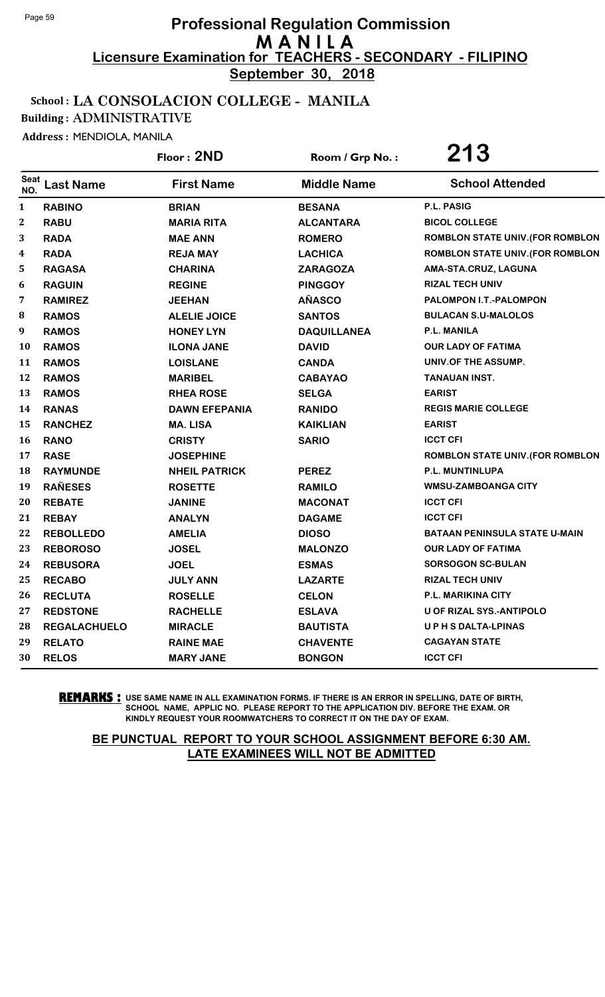**September 30, 2018**

## School : LA CONSOLACION COLLEGE - MANILA

Building : ADMINISTRATIVE

Address : MENDIOLA, MANILA

|                    |                     | Floor: 2ND           | Room / Grp No.:    | 213                                  |
|--------------------|---------------------|----------------------|--------------------|--------------------------------------|
| <b>Seat</b><br>NO. | <b>Last Name</b>    | <b>First Name</b>    | <b>Middle Name</b> | <b>School Attended</b>               |
| $\mathbf{1}$       | <b>RABINO</b>       | <b>BRIAN</b>         | <b>BESANA</b>      | P.L. PASIG                           |
| $\boldsymbol{2}$   | <b>RABU</b>         | <b>MARIA RITA</b>    | <b>ALCANTARA</b>   | <b>BICOL COLLEGE</b>                 |
| 3                  | <b>RADA</b>         | <b>MAE ANN</b>       | <b>ROMERO</b>      | ROMBLON STATE UNIV. (FOR ROMBLON     |
| 4                  | <b>RADA</b>         | <b>REJA MAY</b>      | <b>LACHICA</b>     | ROMBLON STATE UNIV. (FOR ROMBLON     |
| 5                  | <b>RAGASA</b>       | <b>CHARINA</b>       | <b>ZARAGOZA</b>    | AMA-STA.CRUZ, LAGUNA                 |
| 6                  | <b>RAGUIN</b>       | <b>REGINE</b>        | <b>PINGGOY</b>     | <b>RIZAL TECH UNIV</b>               |
| 7                  | <b>RAMIREZ</b>      | <b>JEEHAN</b>        | <b>AÑASCO</b>      | PALOMPON I.T.-PALOMPON               |
| 8                  | <b>RAMOS</b>        | <b>ALELIE JOICE</b>  | <b>SANTOS</b>      | <b>BULACAN S.U-MALOLOS</b>           |
| 9                  | <b>RAMOS</b>        | <b>HONEY LYN</b>     | <b>DAQUILLANEA</b> | P.L. MANILA                          |
| 10                 | <b>RAMOS</b>        | <b>ILONA JANE</b>    | <b>DAVID</b>       | <b>OUR LADY OF FATIMA</b>            |
| 11                 | <b>RAMOS</b>        | <b>LOISLANE</b>      | <b>CANDA</b>       | UNIV.OF THE ASSUMP.                  |
| 12                 | <b>RAMOS</b>        | <b>MARIBEL</b>       | <b>CABAYAO</b>     | <b>TANAUAN INST.</b>                 |
| 13                 | <b>RAMOS</b>        | <b>RHEA ROSE</b>     | <b>SELGA</b>       | <b>EARIST</b>                        |
| 14                 | <b>RANAS</b>        | <b>DAWN EFEPANIA</b> | <b>RANIDO</b>      | <b>REGIS MARIE COLLEGE</b>           |
| 15                 | <b>RANCHEZ</b>      | <b>MA. LISA</b>      | <b>KAIKLIAN</b>    | <b>EARIST</b>                        |
| <b>16</b>          | <b>RANO</b>         | <b>CRISTY</b>        | <b>SARIO</b>       | <b>ICCT CFI</b>                      |
| 17                 | <b>RASE</b>         | <b>JOSEPHINE</b>     |                    | ROMBLON STATE UNIV. (FOR ROMBLON     |
| 18                 | <b>RAYMUNDE</b>     | <b>NHEIL PATRICK</b> | <b>PEREZ</b>       | P.L. MUNTINLUPA                      |
| 19                 | <b>RAÑESES</b>      | <b>ROSETTE</b>       | <b>RAMILO</b>      | <b>WMSU-ZAMBOANGA CITY</b>           |
| 20                 | <b>REBATE</b>       | <b>JANINE</b>        | <b>MACONAT</b>     | <b>ICCT CFI</b>                      |
| 21                 | <b>REBAY</b>        | <b>ANALYN</b>        | <b>DAGAME</b>      | <b>ICCT CFI</b>                      |
| 22                 | <b>REBOLLEDO</b>    | <b>AMELIA</b>        | <b>DIOSO</b>       | <b>BATAAN PENINSULA STATE U-MAIN</b> |
| 23                 | <b>REBOROSO</b>     | <b>JOSEL</b>         | <b>MALONZO</b>     | <b>OUR LADY OF FATIMA</b>            |
| 24                 | <b>REBUSORA</b>     | <b>JOEL</b>          | <b>ESMAS</b>       | <b>SORSOGON SC-BULAN</b>             |
| 25                 | <b>RECABO</b>       | <b>JULY ANN</b>      | <b>LAZARTE</b>     | <b>RIZAL TECH UNIV</b>               |
| 26                 | <b>RECLUTA</b>      | <b>ROSELLE</b>       | <b>CELON</b>       | P.L. MARIKINA CITY                   |
| 27                 | <b>REDSTONE</b>     | <b>RACHELLE</b>      | <b>ESLAVA</b>      | <b>U OF RIZAL SYS.-ANTIPOLO</b>      |
| 28                 | <b>REGALACHUELO</b> | <b>MIRACLE</b>       | <b>BAUTISTA</b>    | UPHSDALTA-LPINAS                     |
| 29                 | <b>RELATO</b>       | <b>RAINE MAE</b>     | <b>CHAVENTE</b>    | <b>CAGAYAN STATE</b>                 |
| 30                 | <b>RELOS</b>        | <b>MARY JANE</b>     | <b>BONGON</b>      | <b>ICCT CFI</b>                      |

**REMARKS :** USE SAME NAME IN ALL EXAMINATION FORMS. IF THERE IS AN ERROR IN SPELLING, DATE OF BIRTH, SCHOOL NAME, APPLIC NO. PLEASE REPORT TO THE APPLICATION DIV. BEFORE THE EXAM. OR KINDLY REQUEST YOUR ROOMWATCHERS TO CORRECT IT ON THE DAY OF EXAM.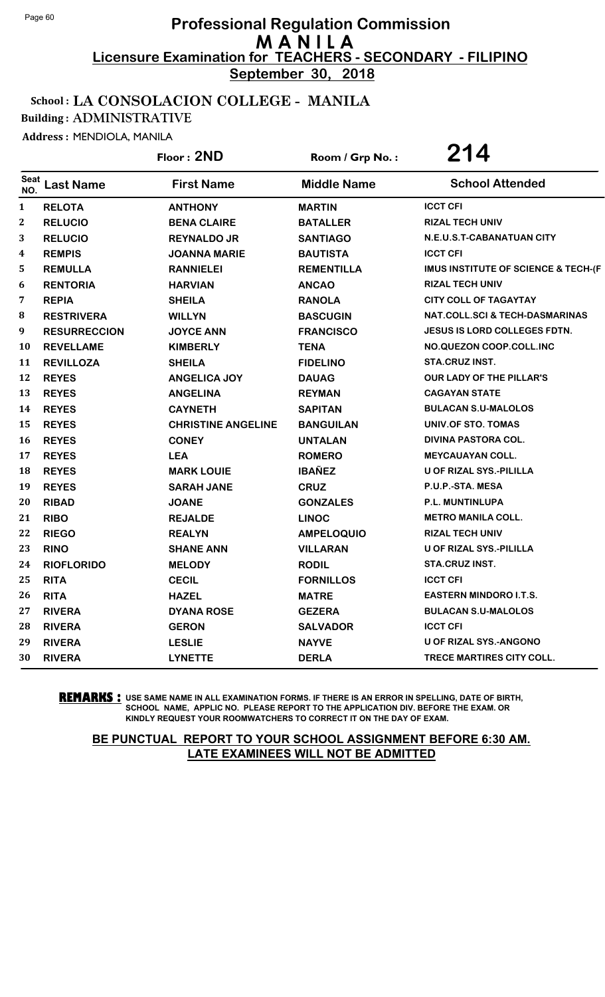**September 30, 2018**

## School : LA CONSOLACION COLLEGE - MANILA

Building : ADMINISTRATIVE

Address : MENDIOLA, MANILA

|                    |                     | Floor: 2ND                | Room / Grp No.:    | 214                                            |
|--------------------|---------------------|---------------------------|--------------------|------------------------------------------------|
| <b>Seat</b><br>NO. | <b>Last Name</b>    | <b>First Name</b>         | <b>Middle Name</b> | <b>School Attended</b>                         |
| 1                  | <b>RELOTA</b>       | <b>ANTHONY</b>            | <b>MARTIN</b>      | <b>ICCT CFI</b>                                |
| $\boldsymbol{2}$   | <b>RELUCIO</b>      | <b>BENA CLAIRE</b>        | <b>BATALLER</b>    | <b>RIZAL TECH UNIV</b>                         |
| 3                  | <b>RELUCIO</b>      | <b>REYNALDO JR</b>        | <b>SANTIAGO</b>    | N.E.U.S.T-CABANATUAN CITY                      |
| 4                  | <b>REMPIS</b>       | <b>JOANNA MARIE</b>       | <b>BAUTISTA</b>    | <b>ICCT CFI</b>                                |
| 5                  | <b>REMULLA</b>      | <b>RANNIELEI</b>          | <b>REMENTILLA</b>  | <b>IMUS INSTITUTE OF SCIENCE &amp; TECH-(F</b> |
| 6                  | <b>RENTORIA</b>     | <b>HARVIAN</b>            | <b>ANCAO</b>       | <b>RIZAL TECH UNIV</b>                         |
| 7                  | <b>REPIA</b>        | <b>SHEILA</b>             | <b>RANOLA</b>      | <b>CITY COLL OF TAGAYTAY</b>                   |
| 8                  | <b>RESTRIVERA</b>   | <b>WILLYN</b>             | <b>BASCUGIN</b>    | <b>NAT.COLL.SCI &amp; TECH-DASMARINAS</b>      |
| 9                  | <b>RESURRECCION</b> | <b>JOYCE ANN</b>          | <b>FRANCISCO</b>   | <b>JESUS IS LORD COLLEGES FDTN.</b>            |
| 10                 | <b>REVELLAME</b>    | <b>KIMBERLY</b>           | <b>TENA</b>        | NO.QUEZON COOP.COLL.INC                        |
| 11                 | <b>REVILLOZA</b>    | <b>SHEILA</b>             | <b>FIDELINO</b>    | <b>STA.CRUZ INST.</b>                          |
| 12                 | <b>REYES</b>        | <b>ANGELICA JOY</b>       | <b>DAUAG</b>       | <b>OUR LADY OF THE PILLAR'S</b>                |
| 13                 | <b>REYES</b>        | <b>ANGELINA</b>           | <b>REYMAN</b>      | <b>CAGAYAN STATE</b>                           |
| 14                 | <b>REYES</b>        | <b>CAYNETH</b>            | <b>SAPITAN</b>     | <b>BULACAN S.U-MALOLOS</b>                     |
| 15                 | <b>REYES</b>        | <b>CHRISTINE ANGELINE</b> | <b>BANGUILAN</b>   | UNIV.OF STO. TOMAS                             |
| 16                 | <b>REYES</b>        | <b>CONEY</b>              | <b>UNTALAN</b>     | <b>DIVINA PASTORA COL.</b>                     |
| 17                 | <b>REYES</b>        | <b>LEA</b>                | <b>ROMERO</b>      | <b>MEYCAUAYAN COLL.</b>                        |
| 18                 | <b>REYES</b>        | <b>MARK LOUIE</b>         | <b>IBAÑEZ</b>      | U OF RIZAL SYS.-PILILLA                        |
| 19                 | <b>REYES</b>        | <b>SARAH JANE</b>         | <b>CRUZ</b>        | P.U.P.-STA. MESA                               |
| 20                 | <b>RIBAD</b>        | <b>JOANE</b>              | <b>GONZALES</b>    | P.L. MUNTINLUPA                                |
| 21                 | <b>RIBO</b>         | <b>REJALDE</b>            | <b>LINOC</b>       | <b>METRO MANILA COLL.</b>                      |
| 22                 | <b>RIEGO</b>        | <b>REALYN</b>             | <b>AMPELOQUIO</b>  | <b>RIZAL TECH UNIV</b>                         |
| 23                 | <b>RINO</b>         | <b>SHANE ANN</b>          | <b>VILLARAN</b>    | U OF RIZAL SYS.-PILILLA                        |
| 24                 | <b>RIOFLORIDO</b>   | <b>MELODY</b>             | <b>RODIL</b>       | STA.CRUZ INST.                                 |
| 25                 | <b>RITA</b>         | <b>CECIL</b>              | <b>FORNILLOS</b>   | <b>ICCT CFI</b>                                |
| 26                 | <b>RITA</b>         | <b>HAZEL</b>              | <b>MATRE</b>       | <b>EASTERN MINDORO I.T.S.</b>                  |
| 27                 | <b>RIVERA</b>       | <b>DYANA ROSE</b>         | <b>GEZERA</b>      | <b>BULACAN S.U-MALOLOS</b>                     |
| 28                 | <b>RIVERA</b>       | <b>GERON</b>              | <b>SALVADOR</b>    | <b>ICCT CFI</b>                                |
| 29                 | <b>RIVERA</b>       | <b>LESLIE</b>             | <b>NAYVE</b>       | <b>U OF RIZAL SYS.-ANGONO</b>                  |
| 30                 | <b>RIVERA</b>       | <b>LYNETTE</b>            | <b>DERLA</b>       | TRECE MARTIRES CITY COLL.                      |

**REMARKS :** USE SAME NAME IN ALL EXAMINATION FORMS. IF THERE IS AN ERROR IN SPELLING, DATE OF BIRTH, SCHOOL NAME, APPLIC NO. PLEASE REPORT TO THE APPLICATION DIV. BEFORE THE EXAM. OR KINDLY REQUEST YOUR ROOMWATCHERS TO CORRECT IT ON THE DAY OF EXAM.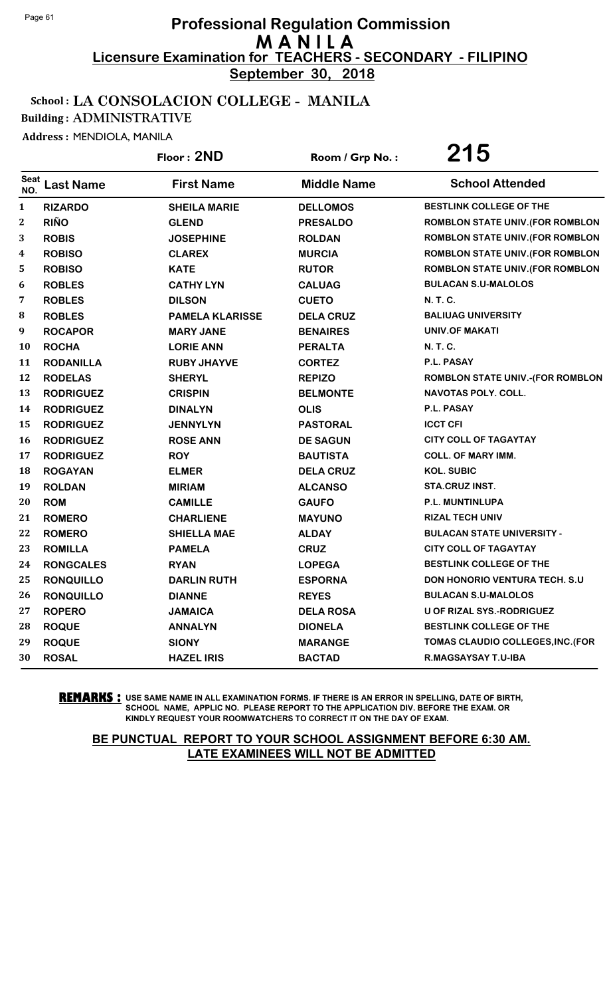**September 30, 2018**

#### School : LA CONSOLACION COLLEGE - MANILA

Building : ADMINISTRATIVE

Address : MENDIOLA, MANILA

|                    |                  | Floor: 2ND             | Room / Grp No.:    | 215                                     |
|--------------------|------------------|------------------------|--------------------|-----------------------------------------|
| <b>Seat</b><br>NO. | <b>Last Name</b> | <b>First Name</b>      | <b>Middle Name</b> | <b>School Attended</b>                  |
| $\mathbf{1}$       | <b>RIZARDO</b>   | <b>SHEILA MARIE</b>    | <b>DELLOMOS</b>    | BESTLINK COLLEGE OF THE                 |
| $\boldsymbol{2}$   | <b>RIÑO</b>      | <b>GLEND</b>           | <b>PRESALDO</b>    | <b>ROMBLON STATE UNIV. (FOR ROMBLON</b> |
| 3                  | <b>ROBIS</b>     | <b>JOSEPHINE</b>       | <b>ROLDAN</b>      | <b>ROMBLON STATE UNIV. (FOR ROMBLON</b> |
| 4                  | <b>ROBISO</b>    | <b>CLAREX</b>          | <b>MURCIA</b>      | ROMBLON STATE UNIV. (FOR ROMBLON        |
| 5                  | <b>ROBISO</b>    | <b>KATE</b>            | <b>RUTOR</b>       | <b>ROMBLON STATE UNIV. (FOR ROMBLON</b> |
| 6                  | <b>ROBLES</b>    | <b>CATHY LYN</b>       | <b>CALUAG</b>      | <b>BULACAN S.U-MALOLOS</b>              |
| 7                  | <b>ROBLES</b>    | <b>DILSON</b>          | <b>CUETO</b>       | N. T. C.                                |
| 8                  | <b>ROBLES</b>    | <b>PAMELA KLARISSE</b> | <b>DELA CRUZ</b>   | <b>BALIUAG UNIVERSITY</b>               |
| 9                  | <b>ROCAPOR</b>   | <b>MARY JANE</b>       | <b>BENAIRES</b>    | UNIV.OF MAKATI                          |
| <b>10</b>          | <b>ROCHA</b>     | <b>LORIE ANN</b>       | <b>PERALTA</b>     | <b>N. T. C.</b>                         |
| 11                 | <b>RODANILLA</b> | <b>RUBY JHAYVE</b>     | <b>CORTEZ</b>      | P.L. PASAY                              |
| 12                 | <b>RODELAS</b>   | <b>SHERYL</b>          | <b>REPIZO</b>      | ROMBLON STATE UNIV.-(FOR ROMBLON        |
| 13                 | <b>RODRIGUEZ</b> | <b>CRISPIN</b>         | <b>BELMONTE</b>    | <b>NAVOTAS POLY. COLL.</b>              |
| 14                 | <b>RODRIGUEZ</b> | <b>DINALYN</b>         | <b>OLIS</b>        | P.L. PASAY                              |
| 15                 | <b>RODRIGUEZ</b> | <b>JENNYLYN</b>        | <b>PASTORAL</b>    | <b>ICCT CFI</b>                         |
| 16                 | <b>RODRIGUEZ</b> | <b>ROSE ANN</b>        | <b>DE SAGUN</b>    | <b>CITY COLL OF TAGAYTAY</b>            |
| 17                 | <b>RODRIGUEZ</b> | <b>ROY</b>             | <b>BAUTISTA</b>    | <b>COLL. OF MARY IMM.</b>               |
| 18                 | <b>ROGAYAN</b>   | <b>ELMER</b>           | <b>DELA CRUZ</b>   | <b>KOL. SUBIC</b>                       |
| 19                 | <b>ROLDAN</b>    | <b>MIRIAM</b>          | <b>ALCANSO</b>     | STA.CRUZ INST.                          |
| 20                 | <b>ROM</b>       | <b>CAMILLE</b>         | <b>GAUFO</b>       | P.L. MUNTINLUPA                         |
| 21                 | <b>ROMERO</b>    | <b>CHARLIENE</b>       | <b>MAYUNO</b>      | <b>RIZAL TECH UNIV</b>                  |
| 22                 | <b>ROMERO</b>    | <b>SHIELLA MAE</b>     | <b>ALDAY</b>       | <b>BULACAN STATE UNIVERSITY -</b>       |
| 23                 | <b>ROMILLA</b>   | <b>PAMELA</b>          | <b>CRUZ</b>        | <b>CITY COLL OF TAGAYTAY</b>            |
| 24                 | <b>RONGCALES</b> | <b>RYAN</b>            | <b>LOPEGA</b>      | <b>BESTLINK COLLEGE OF THE</b>          |
| 25                 | <b>RONQUILLO</b> | <b>DARLIN RUTH</b>     | <b>ESPORNA</b>     | <b>DON HONORIO VENTURA TECH. S.U.</b>   |
| 26                 | <b>RONQUILLO</b> | <b>DIANNE</b>          | <b>REYES</b>       | <b>BULACAN S.U-MALOLOS</b>              |
| 27                 | <b>ROPERO</b>    | <b>JAMAICA</b>         | <b>DELA ROSA</b>   | <b>U OF RIZAL SYS.-RODRIGUEZ</b>        |
| 28                 | <b>ROQUE</b>     | <b>ANNALYN</b>         | <b>DIONELA</b>     | BESTLINK COLLEGE OF THE                 |
| 29                 | <b>ROQUE</b>     | <b>SIONY</b>           | <b>MARANGE</b>     | TOMAS CLAUDIO COLLEGES, INC. (FOR       |
| 30                 | <b>ROSAL</b>     | <b>HAZEL IRIS</b>      | <b>BACTAD</b>      | R.MAGSAYSAY T.U-IBA                     |

**REMARKS :** USE SAME NAME IN ALL EXAMINATION FORMS. IF THERE IS AN ERROR IN SPELLING, DATE OF BIRTH, SCHOOL NAME, APPLIC NO. PLEASE REPORT TO THE APPLICATION DIV. BEFORE THE EXAM. OR KINDLY REQUEST YOUR ROOMWATCHERS TO CORRECT IT ON THE DAY OF EXAM.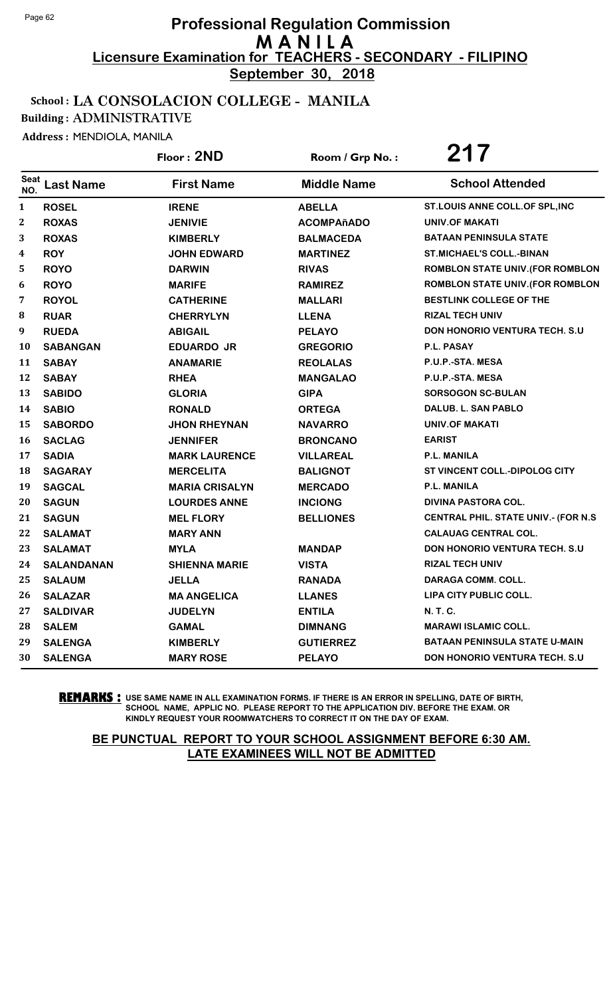**September 30, 2018**

#### School : LA CONSOLACION COLLEGE - MANILA

Building : ADMINISTRATIVE

Address : MENDIOLA, MANILA

|                  |                   | Floor: 2ND            | Room / Grp No.:    | 217                                         |
|------------------|-------------------|-----------------------|--------------------|---------------------------------------------|
| Seat<br>NO.      | <b>Last Name</b>  | <b>First Name</b>     | <b>Middle Name</b> | <b>School Attended</b>                      |
| $\mathbf{1}$     | <b>ROSEL</b>      | <b>IRENE</b>          | <b>ABELLA</b>      | ST.LOUIS ANNE COLL.OF SPL, INC              |
| $\boldsymbol{2}$ | <b>ROXAS</b>      | <b>JENIVIE</b>        | <b>ACOMPAñADO</b>  | <b>UNIV.OF MAKATI</b>                       |
| 3                | <b>ROXAS</b>      | <b>KIMBERLY</b>       | <b>BALMACEDA</b>   | <b>BATAAN PENINSULA STATE</b>               |
| 4                | <b>ROY</b>        | <b>JOHN EDWARD</b>    | <b>MARTINEZ</b>    | <b>ST.MICHAEL'S COLL.-BINAN</b>             |
| 5                | <b>ROYO</b>       | <b>DARWIN</b>         | <b>RIVAS</b>       | <b>ROMBLON STATE UNIV. (FOR ROMBLON</b>     |
| 6                | <b>ROYO</b>       | <b>MARIFE</b>         | <b>RAMIREZ</b>     | ROMBLON STATE UNIV. (FOR ROMBLON            |
| 7                | <b>ROYOL</b>      | <b>CATHERINE</b>      | <b>MALLARI</b>     | BESTLINK COLLEGE OF THE                     |
| 8                | <b>RUAR</b>       | <b>CHERRYLYN</b>      | <b>LLENA</b>       | <b>RIZAL TECH UNIV</b>                      |
| 9                | <b>RUEDA</b>      | <b>ABIGAIL</b>        | <b>PELAYO</b>      | DON HONORIO VENTURA TECH. S.U               |
| 10               | <b>SABANGAN</b>   | <b>EDUARDO JR</b>     | <b>GREGORIO</b>    | P.L. PASAY                                  |
| 11               | <b>SABAY</b>      | <b>ANAMARIE</b>       | <b>REOLALAS</b>    | P.U.P.-STA. MESA                            |
| 12               | <b>SABAY</b>      | <b>RHEA</b>           | <b>MANGALAO</b>    | P.U.P.-STA. MESA                            |
| 13               | <b>SABIDO</b>     | <b>GLORIA</b>         | <b>GIPA</b>        | <b>SORSOGON SC-BULAN</b>                    |
| 14               | <b>SABIO</b>      | <b>RONALD</b>         | <b>ORTEGA</b>      | DALUB. L. SAN PABLO                         |
| 15               | <b>SABORDO</b>    | <b>JHON RHEYNAN</b>   | <b>NAVARRO</b>     | UNIV.OF MAKATI                              |
| 16               | <b>SACLAG</b>     | <b>JENNIFER</b>       | <b>BRONCANO</b>    | <b>EARIST</b>                               |
| 17               | <b>SADIA</b>      | <b>MARK LAURENCE</b>  | <b>VILLAREAL</b>   | P.L. MANILA                                 |
| 18               | <b>SAGARAY</b>    | <b>MERCELITA</b>      | <b>BALIGNOT</b>    | ST VINCENT COLL.-DIPOLOG CITY               |
| 19               | <b>SAGCAL</b>     | <b>MARIA CRISALYN</b> | <b>MERCADO</b>     | P.L. MANILA                                 |
| 20               | <b>SAGUN</b>      | <b>LOURDES ANNE</b>   | <b>INCIONG</b>     | <b>DIVINA PASTORA COL.</b>                  |
| 21               | <b>SAGUN</b>      | <b>MEL FLORY</b>      | <b>BELLIONES</b>   | <b>CENTRAL PHIL. STATE UNIV.- (FOR N.S.</b> |
| 22               | <b>SALAMAT</b>    | <b>MARY ANN</b>       |                    | <b>CALAUAG CENTRAL COL.</b>                 |
| 23               | <b>SALAMAT</b>    | <b>MYLA</b>           | <b>MANDAP</b>      | <b>DON HONORIO VENTURA TECH. S.U</b>        |
| 24               | <b>SALANDANAN</b> | <b>SHIENNA MARIE</b>  | <b>VISTA</b>       | <b>RIZAL TECH UNIV</b>                      |
| 25               | <b>SALAUM</b>     | <b>JELLA</b>          | <b>RANADA</b>      | <b>DARAGA COMM. COLL.</b>                   |
| 26               | <b>SALAZAR</b>    | <b>MA ANGELICA</b>    | <b>LLANES</b>      | LIPA CITY PUBLIC COLL.                      |
| 27               | <b>SALDIVAR</b>   | <b>JUDELYN</b>        | <b>ENTILA</b>      | N. T. C.                                    |
| 28               | <b>SALEM</b>      | <b>GAMAL</b>          | <b>DIMNANG</b>     | <b>MARAWI ISLAMIC COLL.</b>                 |
| 29               | <b>SALENGA</b>    | <b>KIMBERLY</b>       | <b>GUTIERREZ</b>   | <b>BATAAN PENINSULA STATE U-MAIN</b>        |
| 30               | <b>SALENGA</b>    | <b>MARY ROSE</b>      | <b>PELAYO</b>      | <b>DON HONORIO VENTURA TECH. S.U</b>        |

**REMARKS :** USE SAME NAME IN ALL EXAMINATION FORMS. IF THERE IS AN ERROR IN SPELLING, DATE OF BIRTH, SCHOOL NAME, APPLIC NO. PLEASE REPORT TO THE APPLICATION DIV. BEFORE THE EXAM. OR KINDLY REQUEST YOUR ROOMWATCHERS TO CORRECT IT ON THE DAY OF EXAM.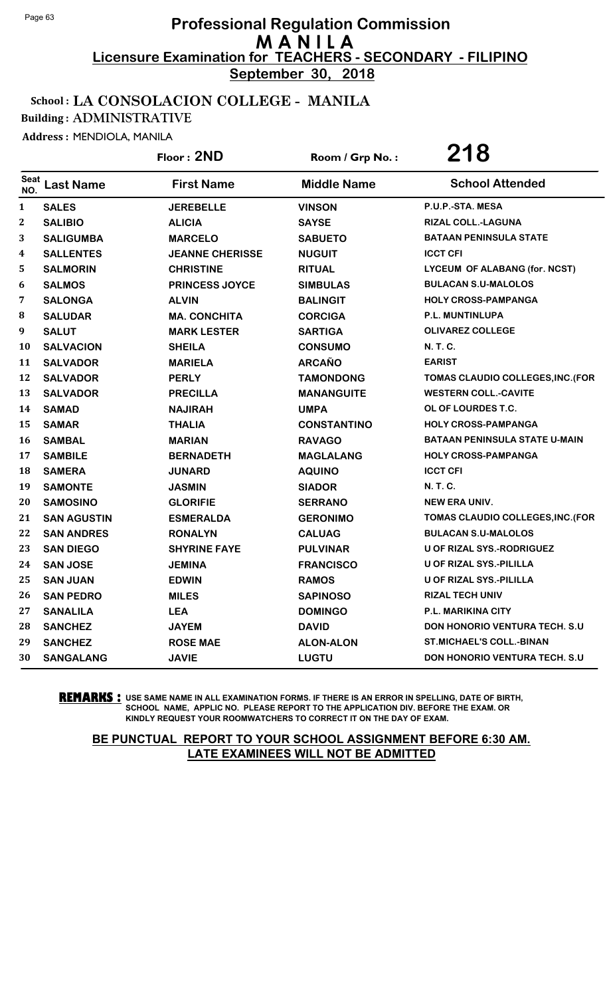**September 30, 2018**

#### School : LA CONSOLACION COLLEGE - MANILA

Building : ADMINISTRATIVE

Address : MENDIOLA, MANILA

|                    |                    | Floor: 2ND             | Room / Grp No.:    | 218                                  |
|--------------------|--------------------|------------------------|--------------------|--------------------------------------|
| <b>Seat</b><br>NO. | <b>Last Name</b>   | <b>First Name</b>      | <b>Middle Name</b> | <b>School Attended</b>               |
| $\mathbf{1}$       | <b>SALES</b>       | <b>JEREBELLE</b>       | <b>VINSON</b>      | P.U.P.-STA. MESA                     |
| $\mathbf{2}$       | <b>SALIBIO</b>     | <b>ALICIA</b>          | <b>SAYSE</b>       | RIZAL COLL.-LAGUNA                   |
| 3                  | <b>SALIGUMBA</b>   | <b>MARCELO</b>         | <b>SABUETO</b>     | <b>BATAAN PENINSULA STATE</b>        |
| 4                  | <b>SALLENTES</b>   | <b>JEANNE CHERISSE</b> | <b>NUGUIT</b>      | <b>ICCT CFI</b>                      |
| 5                  | <b>SALMORIN</b>    | <b>CHRISTINE</b>       | <b>RITUAL</b>      | LYCEUM OF ALABANG (for. NCST)        |
| 6                  | <b>SALMOS</b>      | <b>PRINCESS JOYCE</b>  | <b>SIMBULAS</b>    | <b>BULACAN S.U-MALOLOS</b>           |
| 7                  | <b>SALONGA</b>     | <b>ALVIN</b>           | <b>BALINGIT</b>    | <b>HOLY CROSS-PAMPANGA</b>           |
| 8                  | <b>SALUDAR</b>     | <b>MA. CONCHITA</b>    | <b>CORCIGA</b>     | P.L. MUNTINLUPA                      |
| 9                  | <b>SALUT</b>       | <b>MARK LESTER</b>     | <b>SARTIGA</b>     | <b>OLIVAREZ COLLEGE</b>              |
| 10                 | <b>SALVACION</b>   | <b>SHEILA</b>          | <b>CONSUMO</b>     | N. T. C.                             |
| 11                 | <b>SALVADOR</b>    | <b>MARIELA</b>         | <b>ARCAÑO</b>      | <b>EARIST</b>                        |
| 12                 | <b>SALVADOR</b>    | <b>PERLY</b>           | <b>TAMONDONG</b>   | TOMAS CLAUDIO COLLEGES, INC. (FOR    |
| 13                 | <b>SALVADOR</b>    | <b>PRECILLA</b>        | <b>MANANGUITE</b>  | <b>WESTERN COLL.-CAVITE</b>          |
| 14                 | <b>SAMAD</b>       | <b>NAJIRAH</b>         | <b>UMPA</b>        | OL OF LOURDES T.C.                   |
| 15                 | <b>SAMAR</b>       | <b>THALIA</b>          | <b>CONSTANTINO</b> | <b>HOLY CROSS-PAMPANGA</b>           |
| 16                 | <b>SAMBAL</b>      | <b>MARIAN</b>          | <b>RAVAGO</b>      | <b>BATAAN PENINSULA STATE U-MAIN</b> |
| 17                 | <b>SAMBILE</b>     | <b>BERNADETH</b>       | <b>MAGLALANG</b>   | <b>HOLY CROSS-PAMPANGA</b>           |
| 18                 | <b>SAMERA</b>      | <b>JUNARD</b>          | <b>AQUINO</b>      | <b>ICCT CFI</b>                      |
| 19                 | <b>SAMONTE</b>     | <b>JASMIN</b>          | <b>SIADOR</b>      | N. T. C.                             |
| 20                 | <b>SAMOSINO</b>    | <b>GLORIFIE</b>        | <b>SERRANO</b>     | <b>NEW ERA UNIV.</b>                 |
| 21                 | <b>SAN AGUSTIN</b> | <b>ESMERALDA</b>       | <b>GERONIMO</b>    | TOMAS CLAUDIO COLLEGES, INC. (FOR    |
| 22                 | <b>SAN ANDRES</b>  | <b>RONALYN</b>         | <b>CALUAG</b>      | <b>BULACAN S.U-MALOLOS</b>           |
| 23                 | <b>SAN DIEGO</b>   | <b>SHYRINE FAYE</b>    | <b>PULVINAR</b>    | U OF RIZAL SYS.-RODRIGUEZ            |
| 24                 | <b>SAN JOSE</b>    | <b>JEMINA</b>          | <b>FRANCISCO</b>   | <b>U OF RIZAL SYS.-PILILLA</b>       |
| 25                 | <b>SAN JUAN</b>    | <b>EDWIN</b>           | <b>RAMOS</b>       | U OF RIZAL SYS.-PILILLA              |
| 26                 | <b>SAN PEDRO</b>   | <b>MILES</b>           | <b>SAPINOSO</b>    | <b>RIZAL TECH UNIV</b>               |
| 27                 | <b>SANALILA</b>    | <b>LEA</b>             | <b>DOMINGO</b>     | <b>P.L. MARIKINA CITY</b>            |
| 28                 | <b>SANCHEZ</b>     | <b>JAYEM</b>           | <b>DAVID</b>       | DON HONORIO VENTURA TECH. S.U        |
| 29                 | <b>SANCHEZ</b>     | <b>ROSE MAE</b>        | <b>ALON-ALON</b>   | <b>ST.MICHAEL'S COLL.-BINAN</b>      |
| 30                 | <b>SANGALANG</b>   | <b>JAVIE</b>           | <b>LUGTU</b>       | DON HONORIO VENTURA TECH. S.U        |

**REMARKS :** USE SAME NAME IN ALL EXAMINATION FORMS. IF THERE IS AN ERROR IN SPELLING, DATE OF BIRTH, SCHOOL NAME, APPLIC NO. PLEASE REPORT TO THE APPLICATION DIV. BEFORE THE EXAM. OR KINDLY REQUEST YOUR ROOMWATCHERS TO CORRECT IT ON THE DAY OF EXAM.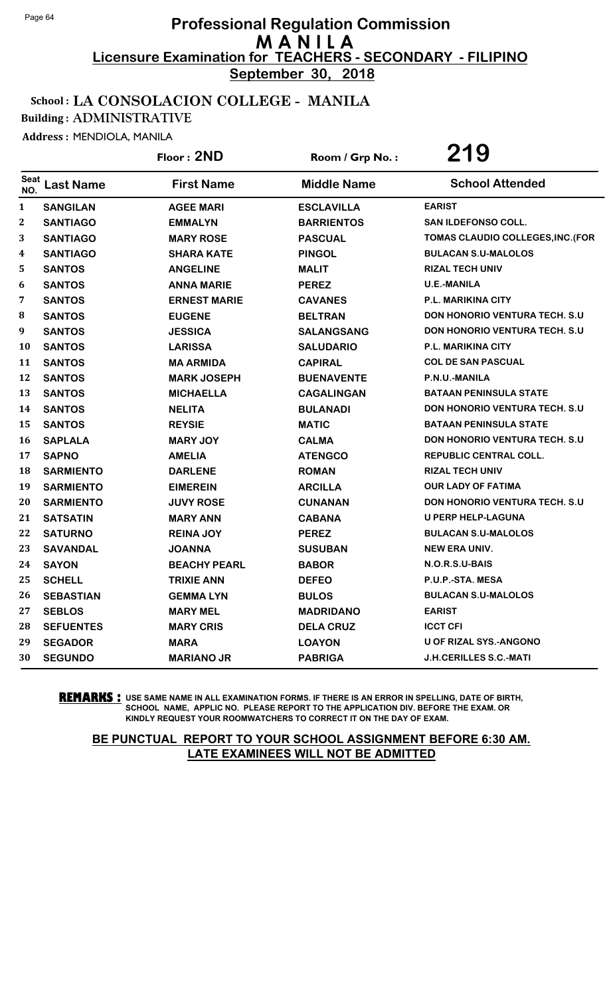**September 30, 2018**

#### School : LA CONSOLACION COLLEGE - MANILA

Building : ADMINISTRATIVE

Address : MENDIOLA, MANILA

|                  |                  | Floor: 2ND          | Room / Grp No.:    | 219                                   |
|------------------|------------------|---------------------|--------------------|---------------------------------------|
| Seat<br>NO.      | <b>Last Name</b> | <b>First Name</b>   | <b>Middle Name</b> | <b>School Attended</b>                |
| $\mathbf{1}$     | <b>SANGILAN</b>  | <b>AGEE MARI</b>    | <b>ESCLAVILLA</b>  | <b>EARIST</b>                         |
| $\boldsymbol{2}$ | <b>SANTIAGO</b>  | <b>EMMALYN</b>      | <b>BARRIENTOS</b>  | <b>SAN ILDEFONSO COLL.</b>            |
| 3                | <b>SANTIAGO</b>  | <b>MARY ROSE</b>    | <b>PASCUAL</b>     | TOMAS CLAUDIO COLLEGES, INC. (FOR     |
| 4                | <b>SANTIAGO</b>  | <b>SHARA KATE</b>   | <b>PINGOL</b>      | <b>BULACAN S.U-MALOLOS</b>            |
| 5                | <b>SANTOS</b>    | <b>ANGELINE</b>     | <b>MALIT</b>       | <b>RIZAL TECH UNIV</b>                |
| 6                | <b>SANTOS</b>    | <b>ANNA MARIE</b>   | <b>PEREZ</b>       | <b>U.E.-MANILA</b>                    |
| 7                | <b>SANTOS</b>    | <b>ERNEST MARIE</b> | <b>CAVANES</b>     | P.L. MARIKINA CITY                    |
| ${\bf 8}$        | <b>SANTOS</b>    | <b>EUGENE</b>       | <b>BELTRAN</b>     | <b>DON HONORIO VENTURA TECH. S.U.</b> |
| 9                | <b>SANTOS</b>    | <b>JESSICA</b>      | <b>SALANGSANG</b>  | <b>DON HONORIO VENTURA TECH. S.U</b>  |
| 10               | <b>SANTOS</b>    | <b>LARISSA</b>      | <b>SALUDARIO</b>   | <b>P.L. MARIKINA CITY</b>             |
| 11               | <b>SANTOS</b>    | <b>MA ARMIDA</b>    | <b>CAPIRAL</b>     | <b>COL DE SAN PASCUAL</b>             |
| 12               | <b>SANTOS</b>    | <b>MARK JOSEPH</b>  | <b>BUENAVENTE</b>  | P.N.U.-MANILA                         |
| 13               | <b>SANTOS</b>    | <b>MICHAELLA</b>    | <b>CAGALINGAN</b>  | <b>BATAAN PENINSULA STATE</b>         |
| 14               | <b>SANTOS</b>    | <b>NELITA</b>       | <b>BULANADI</b>    | <b>DON HONORIO VENTURA TECH. S.U.</b> |
| 15               | <b>SANTOS</b>    | <b>REYSIE</b>       | <b>MATIC</b>       | <b>BATAAN PENINSULA STATE</b>         |
| 16               | <b>SAPLALA</b>   | <b>MARY JOY</b>     | <b>CALMA</b>       | <b>DON HONORIO VENTURA TECH. S.U</b>  |
| 17               | <b>SAPNO</b>     | <b>AMELIA</b>       | <b>ATENGCO</b>     | <b>REPUBLIC CENTRAL COLL.</b>         |
| 18               | <b>SARMIENTO</b> | <b>DARLENE</b>      | <b>ROMAN</b>       | <b>RIZAL TECH UNIV</b>                |
| 19               | <b>SARMIENTO</b> | <b>EIMEREIN</b>     | <b>ARCILLA</b>     | <b>OUR LADY OF FATIMA</b>             |
| 20               | <b>SARMIENTO</b> | <b>JUVY ROSE</b>    | <b>CUNANAN</b>     | DON HONORIO VENTURA TECH. S.U         |
| 21               | <b>SATSATIN</b>  | <b>MARY ANN</b>     | <b>CABANA</b>      | U PERP HELP-LAGUNA                    |
| 22               | <b>SATURNO</b>   | <b>REINA JOY</b>    | <b>PEREZ</b>       | <b>BULACAN S.U-MALOLOS</b>            |
| 23               | <b>SAVANDAL</b>  | <b>JOANNA</b>       | <b>SUSUBAN</b>     | <b>NEW ERA UNIV.</b>                  |
| 24               | <b>SAYON</b>     | <b>BEACHY PEARL</b> | <b>BABOR</b>       | N.O.R.S.U-BAIS                        |
| 25               | <b>SCHELL</b>    | <b>TRIXIE ANN</b>   | <b>DEFEO</b>       | P.U.P.-STA. MESA                      |
| 26               | <b>SEBASTIAN</b> | <b>GEMMALYN</b>     | <b>BULOS</b>       | <b>BULACAN S.U-MALOLOS</b>            |
| 27               | <b>SEBLOS</b>    | <b>MARY MEL</b>     | <b>MADRIDANO</b>   | <b>EARIST</b>                         |
| 28               | <b>SEFUENTES</b> | <b>MARY CRIS</b>    | <b>DELA CRUZ</b>   | <b>ICCT CFI</b>                       |
| 29               | <b>SEGADOR</b>   | <b>MARA</b>         | <b>LOAYON</b>      | U OF RIZAL SYS.-ANGONO                |
| 30               | <b>SEGUNDO</b>   | <b>MARIANO JR</b>   | <b>PABRIGA</b>     | <b>J.H.CERILLES S.C.-MATI</b>         |

**REMARKS :** USE SAME NAME IN ALL EXAMINATION FORMS. IF THERE IS AN ERROR IN SPELLING, DATE OF BIRTH, SCHOOL NAME, APPLIC NO. PLEASE REPORT TO THE APPLICATION DIV. BEFORE THE EXAM. OR KINDLY REQUEST YOUR ROOMWATCHERS TO CORRECT IT ON THE DAY OF EXAM.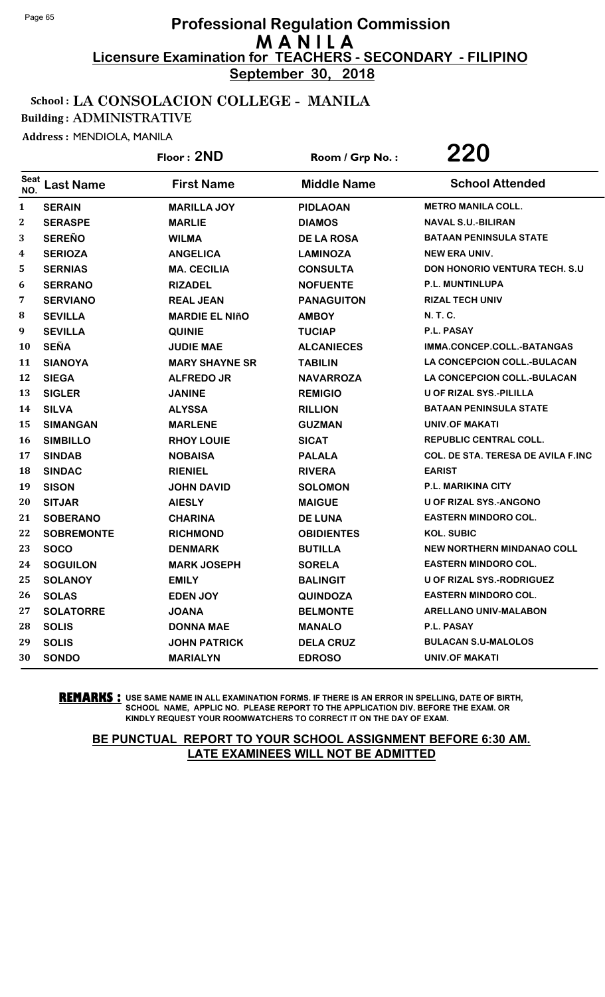**September 30, 2018**

#### School : LA CONSOLACION COLLEGE - MANILA

Building : ADMINISTRATIVE

Address : MENDIOLA, MANILA

|              |                   | Floor: 2ND            | Room / Grp No.:    | 220                                       |
|--------------|-------------------|-----------------------|--------------------|-------------------------------------------|
| Seat<br>NO.  | <b>Last Name</b>  | <b>First Name</b>     | <b>Middle Name</b> | <b>School Attended</b>                    |
| $\mathbf{1}$ | <b>SERAIN</b>     | <b>MARILLA JOY</b>    | <b>PIDLAOAN</b>    | <b>METRO MANILA COLL.</b>                 |
| 2            | <b>SERASPE</b>    | <b>MARLIE</b>         | <b>DIAMOS</b>      | <b>NAVAL S.U.-BILIRAN</b>                 |
| 3            | <b>SEREÑO</b>     | <b>WILMA</b>          | <b>DE LA ROSA</b>  | <b>BATAAN PENINSULA STATE</b>             |
| 4            | <b>SERIOZA</b>    | <b>ANGELICA</b>       | <b>LAMINOZA</b>    | <b>NEW ERA UNIV.</b>                      |
| 5            | <b>SERNIAS</b>    | <b>MA. CECILIA</b>    | <b>CONSULTA</b>    | <b>DON HONORIO VENTURA TECH. S.U</b>      |
| 6            | <b>SERRANO</b>    | <b>RIZADEL</b>        | <b>NOFUENTE</b>    | P.L. MUNTINLUPA                           |
| 7            | <b>SERVIANO</b>   | <b>REAL JEAN</b>      | <b>PANAGUITON</b>  | <b>RIZAL TECH UNIV</b>                    |
| 8            | <b>SEVILLA</b>    | <b>MARDIE EL NIñO</b> | <b>AMBOY</b>       | N. T. C.                                  |
| 9            | <b>SEVILLA</b>    | <b>QUINIE</b>         | <b>TUCIAP</b>      | P.L. PASAY                                |
| 10           | <b>SEÑA</b>       | <b>JUDIE MAE</b>      | <b>ALCANIECES</b>  | IMMA.CONCEP.COLL.-BATANGAS                |
| 11           | <b>SIANOYA</b>    | <b>MARY SHAYNE SR</b> | <b>TABILIN</b>     | <b>LA CONCEPCION COLL.-BULACAN</b>        |
| 12           | <b>SIEGA</b>      | <b>ALFREDO JR</b>     | <b>NAVARROZA</b>   | <b>LA CONCEPCION COLL.-BULACAN</b>        |
| 13           | <b>SIGLER</b>     | <b>JANINE</b>         | <b>REMIGIO</b>     | U OF RIZAL SYS.-PILILLA                   |
| 14           | <b>SILVA</b>      | <b>ALYSSA</b>         | <b>RILLION</b>     | <b>BATAAN PENINSULA STATE</b>             |
| 15           | <b>SIMANGAN</b>   | <b>MARLENE</b>        | <b>GUZMAN</b>      | <b>UNIV.OF MAKATI</b>                     |
| 16           | <b>SIMBILLO</b>   | <b>RHOY LOUIE</b>     | <b>SICAT</b>       | <b>REPUBLIC CENTRAL COLL.</b>             |
| 17           | <b>SINDAB</b>     | <b>NOBAISA</b>        | <b>PALALA</b>      | <b>COL. DE STA. TERESA DE AVILA F.INC</b> |
| 18           | <b>SINDAC</b>     | <b>RIENIEL</b>        | <b>RIVERA</b>      | <b>EARIST</b>                             |
| 19           | <b>SISON</b>      | <b>JOHN DAVID</b>     | <b>SOLOMON</b>     | P.L. MARIKINA CITY                        |
| 20           | <b>SITJAR</b>     | <b>AIESLY</b>         | <b>MAIGUE</b>      | <b>U OF RIZAL SYS.-ANGONO</b>             |
| 21           | <b>SOBERANO</b>   | <b>CHARINA</b>        | <b>DE LUNA</b>     | <b>EASTERN MINDORO COL.</b>               |
| 22           | <b>SOBREMONTE</b> | <b>RICHMOND</b>       | <b>OBIDIENTES</b>  | <b>KOL. SUBIC</b>                         |
| 23           | <b>SOCO</b>       | <b>DENMARK</b>        | <b>BUTILLA</b>     | <b>NEW NORTHERN MINDANAO COLL</b>         |
| 24           | <b>SOGUILON</b>   | <b>MARK JOSEPH</b>    | <b>SORELA</b>      | <b>EASTERN MINDORO COL.</b>               |
| 25           | <b>SOLANOY</b>    | <b>EMILY</b>          | <b>BALINGIT</b>    | U OF RIZAL SYS.-RODRIGUEZ                 |
| 26           | <b>SOLAS</b>      | <b>EDEN JOY</b>       | <b>QUINDOZA</b>    | <b>EASTERN MINDORO COL.</b>               |
| 27           | <b>SOLATORRE</b>  | <b>JOANA</b>          | <b>BELMONTE</b>    | <b>ARELLANO UNIV-MALABON</b>              |
| 28           | <b>SOLIS</b>      | <b>DONNA MAE</b>      | <b>MANALO</b>      | P.L. PASAY                                |
| 29           | <b>SOLIS</b>      | <b>JOHN PATRICK</b>   | <b>DELA CRUZ</b>   | <b>BULACAN S.U-MALOLOS</b>                |
| 30           | <b>SONDO</b>      | <b>MARIALYN</b>       | <b>EDROSO</b>      | <b>UNIV.OF MAKATI</b>                     |

**REMARKS :** USE SAME NAME IN ALL EXAMINATION FORMS. IF THERE IS AN ERROR IN SPELLING, DATE OF BIRTH, SCHOOL NAME, APPLIC NO. PLEASE REPORT TO THE APPLICATION DIV. BEFORE THE EXAM. OR KINDLY REQUEST YOUR ROOMWATCHERS TO CORRECT IT ON THE DAY OF EXAM.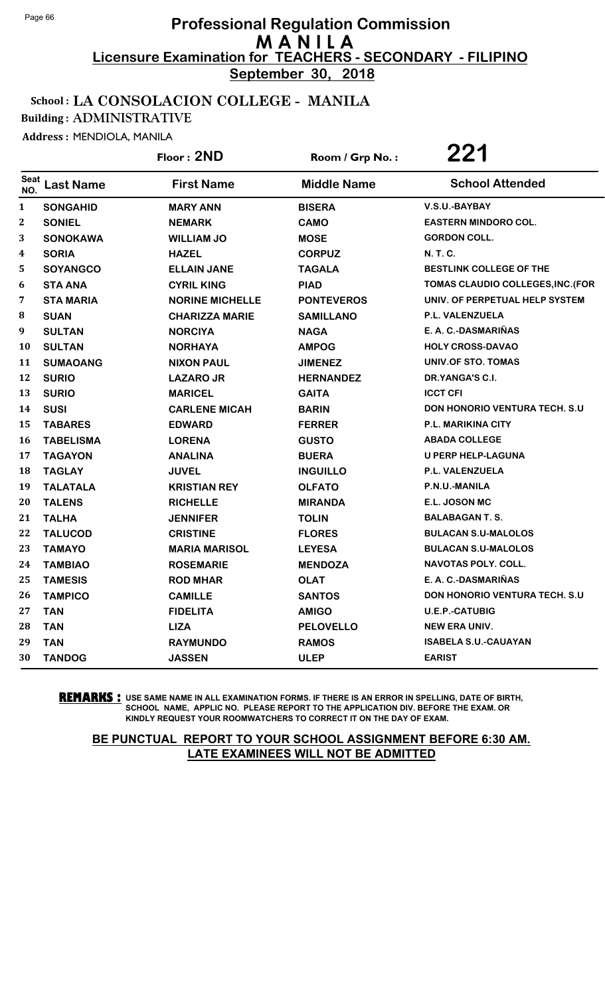**September 30, 2018**

#### School : LA CONSOLACION COLLEGE - MANILA

Building : ADMINISTRATIVE

Address : MENDIOLA, MANILA

|                    |                  | Floor: 2ND             | Room / Grp No.:    | 221                                  |
|--------------------|------------------|------------------------|--------------------|--------------------------------------|
| <b>Seat</b><br>NO. | <b>Last Name</b> | <b>First Name</b>      | <b>Middle Name</b> | <b>School Attended</b>               |
| $\mathbf{1}$       | <b>SONGAHID</b>  | <b>MARY ANN</b>        | <b>BISERA</b>      | V.S.U.-BAYBAY                        |
| $\mathbf{2}$       | <b>SONIEL</b>    | <b>NEMARK</b>          | <b>CAMO</b>        | <b>EASTERN MINDORO COL.</b>          |
| 3                  | <b>SONOKAWA</b>  | <b>WILLIAM JO</b>      | <b>MOSE</b>        | <b>GORDON COLL.</b>                  |
| 4                  | <b>SORIA</b>     | <b>HAZEL</b>           | <b>CORPUZ</b>      | N. T. C.                             |
| 5                  | <b>SOYANGCO</b>  | <b>ELLAIN JANE</b>     | <b>TAGALA</b>      | BESTLINK COLLEGE OF THE              |
| 6                  | <b>STA ANA</b>   | <b>CYRIL KING</b>      | <b>PIAD</b>        | TOMAS CLAUDIO COLLEGES, INC. (FOR    |
| 7                  | <b>STA MARIA</b> | <b>NORINE MICHELLE</b> | <b>PONTEVEROS</b>  | UNIV. OF PERPETUAL HELP SYSTEM       |
| 8                  | <b>SUAN</b>      | <b>CHARIZZA MARIE</b>  | <b>SAMILLANO</b>   | P.L. VALENZUELA                      |
| 9                  | <b>SULTAN</b>    | <b>NORCIYA</b>         | <b>NAGA</b>        | E. A. C.-DASMARIÑAS                  |
| 10                 | <b>SULTAN</b>    | <b>NORHAYA</b>         | <b>AMPOG</b>       | <b>HOLY CROSS-DAVAO</b>              |
| 11                 | <b>SUMAOANG</b>  | <b>NIXON PAUL</b>      | <b>JIMENEZ</b>     | UNIV.OF STO. TOMAS                   |
| 12                 | <b>SURIO</b>     | <b>LAZAROJR</b>        | <b>HERNANDEZ</b>   | DR.YANGA'S C.I.                      |
| 13                 | <b>SURIO</b>     | <b>MARICEL</b>         | <b>GAITA</b>       | <b>ICCT CFI</b>                      |
| 14                 | <b>SUSI</b>      | <b>CARLENE MICAH</b>   | <b>BARIN</b>       | <b>DON HONORIO VENTURA TECH. S.U</b> |
| 15                 | <b>TABARES</b>   | <b>EDWARD</b>          | <b>FERRER</b>      | <b>P.L. MARIKINA CITY</b>            |
| 16                 | <b>TABELISMA</b> | <b>LORENA</b>          | <b>GUSTO</b>       | <b>ABADA COLLEGE</b>                 |
| 17                 | <b>TAGAYON</b>   | <b>ANALINA</b>         | <b>BUERA</b>       | <b>U PERP HELP-LAGUNA</b>            |
| 18                 | <b>TAGLAY</b>    | <b>JUVEL</b>           | <b>INGUILLO</b>    | P.L. VALENZUELA                      |
| 19                 | <b>TALATALA</b>  | <b>KRISTIAN REY</b>    | <b>OLFATO</b>      | P.N.U.-MANILA                        |
| 20                 | <b>TALENS</b>    | <b>RICHELLE</b>        | <b>MIRANDA</b>     | E.L. JOSON MC                        |
| 21                 | <b>TALHA</b>     | <b>JENNIFER</b>        | <b>TOLIN</b>       | <b>BALABAGAN T. S.</b>               |
| 22                 | <b>TALUCOD</b>   | <b>CRISTINE</b>        | <b>FLORES</b>      | <b>BULACAN S.U-MALOLOS</b>           |
| 23                 | <b>TAMAYO</b>    | <b>MARIA MARISOL</b>   | <b>LEYESA</b>      | <b>BULACAN S.U-MALOLOS</b>           |
| 24                 | <b>TAMBIAO</b>   | <b>ROSEMARIE</b>       | <b>MENDOZA</b>     | <b>NAVOTAS POLY. COLL.</b>           |
| 25                 | <b>TAMESIS</b>   | <b>ROD MHAR</b>        | <b>OLAT</b>        | E. A. C.-DASMARIÑAS                  |
| 26                 | <b>TAMPICO</b>   | <b>CAMILLE</b>         | <b>SANTOS</b>      | <b>DON HONORIO VENTURA TECH. S.U</b> |
| 27                 | <b>TAN</b>       | <b>FIDELITA</b>        | <b>AMIGO</b>       | <b>U.E.P.-CATUBIG</b>                |
| 28                 | <b>TAN</b>       | <b>LIZA</b>            | <b>PELOVELLO</b>   | <b>NEW ERA UNIV.</b>                 |
| 29                 | <b>TAN</b>       | <b>RAYMUNDO</b>        | <b>RAMOS</b>       | <b>ISABELA S.U.-CAUAYAN</b>          |
| 30                 | <b>TANDOG</b>    | <b>JASSEN</b>          | <b>ULEP</b>        | <b>EARIST</b>                        |

**REMARKS :** USE SAME NAME IN ALL EXAMINATION FORMS. IF THERE IS AN ERROR IN SPELLING, DATE OF BIRTH, SCHOOL NAME, APPLIC NO. PLEASE REPORT TO THE APPLICATION DIV. BEFORE THE EXAM. OR KINDLY REQUEST YOUR ROOMWATCHERS TO CORRECT IT ON THE DAY OF EXAM.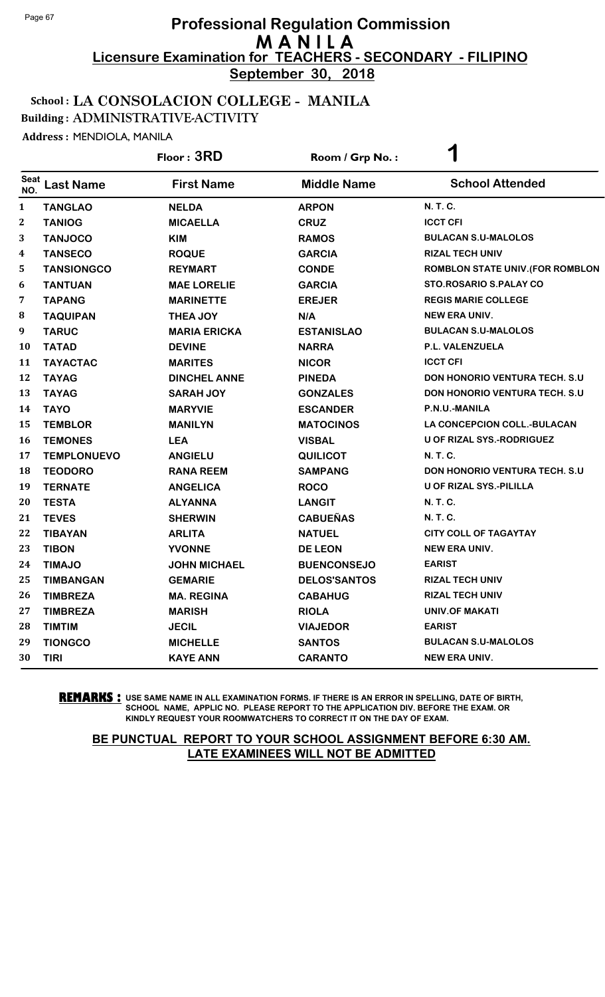**September 30, 2018**

#### School : LA CONSOLACION COLLEGE - MANILA

Building : ADMINISTRATIVE-ACTIVITY

Address : MENDIOLA, MANILA

|                  |                    | Floor: 3RD          | Room / Grp No.:     | 1                                       |
|------------------|--------------------|---------------------|---------------------|-----------------------------------------|
| Seat<br>NO.      | <b>Last Name</b>   | <b>First Name</b>   | <b>Middle Name</b>  | <b>School Attended</b>                  |
| $\mathbf{1}$     | <b>TANGLAO</b>     | <b>NELDA</b>        | <b>ARPON</b>        | N. T. C.                                |
| $\boldsymbol{2}$ | <b>TANIOG</b>      | <b>MICAELLA</b>     | <b>CRUZ</b>         | <b>ICCT CFI</b>                         |
| 3                | <b>TANJOCO</b>     | <b>KIM</b>          | <b>RAMOS</b>        | <b>BULACAN S.U-MALOLOS</b>              |
| 4                | <b>TANSECO</b>     | <b>ROQUE</b>        | <b>GARCIA</b>       | <b>RIZAL TECH UNIV</b>                  |
| 5                | <b>TANSIONGCO</b>  | <b>REYMART</b>      | <b>CONDE</b>        | <b>ROMBLON STATE UNIV. (FOR ROMBLON</b> |
| 6                | <b>TANTUAN</b>     | <b>MAE LORELIE</b>  | <b>GARCIA</b>       | <b>STO.ROSARIO S.PALAY CO</b>           |
| 7                | <b>TAPANG</b>      | <b>MARINETTE</b>    | <b>EREJER</b>       | <b>REGIS MARIE COLLEGE</b>              |
| 8                | <b>TAQUIPAN</b>    | <b>THEA JOY</b>     | N/A                 | <b>NEW ERA UNIV.</b>                    |
| 9                | <b>TARUC</b>       | <b>MARIA ERICKA</b> | <b>ESTANISLAO</b>   | <b>BULACAN S.U-MALOLOS</b>              |
| <b>10</b>        | <b>TATAD</b>       | <b>DEVINE</b>       | <b>NARRA</b>        | P.L. VALENZUELA                         |
| 11               | <b>TAYACTAC</b>    | <b>MARITES</b>      | <b>NICOR</b>        | <b>ICCT CFI</b>                         |
| 12               | <b>TAYAG</b>       | <b>DINCHEL ANNE</b> | <b>PINEDA</b>       | <b>DON HONORIO VENTURA TECH. S.U</b>    |
| 13               | <b>TAYAG</b>       | <b>SARAH JOY</b>    | <b>GONZALES</b>     | <b>DON HONORIO VENTURA TECH. S.U</b>    |
| 14               | <b>TAYO</b>        | <b>MARYVIE</b>      | <b>ESCANDER</b>     | P.N.U.-MANILA                           |
| 15               | <b>TEMBLOR</b>     | <b>MANILYN</b>      | <b>MATOCINOS</b>    | LA CONCEPCION COLL.-BULACAN             |
| <b>16</b>        | <b>TEMONES</b>     | <b>LEA</b>          | <b>VISBAL</b>       | U OF RIZAL SYS.-RODRIGUEZ               |
| 17               | <b>TEMPLONUEVO</b> | <b>ANGIELU</b>      | <b>QUILICOT</b>     | N. T. C.                                |
| 18               | <b>TEODORO</b>     | <b>RANA REEM</b>    | <b>SAMPANG</b>      | <b>DON HONORIO VENTURA TECH. S.U</b>    |
| 19               | <b>TERNATE</b>     | <b>ANGELICA</b>     | <b>ROCO</b>         | U OF RIZAL SYS.-PILILLA                 |
| 20               | <b>TESTA</b>       | <b>ALYANNA</b>      | <b>LANGIT</b>       | N. T. C.                                |
| 21               | <b>TEVES</b>       | <b>SHERWIN</b>      | <b>CABUEÑAS</b>     | N. T. C.                                |
| 22               | <b>TIBAYAN</b>     | <b>ARLITA</b>       | <b>NATUEL</b>       | <b>CITY COLL OF TAGAYTAY</b>            |
| 23               | <b>TIBON</b>       | <b>YVONNE</b>       | <b>DE LEON</b>      | <b>NEW ERA UNIV.</b>                    |
| 24               | <b>TIMAJO</b>      | <b>JOHN MICHAEL</b> | <b>BUENCONSEJO</b>  | <b>EARIST</b>                           |
| 25               | <b>TIMBANGAN</b>   | <b>GEMARIE</b>      | <b>DELOS'SANTOS</b> | <b>RIZAL TECH UNIV</b>                  |
| 26               | <b>TIMBREZA</b>    | <b>MA. REGINA</b>   | <b>CABAHUG</b>      | <b>RIZAL TECH UNIV</b>                  |
| 27               | <b>TIMBREZA</b>    | <b>MARISH</b>       | <b>RIOLA</b>        | <b>UNIV.OF MAKATI</b>                   |
| 28               | <b>TIMTIM</b>      | <b>JECIL</b>        | <b>VIAJEDOR</b>     | <b>EARIST</b>                           |
| 29               | <b>TIONGCO</b>     | <b>MICHELLE</b>     | <b>SANTOS</b>       | <b>BULACAN S.U-MALOLOS</b>              |
| 30               | <b>TIRI</b>        | <b>KAYE ANN</b>     | <b>CARANTO</b>      | <b>NEW ERA UNIV.</b>                    |

**REMARKS :** USE SAME NAME IN ALL EXAMINATION FORMS. IF THERE IS AN ERROR IN SPELLING, DATE OF BIRTH, SCHOOL NAME, APPLIC NO. PLEASE REPORT TO THE APPLICATION DIV. BEFORE THE EXAM. OR KINDLY REQUEST YOUR ROOMWATCHERS TO CORRECT IT ON THE DAY OF EXAM.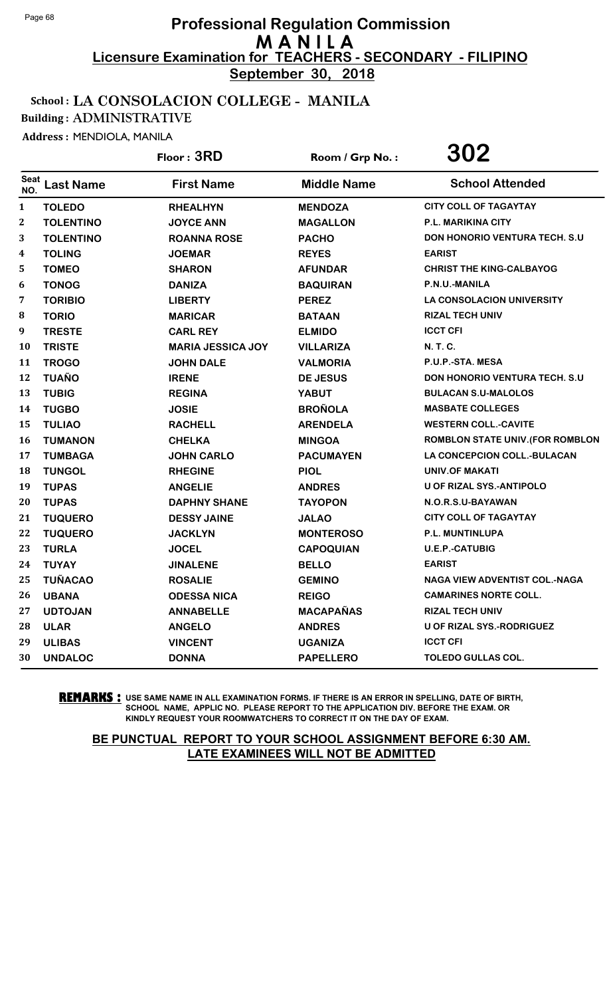**September 30, 2018**

#### School : LA CONSOLACION COLLEGE - MANILA

Building : ADMINISTRATIVE

Address : MENDIOLA, MANILA

|                    |                  | Floor: 3RD               | Room / Grp No.:    | 302                                   |
|--------------------|------------------|--------------------------|--------------------|---------------------------------------|
| <b>Seat</b><br>NO. | <b>Last Name</b> | <b>First Name</b>        | <b>Middle Name</b> | <b>School Attended</b>                |
| $\mathbf{1}$       | <b>TOLEDO</b>    | <b>RHEALHYN</b>          | <b>MENDOZA</b>     | <b>CITY COLL OF TAGAYTAY</b>          |
| $\mathbf{2}$       | <b>TOLENTINO</b> | <b>JOYCE ANN</b>         | <b>MAGALLON</b>    | <b>P.L. MARIKINA CITY</b>             |
| 3                  | <b>TOLENTINO</b> | <b>ROANNA ROSE</b>       | <b>PACHO</b>       | DON HONORIO VENTURA TECH. S.U         |
| 4                  | <b>TOLING</b>    | <b>JOEMAR</b>            | <b>REYES</b>       | <b>EARIST</b>                         |
| 5                  | <b>TOMEO</b>     | <b>SHARON</b>            | <b>AFUNDAR</b>     | <b>CHRIST THE KING-CALBAYOG</b>       |
| 6                  | <b>TONOG</b>     | <b>DANIZA</b>            | <b>BAQUIRAN</b>    | P.N.U.-MANILA                         |
| 7                  | <b>TORIBIO</b>   | <b>LIBERTY</b>           | <b>PEREZ</b>       | <b>LA CONSOLACION UNIVERSITY</b>      |
| 8                  | <b>TORIO</b>     | <b>MARICAR</b>           | <b>BATAAN</b>      | <b>RIZAL TECH UNIV</b>                |
| 9                  | <b>TRESTE</b>    | <b>CARL REY</b>          | <b>ELMIDO</b>      | <b>ICCT CFI</b>                       |
| 10                 | <b>TRISTE</b>    | <b>MARIA JESSICA JOY</b> | <b>VILLARIZA</b>   | N. T. C.                              |
| 11                 | <b>TROGO</b>     | <b>JOHN DALE</b>         | <b>VALMORIA</b>    | P.U.P.-STA. MESA                      |
| 12                 | <b>TUAÑO</b>     | <b>IRENE</b>             | <b>DE JESUS</b>    | <b>DON HONORIO VENTURA TECH. S.U.</b> |
| 13                 | <b>TUBIG</b>     | <b>REGINA</b>            | <b>YABUT</b>       | <b>BULACAN S.U-MALOLOS</b>            |
| 14                 | <b>TUGBO</b>     | <b>JOSIE</b>             | <b>BROÑOLA</b>     | <b>MASBATE COLLEGES</b>               |
| 15                 | <b>TULIAO</b>    | <b>RACHELL</b>           | <b>ARENDELA</b>    | <b>WESTERN COLL.-CAVITE</b>           |
| 16                 | <b>TUMANON</b>   | <b>CHELKA</b>            | <b>MINGOA</b>      | ROMBLON STATE UNIV. (FOR ROMBLON      |
| 17                 | <b>TUMBAGA</b>   | <b>JOHN CARLO</b>        | <b>PACUMAYEN</b>   | LA CONCEPCION COLL.-BULACAN           |
| 18                 | <b>TUNGOL</b>    | <b>RHEGINE</b>           | <b>PIOL</b>        | UNIV.OF MAKATI                        |
| 19                 | <b>TUPAS</b>     | <b>ANGELIE</b>           | <b>ANDRES</b>      | <b>U OF RIZAL SYS.-ANTIPOLO</b>       |
| 20                 | <b>TUPAS</b>     | <b>DAPHNY SHANE</b>      | <b>TAYOPON</b>     | N.O.R.S.U-BAYAWAN                     |
| 21                 | <b>TUQUERO</b>   | <b>DESSY JAINE</b>       | <b>JALAO</b>       | <b>CITY COLL OF TAGAYTAY</b>          |
| 22                 | <b>TUQUERO</b>   | <b>JACKLYN</b>           | <b>MONTEROSO</b>   | P.L. MUNTINLUPA                       |
| 23                 | <b>TURLA</b>     | <b>JOCEL</b>             | <b>CAPOQUIAN</b>   | <b>U.E.P.-CATUBIG</b>                 |
| 24                 | <b>TUYAY</b>     | <b>JINALENE</b>          | <b>BELLO</b>       | <b>EARIST</b>                         |
| 25                 | <b>TUÑACAO</b>   | <b>ROSALIE</b>           | <b>GEMINO</b>      | <b>NAGA VIEW ADVENTIST COL.-NAGA</b>  |
| 26                 | <b>UBANA</b>     | <b>ODESSA NICA</b>       | <b>REIGO</b>       | <b>CAMARINES NORTE COLL.</b>          |
| 27                 | <b>UDTOJAN</b>   | <b>ANNABELLE</b>         | <b>MACAPAÑAS</b>   | <b>RIZAL TECH UNIV</b>                |
| 28                 | <b>ULAR</b>      | <b>ANGELO</b>            | <b>ANDRES</b>      | <b>U OF RIZAL SYS.-RODRIGUEZ</b>      |
| 29                 | <b>ULIBAS</b>    | <b>VINCENT</b>           | <b>UGANIZA</b>     | <b>ICCT CFI</b>                       |
| 30                 | <b>UNDALOC</b>   | <b>DONNA</b>             | <b>PAPELLERO</b>   | <b>TOLEDO GULLAS COL.</b>             |

**REMARKS :** USE SAME NAME IN ALL EXAMINATION FORMS. IF THERE IS AN ERROR IN SPELLING, DATE OF BIRTH, SCHOOL NAME, APPLIC NO. PLEASE REPORT TO THE APPLICATION DIV. BEFORE THE EXAM. OR KINDLY REQUEST YOUR ROOMWATCHERS TO CORRECT IT ON THE DAY OF EXAM.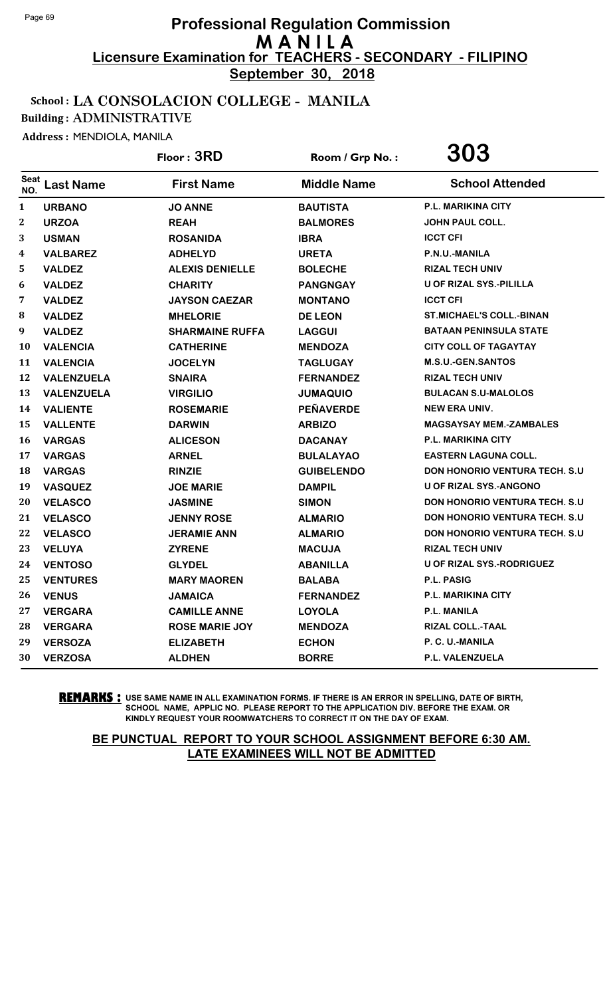**September 30, 2018**

#### School : LA CONSOLACION COLLEGE - MANILA

Building : ADMINISTRATIVE

Address : MENDIOLA, MANILA

|                  |                   | Floor: 3RD             | Room / Grp No.:    | 303                                   |
|------------------|-------------------|------------------------|--------------------|---------------------------------------|
| Seat<br>NO.      | <b>Last Name</b>  | <b>First Name</b>      | <b>Middle Name</b> | <b>School Attended</b>                |
| $\mathbf{1}$     | <b>URBANO</b>     | <b>JO ANNE</b>         | <b>BAUTISTA</b>    | <b>P.L. MARIKINA CITY</b>             |
| $\boldsymbol{2}$ | <b>URZOA</b>      | <b>REAH</b>            | <b>BALMORES</b>    | JOHN PAUL COLL.                       |
| 3                | <b>USMAN</b>      | <b>ROSANIDA</b>        | <b>IBRA</b>        | <b>ICCT CFI</b>                       |
| 4                | <b>VALBAREZ</b>   | <b>ADHELYD</b>         | <b>URETA</b>       | P.N.U.-MANILA                         |
| 5                | <b>VALDEZ</b>     | <b>ALEXIS DENIELLE</b> | <b>BOLECHE</b>     | <b>RIZAL TECH UNIV</b>                |
| 6                | <b>VALDEZ</b>     | <b>CHARITY</b>         | <b>PANGNGAY</b>    | U OF RIZAL SYS.-PILILLA               |
| 7                | <b>VALDEZ</b>     | <b>JAYSON CAEZAR</b>   | <b>MONTANO</b>     | <b>ICCT CFI</b>                       |
| 8                | <b>VALDEZ</b>     | <b>MHELORIE</b>        | <b>DE LEON</b>     | <b>ST.MICHAEL'S COLL.-BINAN</b>       |
| 9                | <b>VALDEZ</b>     | <b>SHARMAINE RUFFA</b> | <b>LAGGUI</b>      | <b>BATAAN PENINSULA STATE</b>         |
| 10               | <b>VALENCIA</b>   | <b>CATHERINE</b>       | <b>MENDOZA</b>     | <b>CITY COLL OF TAGAYTAY</b>          |
| 11               | <b>VALENCIA</b>   | <b>JOCELYN</b>         | <b>TAGLUGAY</b>    | M.S.U.-GEN.SANTOS                     |
| 12               | VALENZUELA        | <b>SNAIRA</b>          | <b>FERNANDEZ</b>   | <b>RIZAL TECH UNIV</b>                |
| 13               | <b>VALENZUELA</b> | <b>VIRGILIO</b>        | <b>JUMAQUIO</b>    | <b>BULACAN S.U-MALOLOS</b>            |
| 14               | <b>VALIENTE</b>   | <b>ROSEMARIE</b>       | <b>PEÑAVERDE</b>   | <b>NEW ERA UNIV.</b>                  |
| 15               | <b>VALLENTE</b>   | <b>DARWIN</b>          | <b>ARBIZO</b>      | <b>MAGSAYSAY MEM.-ZAMBALES</b>        |
| 16               | <b>VARGAS</b>     | <b>ALICESON</b>        | <b>DACANAY</b>     | P.L. MARIKINA CITY                    |
| 17               | <b>VARGAS</b>     | <b>ARNEL</b>           | <b>BULALAYAO</b>   | <b>EASTERN LAGUNA COLL.</b>           |
| 18               | <b>VARGAS</b>     | <b>RINZIE</b>          | <b>GUIBELENDO</b>  | <b>DON HONORIO VENTURA TECH. S.U</b>  |
| 19               | <b>VASQUEZ</b>    | <b>JOE MARIE</b>       | <b>DAMPIL</b>      | <b>U OF RIZAL SYS.-ANGONO</b>         |
| 20               | <b>VELASCO</b>    | <b>JASMINE</b>         | <b>SIMON</b>       | <b>DON HONORIO VENTURA TECH. S.U</b>  |
| 21               | <b>VELASCO</b>    | <b>JENNY ROSE</b>      | <b>ALMARIO</b>     | <b>DON HONORIO VENTURA TECH. S.U.</b> |
| 22               | <b>VELASCO</b>    | <b>JERAMIE ANN</b>     | <b>ALMARIO</b>     | <b>DON HONORIO VENTURA TECH. S.U</b>  |
| 23               | <b>VELUYA</b>     | <b>ZYRENE</b>          | <b>MACUJA</b>      | <b>RIZAL TECH UNIV</b>                |
| 24               | <b>VENTOSO</b>    | <b>GLYDEL</b>          | <b>ABANILLA</b>    | U OF RIZAL SYS.-RODRIGUEZ             |
| 25               | <b>VENTURES</b>   | <b>MARY MAOREN</b>     | <b>BALABA</b>      | <b>P.L. PASIG</b>                     |
| 26               | <b>VENUS</b>      | <b>JAMAICA</b>         | <b>FERNANDEZ</b>   | P.L. MARIKINA CITY                    |
| 27               | <b>VERGARA</b>    | <b>CAMILLE ANNE</b>    | <b>LOYOLA</b>      | P.L. MANILA                           |
| 28               | <b>VERGARA</b>    | <b>ROSE MARIE JOY</b>  | <b>MENDOZA</b>     | <b>RIZAL COLL.-TAAL</b>               |
| 29               | <b>VERSOZA</b>    | <b>ELIZABETH</b>       | <b>ECHON</b>       | P. C. U.-MANILA                       |
| 30               | <b>VERZOSA</b>    | <b>ALDHEN</b>          | <b>BORRE</b>       | P.L. VALENZUELA                       |

**REMARKS :** USE SAME NAME IN ALL EXAMINATION FORMS. IF THERE IS AN ERROR IN SPELLING, DATE OF BIRTH, SCHOOL NAME, APPLIC NO. PLEASE REPORT TO THE APPLICATION DIV. BEFORE THE EXAM. OR KINDLY REQUEST YOUR ROOMWATCHERS TO CORRECT IT ON THE DAY OF EXAM.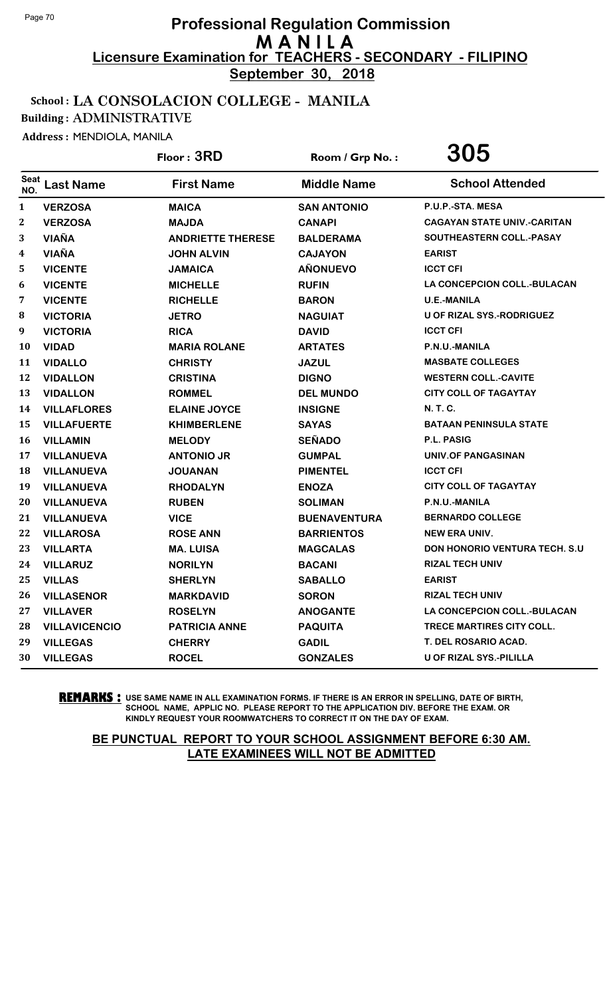**September 30, 2018**

#### School : LA CONSOLACION COLLEGE - MANILA

Building : ADMINISTRATIVE

Address : MENDIOLA, MANILA

|              |                      | Floor: 3RD               | Room / Grp No.:     | 305                                |
|--------------|----------------------|--------------------------|---------------------|------------------------------------|
| Seat<br>NO.  | <b>Last Name</b>     | <b>First Name</b>        | <b>Middle Name</b>  | <b>School Attended</b>             |
| $\mathbf{1}$ | <b>VERZOSA</b>       | <b>MAICA</b>             | <b>SAN ANTONIO</b>  | P.U.P.-STA. MESA                   |
| $\mathbf{2}$ | <b>VERZOSA</b>       | <b>MAJDA</b>             | <b>CANAPI</b>       | <b>CAGAYAN STATE UNIV.-CARITAN</b> |
| 3            | <b>VIAÑA</b>         | <b>ANDRIETTE THERESE</b> | <b>BALDERAMA</b>    | SOUTHEASTERN COLL.-PASAY           |
| 4            | <b>VIAÑA</b>         | <b>JOHN ALVIN</b>        | <b>CAJAYON</b>      | <b>EARIST</b>                      |
| 5            | <b>VICENTE</b>       | <b>JAMAICA</b>           | <b>AÑONUEVO</b>     | <b>ICCT CFI</b>                    |
| 6            | <b>VICENTE</b>       | <b>MICHELLE</b>          | <b>RUFIN</b>        | <b>LA CONCEPCION COLL.-BULACAN</b> |
| 7            | <b>VICENTE</b>       | <b>RICHELLE</b>          | <b>BARON</b>        | <b>U.E.-MANILA</b>                 |
| 8            | <b>VICTORIA</b>      | <b>JETRO</b>             | <b>NAGUIAT</b>      | <b>U OF RIZAL SYS.-RODRIGUEZ</b>   |
| 9            | <b>VICTORIA</b>      | <b>RICA</b>              | <b>DAVID</b>        | <b>ICCT CFI</b>                    |
| 10           | <b>VIDAD</b>         | <b>MARIA ROLANE</b>      | <b>ARTATES</b>      | P.N.U.-MANILA                      |
| 11           | <b>VIDALLO</b>       | <b>CHRISTY</b>           | <b>JAZUL</b>        | <b>MASBATE COLLEGES</b>            |
| 12           | <b>VIDALLON</b>      | <b>CRISTINA</b>          | <b>DIGNO</b>        | <b>WESTERN COLL.-CAVITE</b>        |
| 13           | <b>VIDALLON</b>      | <b>ROMMEL</b>            | <b>DEL MUNDO</b>    | <b>CITY COLL OF TAGAYTAY</b>       |
| 14           | <b>VILLAFLORES</b>   | <b>ELAINE JOYCE</b>      | <b>INSIGNE</b>      | N. T. C.                           |
| 15           | <b>VILLAFUERTE</b>   | <b>KHIMBERLENE</b>       | <b>SAYAS</b>        | <b>BATAAN PENINSULA STATE</b>      |
| 16           | <b>VILLAMIN</b>      | <b>MELODY</b>            | <b>SEÑADO</b>       | P.L. PASIG                         |
| 17           | <b>VILLANUEVA</b>    | <b>ANTONIO JR</b>        | <b>GUMPAL</b>       | <b>UNIV.OF PANGASINAN</b>          |
| 18           | <b>VILLANUEVA</b>    | <b>JOUANAN</b>           | <b>PIMENTEL</b>     | <b>ICCT CFI</b>                    |
| 19           | <b>VILLANUEVA</b>    | <b>RHODALYN</b>          | <b>ENOZA</b>        | <b>CITY COLL OF TAGAYTAY</b>       |
| 20           | <b>VILLANUEVA</b>    | <b>RUBEN</b>             | <b>SOLIMAN</b>      | P.N.U.-MANILA                      |
| 21           | <b>VILLANUEVA</b>    | <b>VICE</b>              | <b>BUENAVENTURA</b> | <b>BERNARDO COLLEGE</b>            |
| 22           | <b>VILLAROSA</b>     | <b>ROSE ANN</b>          | <b>BARRIENTOS</b>   | <b>NEW ERA UNIV.</b>               |
| 23           | <b>VILLARTA</b>      | <b>MA. LUISA</b>         | <b>MAGCALAS</b>     | DON HONORIO VENTURA TECH. S.U      |
| 24           | <b>VILLARUZ</b>      | <b>NORILYN</b>           | <b>BACANI</b>       | <b>RIZAL TECH UNIV</b>             |
| 25           | <b>VILLAS</b>        | <b>SHERLYN</b>           | <b>SABALLO</b>      | <b>EARIST</b>                      |
| 26           | <b>VILLASENOR</b>    | <b>MARKDAVID</b>         | <b>SORON</b>        | <b>RIZAL TECH UNIV</b>             |
| 27           | <b>VILLAVER</b>      | <b>ROSELYN</b>           | <b>ANOGANTE</b>     | LA CONCEPCION COLL.-BULACAN        |
| 28           | <b>VILLAVICENCIO</b> | <b>PATRICIA ANNE</b>     | <b>PAQUITA</b>      | TRECE MARTIRES CITY COLL.          |
| 29           | <b>VILLEGAS</b>      | <b>CHERRY</b>            | <b>GADIL</b>        | T. DEL ROSARIO ACAD.               |
| 30           | <b>VILLEGAS</b>      | <b>ROCEL</b>             | <b>GONZALES</b>     | U OF RIZAL SYS.-PILILLA            |

**REMARKS :** USE SAME NAME IN ALL EXAMINATION FORMS. IF THERE IS AN ERROR IN SPELLING, DATE OF BIRTH, SCHOOL NAME, APPLIC NO. PLEASE REPORT TO THE APPLICATION DIV. BEFORE THE EXAM. OR KINDLY REQUEST YOUR ROOMWATCHERS TO CORRECT IT ON THE DAY OF EXAM.